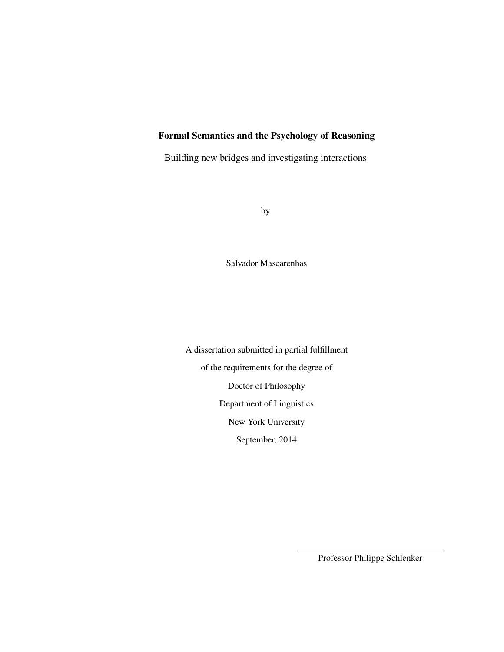### <span id="page-0-0"></span>Formal Semantics and the Psychology of Reasoning

Building new bridges and investigating interactions

by

Salvador Mascarenhas

A dissertation submitted in partial fulfillment of the requirements for the degree of Doctor of Philosophy Department of Linguistics New York University September, 2014

Professor Philippe Schlenker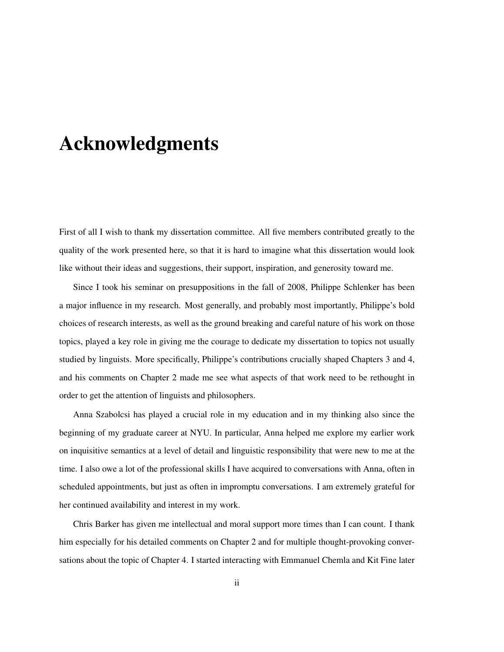## Acknowledgments

First of all I wish to thank my dissertation committee. All five members contributed greatly to the quality of the work presented here, so that it is hard to imagine what this dissertation would look like without their ideas and suggestions, their support, inspiration, and generosity toward me.

Since I took his seminar on presuppositions in the fall of 2008, Philippe Schlenker has been a major influence in my research. Most generally, and probably most importantly, Philippe's bold choices of research interests, as well as the ground breaking and careful nature of his work on those topics, played a key role in giving me the courage to dedicate my dissertation to topics not usually studied by linguists. More specifically, Philippe's contributions crucially shaped Chapters [3](#page-62-0) and [4,](#page-101-0) and his comments on Chapter [2](#page-14-0) made me see what aspects of that work need to be rethought in order to get the attention of linguists and philosophers.

Anna Szabolcsi has played a crucial role in my education and in my thinking also since the beginning of my graduate career at NYU. In particular, Anna helped me explore my earlier work on inquisitive semantics at a level of detail and linguistic responsibility that were new to me at the time. I also owe a lot of the professional skills I have acquired to conversations with Anna, often in scheduled appointments, but just as often in impromptu conversations. I am extremely grateful for her continued availability and interest in my work.

Chris Barker has given me intellectual and moral support more times than I can count. I thank him especially for his detailed comments on Chapter 2 and for multiple thought-provoking conversations about the topic of Chapter 4. I started interacting with Emmanuel Chemla and Kit Fine later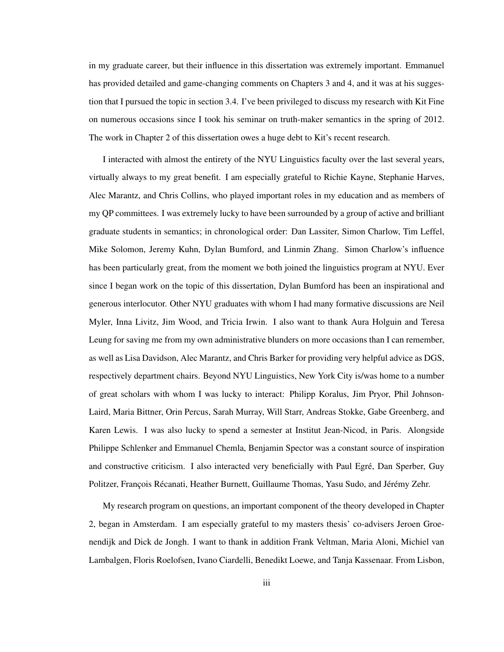in my graduate career, but their influence in this dissertation was extremely important. Emmanuel has provided detailed and game-changing comments on Chapters 3 and 4, and it was at his suggestion that I pursued the topic in section [3.4.](#page-87-0) I've been privileged to discuss my research with Kit Fine on numerous occasions since I took his seminar on truth-maker semantics in the spring of 2012. The work in Chapter 2 of this dissertation owes a huge debt to Kit's recent research.

I interacted with almost the entirety of the NYU Linguistics faculty over the last several years, virtually always to my great benefit. I am especially grateful to Richie Kayne, Stephanie Harves, Alec Marantz, and Chris Collins, who played important roles in my education and as members of my QP committees. I was extremely lucky to have been surrounded by a group of active and brilliant graduate students in semantics; in chronological order: Dan Lassiter, Simon Charlow, Tim Leffel, Mike Solomon, Jeremy Kuhn, Dylan Bumford, and Linmin Zhang. Simon Charlow's influence has been particularly great, from the moment we both joined the linguistics program at NYU. Ever since I began work on the topic of this dissertation, Dylan Bumford has been an inspirational and generous interlocutor. Other NYU graduates with whom I had many formative discussions are Neil Myler, Inna Livitz, Jim Wood, and Tricia Irwin. I also want to thank Aura Holguin and Teresa Leung for saving me from my own administrative blunders on more occasions than I can remember, as well as Lisa Davidson, Alec Marantz, and Chris Barker for providing very helpful advice as DGS, respectively department chairs. Beyond NYU Linguistics, New York City is/was home to a number of great scholars with whom I was lucky to interact: Philipp Koralus, Jim Pryor, Phil Johnson-Laird, Maria Bittner, Orin Percus, Sarah Murray, Will Starr, Andreas Stokke, Gabe Greenberg, and Karen Lewis. I was also lucky to spend a semester at Institut Jean-Nicod, in Paris. Alongside Philippe Schlenker and Emmanuel Chemla, Benjamin Spector was a constant source of inspiration and constructive criticism. I also interacted very beneficially with Paul Egré, Dan Sperber, Guy Politzer, François Récanati, Heather Burnett, Guillaume Thomas, Yasu Sudo, and Jérémy Zehr.

My research program on questions, an important component of the theory developed in Chapter 2, began in Amsterdam. I am especially grateful to my masters thesis' co-advisers Jeroen Groenendijk and Dick de Jongh. I want to thank in addition Frank Veltman, Maria Aloni, Michiel van Lambalgen, Floris Roelofsen, Ivano Ciardelli, Benedikt Loewe, and Tanja Kassenaar. From Lisbon,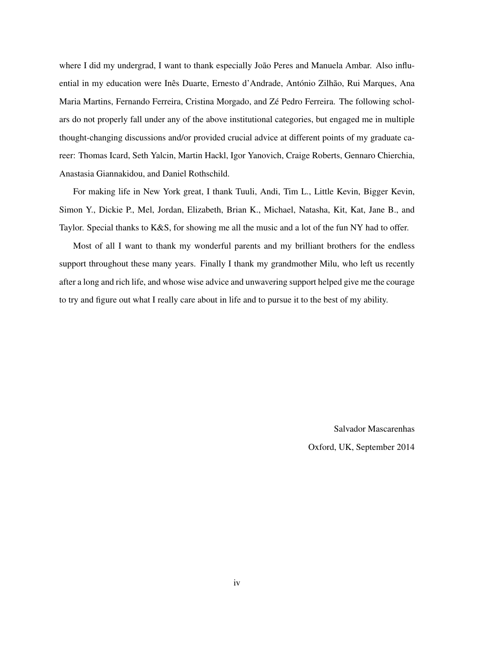where I did my undergrad, I want to thank especially João Peres and Manuela Ambar. Also influential in my education were Inês Duarte, Ernesto d'Andrade, António Zilhão, Rui Marques, Ana Maria Martins, Fernando Ferreira, Cristina Morgado, and Zé Pedro Ferreira. The following scholars do not properly fall under any of the above institutional categories, but engaged me in multiple thought-changing discussions and/or provided crucial advice at different points of my graduate career: Thomas Icard, Seth Yalcin, Martin Hackl, Igor Yanovich, Craige Roberts, Gennaro Chierchia, Anastasia Giannakidou, and Daniel Rothschild.

For making life in New York great, I thank Tuuli, Andi, Tim L., Little Kevin, Bigger Kevin, Simon Y., Dickie P., Mel, Jordan, Elizabeth, Brian K., Michael, Natasha, Kit, Kat, Jane B., and Taylor. Special thanks to K&S, for showing me all the music and a lot of the fun NY had to offer.

Most of all I want to thank my wonderful parents and my brilliant brothers for the endless support throughout these many years. Finally I thank my grandmother Milu, who left us recently after a long and rich life, and whose wise advice and unwavering support helped give me the courage to try and figure out what I really care about in life and to pursue it to the best of my ability.

> Salvador Mascarenhas Oxford, UK, September 2014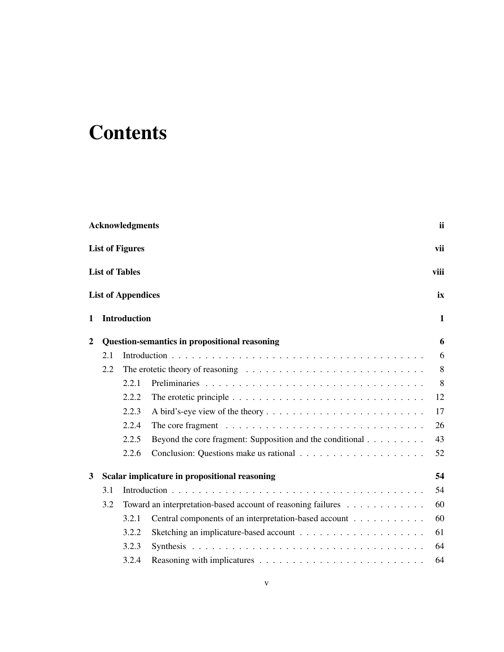## **Contents**

|                  |     | <b>Acknowledgments</b>    |                                                                                                | <b>ii</b>    |
|------------------|-----|---------------------------|------------------------------------------------------------------------------------------------|--------------|
|                  |     | <b>List of Figures</b>    |                                                                                                | vii          |
|                  |     | <b>List of Tables</b>     |                                                                                                | viii         |
|                  |     | <b>List of Appendices</b> |                                                                                                | ix           |
| 1                |     | <b>Introduction</b>       |                                                                                                | $\mathbf{1}$ |
| $\boldsymbol{2}$ |     |                           | <b>Question-semantics in propositional reasoning</b>                                           | 6            |
|                  | 2.1 |                           |                                                                                                | 6            |
|                  | 2.2 |                           |                                                                                                | 8            |
|                  |     | 2.2.1                     |                                                                                                | 8            |
|                  |     | 2.2.2                     | The erotetic principle $\ldots \ldots \ldots \ldots \ldots \ldots \ldots \ldots \ldots \ldots$ | 12           |
|                  |     | 2.2.3                     |                                                                                                | 17           |
|                  |     | 2.2.4                     | The core fragment $\ldots \ldots \ldots \ldots \ldots \ldots \ldots \ldots \ldots \ldots$      | 26           |
|                  |     | 2.2.5                     | Beyond the core fragment: Supposition and the conditional $\ldots$                             | 43           |
|                  |     | 2.2.6                     |                                                                                                | 52           |
| 3                |     |                           | Scalar implicature in propositional reasoning                                                  | 54           |
|                  | 3.1 |                           |                                                                                                | 54           |
|                  | 3.2 |                           | Toward an interpretation-based account of reasoning failures                                   | 60           |
|                  |     | 3.2.1                     | Central components of an interpretation-based account                                          | 60           |
|                  |     | 3.2.2                     |                                                                                                | 61           |
|                  |     | 3.2.3                     |                                                                                                | 64           |
|                  |     | 3.2.4                     |                                                                                                | 64           |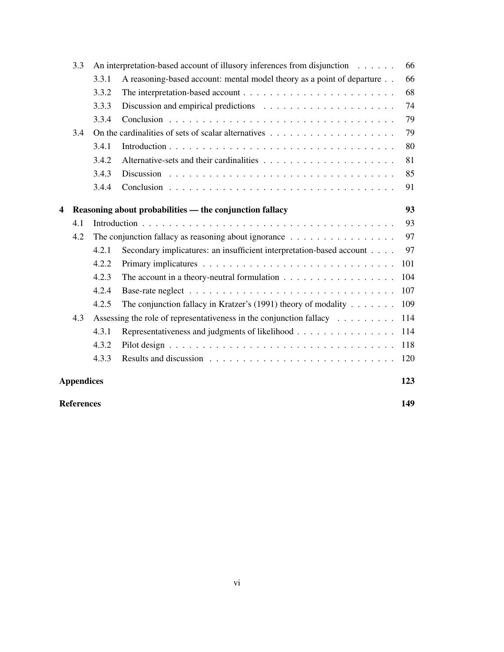|                         | 3.3               |       | An interpretation-based account of illusory inferences from disjunction                    | 66  |
|-------------------------|-------------------|-------|--------------------------------------------------------------------------------------------|-----|
|                         |                   | 3.3.1 | A reasoning-based account: mental model theory as a point of departure                     | 66  |
|                         |                   | 3.3.2 |                                                                                            | 68  |
|                         |                   | 3.3.3 |                                                                                            | 74  |
|                         |                   | 3.3.4 |                                                                                            | 79  |
|                         | 3.4               |       |                                                                                            | 79  |
|                         |                   | 3.4.1 |                                                                                            | 80  |
|                         |                   | 3.4.2 |                                                                                            | 81  |
|                         |                   | 3.4.3 |                                                                                            | 85  |
|                         |                   | 3.4.4 |                                                                                            | 91  |
| $\overline{\mathbf{4}}$ |                   |       | Reasoning about probabilities — the conjunction fallacy                                    | 93  |
|                         | 4.1               |       |                                                                                            | 93  |
|                         | 4.2               |       | The conjunction fallacy as reasoning about ignorance $\dots \dots \dots \dots \dots \dots$ | 97  |
|                         |                   | 4.2.1 | Secondary implicatures: an insufficient interpretation-based account                       | 97  |
|                         |                   | 4.2.2 |                                                                                            | 101 |
|                         |                   | 4.2.3 | The account in a theory-neutral formulation $\dots \dots \dots \dots \dots \dots$          | 104 |
|                         |                   | 4.2.4 |                                                                                            | 107 |
|                         |                   | 4.2.5 | The conjunction fallacy in Kratzer's (1991) theory of modality $\dots \dots$               | 109 |
|                         | 4.3               |       | Assessing the role of representativeness in the conjunction fallacy $\dots \dots$          | 114 |
|                         |                   | 4.3.1 | Representativeness and judgments of likelihood                                             | 114 |
|                         |                   | 4.3.2 |                                                                                            | 118 |
|                         |                   | 4.3.3 |                                                                                            | 120 |
|                         | <b>Appendices</b> |       |                                                                                            | 123 |
|                         | <b>References</b> |       |                                                                                            | 149 |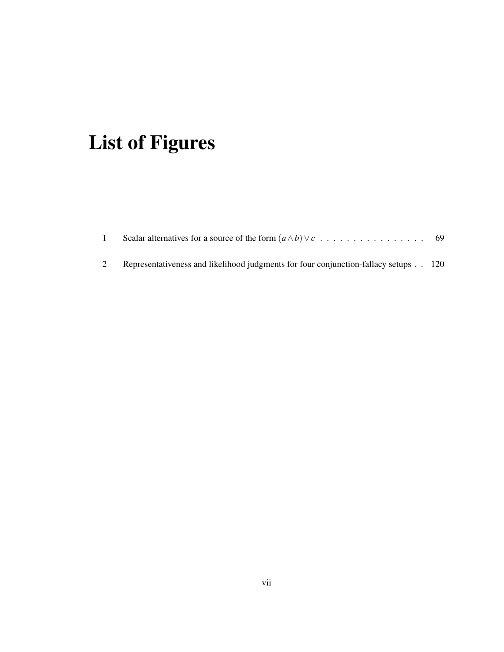## <span id="page-6-0"></span>List of Figures

|--|--|

|  | Representativeness and likelihood judgments for four conjunction-fallacy setups | 120 |
|--|---------------------------------------------------------------------------------|-----|
|  |                                                                                 |     |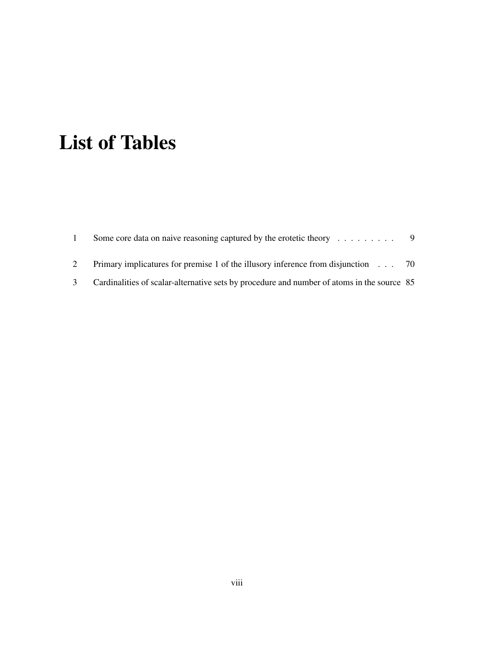## <span id="page-7-0"></span>List of Tables

| Some core data on naive reasoning captured by the erotetic theory $\dots \dots$            | - 9 |
|--------------------------------------------------------------------------------------------|-----|
|                                                                                            |     |
| Cardinalities of scalar-alternative sets by procedure and number of atoms in the source 85 |     |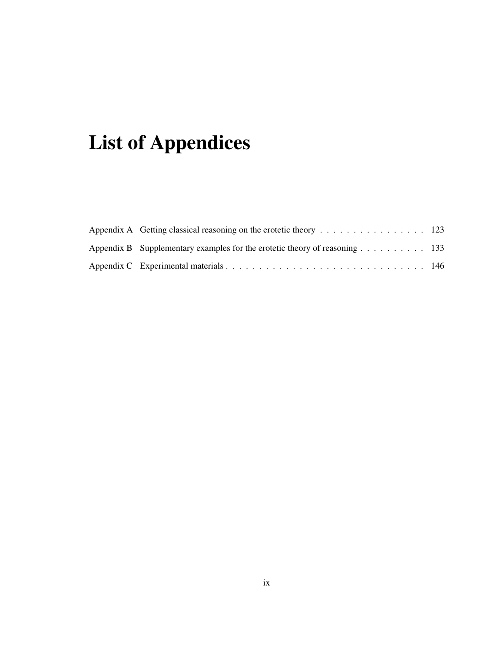## <span id="page-8-0"></span>List of Appendices

| Appendix A Getting classical reasoning on the erotetic theory 123          |  |
|----------------------------------------------------------------------------|--|
| Appendix B Supplementary examples for the erotetic theory of reasoning 133 |  |
|                                                                            |  |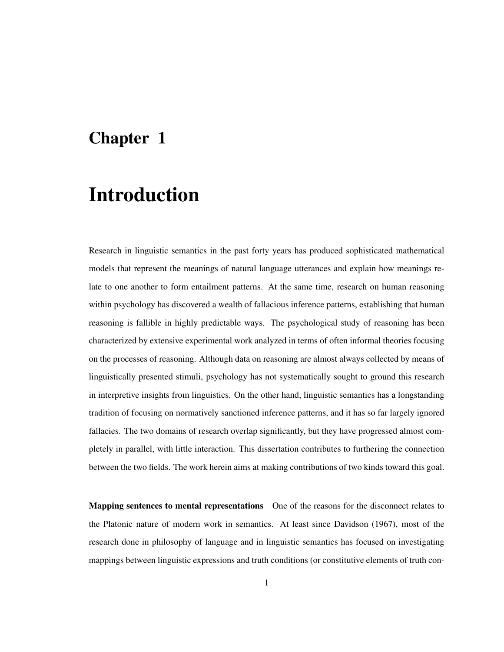### <span id="page-9-0"></span>Chapter 1

### Introduction

Research in linguistic semantics in the past forty years has produced sophisticated mathematical models that represent the meanings of natural language utterances and explain how meanings relate to one another to form entailment patterns. At the same time, research on human reasoning within psychology has discovered a wealth of fallacious inference patterns, establishing that human reasoning is fallible in highly predictable ways. The psychological study of reasoning has been characterized by extensive experimental work analyzed in terms of often informal theories focusing on the processes of reasoning. Although data on reasoning are almost always collected by means of linguistically presented stimuli, psychology has not systematically sought to ground this research in interpretive insights from linguistics. On the other hand, linguistic semantics has a longstanding tradition of focusing on normatively sanctioned inference patterns, and it has so far largely ignored fallacies. The two domains of research overlap significantly, but they have progressed almost completely in parallel, with little interaction. This dissertation contributes to furthering the connection between the two fields. The work herein aims at making contributions of two kinds toward this goal.

Mapping sentences to mental representations One of the reasons for the disconnect relates to the Platonic nature of modern work in semantics. At least since [Davidson](#page-158-0) [\(1967\)](#page-158-0), most of the research done in philosophy of language and in linguistic semantics has focused on investigating mappings between linguistic expressions and truth conditions (or constitutive elements of truth con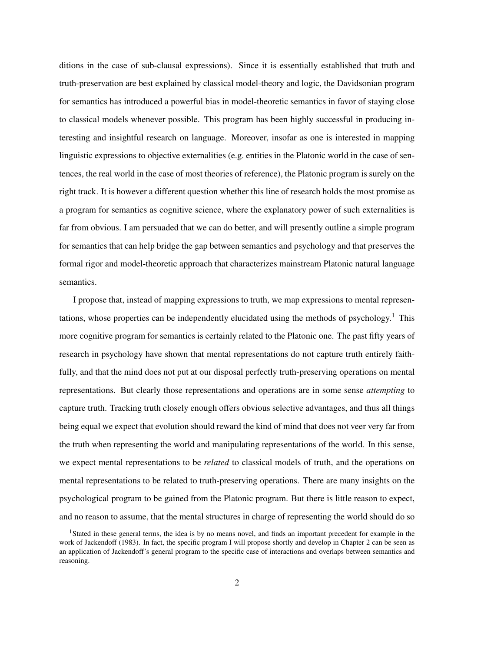ditions in the case of sub-clausal expressions). Since it is essentially established that truth and truth-preservation are best explained by classical model-theory and logic, the Davidsonian program for semantics has introduced a powerful bias in model-theoretic semantics in favor of staying close to classical models whenever possible. This program has been highly successful in producing interesting and insightful research on language. Moreover, insofar as one is interested in mapping linguistic expressions to objective externalities (e.g. entities in the Platonic world in the case of sentences, the real world in the case of most theories of reference), the Platonic program is surely on the right track. It is however a different question whether this line of research holds the most promise as a program for semantics as cognitive science, where the explanatory power of such externalities is far from obvious. I am persuaded that we can do better, and will presently outline a simple program for semantics that can help bridge the gap between semantics and psychology and that preserves the formal rigor and model-theoretic approach that characterizes mainstream Platonic natural language semantics.

I propose that, instead of mapping expressions to truth, we map expressions to mental represen-tations, whose properties can be independently elucidated using the methods of psychology.<sup>[1](#page-10-0)</sup> This more cognitive program for semantics is certainly related to the Platonic one. The past fifty years of research in psychology have shown that mental representations do not capture truth entirely faithfully, and that the mind does not put at our disposal perfectly truth-preserving operations on mental representations. But clearly those representations and operations are in some sense *attempting* to capture truth. Tracking truth closely enough offers obvious selective advantages, and thus all things being equal we expect that evolution should reward the kind of mind that does not veer very far from the truth when representing the world and manipulating representations of the world. In this sense, we expect mental representations to be *related* to classical models of truth, and the operations on mental representations to be related to truth-preserving operations. There are many insights on the psychological program to be gained from the Platonic program. But there is little reason to expect, and no reason to assume, that the mental structures in charge of representing the world should do so

<span id="page-10-0"></span><sup>&</sup>lt;sup>1</sup>Stated in these general terms, the idea is by no means novel, and finds an important precedent for example in the work of [Jackendoff](#page-161-0) [\(1983\)](#page-161-0). In fact, the specific program I will propose shortly and develop in Chapter 2 can be seen as an application of Jackendoff's general program to the specific case of interactions and overlaps between semantics and reasoning.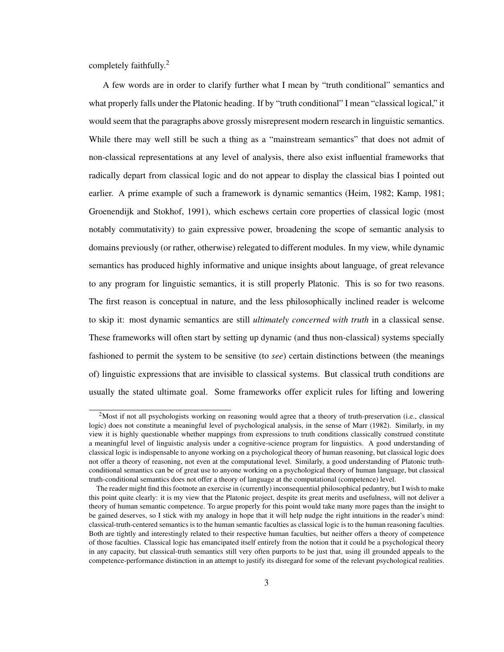completely faithfully.[2](#page-11-0)

A few words are in order to clarify further what I mean by "truth conditional" semantics and what properly falls under the Platonic heading. If by "truth conditional" I mean "classical logical," it would seem that the paragraphs above grossly misrepresent modern research in linguistic semantics. While there may well still be such a thing as a "mainstream semantics" that does not admit of non-classical representations at any level of analysis, there also exist influential frameworks that radically depart from classical logic and do not appear to display the classical bias I pointed out earlier. A prime example of such a framework is dynamic semantics [\(Heim, 1982;](#page-160-0) [Kamp, 1981;](#page-162-0) [Groenendijk and Stokhof, 1991\)](#page-160-1), which eschews certain core properties of classical logic (most notably commutativity) to gain expressive power, broadening the scope of semantic analysis to domains previously (or rather, otherwise) relegated to different modules. In my view, while dynamic semantics has produced highly informative and unique insights about language, of great relevance to any program for linguistic semantics, it is still properly Platonic. This is so for two reasons. The first reason is conceptual in nature, and the less philosophically inclined reader is welcome to skip it: most dynamic semantics are still *ultimately concerned with truth* in a classical sense. These frameworks will often start by setting up dynamic (and thus non-classical) systems specially fashioned to permit the system to be sensitive (to *see*) certain distinctions between (the meanings of) linguistic expressions that are invisible to classical systems. But classical truth conditions are usually the stated ultimate goal. Some frameworks offer explicit rules for lifting and lowering

<span id="page-11-0"></span><sup>2</sup>Most if not all psychologists working on reasoning would agree that a theory of truth-preservation (i.e., classical logic) does not constitute a meaningful level of psychological analysis, in the sense of [Marr](#page-163-0) [\(1982\)](#page-163-0). Similarly, in my view it is highly questionable whether mappings from expressions to truth conditions classically construed constitute a meaningful level of linguistic analysis under a cognitive-science program for linguistics. A good understanding of classical logic is indispensable to anyone working on a psychological theory of human reasoning, but classical logic does not offer a theory of reasoning, not even at the computational level. Similarly, a good understanding of Platonic truthconditional semantics can be of great use to anyone working on a psychological theory of human language, but classical truth-conditional semantics does not offer a theory of language at the computational (competence) level.

The reader might find this footnote an exercise in (currently) inconsequential philosophical pedantry, but I wish to make this point quite clearly: it is my view that the Platonic project, despite its great merits and usefulness, will not deliver a theory of human semantic competence. To argue properly for this point would take many more pages than the insight to be gained deserves, so I stick with my analogy in hope that it will help nudge the right intuitions in the reader's mind: classical-truth-centered semantics is to the human semantic faculties as classical logic is to the human reasoning faculties. Both are tightly and interestingly related to their respective human faculties, but neither offers a theory of competence of those faculties. Classical logic has emancipated itself entirely from the notion that it could be a psychological theory in any capacity, but classical-truth semantics still very often purports to be just that, using ill grounded appeals to the competence-performance distinction in an attempt to justify its disregard for some of the relevant psychological realities.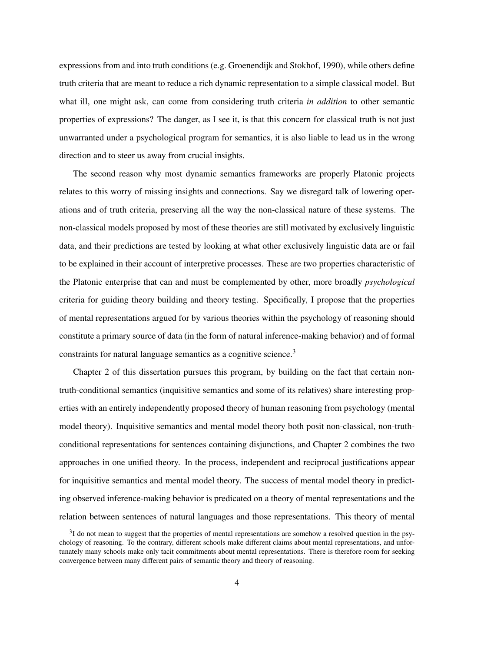expressions from and into truth conditions (e.g. [Groenendijk and Stokhof, 1990\)](#page-160-2), while others define truth criteria that are meant to reduce a rich dynamic representation to a simple classical model. But what ill, one might ask, can come from considering truth criteria *in addition* to other semantic properties of expressions? The danger, as I see it, is that this concern for classical truth is not just unwarranted under a psychological program for semantics, it is also liable to lead us in the wrong direction and to steer us away from crucial insights.

The second reason why most dynamic semantics frameworks are properly Platonic projects relates to this worry of missing insights and connections. Say we disregard talk of lowering operations and of truth criteria, preserving all the way the non-classical nature of these systems. The non-classical models proposed by most of these theories are still motivated by exclusively linguistic data, and their predictions are tested by looking at what other exclusively linguistic data are or fail to be explained in their account of interpretive processes. These are two properties characteristic of the Platonic enterprise that can and must be complemented by other, more broadly *psychological* criteria for guiding theory building and theory testing. Specifically, I propose that the properties of mental representations argued for by various theories within the psychology of reasoning should constitute a primary source of data (in the form of natural inference-making behavior) and of formal constraints for natural language semantics as a cognitive science.<sup>[3](#page-12-0)</sup>

Chapter 2 of this dissertation pursues this program, by building on the fact that certain nontruth-conditional semantics (inquisitive semantics and some of its relatives) share interesting properties with an entirely independently proposed theory of human reasoning from psychology (mental model theory). Inquisitive semantics and mental model theory both posit non-classical, non-truthconditional representations for sentences containing disjunctions, and Chapter 2 combines the two approaches in one unified theory. In the process, independent and reciprocal justifications appear for inquisitive semantics and mental model theory. The success of mental model theory in predicting observed inference-making behavior is predicated on a theory of mental representations and the relation between sentences of natural languages and those representations. This theory of mental

<span id="page-12-0"></span> $3$ I do not mean to suggest that the properties of mental representations are somehow a resolved question in the psychology of reasoning. To the contrary, different schools make different claims about mental representations, and unfortunately many schools make only tacit commitments about mental representations. There is therefore room for seeking convergence between many different pairs of semantic theory and theory of reasoning.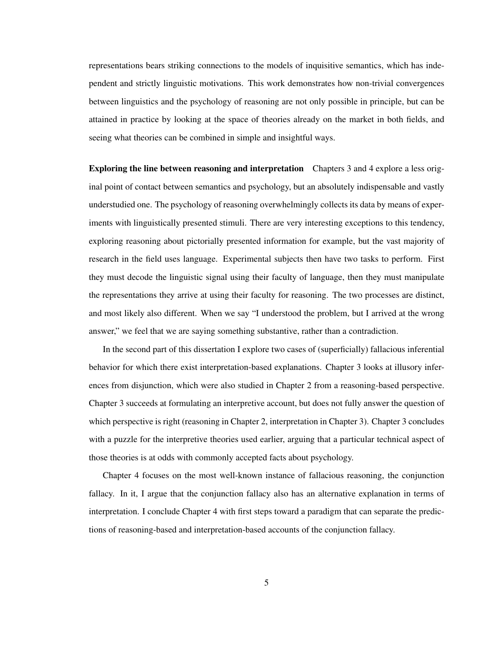representations bears striking connections to the models of inquisitive semantics, which has independent and strictly linguistic motivations. This work demonstrates how non-trivial convergences between linguistics and the psychology of reasoning are not only possible in principle, but can be attained in practice by looking at the space of theories already on the market in both fields, and seeing what theories can be combined in simple and insightful ways.

Exploring the line between reasoning and interpretation Chapters 3 and 4 explore a less original point of contact between semantics and psychology, but an absolutely indispensable and vastly understudied one. The psychology of reasoning overwhelmingly collects its data by means of experiments with linguistically presented stimuli. There are very interesting exceptions to this tendency, exploring reasoning about pictorially presented information for example, but the vast majority of research in the field uses language. Experimental subjects then have two tasks to perform. First they must decode the linguistic signal using their faculty of language, then they must manipulate the representations they arrive at using their faculty for reasoning. The two processes are distinct, and most likely also different. When we say "I understood the problem, but I arrived at the wrong answer," we feel that we are saying something substantive, rather than a contradiction.

In the second part of this dissertation I explore two cases of (superficially) fallacious inferential behavior for which there exist interpretation-based explanations. Chapter 3 looks at illusory inferences from disjunction, which were also studied in Chapter 2 from a reasoning-based perspective. Chapter 3 succeeds at formulating an interpretive account, but does not fully answer the question of which perspective is right (reasoning in Chapter 2, interpretation in Chapter 3). Chapter 3 concludes with a puzzle for the interpretive theories used earlier, arguing that a particular technical aspect of those theories is at odds with commonly accepted facts about psychology.

Chapter 4 focuses on the most well-known instance of fallacious reasoning, the conjunction fallacy. In it, I argue that the conjunction fallacy also has an alternative explanation in terms of interpretation. I conclude Chapter 4 with first steps toward a paradigm that can separate the predictions of reasoning-based and interpretation-based accounts of the conjunction fallacy.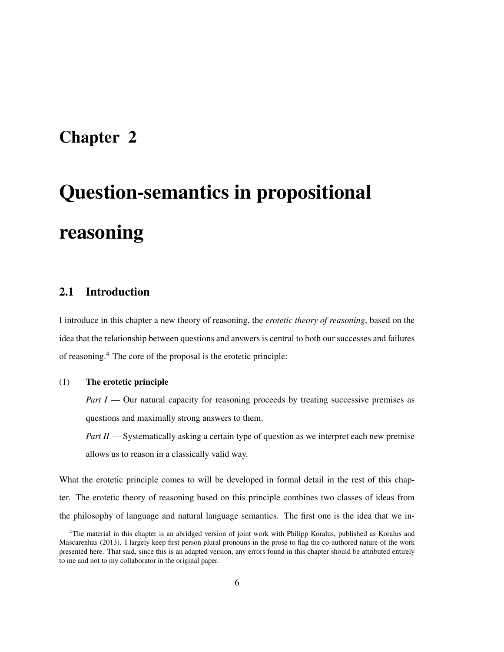### <span id="page-14-0"></span>Chapter 2

# Question-semantics in propositional reasoning

### <span id="page-14-1"></span>2.1 Introduction

I introduce in this chapter a new theory of reasoning, the *erotetic theory of reasoning*, based on the idea that the relationship between questions and answers is central to both our successes and failures of reasoning.[4](#page-14-2) The core of the proposal is the erotetic principle:

#### (1) The erotetic principle

Part I — Our natural capacity for reasoning proceeds by treating successive premises as questions and maximally strong answers to them.

*Part II* — Systematically asking a certain type of question as we interpret each new premise allows us to reason in a classically valid way.

What the erotetic principle comes to will be developed in formal detail in the rest of this chapter. The erotetic theory of reasoning based on this principle combines two classes of ideas from the philosophy of language and natural language semantics. The first one is the idea that we in-

<span id="page-14-2"></span><sup>4</sup>The material in this chapter is an abridged version of joint work with Philipp Koralus, published as [Koralus and](#page-162-1) [Mascarenhas](#page-162-1) [\(2013\)](#page-162-1). I largely keep first person plural pronouns in the prose to flag the co-authored nature of the work presented here. That said, since this is an adapted version, any errors found in this chapter should be attributed entirely to me and not to my collaborator in the original paper.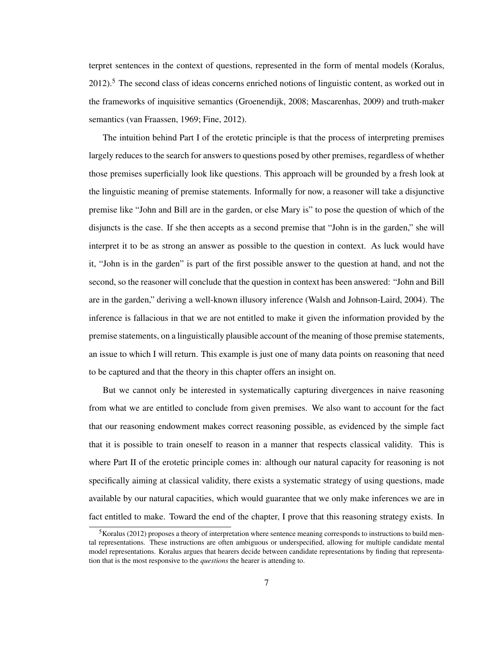terpret sentences in the context of questions, represented in the form of mental models [\(Koralus,](#page-162-2)  $2012$ ).<sup>[5](#page-15-0)</sup> The second class of ideas concerns enriched notions of linguistic content, as worked out in the frameworks of inquisitive semantics [\(Groenendijk, 2008;](#page-159-0) [Mascarenhas, 2009\)](#page-163-1) and truth-maker semantics [\(van Fraassen, 1969;](#page-159-1) [Fine, 2012\)](#page-158-1).

The intuition behind Part I of the erotetic principle is that the process of interpreting premises largely reduces to the search for answers to questions posed by other premises, regardless of whether those premises superficially look like questions. This approach will be grounded by a fresh look at the linguistic meaning of premise statements. Informally for now, a reasoner will take a disjunctive premise like "John and Bill are in the garden, or else Mary is" to pose the question of which of the disjuncts is the case. If she then accepts as a second premise that "John is in the garden," she will interpret it to be as strong an answer as possible to the question in context. As luck would have it, "John is in the garden" is part of the first possible answer to the question at hand, and not the second, so the reasoner will conclude that the question in context has been answered: "John and Bill are in the garden," deriving a well-known illusory inference [\(Walsh and Johnson-Laird, 2004\)](#page-165-0). The inference is fallacious in that we are not entitled to make it given the information provided by the premise statements, on a linguistically plausible account of the meaning of those premise statements, an issue to which I will return. This example is just one of many data points on reasoning that need to be captured and that the theory in this chapter offers an insight on.

But we cannot only be interested in systematically capturing divergences in naive reasoning from what we are entitled to conclude from given premises. We also want to account for the fact that our reasoning endowment makes correct reasoning possible, as evidenced by the simple fact that it is possible to train oneself to reason in a manner that respects classical validity. This is where Part II of the erotetic principle comes in: although our natural capacity for reasoning is not specifically aiming at classical validity, there exists a systematic strategy of using questions, made available by our natural capacities, which would guarantee that we only make inferences we are in fact entitled to make. Toward the end of the chapter, I prove that this reasoning strategy exists. In

<span id="page-15-0"></span><sup>5</sup>Koralus (2012) proposes a theory of interpretation where sentence meaning corresponds to instructions to build mental representations. These instructions are often ambiguous or underspecified, allowing for multiple candidate mental model representations. Koralus argues that hearers decide between candidate representations by finding that representation that is the most responsive to the *questions* the hearer is attending to.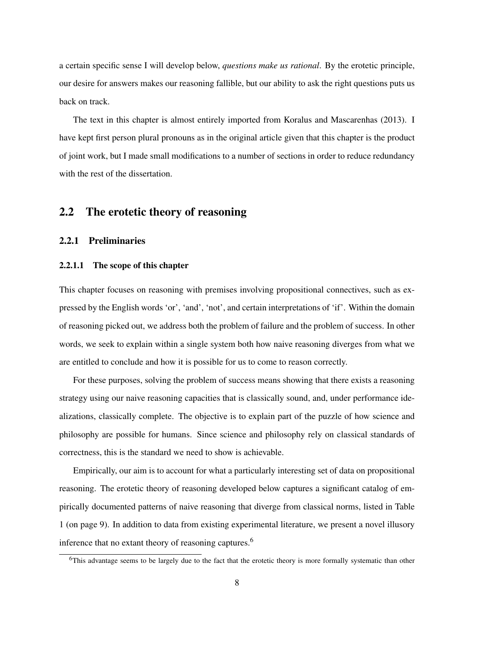a certain specific sense I will develop below, *questions make us rational*. By the erotetic principle, our desire for answers makes our reasoning fallible, but our ability to ask the right questions puts us back on track.

The text in this chapter is almost entirely imported from [Koralus and Mascarenhas](#page-162-1) [\(2013\)](#page-162-1). I have kept first person plural pronouns as in the original article given that this chapter is the product of joint work, but I made small modifications to a number of sections in order to reduce redundancy with the rest of the dissertation.

#### <span id="page-16-0"></span>2.2 The erotetic theory of reasoning

#### <span id="page-16-1"></span>2.2.1 Preliminaries

#### 2.2.1.1 The scope of this chapter

This chapter focuses on reasoning with premises involving propositional connectives, such as expressed by the English words 'or', 'and', 'not', and certain interpretations of 'if'. Within the domain of reasoning picked out, we address both the problem of failure and the problem of success. In other words, we seek to explain within a single system both how naive reasoning diverges from what we are entitled to conclude and how it is possible for us to come to reason correctly.

For these purposes, solving the problem of success means showing that there exists a reasoning strategy using our naive reasoning capacities that is classically sound, and, under performance idealizations, classically complete. The objective is to explain part of the puzzle of how science and philosophy are possible for humans. Since science and philosophy rely on classical standards of correctness, this is the standard we need to show is achievable.

Empirically, our aim is to account for what a particularly interesting set of data on propositional reasoning. The erotetic theory of reasoning developed below captures a significant catalog of empirically documented patterns of naive reasoning that diverge from classical norms, listed in Table [1](#page-17-0) (on page [9\)](#page-17-0). In addition to data from existing experimental literature, we present a novel illusory inference that no extant theory of reasoning captures.<sup>[6](#page-16-2)</sup>

<span id="page-16-2"></span><sup>6</sup>This advantage seems to be largely due to the fact that the erotetic theory is more formally systematic than other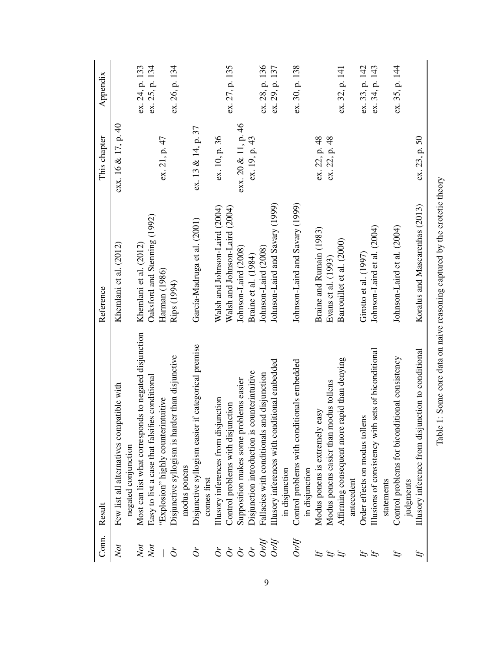<span id="page-17-0"></span>

| Conn.               | Result                                                 | Reference                       | This chapter        | Appendix       |
|---------------------|--------------------------------------------------------|---------------------------------|---------------------|----------------|
| Not                 | Few list all alternatives compatible with              | Khemlani et al. (2012)          | ехх. 16 & 17, р. 40 |                |
|                     | negated conjunction                                    |                                 |                     |                |
| Not                 | Most can list what corresponds to negated disjunction  | Khemlani et al. (2012)          |                     | ex. 24, p. 133 |
| Not                 | Easy to list a case that falsifies conditional         | Oaksford and Stenning (1992)    |                     | ex. 25, p. 134 |
|                     | "Explosion" highly counterintuitive                    | Harman (1986)                   | ex. 21, p. 47       |                |
| $\dot{\circ}$       | Disjunctive syllogism is harder than disjunctive       | Rips (1994)                     |                     | ex. 26, p. 134 |
|                     | modus ponens                                           |                                 |                     |                |
| $\dot{\delta}$      | if categorical premise<br>Disjunctive syllogism easier | García-Madruga et al. (2001)    | ex. 13 & 14, p. 37  |                |
|                     | comes first                                            |                                 |                     |                |
| $\dot{\tilde{O}}$   | Illusory inferences from disjunction                   | Walsh and Johnson-Laird (2004)  | ex. 10, p. 36       |                |
| $\dot{\mathcal{O}}$ | Control problems with disjunction                      | Walsh and Johnson-Laird (2004)  |                     | ex. 27, p. 135 |
| $\dot{\tilde{C}}$   | Supposition makes some problems easier                 | Johnson-Laird (2008)            | exx. 20 & 11, p. 46 |                |
| $\dot{\mathcal{O}}$ | Disjunction introduction is counterintuitive           | Braine et al. (1984)            | ex. 19, p. 43       |                |
| JIAO                | Fallacies with conditionals and disjunction            | Johnson-Laird (2008)            |                     | ex. 28, p. 136 |
| Orlf                | Illusory inferences with conditional embedded          | Johnson-Laird and Savary (1999) |                     | ex. 29, p. 137 |
|                     | in disjunction                                         |                                 |                     |                |
| JIMO                | Control problems with conditionals embedded            | Johnson-Laird and Savary (1999) |                     | ех. 30, р. 138 |
|                     | in disjunction                                         |                                 |                     |                |
|                     | easy<br>Modus ponens is extremely                      | Braine and Rumain (1983)        | ex. 22, p. 48       |                |
|                     | Modus ponens easier than modus tollens                 | Evans et al. $(1993)$           | ex. 22, p. 48       |                |
|                     | rapid than denying<br>Affirming consequent more        | Barrouillet et al. (2000)       |                     | ex. 32, p. 141 |
|                     | antecedent                                             |                                 |                     |                |
|                     | Order effects on modus tollens                         | Girotto et al. (1997)           |                     | ex. 33, p. 142 |
|                     | Illusions of consistency with sets of biconditional    | Johnson-Laird et al. (2004)     |                     | ex. 34, p. 143 |
|                     | statements                                             |                                 |                     |                |
|                     | Control problems for biconditional consistency         | Johnson-Laird et al. (2004)     |                     | ex. 35, p. 144 |
|                     | judgments                                              |                                 |                     |                |
|                     | Illusory inference from disjunction to conditional     | Koralus and Mascarenhas (2013)  | ex. 23, p. 50       |                |
|                     |                                                        |                                 |                     |                |

Table 1: Some core data on naive reasoning captured by the erotetic theory Table 1: Some core data on naive reasoning captured by the erotetic theory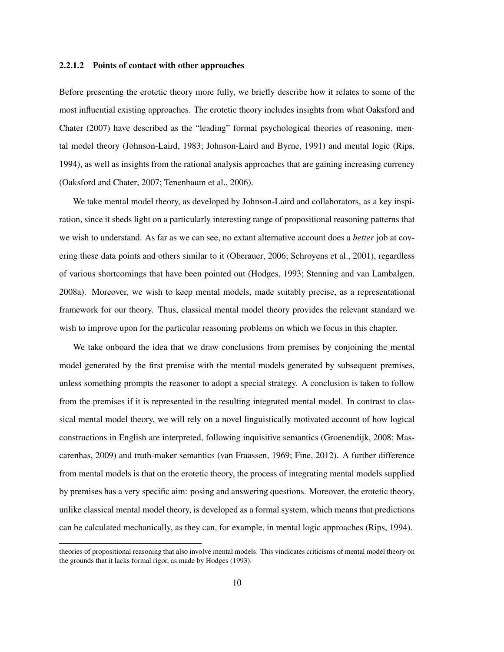#### 2.2.1.2 Points of contact with other approaches

Before presenting the erotetic theory more fully, we briefly describe how it relates to some of the most influential existing approaches. The erotetic theory includes insights from what [Oaksford and](#page-163-3) [Chater](#page-163-3) [\(2007\)](#page-163-3) have described as the "leading" formal psychological theories of reasoning, mental model theory [\(Johnson-Laird, 1983;](#page-161-4) [Johnson-Laird and Byrne, 1991\)](#page-161-5) and mental logic [\(Rips,](#page-164-0) [1994\)](#page-164-0), as well as insights from the rational analysis approaches that are gaining increasing currency [\(Oaksford and Chater, 2007;](#page-163-3) [Tenenbaum et al., 2006\)](#page-165-1).

We take mental model theory, as developed by Johnson-Laird and collaborators, as a key inspiration, since it sheds light on a particularly interesting range of propositional reasoning patterns that we wish to understand. As far as we can see, no extant alternative account does a *better* job at covering these data points and others similar to it [\(Oberauer, 2006;](#page-163-4) [Schroyens et al., 2001\)](#page-164-1), regardless of various shortcomings that have been pointed out [\(Hodges, 1993;](#page-160-4) [Stenning and van Lambalgen,](#page-164-2) [2008a\)](#page-164-2). Moreover, we wish to keep mental models, made suitably precise, as a representational framework for our theory. Thus, classical mental model theory provides the relevant standard we wish to improve upon for the particular reasoning problems on which we focus in this chapter.

We take onboard the idea that we draw conclusions from premises by conjoining the mental model generated by the first premise with the mental models generated by subsequent premises, unless something prompts the reasoner to adopt a special strategy. A conclusion is taken to follow from the premises if it is represented in the resulting integrated mental model. In contrast to classical mental model theory, we will rely on a novel linguistically motivated account of how logical constructions in English are interpreted, following inquisitive semantics [\(Groenendijk, 2008;](#page-159-0) [Mas](#page-163-1)[carenhas, 2009\)](#page-163-1) and truth-maker semantics [\(van Fraassen, 1969;](#page-159-1) [Fine, 2012\)](#page-158-1). A further difference from mental models is that on the erotetic theory, the process of integrating mental models supplied by premises has a very specific aim: posing and answering questions. Moreover, the erotetic theory, unlike classical mental model theory, is developed as a formal system, which means that predictions can be calculated mechanically, as they can, for example, in mental logic approaches [\(Rips, 1994\)](#page-164-0).

theories of propositional reasoning that also involve mental models. This vindicates criticisms of mental model theory on the grounds that it lacks formal rigor, as made by [Hodges](#page-160-4) [\(1993\)](#page-160-4).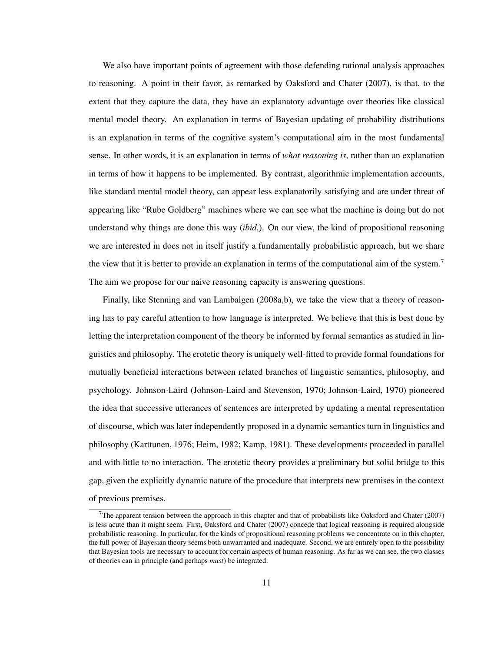We also have important points of agreement with those defending rational analysis approaches to reasoning. A point in their favor, as remarked by [Oaksford and Chater](#page-163-3) [\(2007\)](#page-163-3), is that, to the extent that they capture the data, they have an explanatory advantage over theories like classical mental model theory. An explanation in terms of Bayesian updating of probability distributions is an explanation in terms of the cognitive system's computational aim in the most fundamental sense. In other words, it is an explanation in terms of *what reasoning is*, rather than an explanation in terms of how it happens to be implemented. By contrast, algorithmic implementation accounts, like standard mental model theory, can appear less explanatorily satisfying and are under threat of appearing like "Rube Goldberg" machines where we can see what the machine is doing but do not understand why things are done this way (*ibid.*). On our view, the kind of propositional reasoning we are interested in does not in itself justify a fundamentally probabilistic approach, but we share the view that it is better to provide an explanation in terms of the computational aim of the system.<sup>[7](#page-19-0)</sup> The aim we propose for our naive reasoning capacity is answering questions.

Finally, like [Stenning and van Lambalgen](#page-164-2) [\(2008a](#page-164-2)[,b\)](#page-164-3), we take the view that a theory of reasoning has to pay careful attention to how language is interpreted. We believe that this is best done by letting the interpretation component of the theory be informed by formal semantics as studied in linguistics and philosophy. The erotetic theory is uniquely well-fitted to provide formal foundations for mutually beneficial interactions between related branches of linguistic semantics, philosophy, and psychology. Johnson-Laird [\(Johnson-Laird and Stevenson, 1970;](#page-161-6) [Johnson-Laird, 1970\)](#page-161-7) pioneered the idea that successive utterances of sentences are interpreted by updating a mental representation of discourse, which was later independently proposed in a dynamic semantics turn in linguistics and philosophy [\(Karttunen, 1976;](#page-162-4) [Heim, 1982;](#page-160-0) [Kamp, 1981\)](#page-162-0). These developments proceeded in parallel and with little to no interaction. The erotetic theory provides a preliminary but solid bridge to this gap, given the explicitly dynamic nature of the procedure that interprets new premises in the context of previous premises.

<span id="page-19-0"></span> $7$ The apparent tension between the approach in this chapter and that of probabilists like [Oaksford and Chater](#page-163-3) [\(2007\)](#page-163-3) is less acute than it might seem. First, [Oaksford and Chater](#page-163-3) [\(2007\)](#page-163-3) concede that logical reasoning is required alongside probabilistic reasoning. In particular, for the kinds of propositional reasoning problems we concentrate on in this chapter, the full power of Bayesian theory seems both unwarranted and inadequate. Second, we are entirely open to the possibility that Bayesian tools are necessary to account for certain aspects of human reasoning. As far as we can see, the two classes of theories can in principle (and perhaps *must*) be integrated.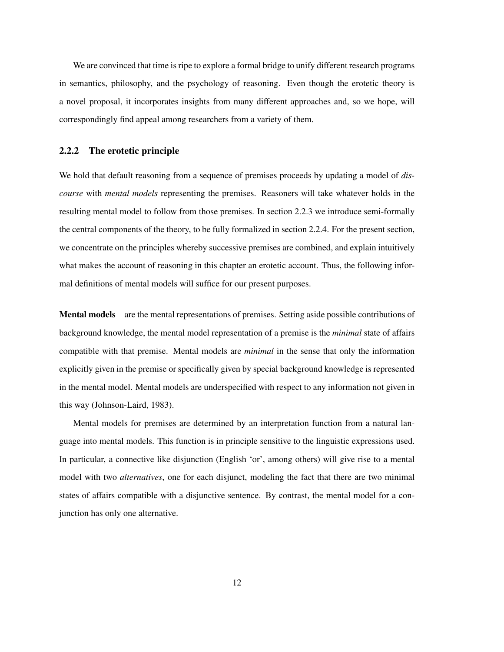We are convinced that time is ripe to explore a formal bridge to unify different research programs in semantics, philosophy, and the psychology of reasoning. Even though the erotetic theory is a novel proposal, it incorporates insights from many different approaches and, so we hope, will correspondingly find appeal among researchers from a variety of them.

#### <span id="page-20-0"></span>2.2.2 The erotetic principle

We hold that default reasoning from a sequence of premises proceeds by updating a model of *discourse* with *mental models* representing the premises. Reasoners will take whatever holds in the resulting mental model to follow from those premises. In section [2.2.3](#page-25-0) we introduce semi-formally the central components of the theory, to be fully formalized in section [2.2.4.](#page-34-0) For the present section, we concentrate on the principles whereby successive premises are combined, and explain intuitively what makes the account of reasoning in this chapter an erotetic account. Thus, the following informal definitions of mental models will suffice for our present purposes.

Mental models are the mental representations of premises. Setting aside possible contributions of background knowledge, the mental model representation of a premise is the *minimal* state of affairs compatible with that premise. Mental models are *minimal* in the sense that only the information explicitly given in the premise or specifically given by special background knowledge is represented in the mental model. Mental models are underspecified with respect to any information not given in this way [\(Johnson-Laird, 1983\)](#page-161-4).

Mental models for premises are determined by an interpretation function from a natural language into mental models. This function is in principle sensitive to the linguistic expressions used. In particular, a connective like disjunction (English 'or', among others) will give rise to a mental model with two *alternatives*, one for each disjunct, modeling the fact that there are two minimal states of affairs compatible with a disjunctive sentence. By contrast, the mental model for a conjunction has only one alternative.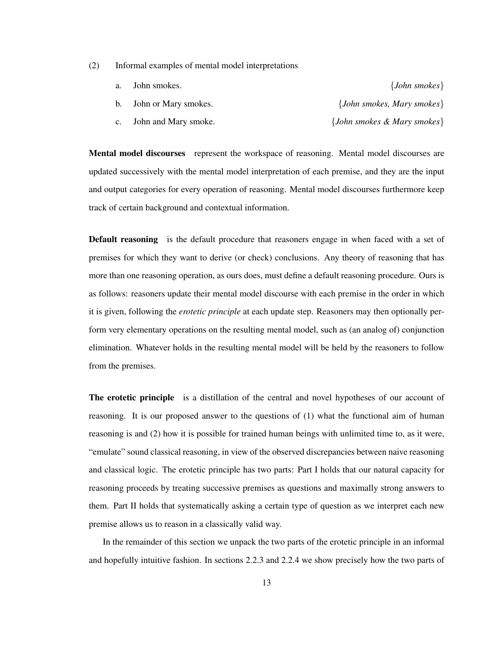(2) Informal examples of mental model interpretations

| John smokes.         | $\{John\ smokers\}$                      |
|----------------------|------------------------------------------|
| John or Mary smokes. | $\{John \, smokers, Mary \, smokers\}$   |
| John and Mary smoke. | $\{John \, smokers \& Mary \, smokers\}$ |

Mental model discourses represent the workspace of reasoning. Mental model discourses are updated successively with the mental model interpretation of each premise, and they are the input and output categories for every operation of reasoning. Mental model discourses furthermore keep track of certain background and contextual information.

Default reasoning is the default procedure that reasoners engage in when faced with a set of premises for which they want to derive (or check) conclusions. Any theory of reasoning that has more than one reasoning operation, as ours does, must define a default reasoning procedure. Ours is as follows: reasoners update their mental model discourse with each premise in the order in which it is given, following the *erotetic principle* at each update step. Reasoners may then optionally perform very elementary operations on the resulting mental model, such as (an analog of) conjunction elimination. Whatever holds in the resulting mental model will be held by the reasoners to follow from the premises.

The erotetic principle is a distillation of the central and novel hypotheses of our account of reasoning. It is our proposed answer to the questions of (1) what the functional aim of human reasoning is and (2) how it is possible for trained human beings with unlimited time to, as it were, "emulate" sound classical reasoning, in view of the observed discrepancies between naive reasoning and classical logic. The erotetic principle has two parts: Part I holds that our natural capacity for reasoning proceeds by treating successive premises as questions and maximally strong answers to them. Part II holds that systematically asking a certain type of question as we interpret each new premise allows us to reason in a classically valid way.

In the remainder of this section we unpack the two parts of the erotetic principle in an informal and hopefully intuitive fashion. In sections [2.2.3](#page-25-0) and [2.2.4](#page-34-0) we show precisely how the two parts of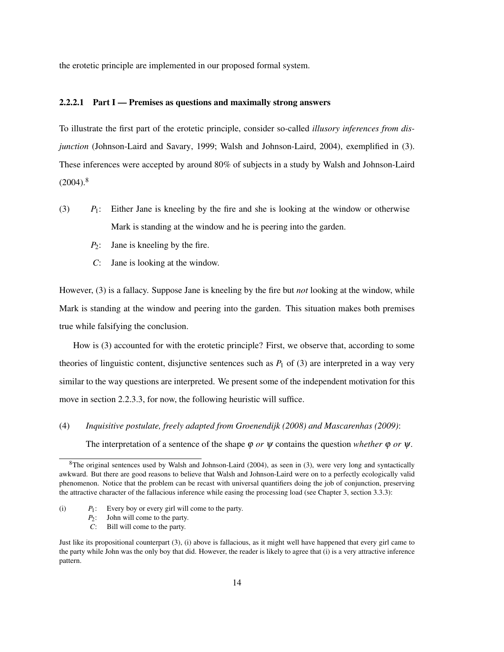the erotetic principle are implemented in our proposed formal system.

#### 2.2.2.1 Part I — Premises as questions and maximally strong answers

To illustrate the first part of the erotetic principle, consider so-called *illusory inferences from disjunction* [\(Johnson-Laird and Savary, 1999;](#page-161-2) [Walsh and Johnson-Laird, 2004\)](#page-165-0), exemplified in (3). These inferences were accepted by around 80% of subjects in a study by [Walsh and Johnson-Laird](#page-165-0)  $(2004)^8$  $(2004)^8$  $(2004)^8$ 

- <span id="page-22-1"></span>(3) *P*1: Either Jane is kneeling by the fire and she is looking at the window or otherwise Mark is standing at the window and he is peering into the garden.
	- *P*<sub>2</sub>: Jane is kneeling by the fire.
	- *C*: Jane is looking at the window.

However, (3) is a fallacy. Suppose Jane is kneeling by the fire but *not* looking at the window, while Mark is standing at the window and peering into the garden. This situation makes both premises true while falsifying the conclusion.

How is (3) accounted for with the erotetic principle? First, we observe that, according to some theories of linguistic content, disjunctive sentences such as  $P_1$  of (3) are interpreted in a way very similar to the way questions are interpreted. We present some of the independent motivation for this move in section [2.2.3.3,](#page-30-0) for now, the following heuristic will suffice.

(4) *Inquisitive postulate, freely adapted from [Groenendijk](#page-159-0) [\(2008\)](#page-159-0) and [Mascarenhas](#page-163-1) [\(2009\)](#page-163-1)*: The interpretation of a sentence of the shape  $\varphi$  *or*  $\psi$  contains the question *whether*  $\varphi$  *or*  $\psi$ .

- (i)  $P_1$ : Every boy or every girl will come to the party.<br> $P_2$ : John will come to the party.
	- *P*<sub>2</sub>: John will come to the party.<br>*C*: Bill will come to the party.
	- Bill will come to the party.

<span id="page-22-0"></span> $8$ The original sentences used by [Walsh and Johnson-Laird](#page-165-0) [\(2004\)](#page-165-0), as seen in [\(3\)](#page-22-1), were very long and syntactically awkward. But there are good reasons to believe that Walsh and Johnson-Laird were on to a perfectly ecologically valid phenomenon. Notice that the problem can be recast with universal quantifiers doing the job of conjunction, preserving the attractive character of the fallacious inference while easing the processing load (see Chapter [3,](#page-62-0) section [3.3.3\)](#page-82-0):

Just like its propositional counterpart [\(3\)](#page-22-1), (i) above is fallacious, as it might well have happened that every girl came to the party while John was the only boy that did. However, the reader is likely to agree that (i) is a very attractive inference pattern.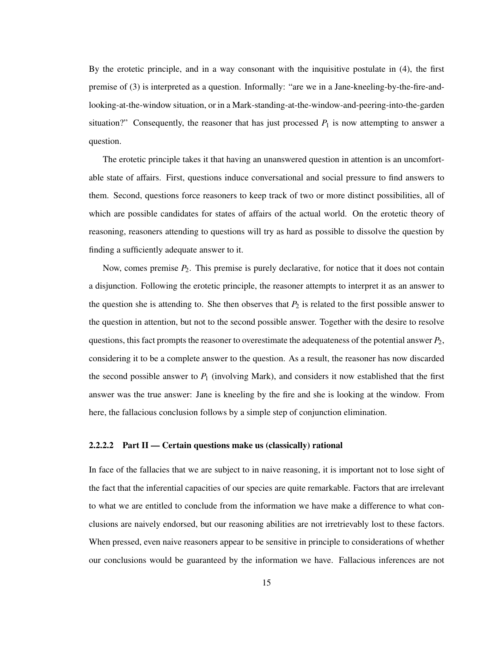By the erotetic principle, and in a way consonant with the inquisitive postulate in (4), the first premise of (3) is interpreted as a question. Informally: "are we in a Jane-kneeling-by-the-fire-andlooking-at-the-window situation, or in a Mark-standing-at-the-window-and-peering-into-the-garden situation?" Consequently, the reasoner that has just processed  $P_1$  is now attempting to answer a question.

The erotetic principle takes it that having an unanswered question in attention is an uncomfortable state of affairs. First, questions induce conversational and social pressure to find answers to them. Second, questions force reasoners to keep track of two or more distinct possibilities, all of which are possible candidates for states of affairs of the actual world. On the erotetic theory of reasoning, reasoners attending to questions will try as hard as possible to dissolve the question by finding a sufficiently adequate answer to it.

Now, comes premise  $P_2$ . This premise is purely declarative, for notice that it does not contain a disjunction. Following the erotetic principle, the reasoner attempts to interpret it as an answer to the question she is attending to. She then observes that  $P_2$  is related to the first possible answer to the question in attention, but not to the second possible answer. Together with the desire to resolve questions, this fact prompts the reasoner to overestimate the adequateness of the potential answer *P*2, considering it to be a complete answer to the question. As a result, the reasoner has now discarded the second possible answer to  $P_1$  (involving Mark), and considers it now established that the first answer was the true answer: Jane is kneeling by the fire and she is looking at the window. From here, the fallacious conclusion follows by a simple step of conjunction elimination.

#### <span id="page-23-0"></span>2.2.2.2 Part  $II$  — Certain questions make us (classically) rational

In face of the fallacies that we are subject to in naive reasoning, it is important not to lose sight of the fact that the inferential capacities of our species are quite remarkable. Factors that are irrelevant to what we are entitled to conclude from the information we have make a difference to what conclusions are naively endorsed, but our reasoning abilities are not irretrievably lost to these factors. When pressed, even naive reasoners appear to be sensitive in principle to considerations of whether our conclusions would be guaranteed by the information we have. Fallacious inferences are not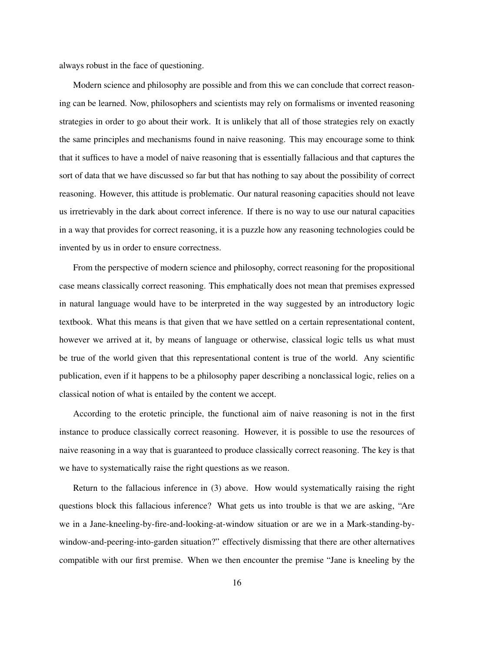always robust in the face of questioning.

Modern science and philosophy are possible and from this we can conclude that correct reasoning can be learned. Now, philosophers and scientists may rely on formalisms or invented reasoning strategies in order to go about their work. It is unlikely that all of those strategies rely on exactly the same principles and mechanisms found in naive reasoning. This may encourage some to think that it suffices to have a model of naive reasoning that is essentially fallacious and that captures the sort of data that we have discussed so far but that has nothing to say about the possibility of correct reasoning. However, this attitude is problematic. Our natural reasoning capacities should not leave us irretrievably in the dark about correct inference. If there is no way to use our natural capacities in a way that provides for correct reasoning, it is a puzzle how any reasoning technologies could be invented by us in order to ensure correctness.

From the perspective of modern science and philosophy, correct reasoning for the propositional case means classically correct reasoning. This emphatically does not mean that premises expressed in natural language would have to be interpreted in the way suggested by an introductory logic textbook. What this means is that given that we have settled on a certain representational content, however we arrived at it, by means of language or otherwise, classical logic tells us what must be true of the world given that this representational content is true of the world. Any scientific publication, even if it happens to be a philosophy paper describing a nonclassical logic, relies on a classical notion of what is entailed by the content we accept.

According to the erotetic principle, the functional aim of naive reasoning is not in the first instance to produce classically correct reasoning. However, it is possible to use the resources of naive reasoning in a way that is guaranteed to produce classically correct reasoning. The key is that we have to systematically raise the right questions as we reason.

Return to the fallacious inference in [\(3\)](#page-22-1) above. How would systematically raising the right questions block this fallacious inference? What gets us into trouble is that we are asking, "Are we in a Jane-kneeling-by-fire-and-looking-at-window situation or are we in a Mark-standing-bywindow-and-peering-into-garden situation?" effectively dismissing that there are other alternatives compatible with our first premise. When we then encounter the premise "Jane is kneeling by the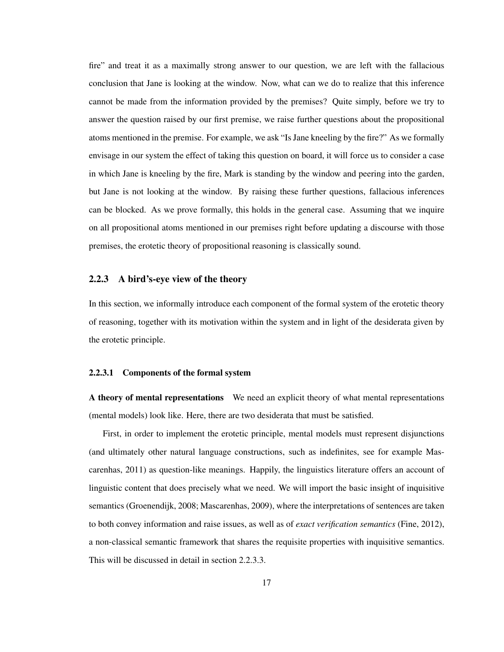fire" and treat it as a maximally strong answer to our question, we are left with the fallacious conclusion that Jane is looking at the window. Now, what can we do to realize that this inference cannot be made from the information provided by the premises? Quite simply, before we try to answer the question raised by our first premise, we raise further questions about the propositional atoms mentioned in the premise. For example, we ask "Is Jane kneeling by the fire?" As we formally envisage in our system the effect of taking this question on board, it will force us to consider a case in which Jane is kneeling by the fire, Mark is standing by the window and peering into the garden, but Jane is not looking at the window. By raising these further questions, fallacious inferences can be blocked. As we prove formally, this holds in the general case. Assuming that we inquire on all propositional atoms mentioned in our premises right before updating a discourse with those premises, the erotetic theory of propositional reasoning is classically sound.

#### <span id="page-25-0"></span>2.2.3 A bird's-eye view of the theory

In this section, we informally introduce each component of the formal system of the erotetic theory of reasoning, together with its motivation within the system and in light of the desiderata given by the erotetic principle.

#### 2.2.3.1 Components of the formal system

A theory of mental representations We need an explicit theory of what mental representations (mental models) look like. Here, there are two desiderata that must be satisfied.

First, in order to implement the erotetic principle, mental models must represent disjunctions (and ultimately other natural language constructions, such as indefinites, see for example [Mas](#page-163-5)[carenhas, 2011\)](#page-163-5) as question-like meanings. Happily, the linguistics literature offers an account of linguistic content that does precisely what we need. We will import the basic insight of inquisitive semantics [\(Groenendijk, 2008;](#page-159-0) [Mascarenhas, 2009\)](#page-163-1), where the interpretations of sentences are taken to both convey information and raise issues, as well as of *exact verification semantics* [\(Fine, 2012\)](#page-158-1), a non-classical semantic framework that shares the requisite properties with inquisitive semantics. This will be discussed in detail in section [2.2.3.3.](#page-30-0)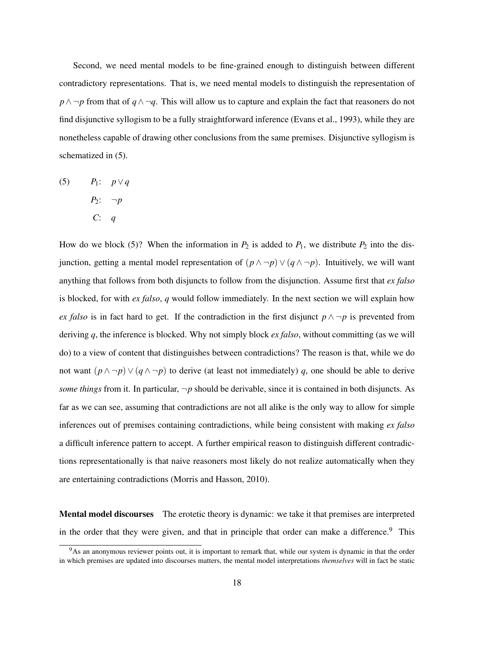Second, we need mental models to be fine-grained enough to distinguish between different contradictory representations. That is, we need mental models to distinguish the representation of *p*∧ ¬*p* from that of *q*∧ ¬*q*. This will allow us to capture and explain the fact that reasoners do not find disjunctive syllogism to be a fully straightforward inference [\(Evans et al., 1993\)](#page-158-4), while they are nonetheless capable of drawing other conclusions from the same premises. Disjunctive syllogism is schematized in (5).

$$
\begin{array}{lll}\n(5) & P_1: & p \vee q \\
& P_2: & \neg p \\
& C: & q\n\end{array}
$$

How do we block (5)? When the information in  $P_2$  is added to  $P_1$ , we distribute  $P_2$  into the disjunction, getting a mental model representation of  $(p \land \neg p) \lor (q \land \neg p)$ . Intuitively, we will want anything that follows from both disjuncts to follow from the disjunction. Assume first that *ex falso* is blocked, for with *ex falso*, *q* would follow immediately. In the next section we will explain how *ex falso* is in fact hard to get. If the contradiction in the first disjunct  $p \land \neg p$  is prevented from deriving *q*, the inference is blocked. Why not simply block *ex falso*, without committing (as we will do) to a view of content that distinguishes between contradictions? The reason is that, while we do not want  $(p \land \neg p) \lor (q \land \neg p)$  to derive (at least not immediately) *q*, one should be able to derive *some things* from it. In particular,  $\neg p$  should be derivable, since it is contained in both disjuncts. As far as we can see, assuming that contradictions are not all alike is the only way to allow for simple inferences out of premises containing contradictions, while being consistent with making *ex falso* a difficult inference pattern to accept. A further empirical reason to distinguish different contradictions representationally is that naive reasoners most likely do not realize automatically when they are entertaining contradictions [\(Morris and Hasson, 2010\)](#page-163-6).

Mental model discourses The erotetic theory is dynamic: we take it that premises are interpreted in the order that they were given, and that in principle that order can make a difference.<sup>[9](#page-26-0)</sup> This

<span id="page-26-0"></span><sup>&</sup>lt;sup>9</sup>As an anonymous reviewer points out, it is important to remark that, while our system is dynamic in that the order in which premises are updated into discourses matters, the mental model interpretations *themselves* will in fact be static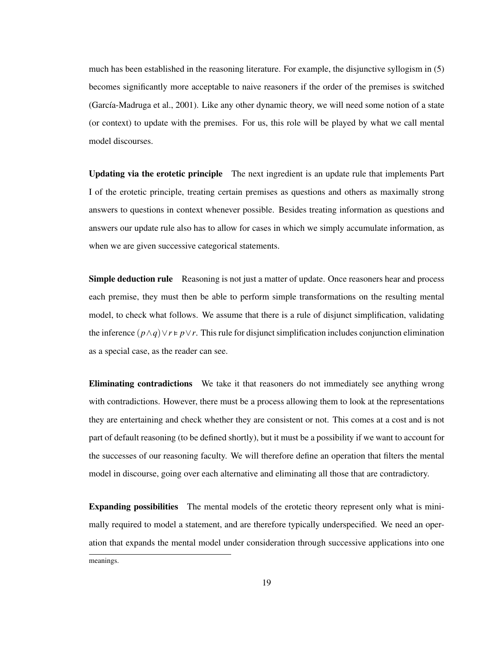much has been established in the reasoning literature. For example, the disjunctive syllogism in (5) becomes significantly more acceptable to naive reasoners if the order of the premises is switched (García-Madruga et al., 2001). Like any other dynamic theory, we will need some notion of a state (or context) to update with the premises. For us, this role will be played by what we call mental model discourses.

Updating via the erotetic principle The next ingredient is an update rule that implements Part I of the erotetic principle, treating certain premises as questions and others as maximally strong answers to questions in context whenever possible. Besides treating information as questions and answers our update rule also has to allow for cases in which we simply accumulate information, as when we are given successive categorical statements.

**Simple deduction rule** Reasoning is not just a matter of update. Once reasoners hear and process each premise, they must then be able to perform simple transformations on the resulting mental model, to check what follows. We assume that there is a rule of disjunct simplification, validating the inference  $(p \land q) \lor r \models p \lor r$ . This rule for disjunct simplification includes conjunction elimination as a special case, as the reader can see.

Eliminating contradictions We take it that reasoners do not immediately see anything wrong with contradictions. However, there must be a process allowing them to look at the representations they are entertaining and check whether they are consistent or not. This comes at a cost and is not part of default reasoning (to be defined shortly), but it must be a possibility if we want to account for the successes of our reasoning faculty. We will therefore define an operation that filters the mental model in discourse, going over each alternative and eliminating all those that are contradictory.

Expanding possibilities The mental models of the erotetic theory represent only what is minimally required to model a statement, and are therefore typically underspecified. We need an operation that expands the mental model under consideration through successive applications into one meanings.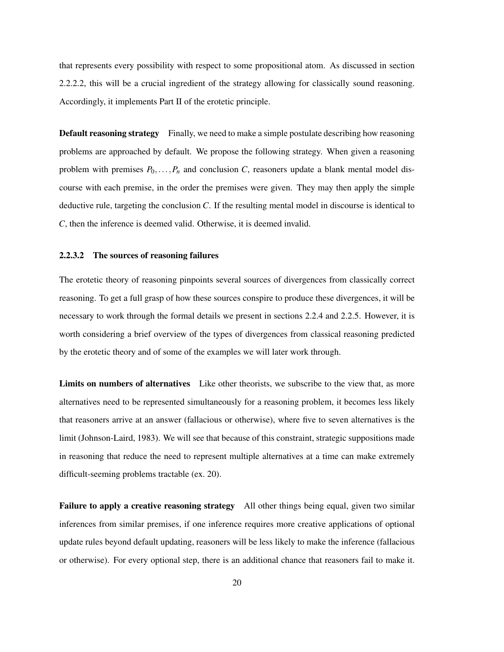that represents every possibility with respect to some propositional atom. As discussed in section [2.2.2.2,](#page-23-0) this will be a crucial ingredient of the strategy allowing for classically sound reasoning. Accordingly, it implements Part II of the erotetic principle.

**Default reasoning strategy** Finally, we need to make a simple postulate describing how reasoning problems are approached by default. We propose the following strategy. When given a reasoning problem with premises  $P_0, \ldots, P_n$  and conclusion *C*, reasoners update a blank mental model discourse with each premise, in the order the premises were given. They may then apply the simple deductive rule, targeting the conclusion *C*. If the resulting mental model in discourse is identical to *C*, then the inference is deemed valid. Otherwise, it is deemed invalid.

#### 2.2.3.2 The sources of reasoning failures

The erotetic theory of reasoning pinpoints several sources of divergences from classically correct reasoning. To get a full grasp of how these sources conspire to produce these divergences, it will be necessary to work through the formal details we present in sections [2.2.4](#page-34-0) and [2.2.5.](#page-51-0) However, it is worth considering a brief overview of the types of divergences from classical reasoning predicted by the erotetic theory and of some of the examples we will later work through.

Limits on numbers of alternatives Like other theorists, we subscribe to the view that, as more alternatives need to be represented simultaneously for a reasoning problem, it becomes less likely that reasoners arrive at an answer (fallacious or otherwise), where five to seven alternatives is the limit [\(Johnson-Laird, 1983\)](#page-161-4). We will see that because of this constraint, strategic suppositions made in reasoning that reduce the need to represent multiple alternatives at a time can make extremely difficult-seeming problems tractable (ex. [20\)](#page-54-0).

Failure to apply a creative reasoning strategy All other things being equal, given two similar inferences from similar premises, if one inference requires more creative applications of optional update rules beyond default updating, reasoners will be less likely to make the inference (fallacious or otherwise). For every optional step, there is an additional chance that reasoners fail to make it.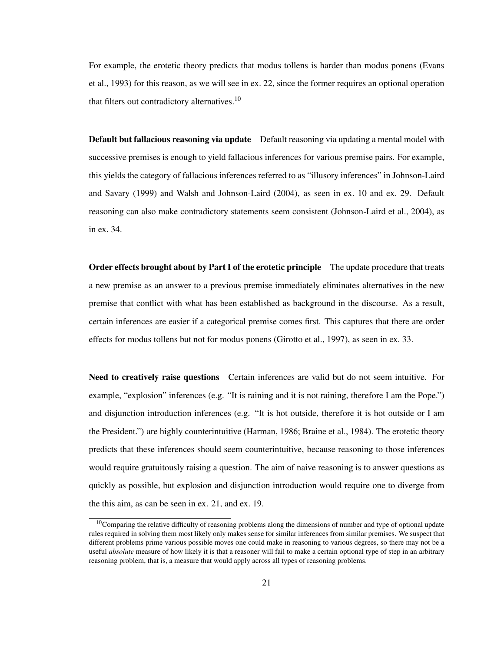For example, the erotetic theory predicts that modus tollens is harder than modus ponens [\(Evans](#page-158-4) [et al., 1993\)](#page-158-4) for this reason, as we will see in ex. [22,](#page-56-0) since the former requires an optional operation that filters out contradictory alternatives.<sup>[10](#page-29-0)</sup>

**Default but fallacious reasoning via update** Default reasoning via updating a mental model with successive premises is enough to yield fallacious inferences for various premise pairs. For example, this yields the category of fallacious inferences referred to as "illusory inferences" in [Johnson-Laird](#page-161-2) [and Savary](#page-161-2) [\(1999\)](#page-161-2) and [Walsh and Johnson-Laird](#page-165-0) [\(2004\)](#page-165-0), as seen in ex. [10](#page-44-0) and ex. [29.](#page-145-0) Default reasoning can also make contradictory statements seem consistent [\(Johnson-Laird et al., 2004\)](#page-161-3), as in ex. [34.](#page-150-1)

Order effects brought about by Part I of the erotetic principle The update procedure that treats a new premise as an answer to a previous premise immediately eliminates alternatives in the new premise that conflict with what has been established as background in the discourse. As a result, certain inferences are easier if a categorical premise comes first. This captures that there are order effects for modus tollens but not for modus ponens [\(Girotto et al., 1997\)](#page-159-3), as seen in ex. [33.](#page-150-0)

Need to creatively raise questions Certain inferences are valid but do not seem intuitive. For example, "explosion" inferences (e.g. "It is raining and it is not raining, therefore I am the Pope.") and disjunction introduction inferences (e.g. "It is hot outside, therefore it is hot outside or I am the President.") are highly counterintuitive [\(Harman, 1986;](#page-160-3) [Braine et al., 1984\)](#page-158-2). The erotetic theory predicts that these inferences should seem counterintuitive, because reasoning to those inferences would require gratuitously raising a question. The aim of naive reasoning is to answer questions as quickly as possible, but explosion and disjunction introduction would require one to diverge from the this aim, as can be seen in ex. [21,](#page-55-0) and ex. [19.](#page-51-1)

<span id="page-29-0"></span> $10$ Comparing the relative difficulty of reasoning problems along the dimensions of number and type of optional update rules required in solving them most likely only makes sense for similar inferences from similar premises. We suspect that different problems prime various possible moves one could make in reasoning to various degrees, so there may not be a useful *absolute* measure of how likely it is that a reasoner will fail to make a certain optional type of step in an arbitrary reasoning problem, that is, a measure that would apply across all types of reasoning problems.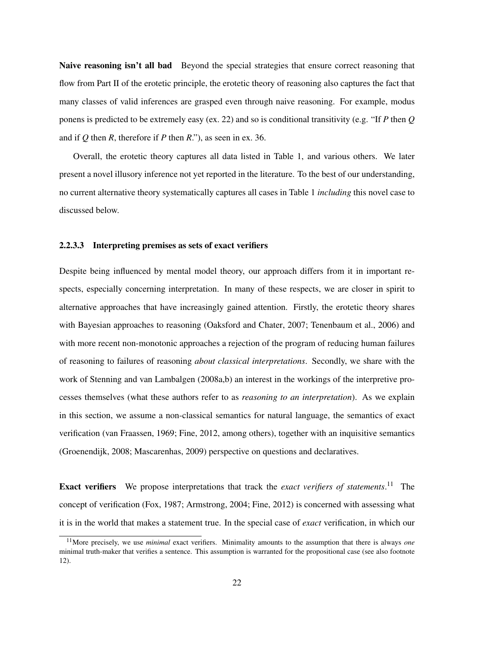Naive reasoning isn't all bad Beyond the special strategies that ensure correct reasoning that flow from Part II of the erotetic principle, the erotetic theory of reasoning also captures the fact that many classes of valid inferences are grasped even through naive reasoning. For example, modus ponens is predicted to be extremely easy (ex. [22\)](#page-56-0) and so is conditional transitivity (e.g. "If *P* then *Q* and if *Q* then *R*, therefore if *P* then *R*."), as seen in ex. [36.](#page-153-0)

Overall, the erotetic theory captures all data listed in Table 1, and various others. We later present a novel illusory inference not yet reported in the literature. To the best of our understanding, no current alternative theory systematically captures all cases in Table 1 *including* this novel case to discussed below.

#### <span id="page-30-0"></span>2.2.3.3 Interpreting premises as sets of exact verifiers

Despite being influenced by mental model theory, our approach differs from it in important respects, especially concerning interpretation. In many of these respects, we are closer in spirit to alternative approaches that have increasingly gained attention. Firstly, the erotetic theory shares with Bayesian approaches to reasoning [\(Oaksford and Chater, 2007;](#page-163-3) [Tenenbaum et al., 2006\)](#page-165-1) and with more recent non-monotonic approaches a rejection of the program of reducing human failures of reasoning to failures of reasoning *about classical interpretations*. Secondly, we share with the work of [Stenning and van Lambalgen](#page-164-2) [\(2008a](#page-164-2)[,b\)](#page-164-3) an interest in the workings of the interpretive processes themselves (what these authors refer to as *reasoning to an interpretation*). As we explain in this section, we assume a non-classical semantics for natural language, the semantics of exact verification [\(van Fraassen, 1969;](#page-159-1) [Fine, 2012,](#page-158-1) among others), together with an inquisitive semantics [\(Groenendijk, 2008;](#page-159-0) [Mascarenhas, 2009\)](#page-163-1) perspective on questions and declaratives.

Exact verifiers We propose interpretations that track the *exact verifiers of statements*.<sup>[11](#page-30-1)</sup> The concept of verification [\(Fox, 1987;](#page-159-4) [Armstrong, 2004;](#page-157-2) [Fine, 2012\)](#page-158-1) is concerned with assessing what it is in the world that makes a statement true. In the special case of *exact* verification, in which our

<span id="page-30-1"></span><sup>11</sup>More precisely, we use *minimal* exact verifiers. Minimality amounts to the assumption that there is always *one* minimal truth-maker that verifies a sentence. This assumption is warranted for the propositional case (see also footnote [12\)](#page-31-0).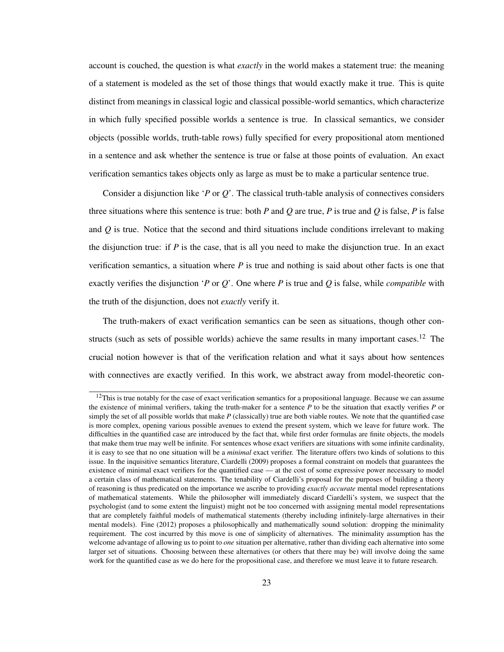account is couched, the question is what *exactly* in the world makes a statement true: the meaning of a statement is modeled as the set of those things that would exactly make it true. This is quite distinct from meanings in classical logic and classical possible-world semantics, which characterize in which fully specified possible worlds a sentence is true. In classical semantics, we consider objects (possible worlds, truth-table rows) fully specified for every propositional atom mentioned in a sentence and ask whether the sentence is true or false at those points of evaluation. An exact verification semantics takes objects only as large as must be to make a particular sentence true.

Consider a disjunction like '*P* or *Q*'. The classical truth-table analysis of connectives considers three situations where this sentence is true: both *P* and *Q* are true, *P* is true and *Q* is false, *P* is false and *Q* is true. Notice that the second and third situations include conditions irrelevant to making the disjunction true: if  $P$  is the case, that is all you need to make the disjunction true. In an exact verification semantics, a situation where *P* is true and nothing is said about other facts is one that exactly verifies the disjunction '*P* or  $Q$ '. One where *P* is true and  $Q$  is false, while *compatible* with the truth of the disjunction, does not *exactly* verify it.

The truth-makers of exact verification semantics can be seen as situations, though other con-structs (such as sets of possible worlds) achieve the same results in many important cases.<sup>[12](#page-31-0)</sup> The crucial notion however is that of the verification relation and what it says about how sentences with connectives are exactly verified. In this work, we abstract away from model-theoretic con-

<span id="page-31-0"></span> $12$ This is true notably for the case of exact verification semantics for a propositional language. Because we can assume the existence of minimal verifiers, taking the truth-maker for a sentence *P* to be the situation that exactly verifies *P* or simply the set of all possible worlds that make *P* (classically) true are both viable routes. We note that the quantified case is more complex, opening various possible avenues to extend the present system, which we leave for future work. The difficulties in the quantified case are introduced by the fact that, while first order formulas are finite objects, the models that make them true may well be infinite. For sentences whose exact verifiers are situations with some infinite cardinality, it is easy to see that no one situation will be a *minimal* exact verifier. The literature offers two kinds of solutions to this issue. In the inquisitive semantics literature, [Ciardelli](#page-158-5) [\(2009\)](#page-158-5) proposes a formal constraint on models that guarantees the existence of minimal exact verifiers for the quantified case — at the cost of some expressive power necessary to model a certain class of mathematical statements. The tenability of Ciardelli's proposal for the purposes of building a theory of reasoning is thus predicated on the importance we ascribe to providing *exactly accurate* mental model representations of mathematical statements. While the philosopher will immediately discard Ciardelli's system, we suspect that the psychologist (and to some extent the linguist) might not be too concerned with assigning mental model representations that are completely faithful models of mathematical statements (thereby including infinitely-large alternatives in their mental models). [Fine](#page-158-1) [\(2012\)](#page-158-1) proposes a philosophically and mathematically sound solution: dropping the minimality requirement. The cost incurred by this move is one of simplicity of alternatives. The minimality assumption has the welcome advantage of allowing us to point to *one* situation per alternative, rather than dividing each alternative into some larger set of situations. Choosing between these alternatives (or others that there may be) will involve doing the same work for the quantified case as we do here for the propositional case, and therefore we must leave it to future research.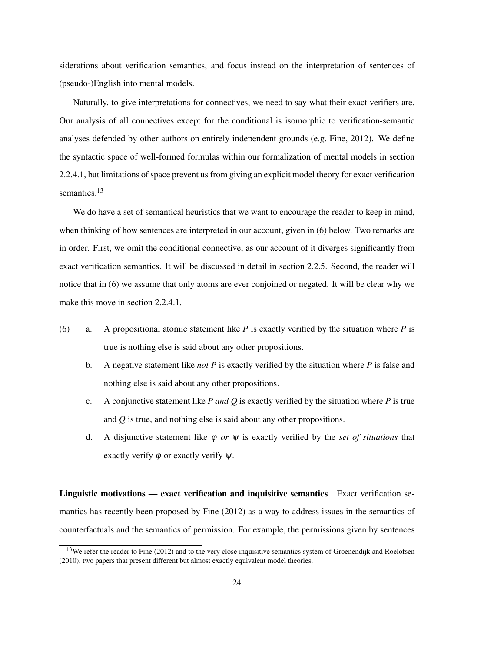siderations about verification semantics, and focus instead on the interpretation of sentences of (pseudo-)English into mental models.

Naturally, to give interpretations for connectives, we need to say what their exact verifiers are. Our analysis of all connectives except for the conditional is isomorphic to verification-semantic analyses defended by other authors on entirely independent grounds (e.g. [Fine, 2012\)](#page-158-1). We define the syntactic space of well-formed formulas within our formalization of mental models in section [2.2.4.1,](#page-34-1) but limitations of space prevent us from giving an explicit model theory for exact verification semantics.<sup>[13](#page-32-0)</sup>

We do have a set of semantical heuristics that we want to encourage the reader to keep in mind, when thinking of how sentences are interpreted in our account, given in (6) below. Two remarks are in order. First, we omit the conditional connective, as our account of it diverges significantly from exact verification semantics. It will be discussed in detail in section [2.2.5.](#page-51-0) Second, the reader will notice that in (6) we assume that only atoms are ever conjoined or negated. It will be clear why we make this move in section [2.2.4.1.](#page-34-1)

- (6) a. A propositional atomic statement like *P* is exactly verified by the situation where *P* is true is nothing else is said about any other propositions.
	- b. A negative statement like *not P* is exactly verified by the situation where *P* is false and nothing else is said about any other propositions.
	- c. A conjunctive statement like *P and Q* is exactly verified by the situation where *P* is true and *Q* is true, and nothing else is said about any other propositions.
	- d. A disjunctive statement like  $\varphi$  *or*  $\psi$  is exactly verified by the *set of situations* that exactly verify  $\varphi$  or exactly verify  $\psi$ .

Linguistic motivations — exact verification and inquisitive semantics Exact verification semantics has recently been proposed by [Fine](#page-158-1) [\(2012\)](#page-158-1) as a way to address issues in the semantics of counterfactuals and the semantics of permission. For example, the permissions given by sentences

<span id="page-32-0"></span> $13$ We refer the reader to [Fine](#page-158-1) [\(2012\)](#page-158-1) and to the very close inquisitive semantics system of [Groenendijk and Roelofsen](#page-160-5) [\(2010\)](#page-160-5), two papers that present different but almost exactly equivalent model theories.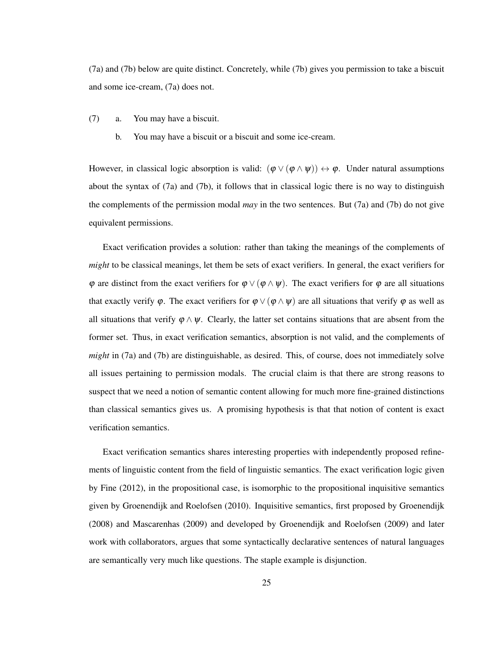(7a) and (7b) below are quite distinct. Concretely, while (7b) gives you permission to take a biscuit and some ice-cream, (7a) does not.

- (7) a. You may have a biscuit.
	- b. You may have a biscuit or a biscuit and some ice-cream.

However, in classical logic absorption is valid:  $(\varphi \lor (\varphi \land \psi)) \leftrightarrow \varphi$ . Under natural assumptions about the syntax of (7a) and (7b), it follows that in classical logic there is no way to distinguish the complements of the permission modal *may* in the two sentences. But (7a) and (7b) do not give equivalent permissions.

Exact verification provides a solution: rather than taking the meanings of the complements of *might* to be classical meanings, let them be sets of exact verifiers. In general, the exact verifiers for  $\varphi$  are distinct from the exact verifiers for  $\varphi \lor (\varphi \land \psi)$ . The exact verifiers for  $\varphi$  are all situations that exactly verify  $\varphi$ . The exact verifiers for  $\varphi \lor (\varphi \land \psi)$  are all situations that verify  $\varphi$  as well as all situations that verify  $\varphi \wedge \psi$ . Clearly, the latter set contains situations that are absent from the former set. Thus, in exact verification semantics, absorption is not valid, and the complements of *might* in (7a) and (7b) are distinguishable, as desired. This, of course, does not immediately solve all issues pertaining to permission modals. The crucial claim is that there are strong reasons to suspect that we need a notion of semantic content allowing for much more fine-grained distinctions than classical semantics gives us. A promising hypothesis is that that notion of content is exact verification semantics.

Exact verification semantics shares interesting properties with independently proposed refinements of linguistic content from the field of linguistic semantics. The exact verification logic given by [Fine](#page-158-1) [\(2012\)](#page-158-1), in the propositional case, is isomorphic to the propositional inquisitive semantics given by [Groenendijk and Roelofsen](#page-160-5) [\(2010\)](#page-160-5). Inquisitive semantics, first proposed by [Groenendijk](#page-159-0) [\(2008\)](#page-159-0) and [Mascarenhas](#page-163-1) [\(2009\)](#page-163-1) and developed by [Groenendijk and Roelofsen](#page-160-6) [\(2009\)](#page-160-6) and later work with collaborators, argues that some syntactically declarative sentences of natural languages are semantically very much like questions. The staple example is disjunction.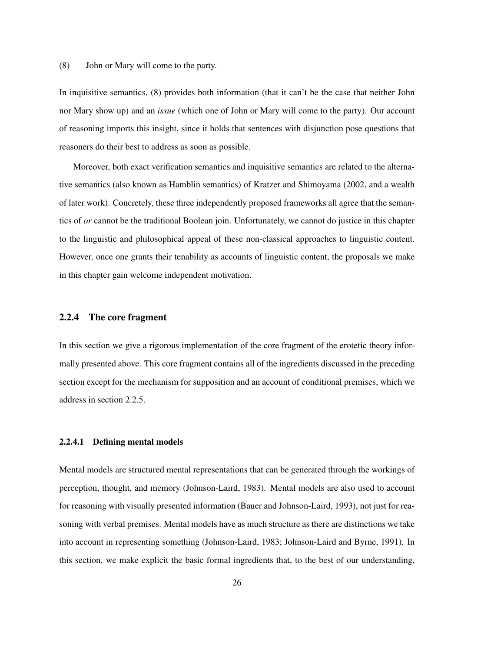(8) John or Mary will come to the party.

In inquisitive semantics, (8) provides both information (that it can't be the case that neither John nor Mary show up) and an *issue* (which one of John or Mary will come to the party). Our account of reasoning imports this insight, since it holds that sentences with disjunction pose questions that reasoners do their best to address as soon as possible.

Moreover, both exact verification semantics and inquisitive semantics are related to the alternative semantics (also known as Hamblin semantics) of [Kratzer and Shimoyama](#page-162-5) [\(2002,](#page-162-5) and a wealth of later work). Concretely, these three independently proposed frameworks all agree that the semantics of *or* cannot be the traditional Boolean join. Unfortunately, we cannot do justice in this chapter to the linguistic and philosophical appeal of these non-classical approaches to linguistic content. However, once one grants their tenability as accounts of linguistic content, the proposals we make in this chapter gain welcome independent motivation.

#### <span id="page-34-0"></span>2.2.4 The core fragment

In this section we give a rigorous implementation of the core fragment of the erotetic theory informally presented above. This core fragment contains all of the ingredients discussed in the preceding section except for the mechanism for supposition and an account of conditional premises, which we address in section [2.2.5.](#page-51-0)

#### <span id="page-34-1"></span>2.2.4.1 Defining mental models

Mental models are structured mental representations that can be generated through the workings of perception, thought, and memory [\(Johnson-Laird, 1983\)](#page-161-4). Mental models are also used to account for reasoning with visually presented information [\(Bauer and Johnson-Laird, 1993\)](#page-157-3), not just for reasoning with verbal premises. Mental models have as much structure as there are distinctions we take into account in representing something [\(Johnson-Laird, 1983;](#page-161-4) [Johnson-Laird and Byrne, 1991\)](#page-161-5). In this section, we make explicit the basic formal ingredients that, to the best of our understanding,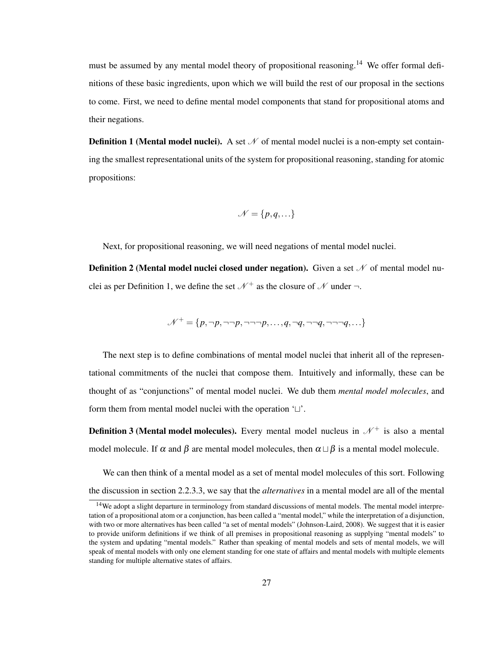must be assumed by any mental model theory of propositional reasoning.<sup>[14](#page-35-0)</sup> We offer formal definitions of these basic ingredients, upon which we will build the rest of our proposal in the sections to come. First, we need to define mental model components that stand for propositional atoms and their negations.

<span id="page-35-1"></span>**Definition 1 (Mental model nuclei).** A set  $\mathcal N$  of mental model nuclei is a non-empty set containing the smallest representational units of the system for propositional reasoning, standing for atomic propositions:

$$
\mathcal{N} = \{p,q,\ldots\}
$$

Next, for propositional reasoning, we will need negations of mental model nuclei.

**Definition 2 (Mental model nuclei closed under negation).** Given a set  $\mathcal N$  of mental model nu-clei as per Definition [1,](#page-35-1) we define the set  $\mathcal{N}^+$  as the closure of  $\mathcal N$  under  $\neg$ .

$$
\mathcal{N}^+ = \{p, \neg p, \neg \neg p, \neg \neg \neg p, \dots, q, \neg q, \neg \neg q, \dots\}
$$

The next step is to define combinations of mental model nuclei that inherit all of the representational commitments of the nuclei that compose them. Intuitively and informally, these can be thought of as "conjunctions" of mental model nuclei. We dub them *mental model molecules*, and form them from mental model nuclei with the operation  $'\sqcup'$ .

**Definition 3 (Mental model molecules).** Every mental model nucleus in  $\mathcal{N}^+$  is also a mental model molecule. If  $\alpha$  and  $\beta$  are mental model molecules, then  $\alpha \sqcup \beta$  is a mental model molecule.

We can then think of a mental model as a set of mental model molecules of this sort. Following the discussion in section [2.2.3.3,](#page-30-0) we say that the *alternatives* in a mental model are all of the mental

<span id="page-35-0"></span><sup>&</sup>lt;sup>14</sup>We adopt a slight departure in terminology from standard discussions of mental models. The mental model interpretation of a propositional atom or a conjunction, has been called a "mental model," while the interpretation of a disjunction, with two or more alternatives has been called "a set of mental models" [\(Johnson-Laird, 2008\)](#page-161-1). We suggest that it is easier to provide uniform definitions if we think of all premises in propositional reasoning as supplying "mental models" to the system and updating "mental models." Rather than speaking of mental models and sets of mental models, we will speak of mental models with only one element standing for one state of affairs and mental models with multiple elements standing for multiple alternative states of affairs.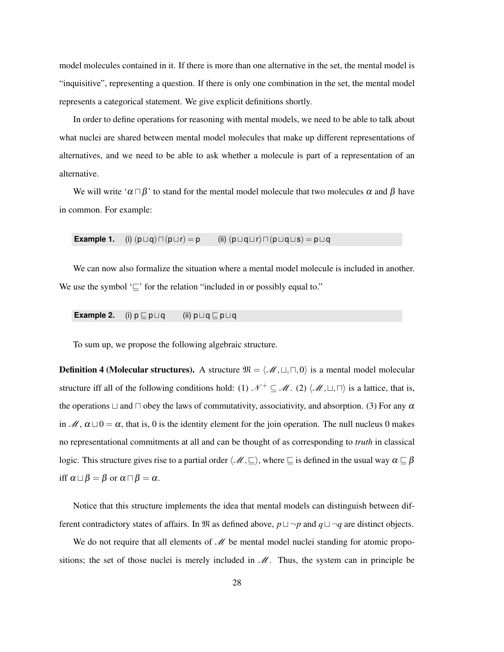model molecules contained in it. If there is more than one alternative in the set, the mental model is "inquisitive", representing a question. If there is only one combination in the set, the mental model represents a categorical statement. We give explicit definitions shortly.

In order to define operations for reasoning with mental models, we need to be able to talk about what nuclei are shared between mental model molecules that make up different representations of alternatives, and we need to be able to ask whether a molecule is part of a representation of an alternative.

We will write ' $\alpha \Box \beta$ ' to stand for the mental model molecule that two molecules  $\alpha$  and  $\beta$  have in common. For example:

**Example 1.** (i)  $(p \sqcup q) \sqcap (p \sqcup r) = p$  (ii)  $(p \sqcup q \sqcup r) \sqcap (p \sqcup q \sqcup s) = p \sqcup q$ 

We can now also formalize the situation where a mental model molecule is included in another. We use the symbol  $\subseteq$  for the relation "included in or possibly equal to."

**Example 2.** (i)  $p \sqsubseteq p \sqcup q$  (ii)  $p \sqcup q \sqsubseteq p \sqcup q$ 

<span id="page-36-0"></span>To sum up, we propose the following algebraic structure.

**Definition 4 (Molecular structures).** A structure  $\mathfrak{M} = \langle \mathcal{M}, \sqcup, \sqcap, 0 \rangle$  is a mental model molecular structure iff all of the following conditions hold: (1)  $\mathcal{N}^+ \subseteq \mathcal{M}$ . (2)  $\langle \mathcal{M}, \sqcup, \sqcap \rangle$  is a lattice, that is, the operations  $\sqcup$  and  $\sqcap$  obey the laws of commutativity, associativity, and absorption. (3) For any  $\alpha$ in  $\mathcal{M}, \alpha \sqcup 0 = \alpha$ , that is, 0 is the identity element for the join operation. The null nucleus 0 makes no representational commitments at all and can be thought of as corresponding to *truth* in classical logic. This structure gives rise to a partial order  $\langle \mathcal{M}, \sqsubseteq \rangle$ , where  $\sqsubseteq$  is defined in the usual way  $\alpha \sqsubseteq \beta$ iff  $\alpha \sqcup \beta = \beta$  or  $\alpha \sqcap \beta = \alpha$ .

Notice that this structure implements the idea that mental models can distinguish between different contradictory states of affairs. In  $\mathfrak{M}$  as defined above,  $p \sqcup \neg p$  and  $q \sqcup \neg q$  are distinct objects.

We do not require that all elements of  $\mathcal M$  be mental model nuclei standing for atomic propositions; the set of those nuclei is merely included in  $\mathcal M$ . Thus, the system can in principle be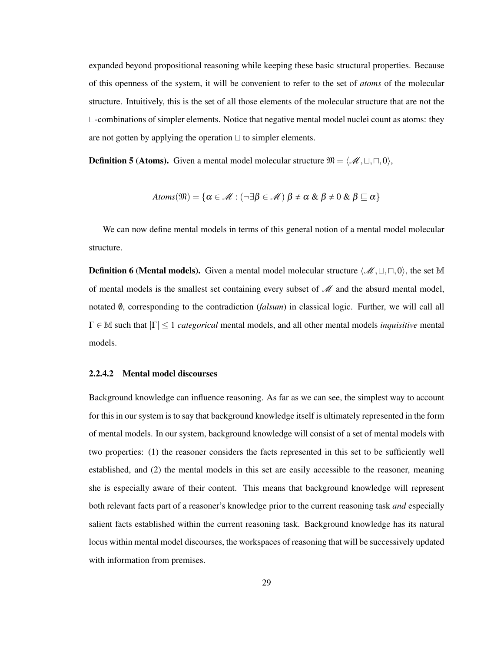expanded beyond propositional reasoning while keeping these basic structural properties. Because of this openness of the system, it will be convenient to refer to the set of *atoms* of the molecular structure. Intuitively, this is the set of all those elements of the molecular structure that are not the  $\sqcup$ -combinations of simpler elements. Notice that negative mental model nuclei count as atoms: they are not gotten by applying the operation  $\sqcup$  to simpler elements.

**Definition 5 (Atoms).** Given a mental model molecular structure  $\mathfrak{M} = \langle \mathcal{M}, \sqcup, \sqcap, 0 \rangle$ ,

$$
Atoms(\mathfrak{M}) = \{ \alpha \in \mathscr{M} : (\neg \exists \beta \in \mathscr{M}) \beta \neq \alpha \& \beta \neq 0 \& \beta \sqsubseteq \alpha \}
$$

We can now define mental models in terms of this general notion of a mental model molecular structure.

**Definition 6 (Mental models).** Given a mental model molecular structure  $\langle \mathcal{M}, \sqcup, \sqcap, 0 \rangle$ , the set M of mental models is the smallest set containing every subset of  $\mathcal M$  and the absurd mental model, notated  $\emptyset$ , corresponding to the contradiction (*falsum*) in classical logic. Further, we will call all Γ ∈ M such that |Γ| ≤ 1 *categorical* mental models, and all other mental models *inquisitive* mental models.

#### 2.2.4.2 Mental model discourses

Background knowledge can influence reasoning. As far as we can see, the simplest way to account for this in our system is to say that background knowledge itself is ultimately represented in the form of mental models. In our system, background knowledge will consist of a set of mental models with two properties: (1) the reasoner considers the facts represented in this set to be sufficiently well established, and (2) the mental models in this set are easily accessible to the reasoner, meaning she is especially aware of their content. This means that background knowledge will represent both relevant facts part of a reasoner's knowledge prior to the current reasoning task *and* especially salient facts established within the current reasoning task. Background knowledge has its natural locus within mental model discourses, the workspaces of reasoning that will be successively updated with information from premises.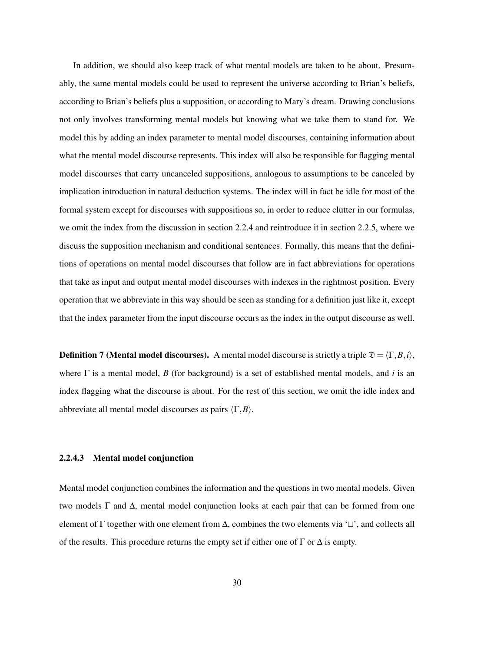In addition, we should also keep track of what mental models are taken to be about. Presumably, the same mental models could be used to represent the universe according to Brian's beliefs, according to Brian's beliefs plus a supposition, or according to Mary's dream. Drawing conclusions not only involves transforming mental models but knowing what we take them to stand for. We model this by adding an index parameter to mental model discourses, containing information about what the mental model discourse represents. This index will also be responsible for flagging mental model discourses that carry uncanceled suppositions, analogous to assumptions to be canceled by implication introduction in natural deduction systems. The index will in fact be idle for most of the formal system except for discourses with suppositions so, in order to reduce clutter in our formulas, we omit the index from the discussion in section [2.2.4](#page-34-0) and reintroduce it in section [2.2.5,](#page-51-0) where we discuss the supposition mechanism and conditional sentences. Formally, this means that the definitions of operations on mental model discourses that follow are in fact abbreviations for operations that take as input and output mental model discourses with indexes in the rightmost position. Every operation that we abbreviate in this way should be seen as standing for a definition just like it, except that the index parameter from the input discourse occurs as the index in the output discourse as well.

<span id="page-38-0"></span>**Definition 7 (Mental model discourses).** A mental model discourse is strictly a triple  $\mathfrak{D} = \langle \Gamma, B, i \rangle$ , where  $\Gamma$  is a mental model, *B* (for background) is a set of established mental models, and *i* is an index flagging what the discourse is about. For the rest of this section, we omit the idle index and abbreviate all mental model discourses as pairs  $\langle \Gamma, B \rangle$ .

#### 2.2.4.3 Mental model conjunction

Mental model conjunction combines the information and the questions in two mental models. Given two models  $\Gamma$  and  $\Delta$ , mental model conjunction looks at each pair that can be formed from one element of  $\Gamma$  together with one element from  $\Delta$ , combines the two elements via ' $\Box$ ', and collects all of the results. This procedure returns the empty set if either one of  $\Gamma$  or  $\Delta$  is empty.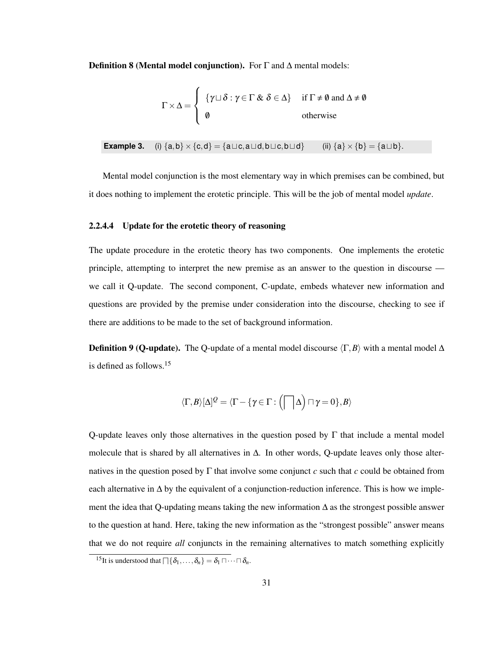**Definition 8 (Mental model conjunction).** For  $\Gamma$  and  $\Delta$  mental models:

$$
\Gamma \times \Delta = \begin{cases} \{ \gamma \sqcup \delta : \gamma \in \Gamma \& \delta \in \Delta \} & \text{if } \Gamma \neq \emptyset \text{ and } \Delta \neq \emptyset \\ \emptyset & \text{otherwise} \end{cases}
$$

**Example 3.** (i)  $\{a,b\} \times \{c,d\} = \{a \sqcup c,a \sqcup d,b \sqcup c,b \sqcup d\}$  (ii)  $\{a\} \times \{b\} = \{a \sqcup b\}.$ 

Mental model conjunction is the most elementary way in which premises can be combined, but it does nothing to implement the erotetic principle. This will be the job of mental model *update*.

#### 2.2.4.4 Update for the erotetic theory of reasoning

The update procedure in the erotetic theory has two components. One implements the erotetic principle, attempting to interpret the new premise as an answer to the question in discourse we call it Q-update. The second component, C-update, embeds whatever new information and questions are provided by the premise under consideration into the discourse, checking to see if there are additions to be made to the set of background information.

**Definition 9 (Q-update).** The Q-update of a mental model discourse  $\langle \Gamma, B \rangle$  with a mental model  $\Delta$ is defined as follows.[15](#page-39-0)

$$
\langle \Gamma, B \rangle [\Delta]^{\mathcal{Q}} = \langle \Gamma - \{ \gamma \in \Gamma : (\bigcap \Delta) \sqcap \gamma = 0 \}, B \rangle
$$

Q-update leaves only those alternatives in the question posed by Γ that include a mental model molecule that is shared by all alternatives in  $\Delta$ . In other words, Q-update leaves only those alternatives in the question posed by  $\Gamma$  that involve some conjunct *c* such that *c* could be obtained from each alternative in  $\Delta$  by the equivalent of a conjunction-reduction inference. This is how we implement the idea that Q-updating means taking the new information ∆ as the strongest possible answer to the question at hand. Here, taking the new information as the "strongest possible" answer means that we do not require *all* conjuncts in the remaining alternatives to match something explicitly

<span id="page-39-0"></span><sup>&</sup>lt;sup>15</sup>It is understood that  $\bigcap {\delta_1, ..., \delta_n} = \delta_1 \sqcap \cdots \sqcap \delta_n$ .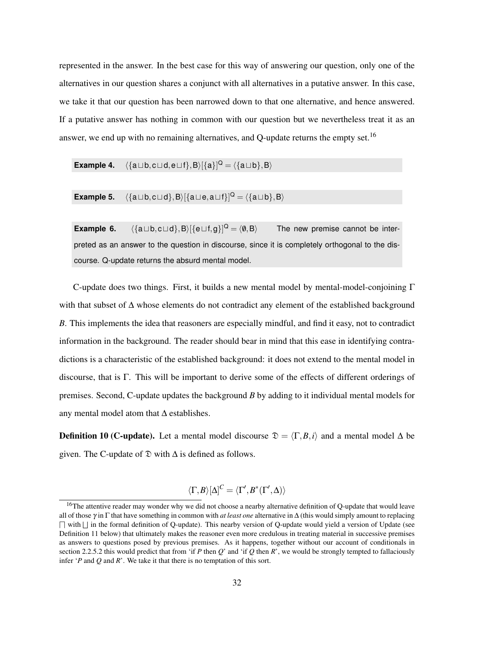represented in the answer. In the best case for this way of answering our question, only one of the alternatives in our question shares a conjunct with all alternatives in a putative answer. In this case, we take it that our question has been narrowed down to that one alternative, and hence answered. If a putative answer has nothing in common with our question but we nevertheless treat it as an answer, we end up with no remaining alternatives, and Q-update returns the empty set.<sup>[16](#page-40-0)</sup>

**Example 4.**  $\langle \{a \sqcup b, c \sqcup d, e \sqcup f\}, B \rangle |\{a\}|^{\mathsf{Q}} = \langle \{a \sqcup b\}, B \rangle$ 

**Example 5.**  $\langle \{a \sqcup b, c \sqcup d\}, B \rangle [\{a \sqcup e, a \sqcup f\}]^Q = \langle \{a \sqcup b\}, B \rangle$ 

**Example 6.**  $\langle \{a \sqcup b, c \sqcup d\}, B \rangle [\{e \sqcup f, g\}]^Q = \langle \emptyset, B \rangle$ The new premise cannot be interpreted as an answer to the question in discourse, since it is completely orthogonal to the discourse. Q-update returns the absurd mental model.

C-update does two things. First, it builds a new mental model by mental-model-conjoining  $\Gamma$ with that subset of ∆ whose elements do not contradict any element of the established background *B*. This implements the idea that reasoners are especially mindful, and find it easy, not to contradict information in the background. The reader should bear in mind that this ease in identifying contradictions is a characteristic of the established background: it does not extend to the mental model in discourse, that is Γ. This will be important to derive some of the effects of different orderings of premises. Second, C-update updates the background *B* by adding to it individual mental models for any mental model atom that ∆ establishes.

<span id="page-40-1"></span>**Definition 10 (C-update).** Let a mental model discourse  $\mathcal{D} = \langle \Gamma, B, i \rangle$  and a mental model  $\Delta$  be given. The C-update of  $\mathfrak D$  with  $\Delta$  is defined as follows.

$$
\langle \Gamma, B \rangle [\Delta]^C = \langle \Gamma', B^*(\Gamma', \Delta) \rangle
$$

<span id="page-40-0"></span><sup>&</sup>lt;sup>16</sup>The attentive reader may wonder why we did not choose a nearby alternative definition of O-update that would leave all of those γ in Γ that have something in common with *at least one* alternative in ∆ (this would simply amount to replacing  $\Box$  with  $\Box$  in the formal definition of Q-update). This nearby version of Q-update would yield a version of Update (see Definition [11](#page-42-0) below) that ultimately makes the reasoner even more credulous in treating material in successive premises as answers to questions posed by previous premises. As it happens, together without our account of conditionals in section [2.2.5.2](#page-55-0) this would predict that from 'if *P* then *Q*' and 'if *Q* then *R*', we would be strongly tempted to fallaciously infer '*P* and *Q* and *R*'. We take it that there is no temptation of this sort.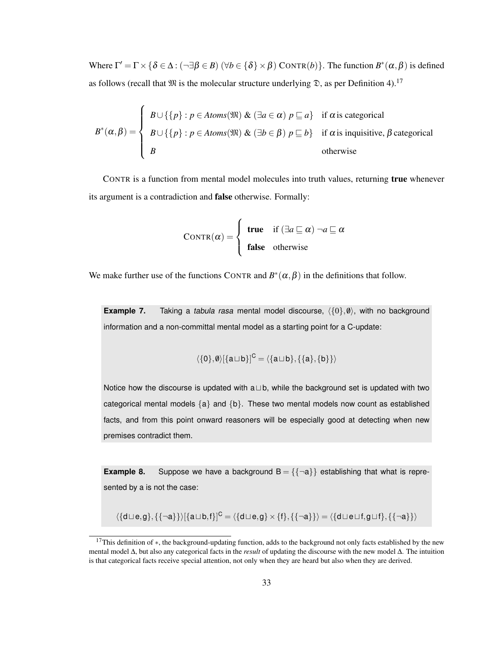Where  $\Gamma' = \Gamma \times \{ \delta \in \Delta : (\neg \exists \beta \in B) \ (\forall b \in \{ \delta \} \times \beta) \ \text{CONTR}(b) \}.$  The function  $B^*(\alpha, \beta)$  is defined as follows (recall that  $\mathfrak{M}$  is the molecular structure underlying  $\mathfrak{D}$ , as per Definition [4\)](#page-36-0).<sup>[17](#page-41-0)</sup>

$$
B^*(\alpha, \beta) = \begin{cases} B \cup \{\{p\} : p \in Atoms(\mathfrak{M}) \& (\exists a \in \alpha) \ p \sqsubseteq a\} & \text{if } \alpha \text{ is categorical} \\ B \cup \{\{p\} : p \in Atoms(\mathfrak{M}) \& (\exists b \in \beta) \ p \sqsubseteq b\} & \text{if } \alpha \text{ is inquisitive, } \beta \text{ categorical} \\ B & \text{otherwise} \end{cases}
$$

CONTR is a function from mental model molecules into truth values, returning true whenever its argument is a contradiction and false otherwise. Formally:

$$
CONTR(\alpha) = \begin{cases} \text{true} & \text{if } (\exists a \sqsubseteq \alpha) \neg a \sqsubseteq \alpha \\ \text{false} & \text{otherwise} \end{cases}
$$

We make further use of the functions CONTR and  $B^*(\alpha, \beta)$  in the definitions that follow.

**Example 7.** Taking a tabula rasa mental model discourse,  $\langle \{0\}, \emptyset \rangle$ , with no background information and a non-committal mental model as a starting point for a C-update:

$$
\langle \{0\}, \emptyset \rangle [\{a \sqcup b\}]^C = \langle \{a \sqcup b\}, \{\{a\}, \{b\}\} \rangle
$$

Notice how the discourse is updated with  $a \sqcup b$ , while the background set is updated with two categorical mental models  ${a}$  and  ${b}$ . These two mental models now count as established facts, and from this point onward reasoners will be especially good at detecting when new premises contradict them.

**Example 8.** Suppose we have a background  $B = \{(-a)\}\)$  establishing that what is represented by a is not the case:

$$
\langle \{d \sqcup e,g\}, \{\{\neg a\}\} \rangle [\{a \sqcup b,f\}]^C = \langle \{d \sqcup e,g\} \times \{f\}, \{\{\neg a\}\} \rangle = \langle \{d \sqcup e \sqcup f,g \sqcup f\}, \{\{\neg a\}\} \rangle
$$

<span id="page-41-0"></span><sup>&</sup>lt;sup>17</sup>This definition of \*, the background-updating function, adds to the background not only facts established by the new mental model ∆, but also any categorical facts in the *result* of updating the discourse with the new model ∆. The intuition is that categorical facts receive special attention, not only when they are heard but also when they are derived.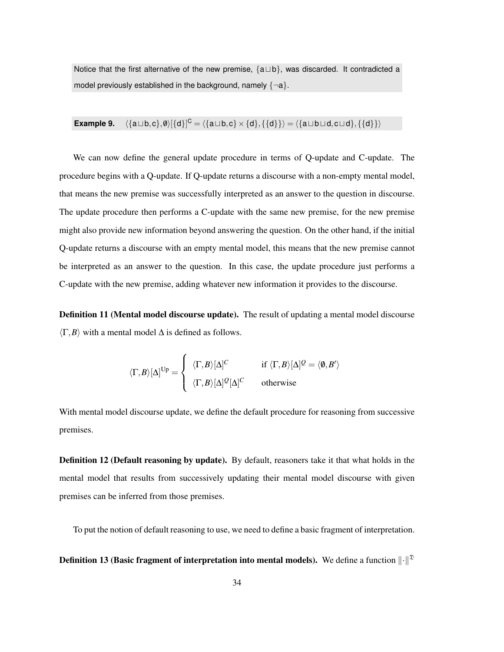Notice that the first alternative of the new premise,  $\{a \sqcup b\}$ , was discarded. It contradicted a model previously established in the background, namely  $\{\neg a\}$ .

**Example 9.**  $\langle \{a \sqcup b, c\}, \emptyset \rangle [\{d\}]^C = \langle \{a \sqcup b, c\} \times \{d\}, \{\{d\}\} \rangle = \langle \{a \sqcup b \sqcup d, c \sqcup d\}, \{\{d\}\} \rangle$ 

We can now define the general update procedure in terms of Q-update and C-update. The procedure begins with a Q-update. If Q-update returns a discourse with a non-empty mental model, that means the new premise was successfully interpreted as an answer to the question in discourse. The update procedure then performs a C-update with the same new premise, for the new premise might also provide new information beyond answering the question. On the other hand, if the initial Q-update returns a discourse with an empty mental model, this means that the new premise cannot be interpreted as an answer to the question. In this case, the update procedure just performs a C-update with the new premise, adding whatever new information it provides to the discourse.

<span id="page-42-0"></span>Definition 11 (Mental model discourse update). The result of updating a mental model discourse  $\langle \Gamma, B \rangle$  with a mental model  $\Delta$  is defined as follows.

$$
\langle \Gamma, B \rangle [\Delta]^{\mathrm{Up}} = \begin{cases} \langle \Gamma, B \rangle [\Delta]^C & \text{if } \langle \Gamma, B \rangle [\Delta]^Q = \langle \emptyset, B' \rangle \\ \langle \Gamma, B \rangle [\Delta]^Q [\Delta]^C & \text{otherwise} \end{cases}
$$

With mental model discourse update, we define the default procedure for reasoning from successive premises.

Definition 12 (Default reasoning by update). By default, reasoners take it that what holds in the mental model that results from successively updating their mental model discourse with given premises can be inferred from those premises.

<span id="page-42-1"></span>To put the notion of default reasoning to use, we need to define a basic fragment of interpretation.

**Definition 13 (Basic fragment of interpretation into mental models).** We define a function  $\|\cdot\|^{\mathfrak{D}}$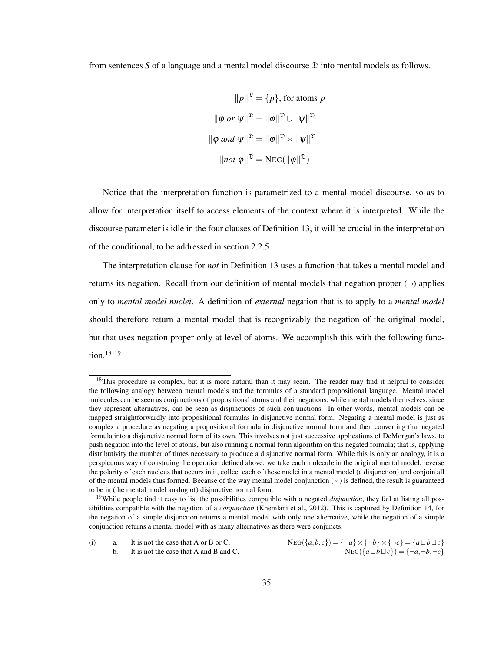from sentences *S* of a language and a mental model discourse D into mental models as follows.

$$
||p||^{\mathfrak{D}} = \{p\}, \text{ for atoms } p
$$

$$
||\varphi \text{ or } \psi||^{\mathfrak{D}} = ||\varphi||^{\mathfrak{D}} \cup ||\psi||^{\mathfrak{D}}
$$

$$
||\varphi \text{ and } \psi||^{\mathfrak{D}} = ||\varphi||^{\mathfrak{D}} \times ||\psi||^{\mathfrak{D}}
$$

$$
||\text{not } \varphi||^{\mathfrak{D}} = \text{NEG}(||\varphi||^{\mathfrak{D}})
$$

Notice that the interpretation function is parametrized to a mental model discourse, so as to allow for interpretation itself to access elements of the context where it is interpreted. While the discourse parameter is idle in the four clauses of Definition [13,](#page-42-1) it will be crucial in the interpretation of the conditional, to be addressed in section [2.2.5.](#page-51-0)

The interpretation clause for *not* in Definition [13](#page-42-1) uses a function that takes a mental model and returns its negation. Recall from our definition of mental models that negation proper  $(\neg)$  applies only to *mental model nuclei*. A definition of *external* negation that is to apply to a *mental model* should therefore return a mental model that is recognizably the negation of the original model, but that uses negation proper only at level of atoms. We accomplish this with the following function.[18](#page-43-0),[19](#page-43-1)

(i) a. It is not the case that A or B or C.  $NEG({a,b,c}) = {\neg a} \times {\neg b} \times {\neg c} = {a \sqcup b \sqcup c}$ 

b. It is not the case that A and B and C.  $\text{NEG}(\{a \sqcup b \sqcup c\}) = \{\neg a, \neg b, \neg c\}$ 

<span id="page-43-2"></span><span id="page-43-0"></span> $18$ This procedure is complex, but it is more natural than it may seem. The reader may find it helpful to consider the following analogy between mental models and the formulas of a standard propositional language. Mental model molecules can be seen as conjunctions of propositional atoms and their negations, while mental models themselves, since they represent alternatives, can be seen as disjunctions of such conjunctions. In other words, mental models can be mapped straightforwardly into propositional formulas in disjunctive normal form. Negating a mental model is just as complex a procedure as negating a propositional formula in disjunctive normal form and then converting that negated formula into a disjunctive normal form of its own. This involves not just successive applications of DeMorgan's laws, to push negation into the level of atoms, but also running a normal form algorithm on this negated formula; that is, applying distributivity the number of times necessary to produce a disjunctive normal form. While this is only an analogy, it is a perspicuous way of construing the operation defined above: we take each molecule in the original mental model, reverse the polarity of each nucleus that occurs in it, collect each of these nuclei in a mental model (a disjunction) and conjoin all of the mental models thus formed. Because of the way mental model conjunction  $(\times)$  is defined, the result is guaranteed to be in (the mental model analog of) disjunctive normal form.

<span id="page-43-1"></span><sup>&</sup>lt;sup>19</sup>While people find it easy to list the possibilities compatible with a negated *disjunction*, they fail at listing all possibilities compatible with the negation of a *conjunction* [\(Khemlani et al., 2012\)](#page-162-0). This is captured by Definition [14,](#page-43-2) for the negation of a simple disjunction returns a mental model with only one alternative, while the negation of a simple conjunction returns a mental model with as many alternatives as there were conjuncts.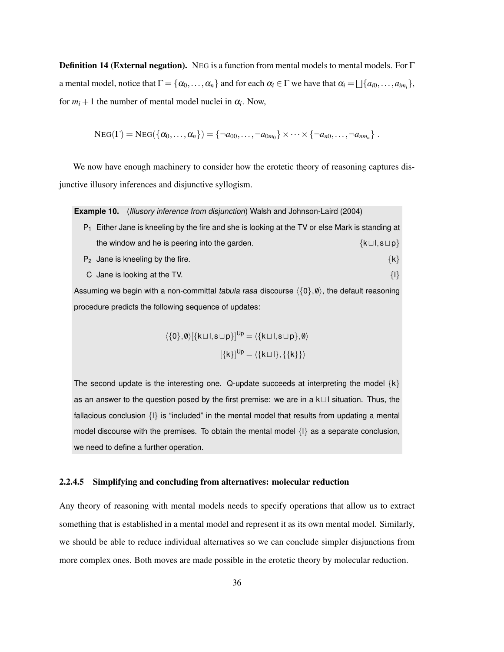**Definition 14 (External negation).** NEG is a function from mental models to mental models. For  $\Gamma$ a mental model, notice that  $\Gamma = \{\alpha_0, \ldots, \alpha_n\}$  and for each  $\alpha_i \in \Gamma$  we have that  $\alpha_i = \bigsqcup \{a_{i0}, \ldots, a_{im_i}\},$ for  $m_i + 1$  the number of mental model nuclei in  $\alpha_i$ . Now,

$$
NEG(\Gamma)=NEG(\{\alpha_0,\ldots,\alpha_n\})=\{\neg a_{00},\ldots,\neg a_{0m_0}\}\times\cdots\times\{\neg a_{n0},\ldots,\neg a_{nm_n}\}.
$$

We now have enough machinery to consider how the erotetic theory of reasoning captures disjunctive illusory inferences and disjunctive syllogism.

<span id="page-44-0"></span>**Example 10.** (Illusory inference from disjunction) [Walsh and Johnson-Laird](#page-165-0) [\(2004\)](#page-165-0)

| $P_1$ Either Jane is kneeling by the fire and she is looking at the TV or else Mark is standing at |                         |
|----------------------------------------------------------------------------------------------------|-------------------------|
| the window and he is peering into the garden.                                                      | ${k\sqcup l,s\sqcup p}$ |
| $P_2$ Jane is kneeling by the fire.                                                                | $\{k\}$                 |
| C Jane is looking at the TV.                                                                       |                         |

Assuming we begin with a non-committal tabula rasa discourse  $\langle \{0\}, \emptyset \rangle$ , the default reasoning procedure predicts the following sequence of updates:

$$
\langle \{0\}, \emptyset \rangle [\{k \sqcup l, s \sqcup p\}]^{Up} = \langle \{k \sqcup l, s \sqcup p\}, \emptyset \rangle
$$

$$
[\{k\}]^{Up} = \langle \{k \sqcup l\}, \{\{k\}\} \rangle
$$

The second update is the interesting one. Q-update succeeds at interpreting the model  $\{k\}$ as an answer to the question posed by the first premise: we are in a  $k \sqcup l$  situation. Thus, the fallacious conclusion  $\{1\}$  is "included" in the mental model that results from updating a mental model discourse with the premises. To obtain the mental model {l} as a separate conclusion, we need to define a further operation.

#### 2.2.4.5 Simplifying and concluding from alternatives: molecular reduction

Any theory of reasoning with mental models needs to specify operations that allow us to extract something that is established in a mental model and represent it as its own mental model. Similarly, we should be able to reduce individual alternatives so we can conclude simpler disjunctions from more complex ones. Both moves are made possible in the erotetic theory by molecular reduction.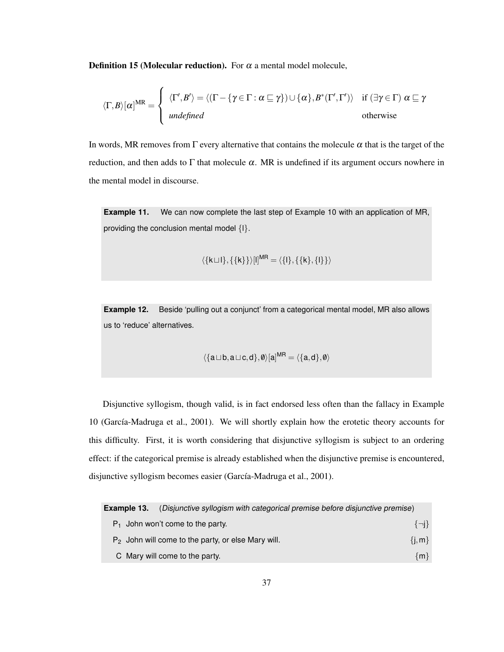**Definition 15 (Molecular reduction).** For  $\alpha$  a mental model molecule,

$$
\langle \Gamma, B \rangle [\alpha]^{MR} = \begin{cases} \langle \Gamma', B' \rangle = \langle (\Gamma - \{ \gamma \in \Gamma : \alpha \sqsubseteq \gamma \}) \cup \{ \alpha \}, B^*(\Gamma', \Gamma') \rangle & \text{if } (\exists \gamma \in \Gamma) \alpha \sqsubseteq \gamma \\ \text{undefined} & \text{otherwise} \end{cases}
$$

In words, MR removes from  $\Gamma$  every alternative that contains the molecule  $\alpha$  that is the target of the reduction, and then adds to  $\Gamma$  that molecule  $\alpha$ . MR is undefined if its argument occurs nowhere in the mental model in discourse.

**Example 11.** We can now complete the last step of Example [10](#page-44-0) with an application of MR, providing the conclusion mental model  $\{1\}$ .

$$
\langle \{k \sqcup l\}, \{\{k\}\} \rangle [l]^{\mathsf{MR}} = \langle \{l\}, \{\{k\}, \{l\}\} \rangle
$$

**Example 12.** Beside 'pulling out a conjunct' from a categorical mental model, MR also allows us to 'reduce' alternatives.

$$
\langle \{a \sqcup b, a \sqcup c, d\}, \emptyset \rangle [a]^{MR} = \langle \{a, d\}, \emptyset \rangle
$$

Disjunctive syllogism, though valid, is in fact endorsed less often than the fallacy in Example [10](#page-44-0) (García-Madruga et al., 2001). We will shortly explain how the erotetic theory accounts for this difficulty. First, it is worth considering that disjunctive syllogism is subject to an ordering effect: if the categorical premise is already established when the disjunctive premise is encountered, disjunctive syllogism becomes easier (García-Madruga et al., 2001).

#### **Example 13.** (Disjunctive syllogism with categorical premise before disjunctive premise)

| $P_1$ John won't come to the party.                   | $\{\neg i\}$ |
|-------------------------------------------------------|--------------|
| $P_2$ John will come to the party, or else Mary will. | $\{i, m\}$   |
| C Mary will come to the party.                        | $\{m\}$      |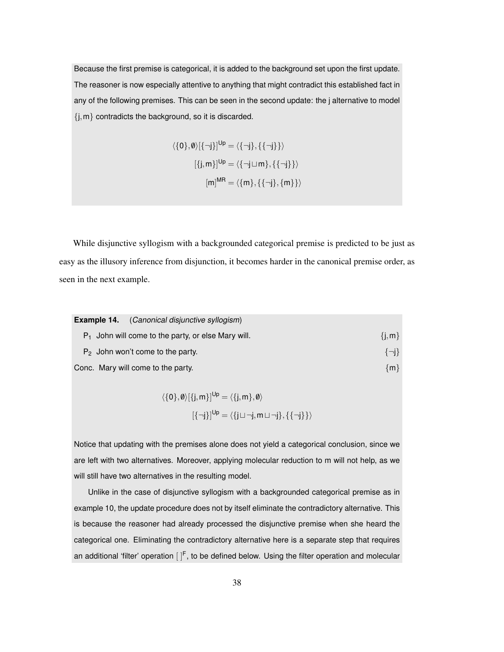Because the first premise is categorical, it is added to the background set upon the first update. The reasoner is now especially attentive to anything that might contradict this established fact in any of the following premises. This can be seen in the second update: the j alternative to model  ${j, m}$  contradicts the background, so it is discarded.

$$
\langle \{0\}, \emptyset \rangle [\{\neg j\}]^{Up} = \langle \{\neg j\}, \{\{\neg j\}\} \rangle
$$

$$
[\{j, m\}]^{Up} = \langle \{\neg j \sqcup m\}, \{\{\neg j\}\} \rangle
$$

$$
[m]^{MR} = \langle \{m\}, \{\{\neg j\}, \{m\}\} \rangle
$$

While disjunctive syllogism with a backgrounded categorical premise is predicted to be just as easy as the illusory inference from disjunction, it becomes harder in the canonical premise order, as seen in the next example.

| <b>Example 14.</b> (Canonical disjunctive syllogism)  |              |
|-------------------------------------------------------|--------------|
| $P_1$ John will come to the party, or else Mary will. | $\{j,m\}$    |
| $P_2$ John won't come to the party.                   | $\{\neg j\}$ |
| Conc. Mary will come to the party.                    | $\{m\}$      |

$$
\langle \{0\}, \emptyset \rangle [\{j, m\}]^{Up} = \langle \{j, m\}, \emptyset \rangle
$$

$$
[\{\neg j\}]^{Up} = \langle \{j \sqcup \neg j, m \sqcup \neg j\}, \{\{\neg j\}\} \rangle
$$

Notice that updating with the premises alone does not yield a categorical conclusion, since we are left with two alternatives. Moreover, applying molecular reduction to m will not help, as we will still have two alternatives in the resulting model.

Unlike in the case of disjunctive syllogism with a backgrounded categorical premise as in example [10,](#page-44-0) the update procedure does not by itself eliminate the contradictory alternative. This is because the reasoner had already processed the disjunctive premise when she heard the categorical one. Eliminating the contradictory alternative here is a separate step that requires an additional 'filter' operation  $[\ ]^{\mathsf{F}},$  to be defined below. Using the filter operation and molecular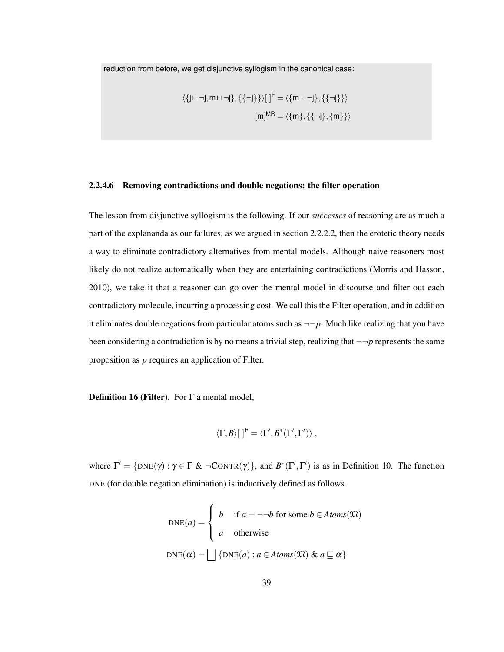reduction from before, we get disjunctive syllogism in the canonical case:

$$
\langle \{j \sqcup \neg j, m \sqcup \neg j\}, \{\{\neg j\}\} \rangle [\ ]^F = \langle \{m \sqcup \neg j\}, \{\{\neg j\}\} \rangle
$$

$$
[m]^{MR} = \langle \{m\}, \{\{\neg j\}, \{m\}\} \rangle
$$

#### 2.2.4.6 Removing contradictions and double negations: the filter operation

The lesson from disjunctive syllogism is the following. If our *successes* of reasoning are as much a part of the explananda as our failures, as we argued in section [2.2.2.2,](#page-23-0) then the erotetic theory needs a way to eliminate contradictory alternatives from mental models. Although naive reasoners most likely do not realize automatically when they are entertaining contradictions [\(Morris and Hasson,](#page-163-0) [2010\)](#page-163-0), we take it that a reasoner can go over the mental model in discourse and filter out each contradictory molecule, incurring a processing cost. We call this the Filter operation, and in addition it eliminates double negations from particular atoms such as  $\neg\neg p$ . Much like realizing that you have been considering a contradiction is by no means a trivial step, realizing that  $\neg$ *p* represents the same proposition as *p* requires an application of Filter.

**Definition 16 (Filter).** For  $\Gamma$  a mental model,

$$
\langle \Gamma, B \rangle [ ]^{\rm F} = \langle \Gamma', B^* (\Gamma', \Gamma') \rangle ,
$$

where  $\Gamma' = {\text{DNE}(\gamma) : \gamma \in \Gamma \& \neg \text{CONTR}(\gamma)}$ , and  $B^*(\Gamma', \Gamma')$  is as in Definition [10.](#page-40-1) The function DNE (for double negation elimination) is inductively defined as follows.

$$
DNE(a) = \begin{cases} b & \text{if } a = \neg \neg b \text{ for some } b \in Atoms(\mathfrak{M}) \\ a & \text{otherwise} \end{cases}
$$
  

$$
DNE(\alpha) = \bigsqcup \{DNE(a) : a \in Atoms(\mathfrak{M}) \& a \sqsubseteq \alpha\}
$$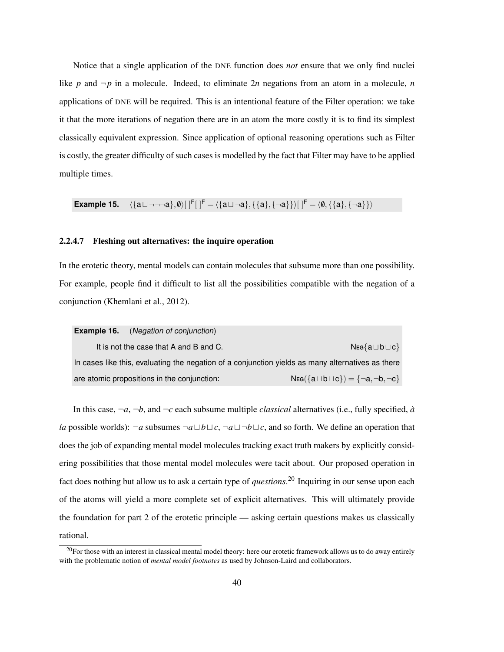Notice that a single application of the DNE function does *not* ensure that we only find nuclei like *p* and  $\neg p$  in a molecule. Indeed, to eliminate 2*n* negations from an atom in a molecule, *n* applications of DNE will be required. This is an intentional feature of the Filter operation: we take it that the more iterations of negation there are in an atom the more costly it is to find its simplest classically equivalent expression. Since application of optional reasoning operations such as Filter is costly, the greater difficulty of such cases is modelled by the fact that Filter may have to be applied multiple times.

**Example 15.** 
$$
\langle \{a \sqcup \neg \neg a\}, \emptyset \rangle [ \ ]^F [ \ ]^F = \langle \{a \sqcup \neg a\}, \{\{a\}, \{\neg a\}\} \rangle [ \ ]^F = \langle \emptyset, \{\{a\}, \{\neg a\}\} \rangle
$$

#### 2.2.4.7 Fleshing out alternatives: the inquire operation

In the erotetic theory, mental models can contain molecules that subsume more than one possibility. For example, people find it difficult to list all the possibilities compatible with the negation of a conjunction [\(Khemlani et al., 2012\)](#page-162-0).

<span id="page-48-1"></span>

| <b>Example 16.</b> (Negation of conjunction) |                                                                                                   |
|----------------------------------------------|---------------------------------------------------------------------------------------------------|
| It is not the case that A and B and C.       | $N \in \{a \sqcup b \sqcup c\}$                                                                   |
|                                              | In cases like this, evaluating the negation of a conjunction yields as many alternatives as there |
| are atomic propositions in the conjunction:  | $NEG({a \sqcup b \sqcup c}) = {\neg a, \neg b, \neg c}$                                           |

In this case,  $\neg a$ ,  $\neg b$ , and  $\neg c$  each subsume multiple *classical* alternatives (i.e., fully specified,  $\dot{a}$ *la* possible worlds):  $\neg a$  subsumes  $\neg a \sqcup b \sqcup c$ ,  $\neg a \sqcup \neg b \sqcup c$ , and so forth. We define an operation that does the job of expanding mental model molecules tracking exact truth makers by explicitly considering possibilities that those mental model molecules were tacit about. Our proposed operation in fact does nothing but allow us to ask a certain type of *questions*. [20](#page-48-0) Inquiring in our sense upon each of the atoms will yield a more complete set of explicit alternatives. This will ultimately provide the foundation for part 2 of the erotetic principle — asking certain questions makes us classically rational.

<span id="page-48-0"></span> $^{20}$ For those with an interest in classical mental model theory: here our erotetic framework allows us to do away entirely with the problematic notion of *mental model footnotes* as used by Johnson-Laird and collaborators.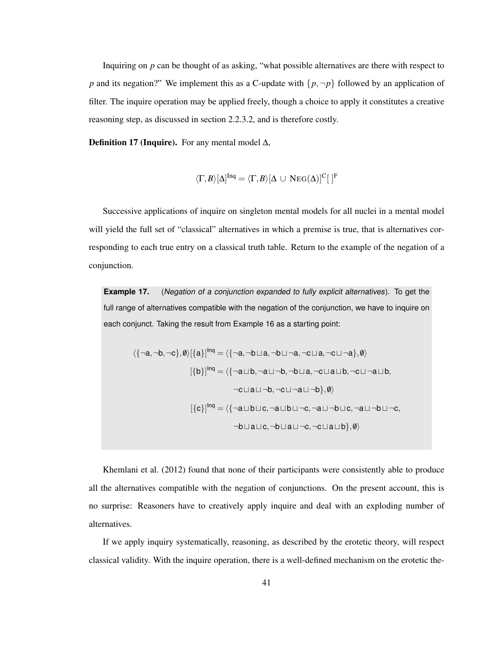Inquiring on *p* can be thought of as asking, "what possible alternatives are there with respect to *p* and its negation?" We implement this as a C-update with  $\{p, \neg p\}$  followed by an application of filter. The inquire operation may be applied freely, though a choice to apply it constitutes a creative reasoning step, as discussed in section [2.2.3.2,](#page-28-0) and is therefore costly.

**Definition 17 (Inquire).** For any mental model  $\Delta$ ,

$$
\langle \Gamma, B \rangle [\Delta]^{\text{Inq}} = \langle \Gamma, B \rangle [\Delta \,\cup \, \text{NEG}(\Delta)]^{\text{C}} [\,]^{F}
$$

Successive applications of inquire on singleton mental models for all nuclei in a mental model will yield the full set of "classical" alternatives in which a premise is true, that is alternatives corresponding to each true entry on a classical truth table. Return to the example of the negation of a conjunction.

**Example 17.** (Negation of a conjunction expanded to fully explicit alternatives). To get the full range of alternatives compatible with the negation of the conjunction, we have to inquire on each conjunct. Taking the result from Example [16](#page-48-1) as a starting point:

$$
\langle \{\neg a, \neg b, \neg c\}, \emptyset \rangle [\{a\}]^{\text{Inq}} = \langle \{\neg a, \neg b \sqcup a, \neg b \sqcup \neg a, \neg c \sqcup a, \neg c \sqcup \neg a\}, \emptyset \rangle
$$

$$
[\{b\}]^{\text{Inq}} = \langle \{\neg a \sqcup b, \neg a \sqcup \neg b, \neg b \sqcup a, \neg c \sqcup a \sqcup b, \neg c \sqcup \neg a \sqcup b, \neg c \sqcup \neg a \sqcup b, \neg c \sqcup a \sqcup \neg b, \neg c \sqcup \neg a \sqcup \neg b\}, \emptyset \rangle
$$

$$
[\{c\}]^{\text{Inq}} = \langle \{\neg a \sqcup b \sqcup c, \neg a \sqcup b \sqcup \neg c, \neg a \sqcup \neg b \sqcup c, \neg a \sqcup \neg b \sqcup c, \neg a \sqcup \neg b \sqcup c, \neg a \sqcup \neg b \sqcup c, \neg b \sqcup a \sqcup c, \neg b \sqcup a \sqcup \neg c, \neg c \sqcup a \sqcup b\}, \emptyset \rangle
$$

[Khemlani et al.](#page-162-0) [\(2012\)](#page-162-0) found that none of their participants were consistently able to produce all the alternatives compatible with the negation of conjunctions. On the present account, this is no surprise: Reasoners have to creatively apply inquire and deal with an exploding number of alternatives.

If we apply inquiry systematically, reasoning, as described by the erotetic theory, will respect classical validity. With the inquire operation, there is a well-defined mechanism on the erotetic the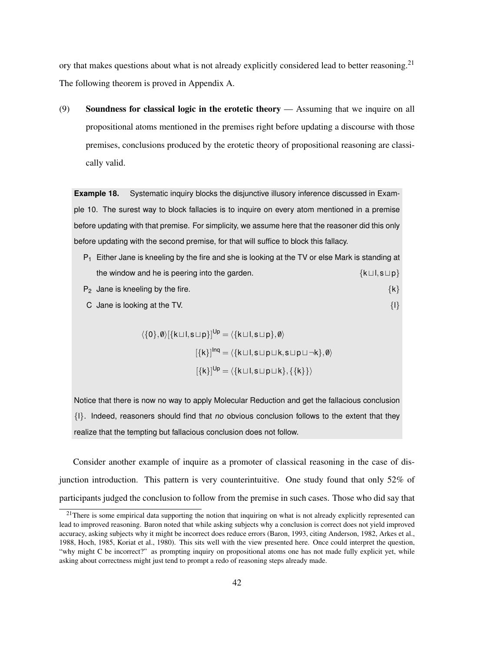ory that makes questions about what is not already explicitly considered lead to better reasoning.<sup>[21](#page-50-0)</sup> The following theorem is proved in Appendix [A.](#page-131-0)

(9) Soundness for classical logic in the erotetic theory — Assuming that we inquire on all propositional atoms mentioned in the premises right before updating a discourse with those premises, conclusions produced by the erotetic theory of propositional reasoning are classically valid.

**Example 18.** Systematic inquiry blocks the disjunctive illusory inference discussed in Example [10.](#page-44-0) The surest way to block fallacies is to inquire on every atom mentioned in a premise before updating with that premise. For simplicity, we assume here that the reasoner did this only before updating with the second premise, for that will suffice to block this fallacy.

- $P_1$  Either Jane is kneeling by the fire and she is looking at the TV or else Mark is standing at the window and he is peering into the garden.  ${k \sqcup s \sqcup p}$
- $P_2$  Jane is kneeling by the fire.  $\{k\}$ 
	- C Jane is looking at the TV.  $\{|\}$

$$
\langle \{0\}, \emptyset \rangle [\{k \sqcup l, s \sqcup p\}]^{Up} = \langle \{k \sqcup l, s \sqcup p\}, \emptyset \rangle
$$

$$
[\{k\}]^{Inq} = \langle \{k \sqcup l, s \sqcup p \sqcup k, s \sqcup p \sqcup \neg k\}, \emptyset \rangle
$$

$$
[\{k\}]^{Up} = \langle \{k \sqcup l, s \sqcup p \sqcup k\}, \{\{k\}\} \rangle
$$

Notice that there is now no way to apply Molecular Reduction and get the fallacious conclusion {l}. Indeed, reasoners should find that no obvious conclusion follows to the extent that they realize that the tempting but fallacious conclusion does not follow.

Consider another example of inquire as a promoter of classical reasoning in the case of disjunction introduction. This pattern is very counterintuitive. One study found that only 52% of participants judged the conclusion to follow from the premise in such cases. Those who did say that

<span id="page-50-0"></span> $21$ There is some empirical data supporting the notion that inquiring on what is not already explicitly represented can lead to improved reasoning. Baron noted that while asking subjects why a conclusion is correct does not yield improved accuracy, asking subjects why it might be incorrect does reduce errors [\(Baron, 1993,](#page-157-0) citing [Anderson, 1982,](#page-157-1) [Arkes et al.,](#page-157-2) [1988,](#page-157-2) [Hoch, 1985,](#page-160-0) [Koriat et al., 1980\)](#page-162-1). This sits well with the view presented here. Once could interpret the question, "why might C be incorrect?" as prompting inquiry on propositional atoms one has not made fully explicit yet, while asking about correctness might just tend to prompt a redo of reasoning steps already made.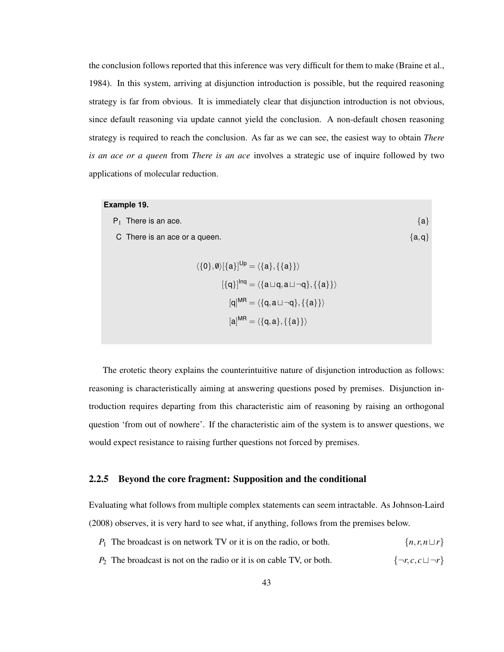the conclusion follows reported that this inference was very difficult for them to make [\(Braine et al.,](#page-158-0) [1984\)](#page-158-0). In this system, arriving at disjunction introduction is possible, but the required reasoning strategy is far from obvious. It is immediately clear that disjunction introduction is not obvious, since default reasoning via update cannot yield the conclusion. A non-default chosen reasoning strategy is required to reach the conclusion. As far as we can see, the easiest way to obtain *There is an ace or a queen* from *There is an ace* involves a strategic use of inquire followed by two applications of molecular reduction.

#### **Example 19.**

| $P_1$ There is an ace.                                                              | $\{a\}$   |
|-------------------------------------------------------------------------------------|-----------|
| C There is an ace or a queen.                                                       | $\{a,q\}$ |
| $\langle \{0\}, \emptyset \rangle [\{a\}]^{Up} = \langle \{a\}, \{\{a\}\} \rangle$  |           |
| $[\{q\}]^{\text{ln}q} = \langle \{a \sqcup q, a \sqcup \neg q\}, \{\{a\}\} \rangle$ |           |
| $[q]^{MR} = \langle \{q, a \sqcup \neg q\}, \{\{a\}\} \rangle$                      |           |
| $[a]^{MR} = \langle \{q,a\}, \{\{a\}\}\rangle$                                      |           |

The erotetic theory explains the counterintuitive nature of disjunction introduction as follows: reasoning is characteristically aiming at answering questions posed by premises. Disjunction introduction requires departing from this characteristic aim of reasoning by raising an orthogonal question 'from out of nowhere'. If the characteristic aim of the system is to answer questions, we would expect resistance to raising further questions not forced by premises.

#### <span id="page-51-0"></span>2.2.5 Beyond the core fragment: Supposition and the conditional

Evaluating what follows from multiple complex statements can seem intractable. As [Johnson-Laird](#page-161-0) [\(2008\)](#page-161-0) observes, it is very hard to see what, if anything, follows from the premises below.

- *P*<sub>1</sub> The broadcast is on network TV or it is on the radio, or both.  ${n,r,n\sqcup r}$
- *P*<sub>2</sub> The broadcast is not on the radio or it is on cable TV, or both.  $\{\neg r, c, c \sqcup \neg r\}$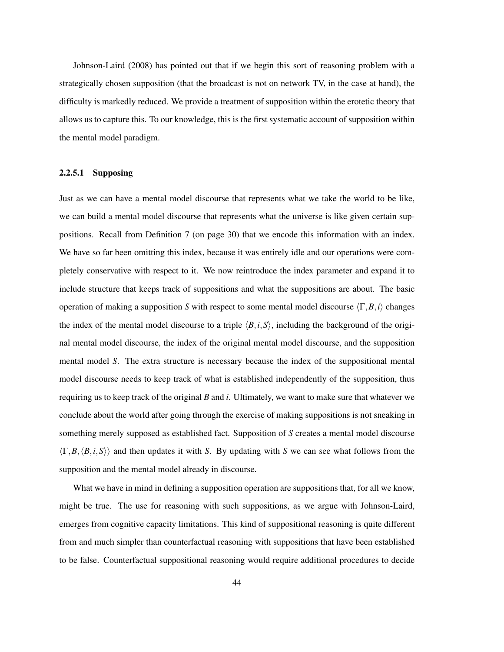[Johnson-Laird](#page-161-0) [\(2008\)](#page-161-0) has pointed out that if we begin this sort of reasoning problem with a strategically chosen supposition (that the broadcast is not on network TV, in the case at hand), the difficulty is markedly reduced. We provide a treatment of supposition within the erotetic theory that allows us to capture this. To our knowledge, this is the first systematic account of supposition within the mental model paradigm.

#### 2.2.5.1 Supposing

Just as we can have a mental model discourse that represents what we take the world to be like, we can build a mental model discourse that represents what the universe is like given certain suppositions. Recall from Definition [7](#page-38-0) (on page [30\)](#page-38-0) that we encode this information with an index. We have so far been omitting this index, because it was entirely idle and our operations were completely conservative with respect to it. We now reintroduce the index parameter and expand it to include structure that keeps track of suppositions and what the suppositions are about. The basic operation of making a supposition *S* with respect to some mental model discourse  $\langle \Gamma, B, i \rangle$  changes the index of the mental model discourse to a triple  $\langle B, i, S \rangle$ , including the background of the original mental model discourse, the index of the original mental model discourse, and the supposition mental model *S*. The extra structure is necessary because the index of the suppositional mental model discourse needs to keep track of what is established independently of the supposition, thus requiring us to keep track of the original *B* and *i*. Ultimately, we want to make sure that whatever we conclude about the world after going through the exercise of making suppositions is not sneaking in something merely supposed as established fact. Supposition of *S* creates a mental model discourse  $\langle \Gamma, B, \langle B, i, S \rangle \rangle$  and then updates it with *S*. By updating with *S* we can see what follows from the supposition and the mental model already in discourse.

What we have in mind in defining a supposition operation are suppositions that, for all we know, might be true. The use for reasoning with such suppositions, as we argue with Johnson-Laird, emerges from cognitive capacity limitations. This kind of suppositional reasoning is quite different from and much simpler than counterfactual reasoning with suppositions that have been established to be false. Counterfactual suppositional reasoning would require additional procedures to decide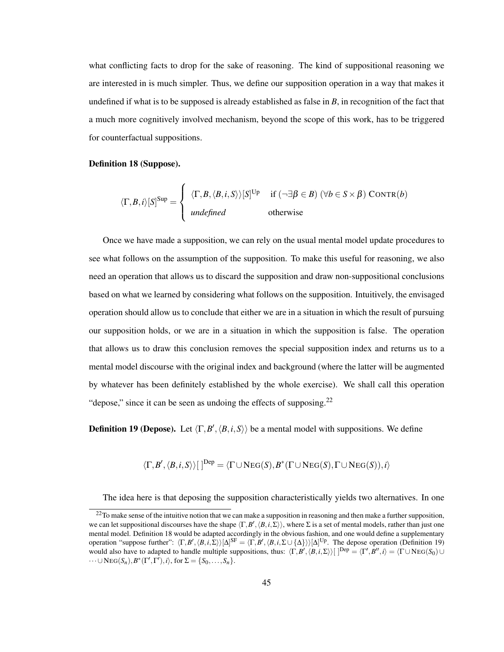what conflicting facts to drop for the sake of reasoning. The kind of suppositional reasoning we are interested in is much simpler. Thus, we define our supposition operation in a way that makes it undefined if what is to be supposed is already established as false in *B*, in recognition of the fact that a much more cognitively involved mechanism, beyond the scope of this work, has to be triggered for counterfactual suppositions.

#### <span id="page-53-1"></span>Definition 18 (Suppose).

$$
\langle \Gamma, B, i \rangle [S]^{Sup} = \begin{cases} \langle \Gamma, B, \langle B, i, S \rangle \rangle [S]^{Up} & \text{if } (\neg \exists \beta \in B) \ (\forall b \in S \times \beta) \text{ CONTR}(b) \\ \text{undefined} & \text{otherwise} \end{cases}
$$

Once we have made a supposition, we can rely on the usual mental model update procedures to see what follows on the assumption of the supposition. To make this useful for reasoning, we also need an operation that allows us to discard the supposition and draw non-suppositional conclusions based on what we learned by considering what follows on the supposition. Intuitively, the envisaged operation should allow us to conclude that either we are in a situation in which the result of pursuing our supposition holds, or we are in a situation in which the supposition is false. The operation that allows us to draw this conclusion removes the special supposition index and returns us to a mental model discourse with the original index and background (where the latter will be augmented by whatever has been definitely established by the whole exercise). We shall call this operation "depose," since it can be seen as undoing the effects of supposing. $^{22}$  $^{22}$  $^{22}$ 

<span id="page-53-2"></span>**Definition 19 (Depose).** Let  $\langle \Gamma, B', \langle B, i, S \rangle$  be a mental model with suppositions. We define

$$
\langle \Gamma, B', \langle B, i, S \rangle \rangle [ \ ]^{\text{Dep}} = \langle \Gamma \cup \text{NEG}(S), B^*(\Gamma \cup \text{NEG}(S), \Gamma \cup \text{NEG}(S)), i \rangle
$$

The idea here is that deposing the supposition characteristically yields two alternatives. In one

<span id="page-53-0"></span> $22$ To make sense of the intuitive notion that we can make a supposition in reasoning and then make a further supposition, we can let suppositional discourses have the shape  $\langle \Gamma, B', \langle B, i, \Sigma \rangle \rangle$ , where  $\Sigma$  is a set of mental models, rather than just one mental model. Definition [18](#page-53-1) would be adapted accordingly in the obvious fashion, and one would define a supplementary operation "suppose further":  $\langle \Gamma, B', \langle B, i, \Sigma \rangle \rangle [\Delta]^{SF} = \langle \Gamma, B', \langle B, i, \Sigma \cup {\Delta} \rangle \rangle [\Delta]^{Up}$ . The depose operation (Definition [19\)](#page-53-2) would also have to adapted to handle multiple suppositions, thus:  $\langle \Gamma, B', \langle B, i, \Sigma \rangle \rangle$  [  $]$ <sup>Dep</sup> =  $\langle \Gamma', B'', i \rangle = \langle \Gamma \cup \text{NEG}(S_0) \cup \text{Neg}(S_1) \rangle$ ]  $\cdots \cup \text{NEG}(S_n), B^*(\Gamma', \Gamma'), i\rangle$ , for  $\Sigma = \{S_0, \ldots, S_n\}.$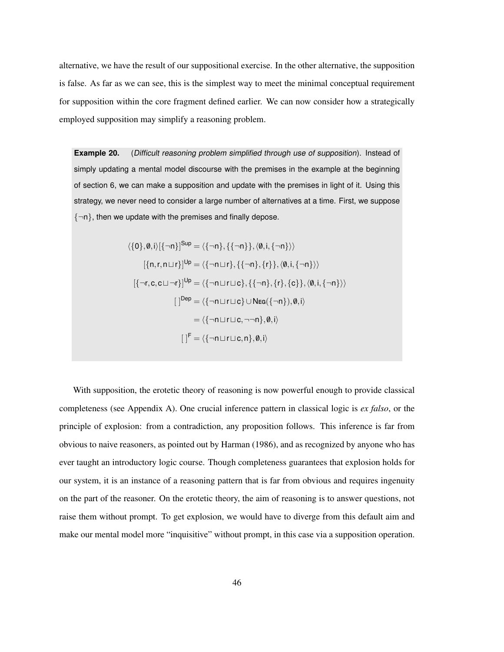alternative, we have the result of our suppositional exercise. In the other alternative, the supposition is false. As far as we can see, this is the simplest way to meet the minimal conceptual requirement for supposition within the core fragment defined earlier. We can now consider how a strategically employed supposition may simplify a reasoning problem.

**Example 20.** (Difficult reasoning problem simplified through use of supposition). Instead of simply updating a mental model discourse with the premises in the example at the beginning of section 6, we can make a supposition and update with the premises in light of it. Using this strategy, we never need to consider a large number of alternatives at a time. First, we suppose  $\{\neg n\}$ , then we update with the premises and finally depose.

$$
\langle \{0\}, \emptyset, i \rangle [\{\neg n\}]^{Sup} = \langle \{\neg n\}, \{\{\neg n\}\}, \langle \emptyset, i, \{\neg n\} \rangle \rangle
$$

$$
[\{n, r, n \sqcup r\}]^{Up} = \langle \{\neg n \sqcup r\}, \{\{\neg n\}, \{r\}\}, \langle \emptyset, i, \{\neg n\} \rangle \rangle
$$

$$
[\{\neg r, c, c \sqcup \neg r\}]^{Up} = \langle \{\neg n \sqcup r \sqcup c\}, \{\{\neg n\}, \{r\}, \{c\}\}, \langle \emptyset, i, \{\neg n\} \rangle \rangle
$$

$$
[\]^{Dep} = \langle \{\neg n \sqcup r \sqcup c\} \cup \text{Neg}(\{\neg n\}), \emptyset, i \rangle
$$

$$
= \langle \{\neg n \sqcup r \sqcup c, \neg \neg n\}, \emptyset, i \rangle
$$

$$
[\]^{F} = \langle \{\neg n \sqcup r \sqcup c, n\}, \emptyset, i \rangle
$$

With supposition, the erotetic theory of reasoning is now powerful enough to provide classical completeness (see Appendix [A\)](#page-131-0). One crucial inference pattern in classical logic is *ex falso*, or the principle of explosion: from a contradiction, any proposition follows. This inference is far from obvious to naive reasoners, as pointed out by [Harman](#page-160-1) [\(1986\)](#page-160-1), and as recognized by anyone who has ever taught an introductory logic course. Though completeness guarantees that explosion holds for our system, it is an instance of a reasoning pattern that is far from obvious and requires ingenuity on the part of the reasoner. On the erotetic theory, the aim of reasoning is to answer questions, not raise them without prompt. To get explosion, we would have to diverge from this default aim and make our mental model more "inquisitive" without prompt, in this case via a supposition operation.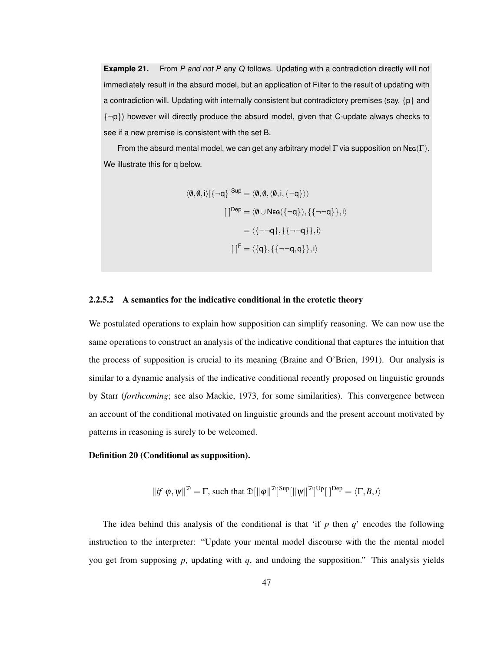**Example 21.** From P and not P any Q follows. Updating with a contradiction directly will not immediately result in the absurd model, but an application of Filter to the result of updating with a contradiction will. Updating with internally consistent but contradictory premises (say,  $\{p\}$  and  $\{\neg p\}$ ) however will directly produce the absurd model, given that C-update always checks to see if a new premise is consistent with the set B.

From the absurd mental model, we can get any arbitrary model  $\Gamma$  via supposition on  $\text{Nea}(\Gamma)$ . We illustrate this for q below.

$$
\langle \emptyset, \emptyset, i \rangle [\{-q\}]^{\text{Sup}} = \langle \emptyset, \emptyset, \langle \emptyset, i, \{-q\} \rangle \rangle
$$

$$
[\ ]^{\text{Dep}} = \langle \emptyset \cup \text{Neg}(\{-q\}), \{\{-\neg q\}\}, i \rangle
$$

$$
= \langle \{-\neg q\}, \{\{-\neg q\}\}, i \rangle
$$

$$
[\ ]^{\text{F}} = \langle \{q\}, \{\{-\neg q, q\}\}, i \rangle
$$

#### <span id="page-55-0"></span>2.2.5.2 A semantics for the indicative conditional in the erotetic theory

We postulated operations to explain how supposition can simplify reasoning. We can now use the same operations to construct an analysis of the indicative conditional that captures the intuition that the process of supposition is crucial to its meaning [\(Braine and O'Brien, 1991\)](#page-158-1). Our analysis is similar to a dynamic analysis of the indicative conditional recently proposed on linguistic grounds by [Starr](#page-164-0) (*forthcoming*; see also [Mackie, 1973,](#page-163-1) for some similarities). This convergence between an account of the conditional motivated on linguistic grounds and the present account motivated by patterns in reasoning is surely to be welcomed.

#### Definition 20 (Conditional as supposition).

$$
\|\textit{if }\varphi,\psi\|^{\mathfrak{D}}=\Gamma\text{, such that }\mathfrak{D}[\|\varphi\|^{\mathfrak{D}}]^{\text{Sup}}[\|\psi\|^{\mathfrak{D}}]^{\text{Up}}[\cdot]^{\text{Dep}}=\langle \Gamma,B,i\rangle
$$

The idea behind this analysis of the conditional is that 'if  $p$  then  $q$ ' encodes the following instruction to the interpreter: "Update your mental model discourse with the the mental model you get from supposing *p*, updating with *q*, and undoing the supposition." This analysis yields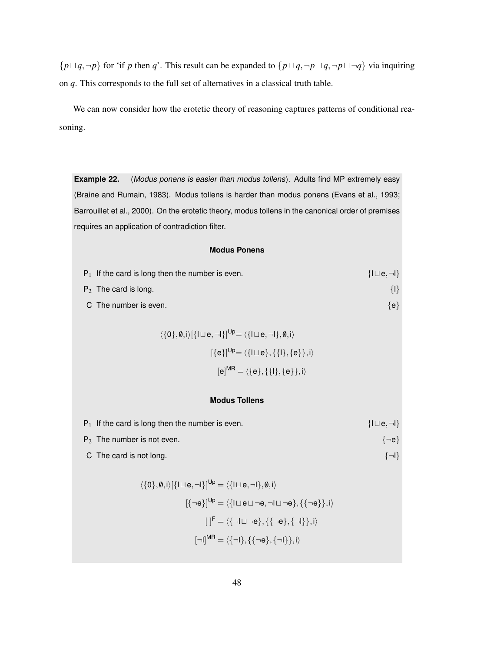${p \sqcup q, \neg p}$  for 'if *p* then *q*'. This result can be expanded to  ${p \sqcup q, \neg p \sqcup q, \neg p \sqcup \neg q}$  via inquiring on *q*. This corresponds to the full set of alternatives in a classical truth table.

We can now consider how the erotetic theory of reasoning captures patterns of conditional reasoning.

**Example 22.** (Modus ponens is easier than modus tollens). Adults find MP extremely easy [\(Braine and Rumain, 1983\)](#page-158-2). Modus tollens is harder than modus ponens [\(Evans et al., 1993;](#page-158-3) [Barrouillet et al., 2000\)](#page-157-3). On the erotetic theory, modus tollens in the canonical order of premises requires an application of contradiction filter.

#### **Modus Ponens**

| $P_1$ If the card is long then the number is even. | $\{  \sqcup e, \neg l\}$ |
|----------------------------------------------------|--------------------------|
| $P_2$ The card is long.                            |                          |
| C The number is even.                              | $\{e\}$                  |

 $\langle \{0\}, \emptyset, i\rangle [\{I \sqcup e, \neg I\}]^{Up} = \langle \{I \sqcup e, \neg I\}, \emptyset, i\rangle$  $[\{e\}]^{Up} = \langle \{I \sqcup e\}, \{\{I\}, \{e\}\}, i\rangle$  $[e]^{MR} = \langle \{e\}, \{\{l\},\{e\}\},i \rangle$ 

#### **Modus Tollens**

| $P_1$ If the card is long then the number is even. | $\{  \sqcup e, \neg l\}$ |
|----------------------------------------------------|--------------------------|
| $P_2$ The number is not even.                      | $\{\neg e\}$             |
| C The card is not long.                            | $\{\neg \mathsf{l}\}$    |

$$
\langle \{0\}, \emptyset, i \rangle [\{I \sqcup e, \neg I\}]^{Up} = \langle \{I \sqcup e, \neg I\}, \emptyset, i \rangle
$$

$$
[\{\neg e\}]^{Up} = \langle \{I \sqcup e \sqcup \neg e, \neg I \sqcup \neg e\}, \{\{\neg e\}\}, i \rangle
$$

$$
[\ ]^{F} = \langle \{\neg I \sqcup \neg e\}, \{\{\neg e\}, \{\neg I\}\}, i \rangle
$$

$$
[\neg I]^{MR} = \langle \{\neg I\}, \{\{\neg e\}, \{\neg I\}\}, i \rangle
$$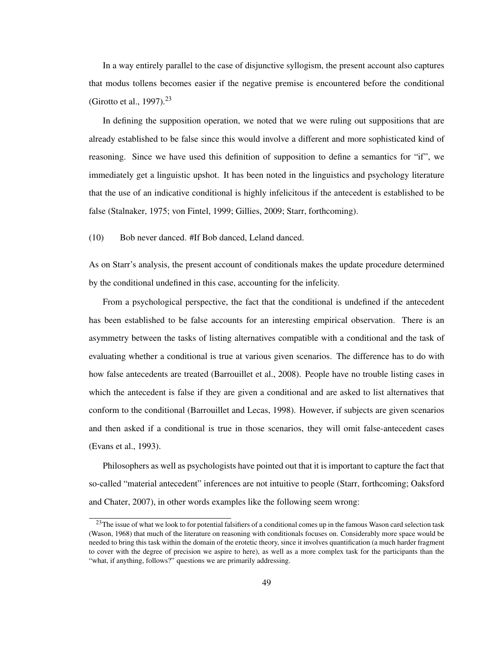In a way entirely parallel to the case of disjunctive syllogism, the present account also captures that modus tollens becomes easier if the negative premise is encountered before the conditional [\(Girotto et al., 1997\)](#page-159-1).<sup>[23](#page-57-0)</sup>

In defining the supposition operation, we noted that we were ruling out suppositions that are already established to be false since this would involve a different and more sophisticated kind of reasoning. Since we have used this definition of supposition to define a semantics for "if", we immediately get a linguistic upshot. It has been noted in the linguistics and psychology literature that the use of an indicative conditional is highly infelicitous if the antecedent is established to be false [\(Stalnaker,](#page-164-1) 1975; [von Fintel,](#page-158-4) 1999; [Gillies,](#page-159-2) 2009; [Starr,](#page-164-0) forthcoming).

(10) Bob never danced. #If Bob danced, Leland danced.

As on Starr's analysis, the present account of conditionals makes the update procedure determined by the conditional undefined in this case, accounting for the infelicity.

From a psychological perspective, the fact that the conditional is undefined if the antecedent has been established to be false accounts for an interesting empirical observation. There is an asymmetry between the tasks of listing alternatives compatible with a conditional and the task of evaluating whether a conditional is true at various given scenarios. The difference has to do with how false antecedents are treated [\(Barrouillet et al., 2008\)](#page-157-4). People have no trouble listing cases in which the antecedent is false if they are given a conditional and are asked to list alternatives that conform to the conditional [\(Barrouillet and Lecas, 1998\)](#page-157-5). However, if subjects are given scenarios and then asked if a conditional is true in those scenarios, they will omit false-antecedent cases [\(Evans et al., 1993\)](#page-158-3).

Philosophers as well as psychologists have pointed out that it is important to capture the fact that so-called "material antecedent" inferences are not intuitive to people [\(Starr,](#page-164-0) forthcoming; [Oaksford](#page-163-2) [and Chater,](#page-163-2) 2007), in other words examples like the following seem wrong:

<span id="page-57-0"></span><sup>&</sup>lt;sup>23</sup>The issue of what we look to for potential falsifiers of a conditional comes up in the famous Wason card selection task [\(Wason, 1968\)](#page-165-1) that much of the literature on reasoning with conditionals focuses on. Considerably more space would be needed to bring this task within the domain of the erotetic theory, since it involves quantification (a much harder fragment to cover with the degree of precision we aspire to here), as well as a more complex task for the participants than the "what, if anything, follows?" questions we are primarily addressing.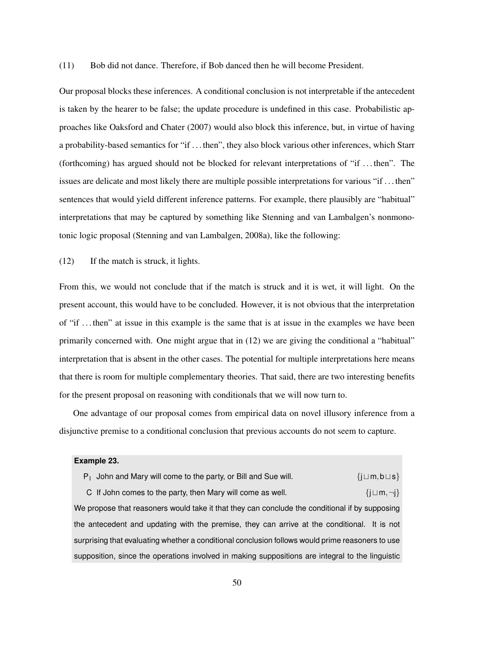(11) Bob did not dance. Therefore, if Bob danced then he will become President.

Our proposal blocks these inferences. A conditional conclusion is not interpretable if the antecedent is taken by the hearer to be false; the update procedure is undefined in this case. Probabilistic approaches like [Oaksford and Chater](#page-163-2) [\(2007\)](#page-163-2) would also block this inference, but, in virtue of having a probability-based semantics for "if . . . then", they also block various other inferences, which [Starr](#page-164-0) (forthcoming) has argued should not be blocked for relevant interpretations of "if . . . then". The issues are delicate and most likely there are multiple possible interpretations for various "if . . . then" sentences that would yield different inference patterns. For example, there plausibly are "habitual" interpretations that may be captured by something like Stenning and van Lambalgen's nonmonotonic logic proposal [\(Stenning and van Lambalgen, 2008a\)](#page-164-2), like the following:

(12) If the match is struck, it lights.

From this, we would not conclude that if the match is struck and it is wet, it will light. On the present account, this would have to be concluded. However, it is not obvious that the interpretation of "if . . . then" at issue in this example is the same that is at issue in the examples we have been primarily concerned with. One might argue that in (12) we are giving the conditional a "habitual" interpretation that is absent in the other cases. The potential for multiple interpretations here means that there is room for multiple complementary theories. That said, there are two interesting benefits for the present proposal on reasoning with conditionals that we will now turn to.

One advantage of our proposal comes from empirical data on novel illusory inference from a disjunctive premise to a conditional conclusion that previous accounts do not seem to capture.

#### **Example 23.**

| $P_1$ John and Mary will come to the party, or Bill and Sue will.                                | $\{j \sqcup m, b \sqcup s\}$ |  |
|--------------------------------------------------------------------------------------------------|------------------------------|--|
| C If John comes to the party, then Mary will come as well.                                       | $\{j \sqcup m, \neg j\}$     |  |
| We propose that reasoners would take it that they can conclude the conditional if by supposing   |                              |  |
| the antecedent and updating with the premise, they can arrive at the conditional. It is not      |                              |  |
| surprising that evaluating whether a conditional conclusion follows would prime reasoners to use |                              |  |
| supposition, since the operations involved in making suppositions are integral to the linguistic |                              |  |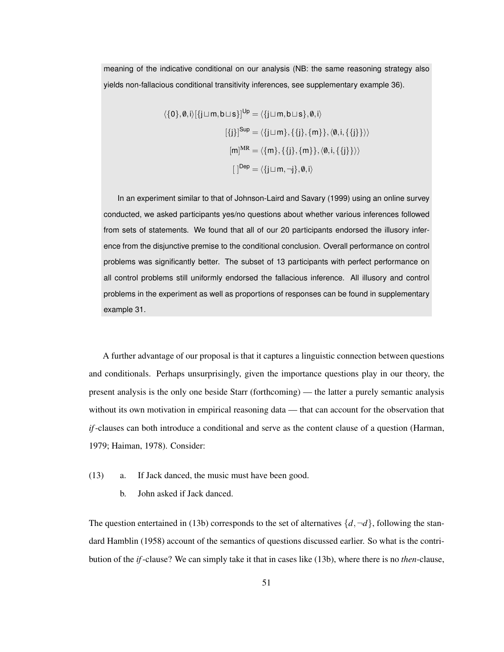meaning of the indicative conditional on our analysis (NB: the same reasoning strategy also yields non-fallacious conditional transitivity inferences, see supplementary example [36\)](#page-153-0).

$$
\langle \{0\}, \emptyset, i \rangle [\{j \sqcup m, b \sqcup s\}]^{Up} = \langle \{j \sqcup m, b \sqcup s\}, \emptyset, i \rangle
$$

$$
[\{j\}]^{Sup} = \langle \{j \sqcup m\}, \{\{j\}, \{m\}\}, \langle \emptyset, i, \{\{j\}\} \rangle \rangle
$$

$$
[m]^{MR} = \langle \{m\}, \{\{j\}, \{m\}\}, \langle \emptyset, i, \{\{j\}\} \rangle \rangle
$$

$$
[ ]^{Dep} = \langle \{j \sqcup m, \neg j\}, \emptyset, i \rangle
$$

In an experiment similar to that of [Johnson-Laird and Savary](#page-161-1) [\(1999\)](#page-161-1) using an online survey conducted, we asked participants yes/no questions about whether various inferences followed from sets of statements. We found that all of our 20 participants endorsed the illusory inference from the disjunctive premise to the conditional conclusion. Overall performance on control problems was significantly better. The subset of 13 participants with perfect performance on all control problems still uniformly endorsed the fallacious inference. All illusory and control problems in the experiment as well as proportions of responses can be found in supplementary example [31.](#page-147-0)

A further advantage of our proposal is that it captures a linguistic connection between questions and conditionals. Perhaps unsurprisingly, given the importance questions play in our theory, the present analysis is the only one beside [Starr](#page-164-0) (forthcoming) — the latter a purely semantic analysis without its own motivation in empirical reasoning data — that can account for the observation that *if*-clauses can both introduce a conditional and serve as the content clause of a question [\(Harman,](#page-160-2) [1979;](#page-160-2) [Haiman, 1978\)](#page-160-3). Consider:

- (13) a. If Jack danced, the music must have been good.
	- b. John asked if Jack danced.

The question entertained in (13b) corresponds to the set of alternatives  $\{d, \neg d\}$ , following the standard [Hamblin](#page-160-4) [\(1958\)](#page-160-4) account of the semantics of questions discussed earlier. So what is the contribution of the *if*-clause? We can simply take it that in cases like (13b), where there is no *then*-clause,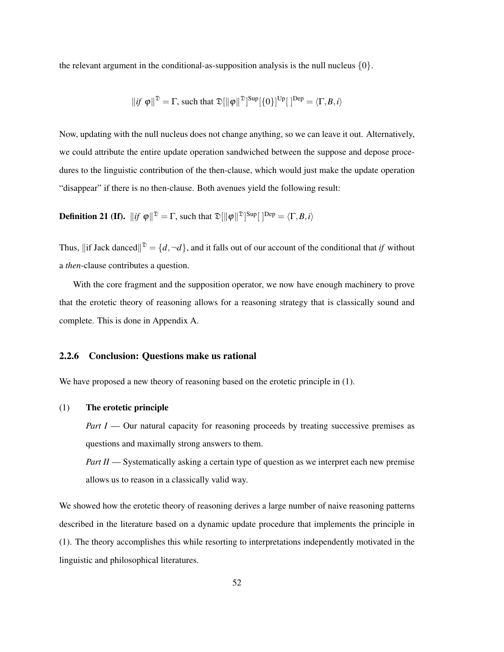the relevant argument in the conditional-as-supposition analysis is the null nucleus  $\{0\}$ .

$$
\|if \varphi\|^{\mathfrak{D}} = \Gamma, \text{ such that } \mathfrak{D}[\|\varphi\|^{\mathfrak{D}}]^{\text{Sup}}[\{0\}]^{\text{Up}}[\ ]^{\text{Dep}} = \langle \Gamma, B, i \rangle
$$

Now, updating with the null nucleus does not change anything, so we can leave it out. Alternatively, we could attribute the entire update operation sandwiched between the suppose and depose procedures to the linguistic contribution of the then-clause, which would just make the update operation "disappear" if there is no then-clause. Both avenues yield the following result:

**Definition 21 (If).**  $\|if \varphi\|^{\mathfrak{D}} = \Gamma$ , such that  $\mathfrak{D}[\|\varphi\|^{\mathfrak{D}}]^{\text{Sup}}[\]^{\text{Dep}} = \langle \Gamma, B, i \rangle$ 

Thus,  $\|\text{if Jack danced}\|^{\mathfrak{D}} = \{d, \neg d\}$ , and it falls out of our account of the conditional that *if* without a *then*-clause contributes a question.

With the core fragment and the supposition operator, we now have enough machinery to prove that the erotetic theory of reasoning allows for a reasoning strategy that is classically sound and complete. This is done in Appendix [A.](#page-131-0)

#### 2.2.6 Conclusion: Questions make us rational

We have proposed a new theory of reasoning based on the erotetic principle in [\(1\)](#page-14-0).

#### [\(1\)](#page-14-0) The erotetic principle

*Part I* — Our natural capacity for reasoning proceeds by treating successive premises as questions and maximally strong answers to them.

*Part II* — Systematically asking a certain type of question as we interpret each new premise allows us to reason in a classically valid way.

We showed how the erotetic theory of reasoning derives a large number of naive reasoning patterns described in the literature based on a dynamic update procedure that implements the principle in [\(1\)](#page-14-0). The theory accomplishes this while resorting to interpretations independently motivated in the linguistic and philosophical literatures.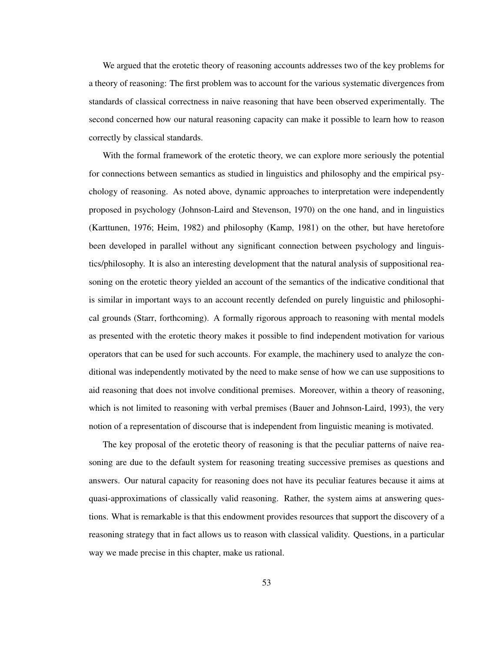We argued that the erotetic theory of reasoning accounts addresses two of the key problems for a theory of reasoning: The first problem was to account for the various systematic divergences from standards of classical correctness in naive reasoning that have been observed experimentally. The second concerned how our natural reasoning capacity can make it possible to learn how to reason correctly by classical standards.

With the formal framework of the erotetic theory, we can explore more seriously the potential for connections between semantics as studied in linguistics and philosophy and the empirical psychology of reasoning. As noted above, dynamic approaches to interpretation were independently proposed in psychology [\(Johnson-Laird and Stevenson, 1970\)](#page-161-2) on the one hand, and in linguistics [\(Karttunen, 1976;](#page-162-2) [Heim, 1982\)](#page-160-5) and philosophy [\(Kamp, 1981\)](#page-162-3) on the other, but have heretofore been developed in parallel without any significant connection between psychology and linguistics/philosophy. It is also an interesting development that the natural analysis of suppositional reasoning on the erotetic theory yielded an account of the semantics of the indicative conditional that is similar in important ways to an account recently defended on purely linguistic and philosophical grounds [\(Starr,](#page-164-0) forthcoming). A formally rigorous approach to reasoning with mental models as presented with the erotetic theory makes it possible to find independent motivation for various operators that can be used for such accounts. For example, the machinery used to analyze the conditional was independently motivated by the need to make sense of how we can use suppositions to aid reasoning that does not involve conditional premises. Moreover, within a theory of reasoning, which is not limited to reasoning with verbal premises [\(Bauer and Johnson-Laird, 1993\)](#page-157-6), the very notion of a representation of discourse that is independent from linguistic meaning is motivated.

The key proposal of the erotetic theory of reasoning is that the peculiar patterns of naive reasoning are due to the default system for reasoning treating successive premises as questions and answers. Our natural capacity for reasoning does not have its peculiar features because it aims at quasi-approximations of classically valid reasoning. Rather, the system aims at answering questions. What is remarkable is that this endowment provides resources that support the discovery of a reasoning strategy that in fact allows us to reason with classical validity. Questions, in a particular way we made precise in this chapter, make us rational.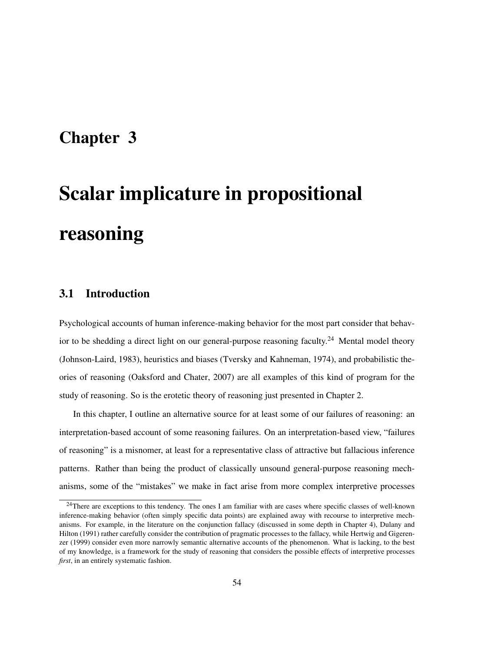# Chapter 3

# Scalar implicature in propositional reasoning

### 3.1 Introduction

Psychological accounts of human inference-making behavior for the most part consider that behav-ior to be shedding a direct light on our general-purpose reasoning faculty.<sup>[24](#page-62-0)</sup> Mental model theory [\(Johnson-Laird, 1983\)](#page-161-3), heuristics and biases [\(Tversky and Kahneman, 1974\)](#page-165-2), and probabilistic theories of reasoning [\(Oaksford and Chater, 2007\)](#page-163-2) are all examples of this kind of program for the study of reasoning. So is the erotetic theory of reasoning just presented in Chapter [2.](#page-14-1)

In this chapter, I outline an alternative source for at least some of our failures of reasoning: an interpretation-based account of some reasoning failures. On an interpretation-based view, "failures of reasoning" is a misnomer, at least for a representative class of attractive but fallacious inference patterns. Rather than being the product of classically unsound general-purpose reasoning mechanisms, some of the "mistakes" we make in fact arise from more complex interpretive processes

<span id="page-62-0"></span> $24$ There are exceptions to this tendency. The ones I am familiar with are cases where specific classes of well-known inference-making behavior (often simply specific data points) are explained away with recourse to interpretive mechanisms. For example, in the literature on the conjunction fallacy (discussed in some depth in Chapter [4\)](#page-101-0), [Dulany and](#page-158-5) [Hilton](#page-158-5) [\(1991\)](#page-158-5) rather carefully consider the contribution of pragmatic processes to the fallacy, while [Hertwig and Gigeren](#page-160-6)[zer](#page-160-6) [\(1999\)](#page-160-6) consider even more narrowly semantic alternative accounts of the phenomenon. What is lacking, to the best of my knowledge, is a framework for the study of reasoning that considers the possible effects of interpretive processes *first*, in an entirely systematic fashion.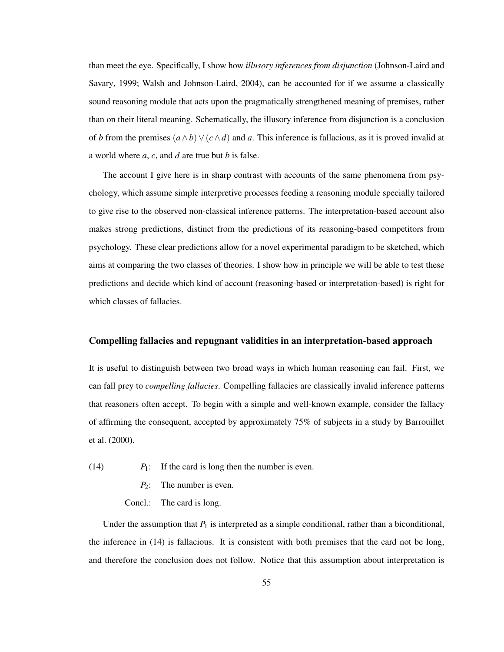than meet the eye. Specifically, I show how *illusory inferences from disjunction* [\(Johnson-Laird and](#page-161-1) [Savary, 1999;](#page-161-1) [Walsh and Johnson-Laird, 2004\)](#page-165-0), can be accounted for if we assume a classically sound reasoning module that acts upon the pragmatically strengthened meaning of premises, rather than on their literal meaning. Schematically, the illusory inference from disjunction is a conclusion of *b* from the premises  $(a \land b) \lor (c \land d)$  and *a*. This inference is fallacious, as it is proved invalid at a world where *a*, *c*, and *d* are true but *b* is false.

The account I give here is in sharp contrast with accounts of the same phenomena from psychology, which assume simple interpretive processes feeding a reasoning module specially tailored to give rise to the observed non-classical inference patterns. The interpretation-based account also makes strong predictions, distinct from the predictions of its reasoning-based competitors from psychology. These clear predictions allow for a novel experimental paradigm to be sketched, which aims at comparing the two classes of theories. I show how in principle we will be able to test these predictions and decide which kind of account (reasoning-based or interpretation-based) is right for which classes of fallacies.

#### Compelling fallacies and repugnant validities in an interpretation-based approach

It is useful to distinguish between two broad ways in which human reasoning can fail. First, we can fall prey to *compelling fallacies*. Compelling fallacies are classically invalid inference patterns that reasoners often accept. To begin with a simple and well-known example, consider the fallacy of affirming the consequent, accepted by approximately 75% of subjects in a study by [Barrouillet](#page-157-3) [et al.](#page-157-3) [\(2000\)](#page-157-3).

- <span id="page-63-0"></span>(14)  $P_1$ : If the card is long then the number is even.
	- *P*<sub>2</sub>: The number is even.
	- Concl.: The card is long.

Under the assumption that  $P_1$  is interpreted as a simple conditional, rather than a biconditional, the inference in (14) is fallacious. It is consistent with both premises that the card not be long, and therefore the conclusion does not follow. Notice that this assumption about interpretation is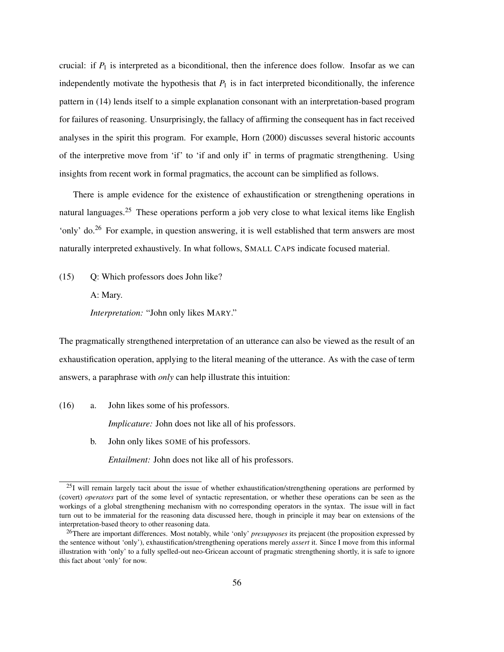crucial: if  $P_1$  is interpreted as a biconditional, then the inference does follow. Insofar as we can independently motivate the hypothesis that  $P_1$  is in fact interpreted biconditionally, the inference pattern in (14) lends itself to a simple explanation consonant with an interpretation-based program for failures of reasoning. Unsurprisingly, the fallacy of affirming the consequent has in fact received analyses in the spirit this program. For example, [Horn](#page-161-4) [\(2000\)](#page-161-4) discusses several historic accounts of the interpretive move from 'if' to 'if and only if' in terms of pragmatic strengthening. Using insights from recent work in formal pragmatics, the account can be simplified as follows.

There is ample evidence for the existence of exhaustification or strengthening operations in natural languages.<sup>[25](#page-64-0)</sup> These operations perform a job very close to what lexical items like English 'only' do.<sup>[26](#page-64-1)</sup> For example, in question answering, it is well established that term answers are most naturally interpreted exhaustively. In what follows, SMALL CAPS indicate focused material.

(15) Q: Which professors does John like? A: Mary. *Interpretation:* "John only likes MARY."

The pragmatically strengthened interpretation of an utterance can also be viewed as the result of an exhaustification operation, applying to the literal meaning of the utterance. As with the case of term answers, a paraphrase with *only* can help illustrate this intuition:

(16) a. John likes some of his professors.

*Implicature:* John does not like all of his professors.

b. John only likes SOME of his professors.

*Entailment:* John does not like all of his professors.

<span id="page-64-0"></span><sup>25</sup>I will remain largely tacit about the issue of whether exhaustification/strengthening operations are performed by (covert) *operators* part of the some level of syntactic representation, or whether these operations can be seen as the workings of a global strengthening mechanism with no corresponding operators in the syntax. The issue will in fact turn out to be immaterial for the reasoning data discussed here, though in principle it may bear on extensions of the interpretation-based theory to other reasoning data.

<span id="page-64-1"></span><sup>26</sup>There are important differences. Most notably, while 'only' *presupposes* its prejacent (the proposition expressed by the sentence without 'only'), exhaustification/strengthening operations merely *assert* it. Since I move from this informal illustration with 'only' to a fully spelled-out neo-Gricean account of pragmatic strengthening shortly, it is safe to ignore this fact about 'only' for now.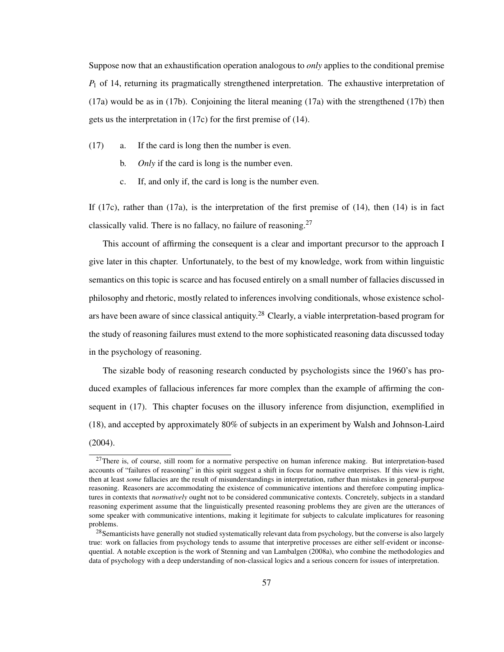Suppose now that an exhaustification operation analogous to *only* applies to the conditional premise *P*<sup>1</sup> of [14,](#page-63-0) returning its pragmatically strengthened interpretation. The exhaustive interpretation of (17a) would be as in (17b). Conjoining the literal meaning (17a) with the strengthened (17b) then gets us the interpretation in (17c) for the first premise of [\(14\)](#page-63-0).

- (17) a. If the card is long then the number is even.
	- b. *Only* if the card is long is the number even.
	- c. If, and only if, the card is long is the number even.

If (17c), rather than (17a), is the interpretation of the first premise of [\(14\)](#page-63-0), then [\(14\)](#page-63-0) is in fact classically valid. There is no fallacy, no failure of reasoning.<sup>[27](#page-65-0)</sup>

This account of affirming the consequent is a clear and important precursor to the approach I give later in this chapter. Unfortunately, to the best of my knowledge, work from within linguistic semantics on this topic is scarce and has focused entirely on a small number of fallacies discussed in philosophy and rhetoric, mostly related to inferences involving conditionals, whose existence schol-ars have been aware of since classical antiquity.<sup>[28](#page-65-1)</sup> Clearly, a viable interpretation-based program for the study of reasoning failures must extend to the more sophisticated reasoning data discussed today in the psychology of reasoning.

The sizable body of reasoning research conducted by psychologists since the 1960's has produced examples of fallacious inferences far more complex than the example of affirming the consequent in (17). This chapter focuses on the illusory inference from disjunction, exemplified in (18), and accepted by approximately 80% of subjects in an experiment by [Walsh and Johnson-Laird](#page-165-0) [\(2004\)](#page-165-0).

<span id="page-65-0"></span> $27$ There is, of course, still room for a normative perspective on human inference making. But interpretation-based accounts of "failures of reasoning" in this spirit suggest a shift in focus for normative enterprises. If this view is right, then at least *some* fallacies are the result of misunderstandings in interpretation, rather than mistakes in general-purpose reasoning. Reasoners are accommodating the existence of communicative intentions and therefore computing implicatures in contexts that *normatively* ought not to be considered communicative contexts. Concretely, subjects in a standard reasoning experiment assume that the linguistically presented reasoning problems they are given are the utterances of some speaker with communicative intentions, making it legitimate for subjects to calculate implicatures for reasoning problems.

<span id="page-65-1"></span><sup>&</sup>lt;sup>28</sup> Semanticists have generally not studied systematically relevant data from psychology, but the converse is also largely true: work on fallacies from psychology tends to assume that interpretive processes are either self-evident or inconsequential. A notable exception is the work of [Stenning and van Lambalgen](#page-164-2) [\(2008a\)](#page-164-2), who combine the methodologies and data of psychology with a deep understanding of non-classical logics and a serious concern for issues of interpretation.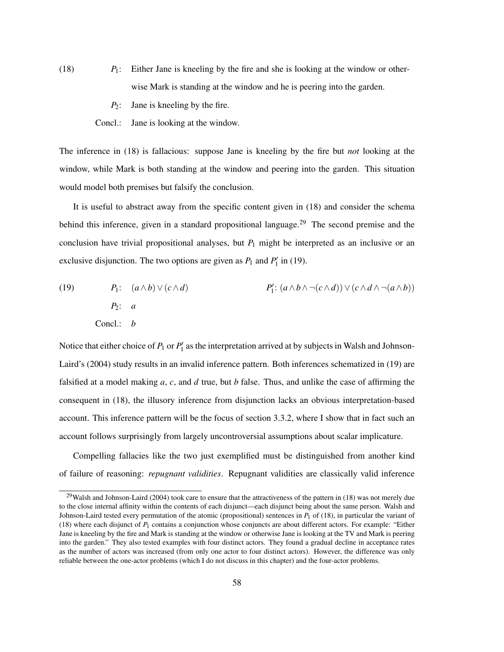(18)  $P_1$ : Either Jane is kneeling by the fire and she is looking at the window or otherwise Mark is standing at the window and he is peering into the garden.

- *P*<sub>2</sub>: Jane is kneeling by the fire.
- Concl.: Jane is looking at the window.

The inference in (18) is fallacious: suppose Jane is kneeling by the fire but *not* looking at the window, while Mark is both standing at the window and peering into the garden. This situation would model both premises but falsify the conclusion.

It is useful to abstract away from the specific content given in (18) and consider the schema behind this inference, given in a standard propositional language.<sup>[29](#page-66-0)</sup> The second premise and the conclusion have trivial propositional analyses, but  $P_1$  might be interpreted as an inclusive or an exclusive disjunction. The two options are given as  $P_1$  and  $P'_1$  in (19).

(19) 
$$
P_1
$$
:  $(a \wedge b) \vee (c \wedge d)$   $P'_1$ :  $(a \wedge b \wedge \neg (c \wedge d)) \vee (c \wedge d \wedge \neg (a \wedge b))$   
\n $P_2$ :  $a$   
\nConcl.:  $b$ 

Notice that either choice of  $P_1$  or  $P'_1$  as the interpretation arrived at by subjects in Walsh and Johnson-Laird's (2004) study results in an invalid inference pattern. Both inferences schematized in (19) are falsified at a model making *a*, *c*, and *d* true, but *b* false. Thus, and unlike the case of affirming the consequent in (18), the illusory inference from disjunction lacks an obvious interpretation-based account. This inference pattern will be the focus of section [3.3.2,](#page-76-0) where I show that in fact such an account follows surprisingly from largely uncontroversial assumptions about scalar implicature.

Compelling fallacies like the two just exemplified must be distinguished from another kind of failure of reasoning: *repugnant validities*. Repugnant validities are classically valid inference

<span id="page-66-0"></span><sup>&</sup>lt;sup>29</sup>[Walsh and Johnson-Laird](#page-165-0) [\(2004\)](#page-165-0) took care to ensure that the attractiveness of the pattern in (18) was not merely due to the close internal affinity within the contents of each disjunct—each disjunct being about the same person. Walsh and Johnson-Laird tested every permutation of the atomic (propositional) sentences in *P*<sup>1</sup> of (18), in particular the variant of (18) where each disjunct of  $P_1$  contains a conjunction whose conjuncts are about different actors. For example: "Either Jane is kneeling by the fire and Mark is standing at the window or otherwise Jane is looking at the TV and Mark is peering into the garden." They also tested examples with four distinct actors. They found a gradual decline in acceptance rates as the number of actors was increased (from only one actor to four distinct actors). However, the difference was only reliable between the one-actor problems (which I do not discuss in this chapter) and the four-actor problems.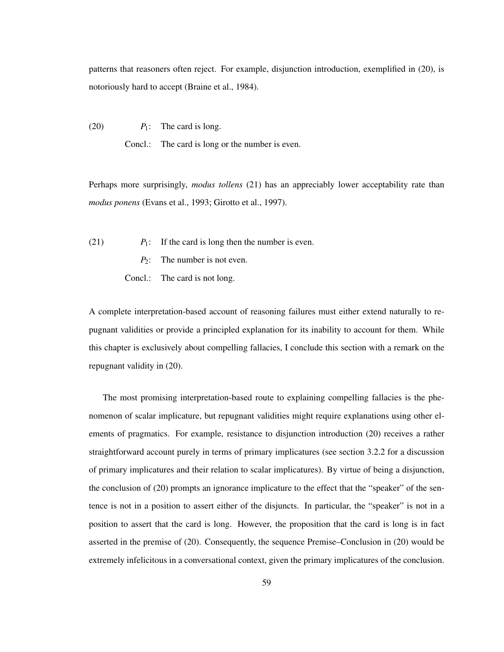patterns that reasoners often reject. For example, disjunction introduction, exemplified in (20), is notoriously hard to accept [\(Braine et al., 1984\)](#page-158-0).

(20)  $P_1$ : The card is long.

Concl.: The card is long or the number is even.

Perhaps more surprisingly, *modus tollens* (21) has an appreciably lower acceptability rate than *modus ponens* [\(Evans et al., 1993;](#page-158-3) [Girotto et al., 1997\)](#page-159-1).

- (21)  $P_1$ : If the card is long then the number is even.
	- *P*<sub>2</sub>: The number is not even.
	- Concl.: The card is not long.

A complete interpretation-based account of reasoning failures must either extend naturally to repugnant validities or provide a principled explanation for its inability to account for them. While this chapter is exclusively about compelling fallacies, I conclude this section with a remark on the repugnant validity in (20).

The most promising interpretation-based route to explaining compelling fallacies is the phenomenon of scalar implicature, but repugnant validities might require explanations using other elements of pragmatics. For example, resistance to disjunction introduction (20) receives a rather straightforward account purely in terms of primary implicatures (see section [3.2.2](#page-69-0) for a discussion of primary implicatures and their relation to scalar implicatures). By virtue of being a disjunction, the conclusion of (20) prompts an ignorance implicature to the effect that the "speaker" of the sentence is not in a position to assert either of the disjuncts. In particular, the "speaker" is not in a position to assert that the card is long. However, the proposition that the card is long is in fact asserted in the premise of (20). Consequently, the sequence Premise–Conclusion in (20) would be extremely infelicitous in a conversational context, given the primary implicatures of the conclusion.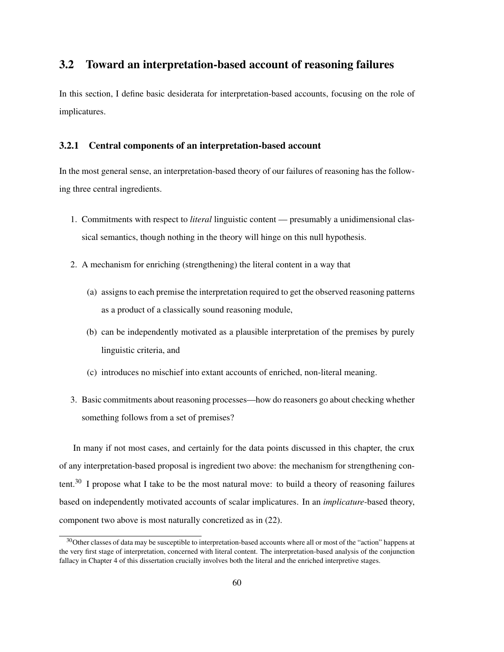## 3.2 Toward an interpretation-based account of reasoning failures

In this section, I define basic desiderata for interpretation-based accounts, focusing on the role of implicatures.

#### 3.2.1 Central components of an interpretation-based account

In the most general sense, an interpretation-based theory of our failures of reasoning has the following three central ingredients.

- 1. Commitments with respect to *literal* linguistic content presumably a unidimensional classical semantics, though nothing in the theory will hinge on this null hypothesis.
- 2. A mechanism for enriching (strengthening) the literal content in a way that
	- (a) assigns to each premise the interpretation required to get the observed reasoning patterns as a product of a classically sound reasoning module,
	- (b) can be independently motivated as a plausible interpretation of the premises by purely linguistic criteria, and
	- (c) introduces no mischief into extant accounts of enriched, non-literal meaning.
- 3. Basic commitments about reasoning processes—how do reasoners go about checking whether something follows from a set of premises?

In many if not most cases, and certainly for the data points discussed in this chapter, the crux of any interpretation-based proposal is ingredient two above: the mechanism for strengthening con-tent.<sup>[30](#page-68-0)</sup> I propose what I take to be the most natural move: to build a theory of reasoning failures based on independently motivated accounts of scalar implicatures. In an *implicature*-based theory, component two above is most naturally concretized as in (22).

<span id="page-68-0"></span><sup>&</sup>lt;sup>30</sup>Other classes of data may be susceptible to interpretation-based accounts where all or most of the "action" happens at the very first stage of interpretation, concerned with literal content. The interpretation-based analysis of the conjunction fallacy in Chapter [4](#page-101-0) of this dissertation crucially involves both the literal and the enriched interpretive stages.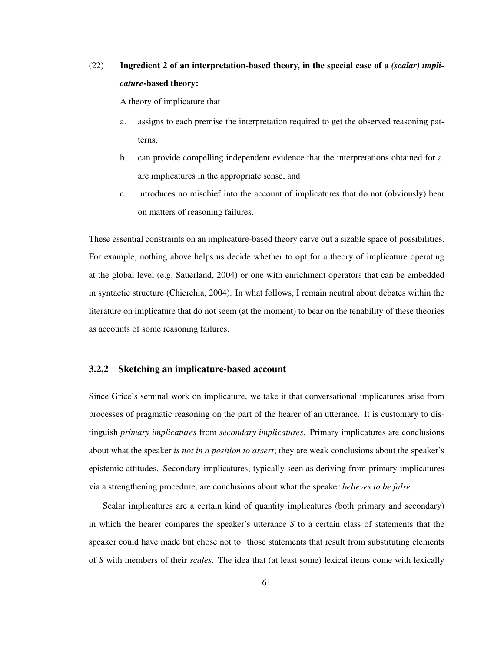# (22) Ingredient 2 of an interpretation-based theory, in the special case of a *(scalar) implicature*-based theory:

A theory of implicature that

- a. assigns to each premise the interpretation required to get the observed reasoning patterns,
- b. can provide compelling independent evidence that the interpretations obtained for a. are implicatures in the appropriate sense, and
- c. introduces no mischief into the account of implicatures that do not (obviously) bear on matters of reasoning failures.

These essential constraints on an implicature-based theory carve out a sizable space of possibilities. For example, nothing above helps us decide whether to opt for a theory of implicature operating at the global level (e.g. [Sauerland, 2004\)](#page-164-3) or one with enrichment operators that can be embedded in syntactic structure [\(Chierchia, 2004\)](#page-158-6). In what follows, I remain neutral about debates within the literature on implicature that do not seem (at the moment) to bear on the tenability of these theories as accounts of some reasoning failures.

#### <span id="page-69-0"></span>3.2.2 Sketching an implicature-based account

Since Grice's seminal work on implicature, we take it that conversational implicatures arise from processes of pragmatic reasoning on the part of the hearer of an utterance. It is customary to distinguish *primary implicatures* from *secondary implicatures*. Primary implicatures are conclusions about what the speaker *is not in a position to assert*; they are weak conclusions about the speaker's epistemic attitudes. Secondary implicatures, typically seen as deriving from primary implicatures via a strengthening procedure, are conclusions about what the speaker *believes to be false*.

Scalar implicatures are a certain kind of quantity implicatures (both primary and secondary) in which the hearer compares the speaker's utterance *S* to a certain class of statements that the speaker could have made but chose not to: those statements that result from substituting elements of *S* with members of their *scales*. The idea that (at least some) lexical items come with lexically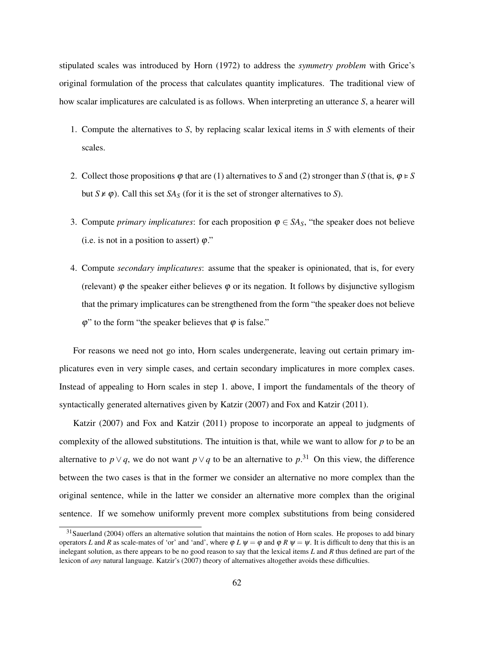stipulated scales was introduced by [Horn](#page-161-5) [\(1972\)](#page-161-5) to address the *symmetry problem* with Grice's original formulation of the process that calculates quantity implicatures. The traditional view of how scalar implicatures are calculated is as follows. When interpreting an utterance *S*, a hearer will

- 1. Compute the alternatives to *S*, by replacing scalar lexical items in *S* with elements of their scales.
- 2. Collect those propositions  $\varphi$  that are (1) alternatives to *S* and (2) stronger than *S* (that is,  $\varphi \models S$ but  $S \nvDash \varphi$ ). Call this set  $SA_S$  (for it is the set of stronger alternatives to *S*).
- 3. Compute *primary implicatures*: for each proposition  $\varphi \in SA_S$ , "the speaker does not believe (i.e. is not in a position to assert)  $\varphi$ ."
- 4. Compute *secondary implicatures*: assume that the speaker is opinionated, that is, for every (relevant)  $\varphi$  the speaker either believes  $\varphi$  or its negation. It follows by disjunctive syllogism that the primary implicatures can be strengthened from the form "the speaker does not believe  $\varphi$ " to the form "the speaker believes that  $\varphi$  is false."

For reasons we need not go into, Horn scales undergenerate, leaving out certain primary implicatures even in very simple cases, and certain secondary implicatures in more complex cases. Instead of appealing to Horn scales in step 1. above, I import the fundamentals of the theory of syntactically generated alternatives given by [Katzir](#page-162-4) [\(2007\)](#page-162-4) and [Fox and Katzir](#page-159-3) [\(2011\)](#page-159-3).

[Katzir](#page-162-4) [\(2007\)](#page-162-4) and [Fox and Katzir](#page-159-3) [\(2011\)](#page-159-3) propose to incorporate an appeal to judgments of complexity of the allowed substitutions. The intuition is that, while we want to allow for *p* to be an alternative to  $p \vee q$ , we do not want  $p \vee q$  to be an alternative to  $p^{31}$  $p^{31}$  $p^{31}$ . On this view, the difference between the two cases is that in the former we consider an alternative no more complex than the original sentence, while in the latter we consider an alternative more complex than the original sentence. If we somehow uniformly prevent more complex substitutions from being considered

<span id="page-70-0"></span><sup>&</sup>lt;sup>31</sup> [Sauerland](#page-164-3) [\(2004\)](#page-164-3) offers an alternative solution that maintains the notion of Horn scales. He proposes to add binary operators *L* and *R* as scale-mates of 'or' and 'and', where  $\varphi L \psi = \varphi$  and  $\varphi R \psi = \psi$ . It is difficult to deny that this is an inelegant solution, as there appears to be no good reason to say that the lexical items *L* and *R* thus defined are part of the lexicon of *any* natural language. Katzir's (2007) theory of alternatives altogether avoids these difficulties.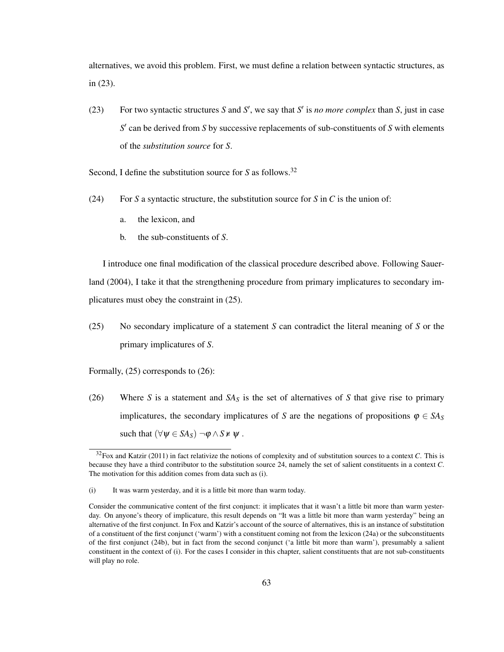alternatives, we avoid this problem. First, we must define a relation between syntactic structures, as in (23).

(23) For two syntactic structures *S* and *S'*, we say that *S'* is *no more complex* than *S*, just in case  $S'$  can be derived from *S* by successive replacements of sub-constituents of *S* with elements of the *substitution source* for *S*.

<span id="page-71-1"></span>Second, I define the substitution source for *S* as follows.<sup>[32](#page-71-0)</sup>

- <span id="page-71-3"></span><span id="page-71-2"></span>(24) For *S* a syntactic structure, the substitution source for *S* in *C* is the union of:
	- a. the lexicon, and
	- b. the sub-constituents of *S*.

I introduce one final modification of the classical procedure described above. Following [Sauer](#page-164-3)[land](#page-164-3) [\(2004\)](#page-164-3), I take it that the strengthening procedure from primary implicatures to secondary implicatures must obey the constraint in (25).

(25) No secondary implicature of a statement *S* can contradict the literal meaning of *S* or the primary implicatures of *S*.

Formally, (25) corresponds to (26):

(26) Where *S* is a statement and *SA<sup>S</sup>* is the set of alternatives of *S* that give rise to primary implicatures, the secondary implicatures of *S* are the negations of propositions  $\varphi \in SA_S$ such that  $(\forall \psi \in SA_S) \neg \phi \land S \nvDash \psi$ .

<span id="page-71-0"></span><sup>32</sup>[Fox and Katzir](#page-159-3) [\(2011\)](#page-159-3) in fact relativize the notions of complexity and of substitution sources to a context *C*. This is because they have a third contributor to the substitution source [24,](#page-71-1) namely the set of salient constituents in a context *C*. The motivation for this addition comes from data such as (i).

<sup>(</sup>i) It was warm yesterday, and it is a little bit more than warm today.

Consider the communicative content of the first conjunct: it implicates that it wasn't a little bit more than warm yesterday. On anyone's theory of implicature, this result depends on "It was a little bit more than warm yesterday" being an alternative of the first conjunct. In Fox and Katzir's account of the source of alternatives, this is an instance of substitution of a constituent of the first conjunct ('warm') with a constituent coming not from the lexicon [\(24a\)](#page-71-2) or the subconstituents of the first conjunct [\(24b\),](#page-71-3) but in fact from the second conjunct ('a little bit more than warm'), presumably a salient constituent in the context of (i). For the cases I consider in this chapter, salient constituents that are not sub-constituents will play no role.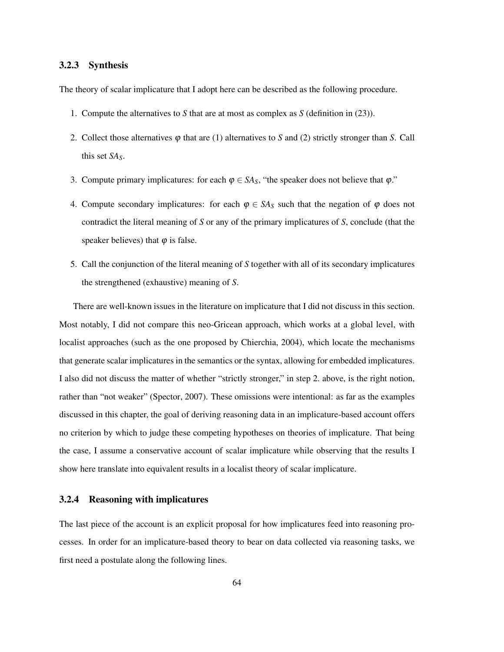#### 3.2.3 Synthesis

The theory of scalar implicature that I adopt here can be described as the following procedure.

- 1. Compute the alternatives to *S* that are at most as complex as *S* (definition in [\(23\)](#page-71-0)).
- 2. Collect those alternatives  $\varphi$  that are (1) alternatives to *S* and (2) strictly stronger than *S*. Call this set *SAS*.
- 3. Compute primary implicatures: for each  $\varphi \in SA_S$ , "the speaker does not believe that  $\varphi$ ."
- 4. Compute secondary implicatures: for each  $\varphi \in SA_S$  such that the negation of  $\varphi$  does not contradict the literal meaning of *S* or any of the primary implicatures of *S*, conclude (that the speaker believes) that  $\varphi$  is false.
- 5. Call the conjunction of the literal meaning of *S* together with all of its secondary implicatures the strengthened (exhaustive) meaning of *S*.

There are well-known issues in the literature on implicature that I did not discuss in this section. Most notably, I did not compare this neo-Gricean approach, which works at a global level, with localist approaches (such as the one proposed by [Chierchia, 2004\)](#page-158-0), which locate the mechanisms that generate scalar implicatures in the semantics or the syntax, allowing for embedded implicatures. I also did not discuss the matter of whether "strictly stronger," in step 2. above, is the right notion, rather than "not weaker" [\(Spector, 2007\)](#page-164-0). These omissions were intentional: as far as the examples discussed in this chapter, the goal of deriving reasoning data in an implicature-based account offers no criterion by which to judge these competing hypotheses on theories of implicature. That being the case, I assume a conservative account of scalar implicature while observing that the results I show here translate into equivalent results in a localist theory of scalar implicature.

#### 3.2.4 Reasoning with implicatures

The last piece of the account is an explicit proposal for how implicatures feed into reasoning processes. In order for an implicature-based theory to bear on data collected via reasoning tasks, we first need a postulate along the following lines.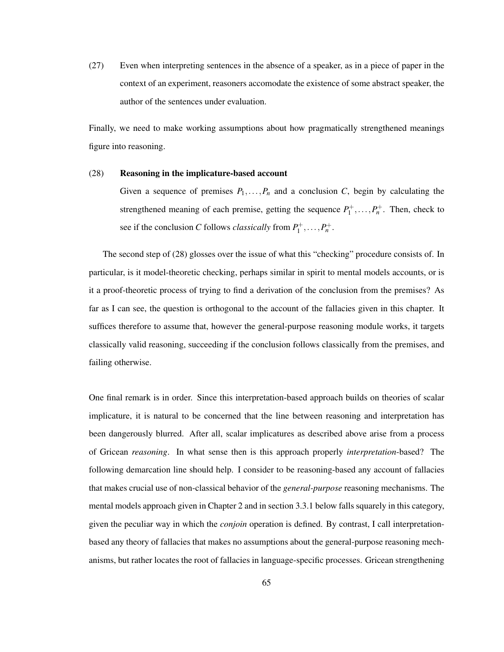(27) Even when interpreting sentences in the absence of a speaker, as in a piece of paper in the context of an experiment, reasoners accomodate the existence of some abstract speaker, the author of the sentences under evaluation.

Finally, we need to make working assumptions about how pragmatically strengthened meanings figure into reasoning.

#### (28) Reasoning in the implicature-based account

Given a sequence of premises  $P_1, \ldots, P_n$  and a conclusion *C*, begin by calculating the strengthened meaning of each premise, getting the sequence  $P_1^+$ , ...,  $P_n^+$ . Then, check to see if the conclusion *C* follows *classically* from  $P_1^+$ , ...,  $P_n^+$ .

The second step of (28) glosses over the issue of what this "checking" procedure consists of. In particular, is it model-theoretic checking, perhaps similar in spirit to mental models accounts, or is it a proof-theoretic process of trying to find a derivation of the conclusion from the premises? As far as I can see, the question is orthogonal to the account of the fallacies given in this chapter. It suffices therefore to assume that, however the general-purpose reasoning module works, it targets classically valid reasoning, succeeding if the conclusion follows classically from the premises, and failing otherwise.

One final remark is in order. Since this interpretation-based approach builds on theories of scalar implicature, it is natural to be concerned that the line between reasoning and interpretation has been dangerously blurred. After all, scalar implicatures as described above arise from a process of Gricean *reasoning*. In what sense then is this approach properly *interpretation*-based? The following demarcation line should help. I consider to be reasoning-based any account of fallacies that makes crucial use of non-classical behavior of the *general-purpose* reasoning mechanisms. The mental models approach given in Chapter [2](#page-14-0) and in section [3.3.1](#page-74-0) below falls squarely in this category, given the peculiar way in which the *conjoin* operation is defined. By contrast, I call interpretationbased any theory of fallacies that makes no assumptions about the general-purpose reasoning mechanisms, but rather locates the root of fallacies in language-specific processes. Gricean strengthening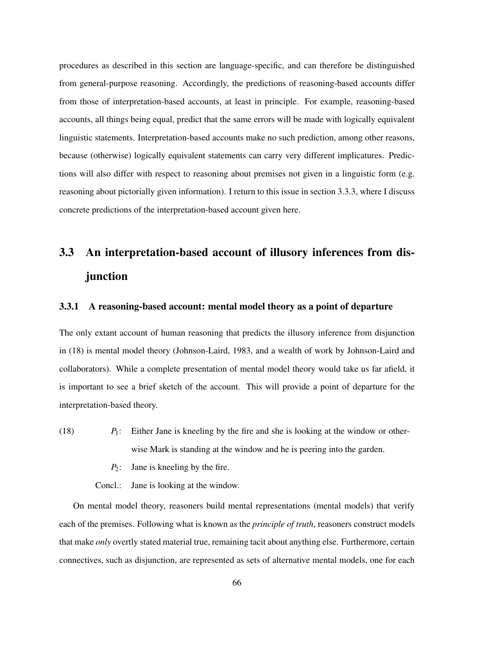procedures as described in this section are language-specific, and can therefore be distinguished from general-purpose reasoning. Accordingly, the predictions of reasoning-based accounts differ from those of interpretation-based accounts, at least in principle. For example, reasoning-based accounts, all things being equal, predict that the same errors will be made with logically equivalent linguistic statements. Interpretation-based accounts make no such prediction, among other reasons, because (otherwise) logically equivalent statements can carry very different implicatures. Predictions will also differ with respect to reasoning about premises not given in a linguistic form (e.g. reasoning about pictorially given information). I return to this issue in section [3.3.3,](#page-82-0) where I discuss concrete predictions of the interpretation-based account given here.

# 3.3 An interpretation-based account of illusory inferences from disjunction

#### <span id="page-74-0"></span>3.3.1 A reasoning-based account: mental model theory as a point of departure

The only extant account of human reasoning that predicts the illusory inference from disjunction in [\(18\)](#page-65-0) is mental model theory [\(Johnson-Laird, 1983,](#page-161-0) and a wealth of work by Johnson-Laird and collaborators). While a complete presentation of mental model theory would take us far afield, it is important to see a brief sketch of the account. This will provide a point of departure for the interpretation-based theory.

- [\(18\)](#page-65-0)  $P_1$ : Either Jane is kneeling by the fire and she is looking at the window or otherwise Mark is standing at the window and he is peering into the garden.
	- *P*<sub>2</sub>: Jane is kneeling by the fire.
	- Concl.: Jane is looking at the window.

On mental model theory, reasoners build mental representations (mental models) that verify each of the premises. Following what is known as the *principle of truth*, reasoners construct models that make *only* overtly stated material true, remaining tacit about anything else. Furthermore, certain connectives, such as disjunction, are represented as sets of alternative mental models, one for each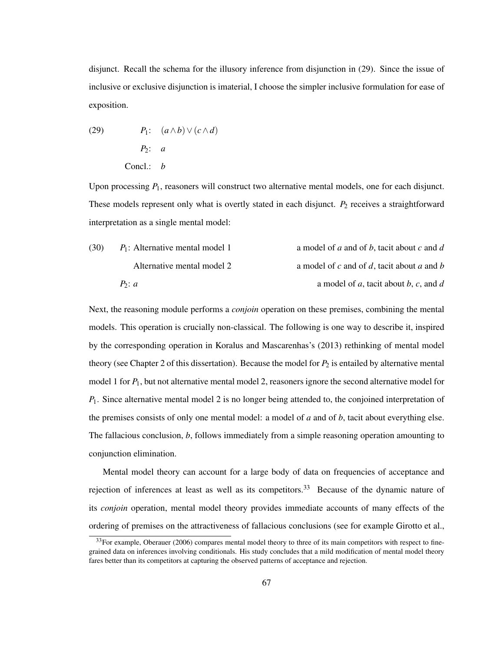disjunct. Recall the schema for the illusory inference from disjunction in (29). Since the issue of inclusive or exclusive disjunction is imaterial, I choose the simpler inclusive formulation for ease of exposition.

(29) 
$$
P_1
$$
:  $(a \wedge b) \vee (c \wedge d)$   
 $P_2$ :  $a$   
Concl.:  $b$ 

Upon processing  $P_1$ , reasoners will construct two alternative mental models, one for each disjunct. These models represent only what is overtly stated in each disjunct. *P*<sub>2</sub> receives a straightforward interpretation as a single mental model:

| a model of a and of b, tacit about c and $d$ | $P_1$ : Alternative mental model 1 | (30)      |
|----------------------------------------------|------------------------------------|-----------|
| a model of c and of d, tacit about a and b   | Alternative mental model 2         |           |
| a model of a, tacit about b, c, and d        |                                    | $P_2$ : a |

Next, the reasoning module performs a *conjoin* operation on these premises, combining the mental models. This operation is crucially non-classical. The following is one way to describe it, inspired by the corresponding operation in Koralus and Mascarenhas's [\(2013\)](#page-162-0) rethinking of mental model theory (see Chapter [2](#page-14-0) of this dissertation). Because the model for  $P_2$  is entailed by alternative mental model 1 for *P*1, but not alternative mental model 2, reasoners ignore the second alternative model for *P*1. Since alternative mental model 2 is no longer being attended to, the conjoined interpretation of the premises consists of only one mental model: a model of *a* and of *b*, tacit about everything else. The fallacious conclusion, *b*, follows immediately from a simple reasoning operation amounting to conjunction elimination.

Mental model theory can account for a large body of data on frequencies of acceptance and rejection of inferences at least as well as its competitors.<sup>[33](#page-75-0)</sup> Because of the dynamic nature of its *conjoin* operation, mental model theory provides immediate accounts of many effects of the ordering of premises on the attractiveness of fallacious conclusions (see for example [Girotto et al.,](#page-159-0)

<span id="page-75-0"></span> $33$ For example, [Oberauer](#page-163-0) [\(2006\)](#page-163-0) compares mental model theory to three of its main competitors with respect to finegrained data on inferences involving conditionals. His study concludes that a mild modification of mental model theory fares better than its competitors at capturing the observed patterns of acceptance and rejection.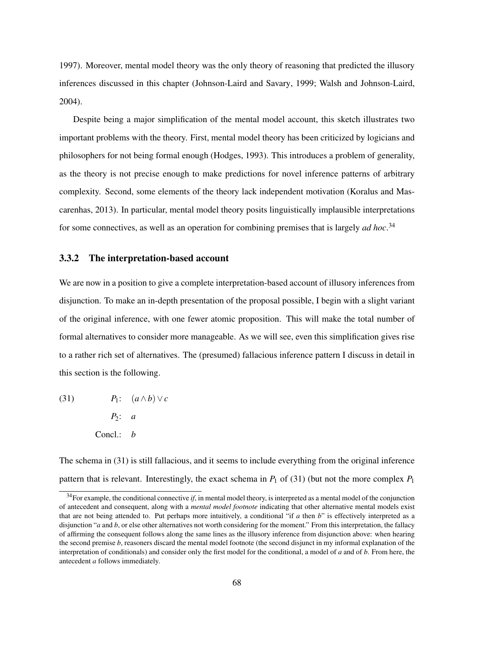[1997\)](#page-159-0). Moreover, mental model theory was the only theory of reasoning that predicted the illusory inferences discussed in this chapter [\(Johnson-Laird and Savary, 1999;](#page-161-1) [Walsh and Johnson-Laird,](#page-165-0) [2004\)](#page-165-0).

Despite being a major simplification of the mental model account, this sketch illustrates two important problems with the theory. First, mental model theory has been criticized by logicians and philosophers for not being formal enough [\(Hodges, 1993\)](#page-160-0). This introduces a problem of generality, as the theory is not precise enough to make predictions for novel inference patterns of arbitrary complexity. Second, some elements of the theory lack independent motivation [\(Koralus and Mas](#page-162-0)[carenhas, 2013\)](#page-162-0). In particular, mental model theory posits linguistically implausible interpretations for some connectives, as well as an operation for combining premises that is largely *ad hoc*. [34](#page-76-0)

#### 3.3.2 The interpretation-based account

We are now in a position to give a complete interpretation-based account of illusory inferences from disjunction. To make an in-depth presentation of the proposal possible, I begin with a slight variant of the original inference, with one fewer atomic proposition. This will make the total number of formal alternatives to consider more manageable. As we will see, even this simplification gives rise to a rather rich set of alternatives. The (presumed) fallacious inference pattern I discuss in detail in this section is the following.

<span id="page-76-1"></span>(31) 
$$
P_1
$$
:  $(a \land b) \lor c$   
\n $P_2$ :  $a$   
\nConcl.:  $b$ 

The schema in (31) is still fallacious, and it seems to include everything from the original inference pattern that is relevant. Interestingly, the exact schema in  $P_1$  of (31) (but not the more complex  $P_1$ 

<span id="page-76-0"></span><sup>34</sup>For example, the conditional connective *if*, in mental model theory, is interpreted as a mental model of the conjunction of antecedent and consequent, along with a *mental model footnote* indicating that other alternative mental models exist that are not being attended to. Put perhaps more intuitively, a conditional "if *a* then *b*" is effectively interpreted as a disjunction "*a* and *b*, or else other alternatives not worth considering for the moment." From this interpretation, the fallacy of affirming the consequent follows along the same lines as the illusory inference from disjunction above: when hearing the second premise *b*, reasoners discard the mental model footnote (the second disjunct in my informal explanation of the interpretation of conditionals) and consider only the first model for the conditional, a model of *a* and of *b*. From here, the antecedent *a* follows immediately.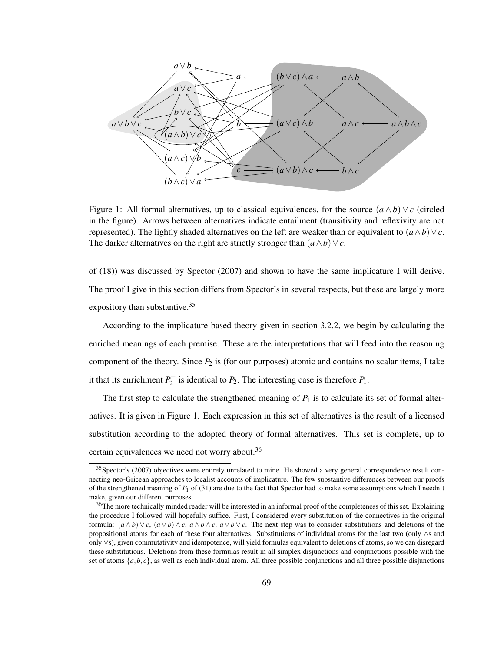

<span id="page-77-1"></span>Figure 1: All formal alternatives, up to classical equivalences, for the source  $(a \wedge b) \vee c$  (circled in the figure). Arrows between alternatives indicate entailment (transitivity and reflexivity are not represented). The lightly shaded alternatives on the left are weaker than or equivalent to  $(a \wedge b) \vee c$ . The darker alternatives on the right are strictly stronger than  $(a \wedge b) \vee c$ .

of [\(18\)](#page-65-0)) was discussed by [Spector](#page-164-0) [\(2007\)](#page-164-0) and shown to have the same implicature I will derive. The proof I give in this section differs from Spector's in several respects, but these are largely more expository than substantive.<sup>[35](#page-77-0)</sup>

According to the implicature-based theory given in section [3.2.2,](#page-69-0) we begin by calculating the enriched meanings of each premise. These are the interpretations that will feed into the reasoning component of the theory. Since  $P_2$  is (for our purposes) atomic and contains no scalar items, I take it that its enrichment  $P_2^+$  is identical to  $P_2$ . The interesting case is therefore  $P_1$ .

The first step to calculate the strengthened meaning of  $P_1$  is to calculate its set of formal alternatives. It is given in Figure [1.](#page-77-1) Each expression in this set of alternatives is the result of a licensed substitution according to the adopted theory of formal alternatives. This set is complete, up to certain equivalences we need not worry about.[36](#page-77-2)

<span id="page-77-0"></span> $35$ Spector's (2007) objectives were entirely unrelated to mine. He showed a very general correspondence result connecting neo-Gricean approaches to localist accounts of implicature. The few substantive differences between our proofs of the strengthened meaning of  $P_1$  of (31) are due to the fact that Spector had to make some assumptions which I needn't make, given our different purposes.

<span id="page-77-2"></span> $36$ The more technically minded reader will be interested in an informal proof of the completeness of this set. Explaining the procedure I followed will hopefully suffice. First, I considered every substitution of the connectives in the original formula:  $(a \wedge b) \vee c$ ,  $(a \vee b) \wedge c$ ,  $a \wedge b \wedge c$ ,  $a \vee b \vee c$ . The next step was to consider substitutions and deletions of the propositional atoms for each of these four alternatives. Substitutions of individual atoms for the last two (only ∧s and only ∨s), given commutativity and idempotence, will yield formulas equivalent to deletions of atoms, so we can disregard these substitutions. Deletions from these formulas result in all simplex disjunctions and conjunctions possible with the set of atoms  $\{a, b, c\}$ , as well as each individual atom. All three possible conjunctions and all three possible disjunctions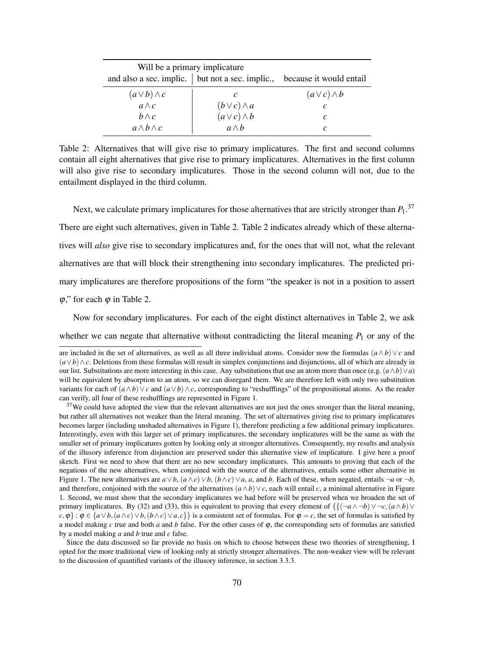| Will be a primary implicature |                       |                                                                           |  |  |  |  |
|-------------------------------|-----------------------|---------------------------------------------------------------------------|--|--|--|--|
|                               |                       | and also a sec. implic.   but not a sec. implic., because it would entail |  |  |  |  |
| $(a \vee b) \wedge c$         |                       | $(a \vee c) \wedge b$                                                     |  |  |  |  |
| $a \wedge c$                  | $(b \vee c) \wedge a$ | $\mathcal{C}$                                                             |  |  |  |  |
| $b \wedge c$                  | $(a \vee c) \wedge b$ | C                                                                         |  |  |  |  |
| $a \wedge b \wedge c$         | $a \wedge b$          | C                                                                         |  |  |  |  |

<span id="page-78-1"></span>Table 2: Alternatives that will give rise to primary implicatures. The first and second columns contain all eight alternatives that give rise to primary implicatures. Alternatives in the first column will also give rise to secondary implicatures. Those in the second column will not, due to the entailment displayed in the third column.

Next, we calculate primary implicatures for those alternatives that are strictly stronger than  $P_1$ .<sup>[37](#page-78-0)</sup> There are eight such alternatives, given in Table [2.](#page-78-1) Table [2](#page-78-1) indicates already which of these alternatives will *also* give rise to secondary implicatures and, for the ones that will not, what the relevant alternatives are that will block their strengthening into secondary implicatures. The predicted primary implicatures are therefore propositions of the form "the speaker is not in a position to assert  $\varphi$ ," for each  $\varphi$  in Table [2.](#page-78-1)

Now for secondary implicatures. For each of the eight distinct alternatives in Table [2,](#page-78-1) we ask whether we can negate that alternative without contradicting the literal meaning  $P_1$  or any of the

are included in the set of alternatives, as well as all three individual atoms. Consider now the formulas  $(a \wedge b) \vee c$  and (*a*∨*b*)∧*c*. Deletions from these formulas will result in simplex conjunctions and disjunctions, all of which are already in our list. Substitutions are more interesting in this case. Any substitutions that use an atom more than once (e.g. (*a*∧*b*)∨*a*) will be equivalent by absorption to an atom, so we can disregard them. We are therefore left with only two substitution variants for each of  $(a \wedge b) \vee c$  and  $(a \vee b) \wedge c$ , corresponding to "reshufflings" of the propositional atoms. As the reader can verify, all four of these reshufflings are represented in Figure [1.](#page-77-1)

<span id="page-78-0"></span> $37$ We could have adopted the view that the relevant alternatives are not just the ones stronger than the literal meaning, but rather all alternatives not weaker than the literal meaning. The set of alternatives giving rise to primary implicatures becomes larger (including unshaded alternatives in Figure [1\)](#page-77-1), therefore predicting a few additional primary implicatures. Interestingly, even with this larger set of primary implicatures, the secondary implicatures will be the same as with the smaller set of primary implicatures gotten by looking only at stronger alternatives. Consequently, my results and analysis of the illusory inference from disjunction are preserved under this alternative view of implicature. I give here a proof sketch. First we need to show that there are no new secondary implicatures. This amounts to proving that each of the negations of the new alternatives, when conjoined with the source of the alternatives, entails some other alternative in Figure [1.](#page-77-1) The new alternatives are  $a \vee b$ ,  $(a \wedge c) \vee b$ ,  $(b \wedge c) \vee a$ , *a*, and *b*. Each of these, when negated, entails ¬*a* or ¬*b*, and therefore, conjoined with the source of the alternatives  $(a \wedge b) \vee c$ , each will entail *c*, a minimal alternative in Figure [1.](#page-77-1) Second, we must show that the secondary implicatures we had before will be preserved when we broaden the set of primary implicatures. By [\(32\)](#page-79-0) and [\(33\)](#page-79-1), this is equivalent to proving that every element of  $\{(\neg a \land \neg b) \lor \neg c, (a \land b) \lor \neg c\}$  $c, \varphi$  :  $\varphi \in \{a \lor b, (a \land c) \lor b, (b \land c) \lor a, c\}$  is a consistent set of formulas. For  $\varphi = c$ , the set of formulas is satisfied by a model making  $c$  true and both  $a$  and  $b$  false. For the other cases of  $\varphi$ , the corresponding sets of formulas are satisfied by a model making *a* and *b* true and *c* false.

Since the data discussed so far provide no basis on which to choose between these two theories of strengthening, I opted for the more traditional view of looking only at strictly stronger alternatives. The non-weaker view will be relevant to the discussion of quantified variants of the illusory inference, in section [3.3.3.](#page-82-0)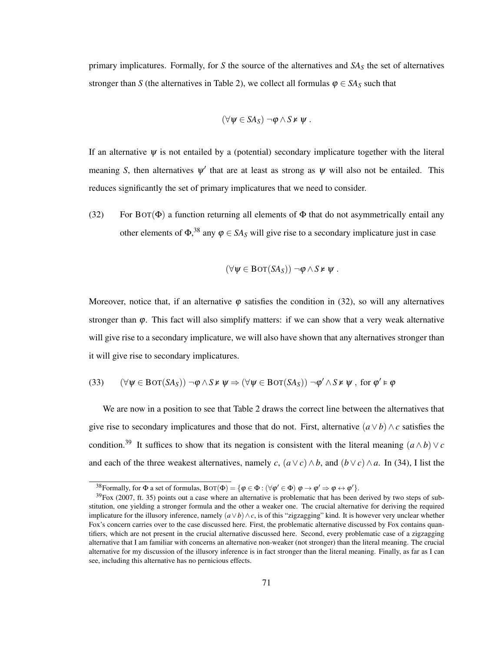primary implicatures. Formally, for  $S$  the source of the alternatives and  $S\mathcal{A}_S$  the set of alternatives stronger than *S* (the alternatives in Table [2\)](#page-78-1), we collect all formulas  $\varphi \in SA_S$  such that

$$
(\forall \psi \in SA_S) \neg \phi \wedge S \nvDash \psi .
$$

If an alternative  $\psi$  is not entailed by a (potential) secondary implicature together with the literal meaning *S*, then alternatives  $\psi'$  that are at least as strong as  $\psi$  will also not be entailed. This reduces significantly the set of primary implicatures that we need to consider.

<span id="page-79-0"></span>(32) For BOT( $\Phi$ ) a function returning all elements of  $\Phi$  that do not asymmetrically entail any other elements of  $\Phi$ ,<sup>[38](#page-79-2)</sup>, any  $\varphi \in SA_S$  will give rise to a secondary implicature just in case

$$
(\forall \psi \in \mathrm{Bor}(SA_S)) \neg \varphi \wedge S \nvDash \psi .
$$

Moreover, notice that, if an alternative  $\varphi$  satisfies the condition in (32), so will any alternatives stronger than  $\varphi$ . This fact will also simplify matters: if we can show that a very weak alternative will give rise to a secondary implicature, we will also have shown that any alternatives stronger than it will give rise to secondary implicatures.

<span id="page-79-1"></span>(33) 
$$
(\forall \psi \in \text{Bor}(SA_S)) \neg \phi \land S \nvDash \psi \Rightarrow (\forall \psi \in \text{Bor}(SA_S)) \neg \phi' \land S \nvDash \psi, \text{ for } \phi' \models \phi
$$

We are now in a position to see that Table [2](#page-78-1) draws the correct line between the alternatives that give rise to secondary implicatures and those that do not. First, alternative  $(a \vee b) \wedge c$  satisfies the condition.<sup>[39](#page-79-3)</sup> It suffices to show that its negation is consistent with the literal meaning  $(a \wedge b) \vee c$ and each of the three weakest alternatives, namely *c*,  $(a \vee c) \wedge b$ , and  $(b \vee c) \wedge a$ . In (34), I list the

<span id="page-79-3"></span><span id="page-79-2"></span><sup>&</sup>lt;sup>38</sup> Formally, for  $\Phi$  a set of formulas,  $\text{Bor}(\Phi) = \{ \varphi \in \Phi : (\forall \varphi' \in \Phi) \varphi \rightarrow \varphi' \Rightarrow \varphi \leftrightarrow \varphi' \}.$ 

 $39$ [Fox](#page-159-1) [\(2007,](#page-159-1) ft. 35) points out a case where an alternative is problematic that has been derived by two steps of substitution, one yielding a stronger formula and the other a weaker one. The crucial alternative for deriving the required implicature for the illusory inference, namely (*a*∨*b*)∧*c*, is of this "zigzagging" kind. It is however very unclear whether Fox's concern carries over to the case discussed here. First, the problematic alternative discussed by Fox contains quantifiers, which are not present in the crucial alternative discussed here. Second, every problematic case of a zigzagging alternative that I am familiar with concerns an alternative non-weaker (not stronger) than the literal meaning. The crucial alternative for my discussion of the illusory inference is in fact stronger than the literal meaning. Finally, as far as I can see, including this alternative has no pernicious effects.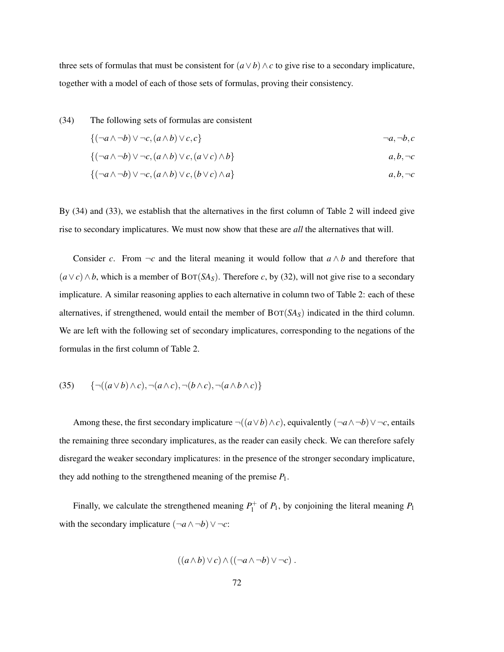three sets of formulas that must be consistent for  $(a \vee b) \wedge c$  to give rise to a secondary implicature, together with a model of each of those sets of formulas, proving their consistency.

(34) The following sets of formulas are consistent

$$
\{(\neg a \land \neg b) \lor \neg c, (a \land b) \lor c, c\}
$$
  
 
$$
\{(\neg a \land \neg b) \lor \neg c, (a \land b) \lor c, (a \lor c) \land b\}
$$
  
 
$$
a, b, \neg c
$$

$$
\{(\neg a \wedge \neg b) \vee \neg c, (a \wedge b) \vee c, (b \vee c) \wedge a\}
$$

By (34) and (33), we establish that the alternatives in the first column of Table [2](#page-78-1) will indeed give rise to secondary implicatures. We must now show that these are *all* the alternatives that will.

Consider *c*. From  $\neg c$  and the literal meaning it would follow that  $a \wedge b$  and therefore that  $(a \vee c) \wedge b$ , which is a member of BOT(*SA<sub>S</sub>*). Therefore *c*, by [\(32\)](#page-79-0), will not give rise to a secondary implicature. A similar reasoning applies to each alternative in column two of Table [2:](#page-78-1) each of these alternatives, if strengthened, would entail the member of  $BOT(SA<sub>S</sub>)$  indicated in the third column. We are left with the following set of secondary implicatures, corresponding to the negations of the formulas in the first column of Table [2.](#page-78-1)

$$
(35) \qquad \{\neg((a \lor b) \land c), \neg(a \land c), \neg(b \land c), \neg(a \land b \land c)\}\
$$

Among these, the first secondary implicature  $\neg((a \lor b) \land c)$ , equivalently  $(\neg a \land \neg b) \lor \neg c$ , entails the remaining three secondary implicatures, as the reader can easily check. We can therefore safely disregard the weaker secondary implicatures: in the presence of the stronger secondary implicature, they add nothing to the strengthened meaning of the premise  $P_1$ .

Finally, we calculate the strengthened meaning  $P_1^+$  of  $P_1$ , by conjoining the literal meaning  $P_1$ with the secondary implicature  $(\neg a \land \neg b) \lor \neg c$ :

$$
((a \wedge b) \vee c) \wedge ((\neg a \wedge \neg b) \vee \neg c).
$$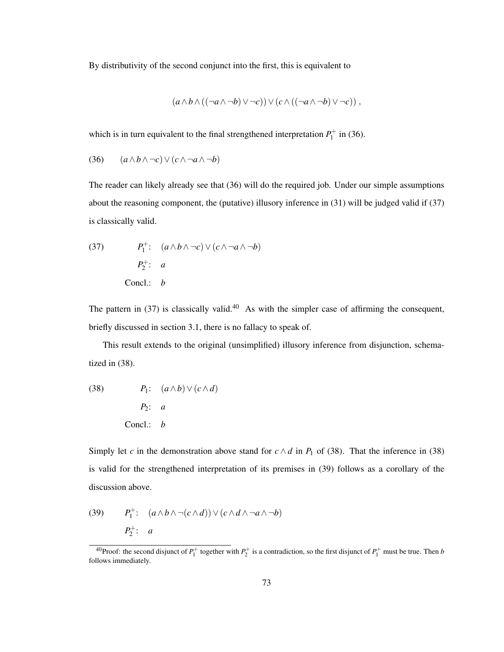By distributivity of the second conjunct into the first, this is equivalent to

$$
(a \wedge b \wedge ((\neg a \wedge \neg b) \vee \neg c)) \vee (c \wedge ((\neg a \wedge \neg b) \vee \neg c)),
$$

which is in turn equivalent to the final strengthened interpretation  $P_1^+$  in (36).

$$
(36) \qquad (a \wedge b \wedge \neg c) \vee (c \wedge \neg a \wedge \neg b)
$$

The reader can likely already see that (36) will do the required job. Under our simple assumptions about the reasoning component, the (putative) illusory inference in [\(31\)](#page-76-1) will be judged valid if (37) is classically valid.

(37) 
$$
P_1^{\dagger}
$$
:  $(a \wedge b \wedge \neg c) \vee (c \wedge \neg a \wedge \neg b)$   
 $P_2^{\dagger}$ :  $a$   
Concl.:  $b$ 

The pattern in  $(37)$  is classically valid.<sup>[40](#page-81-0)</sup> As with the simpler case of affirming the consequent, briefly discussed in section [3.1,](#page-63-0) there is no fallacy to speak of.

This result extends to the original (unsimplified) illusory inference from disjunction, schematized in (38).

<span id="page-81-1"></span>(38) 
$$
P_1
$$
:  $(a \wedge b) \vee (c \wedge d)$   
 $P_2$ :  $a$   
Concl.:  $b$ 

Simply let *c* in the demonstration above stand for  $c \wedge d$  in  $P_1$  of (38). That the inference in (38) is valid for the strengthened interpretation of its premises in (39) follows as a corollary of the discussion above.

(39) 
$$
P_1^{\dagger}
$$
:  $(a \wedge b \wedge \neg(c \wedge d)) \vee (c \wedge d \wedge \neg a \wedge \neg b)$   
 $P_2^{\dagger}$ :  $a$ 

<span id="page-81-0"></span><sup>&</sup>lt;sup>40</sup>Proof: the second disjunct of  $P_1^+$  together with  $P_2^+$  is a contradiction, so the first disjunct of  $P_1^+$  must be true. Then *b* follows immediately.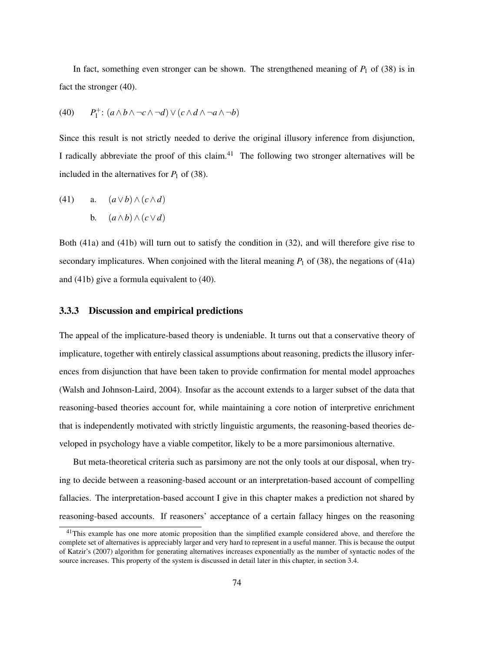In fact, something even stronger can be shown. The strengthened meaning of  $P_1$  of (38) is in fact the stronger (40).

(40) 
$$
P_1^{\dagger} : (a \wedge b \wedge \neg c \wedge \neg d) \vee (c \wedge d \wedge \neg a \wedge \neg b)
$$

Since this result is not strictly needed to derive the original illusory inference from disjunction, I radically abbreviate the proof of this claim.<sup>[41](#page-82-1)</sup> The following two stronger alternatives will be included in the alternatives for  $P_1$  of [\(38\)](#page-81-1).

(41) a. 
$$
(a \lor b) \land (c \land d)
$$
  
b.  $(a \land b) \land (c \lor d)$ 

Both (41a) and (41b) will turn out to satisfy the condition in [\(32\)](#page-79-0), and will therefore give rise to secondary implicatures. When conjoined with the literal meaning  $P_1$  of [\(38\)](#page-81-1), the negations of (41a) and (41b) give a formula equivalent to (40).

#### <span id="page-82-0"></span>3.3.3 Discussion and empirical predictions

The appeal of the implicature-based theory is undeniable. It turns out that a conservative theory of implicature, together with entirely classical assumptions about reasoning, predicts the illusory inferences from disjunction that have been taken to provide confirmation for mental model approaches [\(Walsh and Johnson-Laird, 2004\)](#page-165-0). Insofar as the account extends to a larger subset of the data that reasoning-based theories account for, while maintaining a core notion of interpretive enrichment that is independently motivated with strictly linguistic arguments, the reasoning-based theories developed in psychology have a viable competitor, likely to be a more parsimonious alternative.

But meta-theoretical criteria such as parsimony are not the only tools at our disposal, when trying to decide between a reasoning-based account or an interpretation-based account of compelling fallacies. The interpretation-based account I give in this chapter makes a prediction not shared by reasoning-based accounts. If reasoners' acceptance of a certain fallacy hinges on the reasoning

<span id="page-82-1"></span><sup>&</sup>lt;sup>41</sup>This example has one more atomic proposition than the simplified example considered above, and therefore the complete set of alternatives is appreciably larger and very hard to represent in a useful manner. This is because the output of Katzir's (2007) algorithm for generating alternatives increases exponentially as the number of syntactic nodes of the source increases. This property of the system is discussed in detail later in this chapter, in section [3.4.](#page-87-0)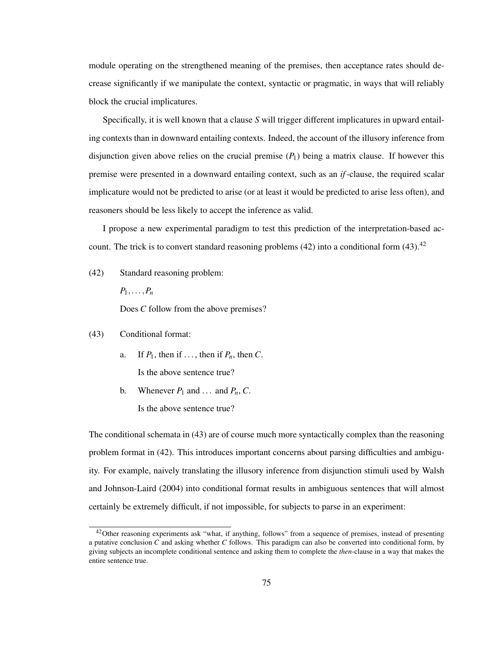module operating on the strengthened meaning of the premises, then acceptance rates should decrease significantly if we manipulate the context, syntactic or pragmatic, in ways that will reliably block the crucial implicatures.

Specifically, it is well known that a clause *S* will trigger different implicatures in upward entailing contexts than in downward entailing contexts. Indeed, the account of the illusory inference from disjunction given above relies on the crucial premise  $(P_1)$  being a matrix clause. If however this premise were presented in a downward entailing context, such as an *if*-clause, the required scalar implicature would not be predicted to arise (or at least it would be predicted to arise less often), and reasoners should be less likely to accept the inference as valid.

I propose a new experimental paradigm to test this prediction of the interpretation-based account. The trick is to convert standard reasoning problems  $(42)$  $(42)$  $(42)$  into a conditional form  $(43)$ .<sup>42</sup>

(42) Standard reasoning problem:

 $P_1,\ldots,P_n$ 

Does *C* follow from the above premises?

#### (43) Conditional format:

- a. If  $P_1$ , then if ..., then if  $P_n$ , then C. Is the above sentence true?
- b. Whenever  $P_1$  and ... and  $P_n$ ,  $C$ .
	- Is the above sentence true?

The conditional schemata in (43) are of course much more syntactically complex than the reasoning problem format in (42). This introduces important concerns about parsing difficulties and ambiguity. For example, naively translating the illusory inference from disjunction stimuli used by [Walsh](#page-165-0) [and Johnson-Laird](#page-165-0) [\(2004\)](#page-165-0) into conditional format results in ambiguous sentences that will almost certainly be extremely difficult, if not impossible, for subjects to parse in an experiment:

<span id="page-83-1"></span><span id="page-83-0"></span><sup>42</sup>Other reasoning experiments ask "what, if anything, follows" from a sequence of premises, instead of presenting a putative conclusion *C* and asking whether *C* follows. This paradigm can also be converted into conditional form, by giving subjects an incomplete conditional sentence and asking them to complete the *then*-clause in a way that makes the entire sentence true.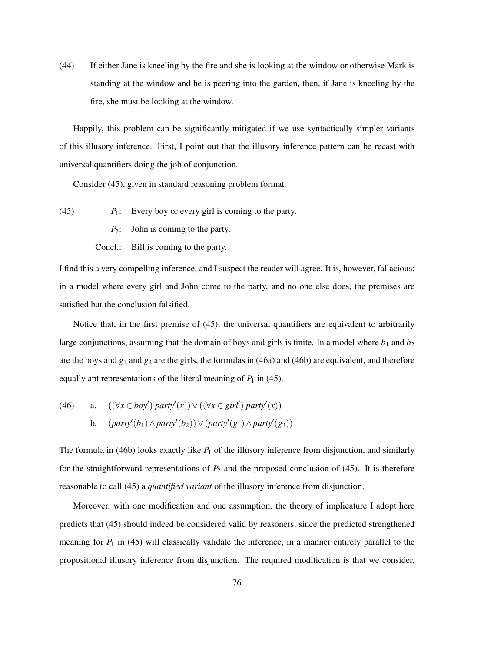(44) If either Jane is kneeling by the fire and she is looking at the window or otherwise Mark is standing at the window and he is peering into the garden, then, if Jane is kneeling by the fire, she must be looking at the window.

Happily, this problem can be significantly mitigated if we use syntactically simpler variants of this illusory inference. First, I point out that the illusory inference pattern can be recast with universal quantifiers doing the job of conjunction.

Consider (45), given in standard reasoning problem format.

 $P_1$ : Every boy or every girl is coming to the party.

<span id="page-84-0"></span>
$$
(45)
$$

*P*<sub>2</sub>: John is coming to the party.

Concl.: Bill is coming to the party.

I find this a very compelling inference, and I suspect the reader will agree. It is, however, fallacious: in a model where every girl and John come to the party, and no one else does, the premises are satisfied but the conclusion falsified.

Notice that, in the first premise of (45), the universal quantifiers are equivalent to arbitrarily large conjunctions, assuming that the domain of boys and girls is finite. In a model where  $b_1$  and  $b_2$ are the boys and  $g_1$  and  $g_2$  are the girls, the formulas in (46a) and (46b) are equivalent, and therefore equally apt representations of the literal meaning of  $P_1$  in (45).

(46) a. 
$$
((\forall x \in boy') \text{ party}'(x)) \vee ((\forall x \in girl') \text{ party}'(x))
$$
  
b.  $(\text{party}'(b_1) \wedge \text{party}'(b_2)) \vee (\text{party}'(g_1) \wedge \text{party}'(g_2))$ 

The formula in (46b) looks exactly like  $P_1$  of the illusory inference from disjunction, and similarly for the straightforward representations of *P*<sup>2</sup> and the proposed conclusion of (45). It is therefore reasonable to call (45) a *quantified variant* of the illusory inference from disjunction.

Moreover, with one modification and one assumption, the theory of implicature I adopt here predicts that (45) should indeed be considered valid by reasoners, since the predicted strengthened meaning for  $P_1$  in (45) will classically validate the inference, in a manner entirely parallel to the propositional illusory inference from disjunction. The required modification is that we consider,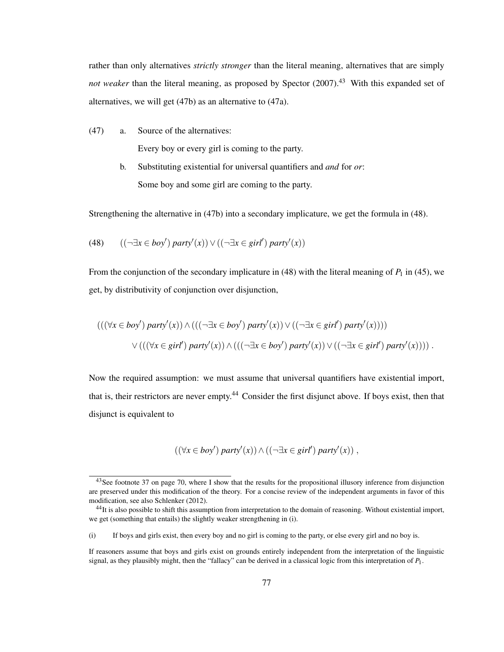rather than only alternatives *strictly stronger* than the literal meaning, alternatives that are simply *not weaker* than the literal meaning, as proposed by [Spector](#page-164-0) [\(2007\)](#page-164-0).<sup>[43](#page-85-0)</sup> With this expanded set of alternatives, we will get (47b) as an alternative to (47a).

(47) a. Source of the alternatives:

Every boy or every girl is coming to the party.

b. Substituting existential for universal quantifiers and *and* for *or*: Some boy and some girl are coming to the party.

Strengthening the alternative in (47b) into a secondary implicature, we get the formula in (48).

(48) 
$$
((\neg \exists x \in boy') \, \text{party'}(x)) \vee ((\neg \exists x \in \text{girl}') \, \text{party'}(x))
$$

From the conjunction of the secondary implicature in  $(48)$  with the literal meaning of  $P_1$  in [\(45\)](#page-84-0), we get, by distributivity of conjunction over disjunction,

$$
(((\forall x \in boy') \ part y'(x)) \land (((\neg \exists x \in boy') \ part y'(x)) \lor ((\neg \exists x \in girl') \ part y'(x))))
$$
  
 
$$
\lor (((\forall x \in girl') \ part y'(x)) \land (((\neg \exists x \in boy') \ part y'(x)) \lor ((\neg \exists x \in girl') \ part y'(x))))
$$
.

Now the required assumption: we must assume that universal quantifiers have existential import, that is, their restrictors are never empty.<sup>[44](#page-85-1)</sup> Consider the first disjunct above. If boys exist, then that disjunct is equivalent to

$$
((\forall x \in boy') \ part y'(x)) \wedge ((\neg \exists x \in girl') \ part y'(x)),
$$

<span id="page-85-0"></span><sup>&</sup>lt;sup>43</sup>See footnote [37](#page-78-0) on page [70,](#page-78-0) where I show that the results for the propositional illusory inference from disjunction are preserved under this modification of the theory. For a concise review of the independent arguments in favor of this modification, see also [Schlenker](#page-164-1) [\(2012\)](#page-164-1).

<span id="page-85-1"></span><sup>&</sup>lt;sup>44</sup>It is also possible to shift this assumption from interpretation to the domain of reasoning. Without existential import, we get (something that entails) the slightly weaker strengthening in (i).

<sup>(</sup>i) If boys and girls exist, then every boy and no girl is coming to the party, or else every girl and no boy is.

If reasoners assume that boys and girls exist on grounds entirely independent from the interpretation of the linguistic signal, as they plausibly might, then the "fallacy" can be derived in a classical logic from this interpretation of  $P_1$ .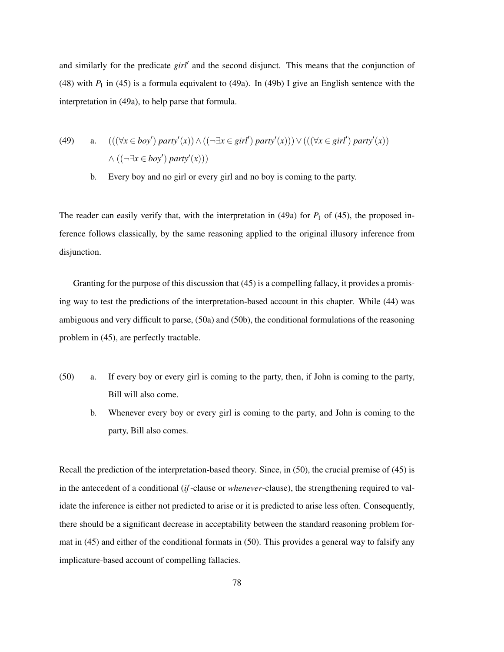and similarly for the predicate *girl'* and the second disjunct. This means that the conjunction of (48) with  $P_1$  in [\(45\)](#page-84-0) is a formula equivalent to (49a). In (49b) I give an English sentence with the interpretation in (49a), to help parse that formula.

(49) a. 
$$
(( (\forall x \in boy') \text{ party}'(x)) \land ((\neg \exists x \in girl') \text{ party}'(x))) \lor (((\forall x \in girl') \text{ party}'(x))
$$
  
 $\land ((\neg \exists x \in boy') \text{ party}'(x)))$ 

b. Every boy and no girl or every girl and no boy is coming to the party.

The reader can easily verify that, with the interpretation in  $(49a)$  for  $P_1$  of  $(45)$ , the proposed inference follows classically, by the same reasoning applied to the original illusory inference from disjunction.

Granting for the purpose of this discussion that [\(45\)](#page-84-0) is a compelling fallacy, it provides a promising way to test the predictions of the interpretation-based account in this chapter. While [\(44\)](#page-83-1) was ambiguous and very difficult to parse, (50a) and (50b), the conditional formulations of the reasoning problem in [\(45\)](#page-84-0), are perfectly tractable.

- (50) a. If every boy or every girl is coming to the party, then, if John is coming to the party, Bill will also come.
	- b. Whenever every boy or every girl is coming to the party, and John is coming to the party, Bill also comes.

Recall the prediction of the interpretation-based theory. Since, in (50), the crucial premise of [\(45\)](#page-84-0) is in the antecedent of a conditional (*if*-clause or *whenever*-clause), the strengthening required to validate the inference is either not predicted to arise or it is predicted to arise less often. Consequently, there should be a significant decrease in acceptability between the standard reasoning problem format in [\(45\)](#page-84-0) and either of the conditional formats in (50). This provides a general way to falsify any implicature-based account of compelling fallacies.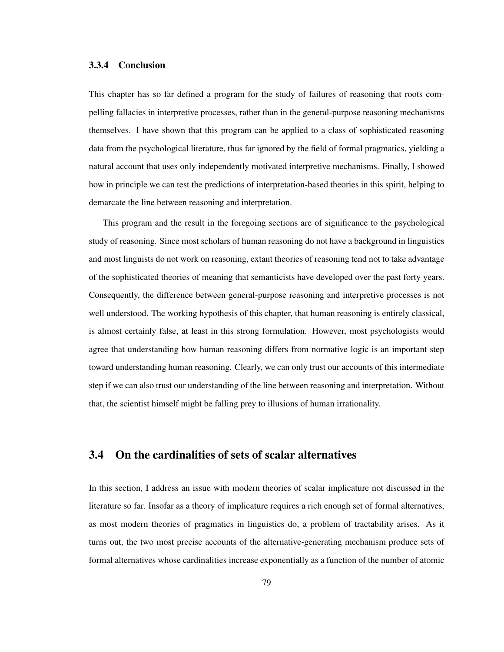#### 3.3.4 Conclusion

This chapter has so far defined a program for the study of failures of reasoning that roots compelling fallacies in interpretive processes, rather than in the general-purpose reasoning mechanisms themselves. I have shown that this program can be applied to a class of sophisticated reasoning data from the psychological literature, thus far ignored by the field of formal pragmatics, yielding a natural account that uses only independently motivated interpretive mechanisms. Finally, I showed how in principle we can test the predictions of interpretation-based theories in this spirit, helping to demarcate the line between reasoning and interpretation.

This program and the result in the foregoing sections are of significance to the psychological study of reasoning. Since most scholars of human reasoning do not have a background in linguistics and most linguists do not work on reasoning, extant theories of reasoning tend not to take advantage of the sophisticated theories of meaning that semanticists have developed over the past forty years. Consequently, the difference between general-purpose reasoning and interpretive processes is not well understood. The working hypothesis of this chapter, that human reasoning is entirely classical, is almost certainly false, at least in this strong formulation. However, most psychologists would agree that understanding how human reasoning differs from normative logic is an important step toward understanding human reasoning. Clearly, we can only trust our accounts of this intermediate step if we can also trust our understanding of the line between reasoning and interpretation. Without that, the scientist himself might be falling prey to illusions of human irrationality.

### <span id="page-87-0"></span>3.4 On the cardinalities of sets of scalar alternatives

In this section, I address an issue with modern theories of scalar implicature not discussed in the literature so far. Insofar as a theory of implicature requires a rich enough set of formal alternatives, as most modern theories of pragmatics in linguistics do, a problem of tractability arises. As it turns out, the two most precise accounts of the alternative-generating mechanism produce sets of formal alternatives whose cardinalities increase exponentially as a function of the number of atomic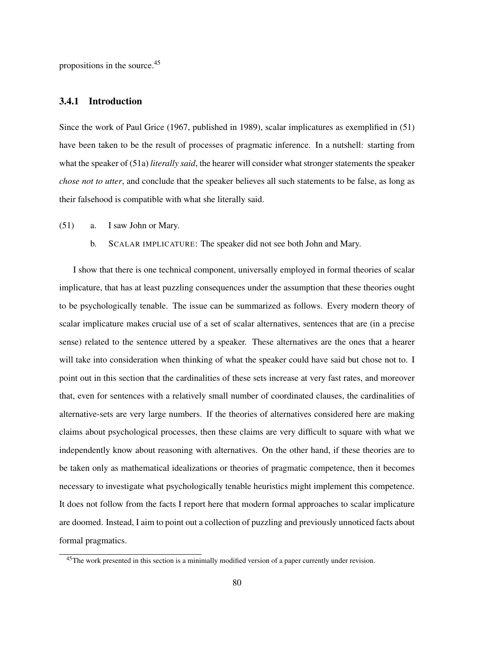propositions in the source.[45](#page-88-0)

#### 3.4.1 Introduction

Since the work of Paul Grice (1967, published in [1989\)](#page-159-2), scalar implicatures as exemplified in (51) have been taken to be the result of processes of pragmatic inference. In a nutshell: starting from what the speaker of (51a) *literally said*, the hearer will consider what stronger statements the speaker *chose not to utter*, and conclude that the speaker believes all such statements to be false, as long as their falsehood is compatible with what she literally said.

- (51) a. I saw John or Mary.
	- b. SCALAR IMPLICATURE: The speaker did not see both John and Mary.

I show that there is one technical component, universally employed in formal theories of scalar implicature, that has at least puzzling consequences under the assumption that these theories ought to be psychologically tenable. The issue can be summarized as follows. Every modern theory of scalar implicature makes crucial use of a set of scalar alternatives, sentences that are (in a precise sense) related to the sentence uttered by a speaker. These alternatives are the ones that a hearer will take into consideration when thinking of what the speaker could have said but chose not to. I point out in this section that the cardinalities of these sets increase at very fast rates, and moreover that, even for sentences with a relatively small number of coordinated clauses, the cardinalities of alternative-sets are very large numbers. If the theories of alternatives considered here are making claims about psychological processes, then these claims are very difficult to square with what we independently know about reasoning with alternatives. On the other hand, if these theories are to be taken only as mathematical idealizations or theories of pragmatic competence, then it becomes necessary to investigate what psychologically tenable heuristics might implement this competence. It does not follow from the facts I report here that modern formal approaches to scalar implicature are doomed. Instead, I aim to point out a collection of puzzling and previously unnoticed facts about formal pragmatics.

<span id="page-88-0"></span><sup>&</sup>lt;sup>45</sup>The work presented in this section is a minimally modified version of a paper currently under revision.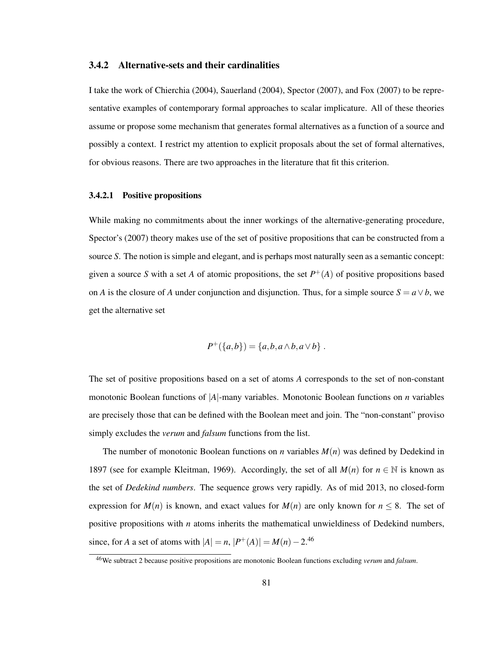#### 3.4.2 Alternative-sets and their cardinalities

I take the work of [Chierchia](#page-158-0) [\(2004\)](#page-158-0), [Sauerland](#page-164-2) [\(2004\)](#page-164-2), [Spector](#page-164-0) [\(2007\)](#page-164-0), and [Fox](#page-159-1) [\(2007\)](#page-159-1) to be representative examples of contemporary formal approaches to scalar implicature. All of these theories assume or propose some mechanism that generates formal alternatives as a function of a source and possibly a context. I restrict my attention to explicit proposals about the set of formal alternatives, for obvious reasons. There are two approaches in the literature that fit this criterion.

#### 3.4.2.1 Positive propositions

While making no commitments about the inner workings of the alternative-generating procedure, Spector's (2007) theory makes use of the set of positive propositions that can be constructed from a source *S*. The notion is simple and elegant, and is perhaps most naturally seen as a semantic concept: given a source *S* with a set *A* of atomic propositions, the set  $P^+(A)$  of positive propositions based on *A* is the closure of *A* under conjunction and disjunction. Thus, for a simple source  $S = a \lor b$ , we get the alternative set

$$
P^+(\{a,b\}) = \{a,b,a \wedge b,a \vee b\}
$$

The set of positive propositions based on a set of atoms *A* corresponds to the set of non-constant monotonic Boolean functions of |*A*|-many variables. Monotonic Boolean functions on *n* variables are precisely those that can be defined with the Boolean meet and join. The "non-constant" proviso simply excludes the *verum* and *falsum* functions from the list.

The number of monotonic Boolean functions on *n* variables *M*(*n*) was defined by Dedekind in 1897 (see for example [Kleitman, 1969\)](#page-162-1). Accordingly, the set of all  $M(n)$  for  $n \in \mathbb{N}$  is known as the set of *Dedekind numbers*. The sequence grows very rapidly. As of mid 2013, no closed-form expression for  $M(n)$  is known, and exact values for  $M(n)$  are only known for  $n \leq 8$ . The set of positive propositions with *n* atoms inherits the mathematical unwieldiness of Dedekind numbers, since, for *A* a set of atoms with  $|A| = n$ ,  $|P^+(A)| = M(n) - 2$ .<sup>[46](#page-89-0)</sup>

<span id="page-89-0"></span><sup>46</sup>We subtract 2 because positive propositions are monotonic Boolean functions excluding *verum* and *falsum*.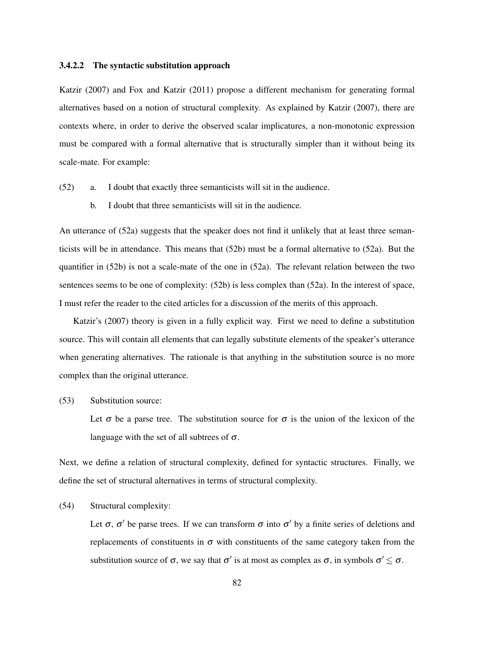#### 3.4.2.2 The syntactic substitution approach

[Katzir](#page-162-2) [\(2007\)](#page-162-2) and [Fox and Katzir](#page-159-3) [\(2011\)](#page-159-3) propose a different mechanism for generating formal alternatives based on a notion of structural complexity. As explained by Katzir (2007), there are contexts where, in order to derive the observed scalar implicatures, a non-monotonic expression must be compared with a formal alternative that is structurally simpler than it without being its scale-mate. For example:

- (52) a. I doubt that exactly three semanticists will sit in the audience.
	- b. I doubt that three semanticists will sit in the audience.

An utterance of (52a) suggests that the speaker does not find it unlikely that at least three semanticists will be in attendance. This means that (52b) must be a formal alternative to (52a). But the quantifier in (52b) is not a scale-mate of the one in (52a). The relevant relation between the two sentences seems to be one of complexity: (52b) is less complex than (52a). In the interest of space, I must refer the reader to the cited articles for a discussion of the merits of this approach.

Katzir's (2007) theory is given in a fully explicit way. First we need to define a substitution source. This will contain all elements that can legally substitute elements of the speaker's utterance when generating alternatives. The rationale is that anything in the substitution source is no more complex than the original utterance.

<span id="page-90-0"></span>(53) Substitution source:

Let  $\sigma$  be a parse tree. The substitution source for  $\sigma$  is the union of the lexicon of the language with the set of all subtrees of  $\sigma$ .

Next, we define a relation of structural complexity, defined for syntactic structures. Finally, we define the set of structural alternatives in terms of structural complexity.

#### (54) Structural complexity:

Let  $\sigma$ ,  $\sigma'$  be parse trees. If we can transform  $\sigma$  into  $\sigma'$  by a finite series of deletions and replacements of constituents in  $\sigma$  with constituents of the same category taken from the substitution source of  $\sigma$ , we say that  $\sigma'$  is at most as complex as  $\sigma$ , in symbols  $\sigma' \leq \sigma$ .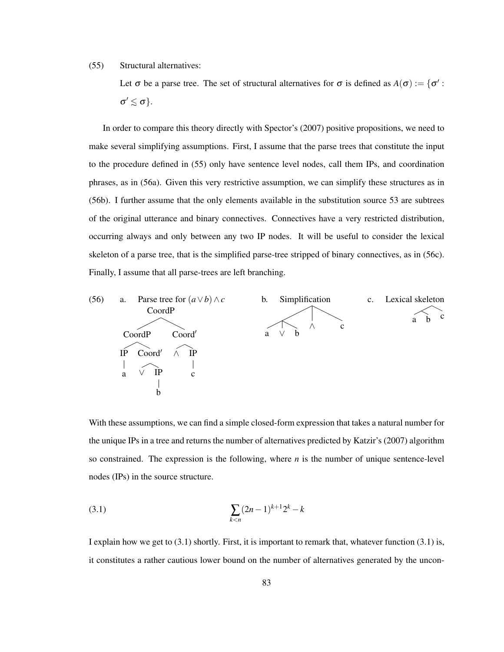#### (55) Structural alternatives:

Let  $\sigma$  be a parse tree. The set of structural alternatives for  $\sigma$  is defined as  $A(\sigma) := {\sigma'$ :  $\sigma' \lesssim \sigma$  }.

In order to compare this theory directly with Spector's (2007) positive propositions, we need to make several simplifying assumptions. First, I assume that the parse trees that constitute the input to the procedure defined in (55) only have sentence level nodes, call them IPs, and coordination phrases, as in (56a). Given this very restrictive assumption, we can simplify these structures as in (56b). I further assume that the only elements available in the substitution source [53](#page-90-0) are subtrees of the original utterance and binary connectives. Connectives have a very restricted distribution, occurring always and only between any two IP nodes. It will be useful to consider the lexical skeleton of a parse tree, that is the simplified parse-tree stripped of binary connectives, as in (56c). Finally, I assume that all parse-trees are left branching.



With these assumptions, we can find a simple closed-form expression that takes a natural number for the unique IPs in a tree and returns the number of alternatives predicted by Katzir's (2007) algorithm so constrained. The expression is the following, where *n* is the number of unique sentence-level nodes (IPs) in the source structure.

<span id="page-91-0"></span>(3.1) 
$$
\sum_{k < n} (2n-1)^{k+1} 2^k - k
$$

I explain how we get to [\(3.1\)](#page-91-0) shortly. First, it is important to remark that, whatever function [\(3.1\)](#page-91-0) is, it constitutes a rather cautious lower bound on the number of alternatives generated by the uncon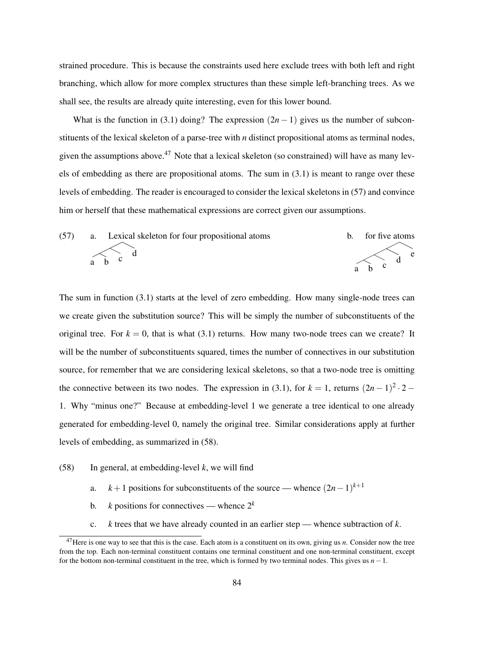strained procedure. This is because the constraints used here exclude trees with both left and right branching, which allow for more complex structures than these simple left-branching trees. As we shall see, the results are already quite interesting, even for this lower bound.

What is the function in [\(3.1\)](#page-91-0) doing? The expression  $(2n-1)$  gives us the number of subconstituents of the lexical skeleton of a parse-tree with *n* distinct propositional atoms as terminal nodes, given the assumptions above.<sup>[47](#page-92-0)</sup> Note that a lexical skeleton (so constrained) will have as many levels of embedding as there are propositional atoms. The sum in [\(3.1\)](#page-91-0) is meant to range over these levels of embedding. The reader is encouraged to consider the lexical skeletons in (57) and convince him or herself that these mathematical expressions are correct given our assumptions.

(57) a. Lexical skeleton for four propositional atoms b. for five atoms a b c d a b c d e

The sum in function [\(3.1\)](#page-91-0) starts at the level of zero embedding. How many single-node trees can we create given the substitution source? This will be simply the number of subconstituents of the original tree. For  $k = 0$ , that is what [\(3.1\)](#page-91-0) returns. How many two-node trees can we create? It will be the number of subconstituents squared, times the number of connectives in our substitution source, for remember that we are considering lexical skeletons, so that a two-node tree is omitting the connective between its two nodes. The expression in [\(3.1\)](#page-91-0), for  $k = 1$ , returns  $(2n - 1)^2 \cdot 2 -$ 1. Why "minus one?" Because at embedding-level 1 we generate a tree identical to one already generated for embedding-level 0, namely the original tree. Similar considerations apply at further levels of embedding, as summarized in (58).

- (58) In general, at embedding-level *k*, we will find
	- a. *k* + 1 positions for subconstituents of the source whence  $(2n-1)^{k+1}$
	- b. *k* positions for connectives whence  $2^k$
	- c. *k* trees that we have already counted in an earlier step whence subtraction of *k*.

<span id="page-92-0"></span><sup>47</sup>Here is one way to see that this is the case. Each atom is a constituent on its own, giving us *n*. Consider now the tree from the top. Each non-terminal constituent contains one terminal constituent and one non-terminal constituent, except for the bottom non-terminal constituent in the tree, which is formed by two terminal nodes. This gives us *n*−1.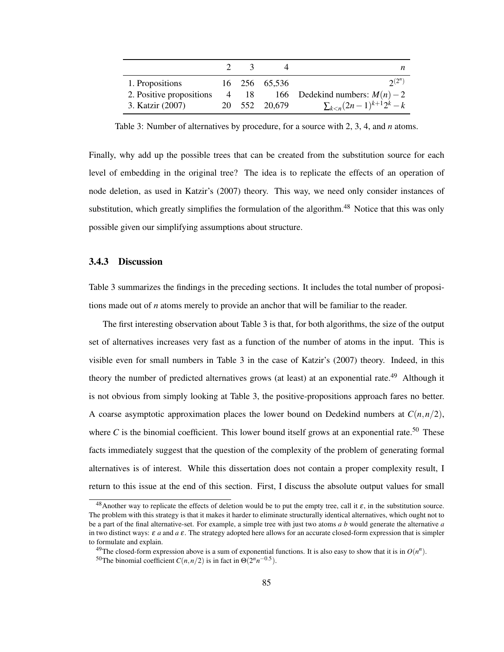| 1. Propositions          |      | 16 256 65.536 | $\mathcal{D}^{(2^n)}$               |
|--------------------------|------|---------------|-------------------------------------|
| 2. Positive propositions | 4 18 |               | 166 Dedekind numbers: $M(n) - 2$    |
| 3. Katzir (2007)         |      | 20 552 20,679 | $\sum_{k < n} (2n-1)^{k+1} 2^k - k$ |

<span id="page-93-1"></span>Table 3: Number of alternatives by procedure, for a source with 2, 3, 4, and *n* atoms.

Finally, why add up the possible trees that can be created from the substitution source for each level of embedding in the original tree? The idea is to replicate the effects of an operation of node deletion, as used in Katzir's (2007) theory. This way, we need only consider instances of substitution, which greatly simplifies the formulation of the algorithm.<sup>[48](#page-93-0)</sup> Notice that this was only possible given our simplifying assumptions about structure.

#### 3.4.3 Discussion

Table [3](#page-93-1) summarizes the findings in the preceding sections. It includes the total number of propositions made out of *n* atoms merely to provide an anchor that will be familiar to the reader.

The first interesting observation about Table [3](#page-93-1) is that, for both algorithms, the size of the output set of alternatives increases very fast as a function of the number of atoms in the input. This is visible even for small numbers in Table [3](#page-93-1) in the case of Katzir's (2007) theory. Indeed, in this theory the number of predicted alternatives grows (at least) at an exponential rate.<sup>[49](#page-93-2)</sup> Although it is not obvious from simply looking at Table [3,](#page-93-1) the positive-propositions approach fares no better. A coarse asymptotic approximation places the lower bound on Dedekind numbers at  $C(n, n/2)$ , where *C* is the binomial coefficient. This lower bound itself grows at an exponential rate.<sup>[50](#page-93-3)</sup> These facts immediately suggest that the question of the complexity of the problem of generating formal alternatives is of interest. While this dissertation does not contain a proper complexity result, I return to this issue at the end of this section. First, I discuss the absolute output values for small

<span id="page-93-0"></span><sup>&</sup>lt;sup>48</sup>Another way to replicate the effects of deletion would be to put the empty tree, call it  $\varepsilon$ , in the substitution source. The problem with this strategy is that it makes it harder to eliminate structurally identical alternatives, which ought not to be a part of the final alternative-set. For example, a simple tree with just two atoms *a b* would generate the alternative *a* in two distinct ways: ε *a* and *a* ε. The strategy adopted here allows for an accurate closed-form expression that is simpler to formulate and explain.

<span id="page-93-2"></span><sup>&</sup>lt;sup>49</sup>The closed-form expression above is a sum of exponential functions. It is also easy to show that it is in  $O(n^n)$ .

<span id="page-93-3"></span><sup>&</sup>lt;sup>50</sup>The binomial coefficient  $C(n, n/2)$  is in fact in  $\Theta(2^n n^{-0.5})$ .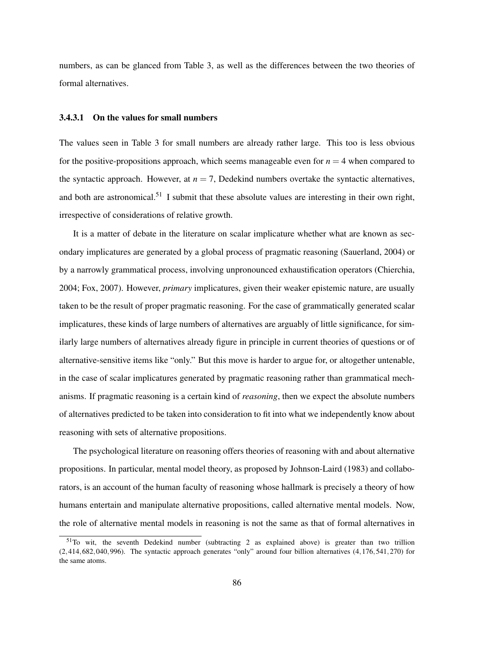numbers, as can be glanced from Table [3,](#page-93-1) as well as the differences between the two theories of formal alternatives.

#### 3.4.3.1 On the values for small numbers

The values seen in Table [3](#page-93-1) for small numbers are already rather large. This too is less obvious for the positive-propositions approach, which seems manageable even for  $n = 4$  when compared to the syntactic approach. However, at  $n = 7$ , Dedekind numbers overtake the syntactic alternatives, and both are astronomical.<sup>[51](#page-94-0)</sup> I submit that these absolute values are interesting in their own right, irrespective of considerations of relative growth.

It is a matter of debate in the literature on scalar implicature whether what are known as secondary implicatures are generated by a global process of pragmatic reasoning [\(Sauerland, 2004\)](#page-164-2) or by a narrowly grammatical process, involving unpronounced exhaustification operators [\(Chierchia,](#page-158-0) [2004;](#page-158-0) [Fox, 2007\)](#page-159-1). However, *primary* implicatures, given their weaker epistemic nature, are usually taken to be the result of proper pragmatic reasoning. For the case of grammatically generated scalar implicatures, these kinds of large numbers of alternatives are arguably of little significance, for similarly large numbers of alternatives already figure in principle in current theories of questions or of alternative-sensitive items like "only." But this move is harder to argue for, or altogether untenable, in the case of scalar implicatures generated by pragmatic reasoning rather than grammatical mechanisms. If pragmatic reasoning is a certain kind of *reasoning*, then we expect the absolute numbers of alternatives predicted to be taken into consideration to fit into what we independently know about reasoning with sets of alternative propositions.

The psychological literature on reasoning offers theories of reasoning with and about alternative propositions. In particular, mental model theory, as proposed by [Johnson-Laird](#page-161-0) [\(1983\)](#page-161-0) and collaborators, is an account of the human faculty of reasoning whose hallmark is precisely a theory of how humans entertain and manipulate alternative propositions, called alternative mental models. Now, the role of alternative mental models in reasoning is not the same as that of formal alternatives in

<span id="page-94-0"></span><sup>51</sup>To wit, the seventh Dedekind number (subtracting 2 as explained above) is greater than two trillion (2,414,682,040,996). The syntactic approach generates "only" around four billion alternatives (4,176,541,270) for the same atoms.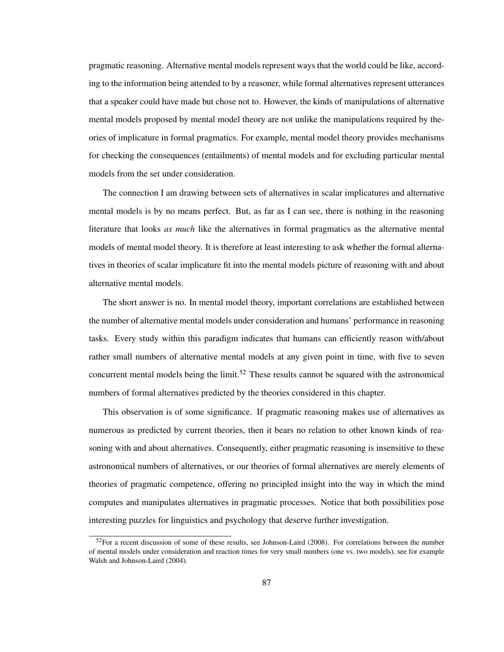pragmatic reasoning. Alternative mental models represent ways that the world could be like, according to the information being attended to by a reasoner, while formal alternatives represent utterances that a speaker could have made but chose not to. However, the kinds of manipulations of alternative mental models proposed by mental model theory are not unlike the manipulations required by theories of implicature in formal pragmatics. For example, mental model theory provides mechanisms for checking the consequences (entailments) of mental models and for excluding particular mental models from the set under consideration.

The connection I am drawing between sets of alternatives in scalar implicatures and alternative mental models is by no means perfect. But, as far as I can see, there is nothing in the reasoning literature that looks *as much* like the alternatives in formal pragmatics as the alternative mental models of mental model theory. It is therefore at least interesting to ask whether the formal alternatives in theories of scalar implicature fit into the mental models picture of reasoning with and about alternative mental models.

The short answer is no. In mental model theory, important correlations are established between the number of alternative mental models under consideration and humans' performance in reasoning tasks. Every study within this paradigm indicates that humans can efficiently reason with/about rather small numbers of alternative mental models at any given point in time, with five to seven concurrent mental models being the limit.<sup>[52](#page-95-0)</sup> These results cannot be squared with the astronomical numbers of formal alternatives predicted by the theories considered in this chapter.

This observation is of some significance. If pragmatic reasoning makes use of alternatives as numerous as predicted by current theories, then it bears no relation to other known kinds of reasoning with and about alternatives. Consequently, either pragmatic reasoning is insensitive to these astronomical numbers of alternatives, or our theories of formal alternatives are merely elements of theories of pragmatic competence, offering no principled insight into the way in which the mind computes and manipulates alternatives in pragmatic processes. Notice that both possibilities pose interesting puzzles for linguistics and psychology that deserve further investigation.

<span id="page-95-0"></span> $52$ For a recent discussion of some of these results, see [Johnson-Laird](#page-161-2) [\(2008\)](#page-161-2). For correlations between the number of mental models under consideration and reaction times for very small numbers (one vs. two models), see for example [Walsh and Johnson-Laird](#page-165-0) [\(2004\)](#page-165-0).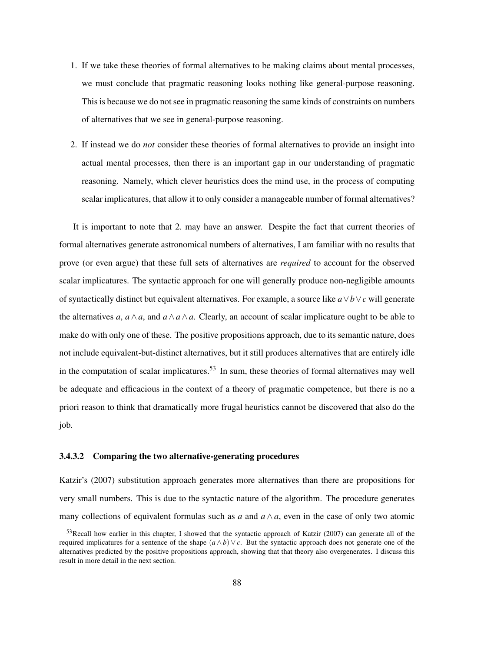- 1. If we take these theories of formal alternatives to be making claims about mental processes, we must conclude that pragmatic reasoning looks nothing like general-purpose reasoning. This is because we do not see in pragmatic reasoning the same kinds of constraints on numbers of alternatives that we see in general-purpose reasoning.
- 2. If instead we do *not* consider these theories of formal alternatives to provide an insight into actual mental processes, then there is an important gap in our understanding of pragmatic reasoning. Namely, which clever heuristics does the mind use, in the process of computing scalar implicatures, that allow it to only consider a manageable number of formal alternatives?

It is important to note that 2. may have an answer. Despite the fact that current theories of formal alternatives generate astronomical numbers of alternatives, I am familiar with no results that prove (or even argue) that these full sets of alternatives are *required* to account for the observed scalar implicatures. The syntactic approach for one will generally produce non-negligible amounts of syntactically distinct but equivalent alternatives. For example, a source like *a*∨*b*∨*c* will generate the alternatives *a*,  $a \wedge a$ , and  $a \wedge a \wedge a$ . Clearly, an account of scalar implicature ought to be able to make do with only one of these. The positive propositions approach, due to its semantic nature, does not include equivalent-but-distinct alternatives, but it still produces alternatives that are entirely idle in the computation of scalar implicatures.<sup>[53](#page-96-0)</sup> In sum, these theories of formal alternatives may well be adequate and efficacious in the context of a theory of pragmatic competence, but there is no a priori reason to think that dramatically more frugal heuristics cannot be discovered that also do the job.

#### 3.4.3.2 Comparing the two alternative-generating procedures

Katzir's (2007) substitution approach generates more alternatives than there are propositions for very small numbers. This is due to the syntactic nature of the algorithm. The procedure generates many collections of equivalent formulas such as *a* and  $a \wedge a$ , even in the case of only two atomic

<span id="page-96-0"></span><sup>53</sup>Recall how earlier in this chapter, I showed that the syntactic approach of [Katzir](#page-162-2) [\(2007\)](#page-162-2) can generate all of the required implicatures for a sentence of the shape  $(a \wedge b) \vee c$ . But the syntactic approach does not generate one of the alternatives predicted by the positive propositions approach, showing that that theory also overgenerates. I discuss this result in more detail in the next section.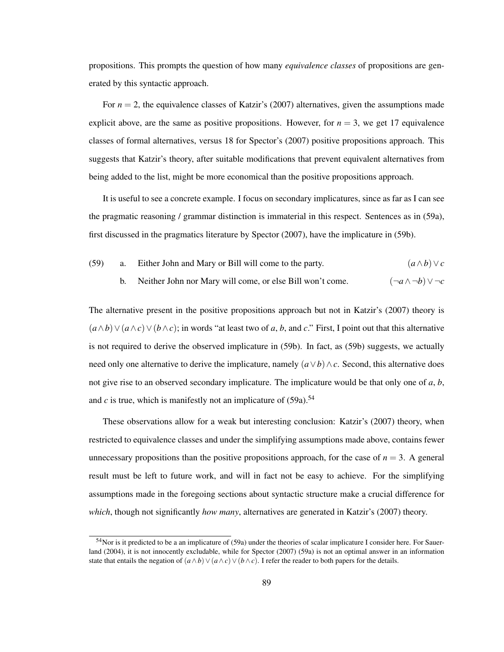propositions. This prompts the question of how many *equivalence classes* of propositions are generated by this syntactic approach.

For  $n = 2$ , the equivalence classes of Katzir's (2007) alternatives, given the assumptions made explicit above, are the same as positive propositions. However, for  $n = 3$ , we get 17 equivalence classes of formal alternatives, versus 18 for Spector's (2007) positive propositions approach. This suggests that Katzir's theory, after suitable modifications that prevent equivalent alternatives from being added to the list, might be more economical than the positive propositions approach.

It is useful to see a concrete example. I focus on secondary implicatures, since as far as I can see the pragmatic reasoning / grammar distinction is immaterial in this respect. Sentences as in (59a), first discussed in the pragmatics literature by Spector (2007), have the implicature in (59b).

- (59) a. Either John and Mary or Bill will come to the party.  $(a \wedge b) \vee c$ 
	- b. Neither John nor Mary will come, or else Bill won't come.  $(\neg a \land \neg b) \lor \neg c$

The alternative present in the positive propositions approach but not in Katzir's (2007) theory is  $(a \wedge b) \vee (a \wedge c) \vee (b \wedge c)$ ; in words "at least two of *a*, *b*, and *c*." First, I point out that this alternative is not required to derive the observed implicature in (59b). In fact, as (59b) suggests, we actually need only one alternative to derive the implicature, namely  $(a \vee b) \wedge c$ . Second, this alternative does not give rise to an observed secondary implicature. The implicature would be that only one of *a*, *b*, and  $c$  is true, which is manifestly not an implicature of  $(59a)$ .<sup>[54](#page-97-0)</sup>

These observations allow for a weak but interesting conclusion: Katzir's (2007) theory, when restricted to equivalence classes and under the simplifying assumptions made above, contains fewer unnecessary propositions than the positive propositions approach, for the case of  $n = 3$ . A general result must be left to future work, and will in fact not be easy to achieve. For the simplifying assumptions made in the foregoing sections about syntactic structure make a crucial difference for *which*, though not significantly *how many*, alternatives are generated in Katzir's (2007) theory.

<span id="page-97-0"></span> $54$ Nor is it predicted to be a an implicature of (59a) under the theories of scalar implicature I consider here. For [Sauer](#page-164-2)[land](#page-164-2) [\(2004\)](#page-164-2), it is not innocently excludable, while for Spector (2007) (59a) is not an optimal answer in an information state that entails the negation of  $(a \wedge b) \vee (a \wedge c) \vee (b \wedge c)$ . I refer the reader to both papers for the details.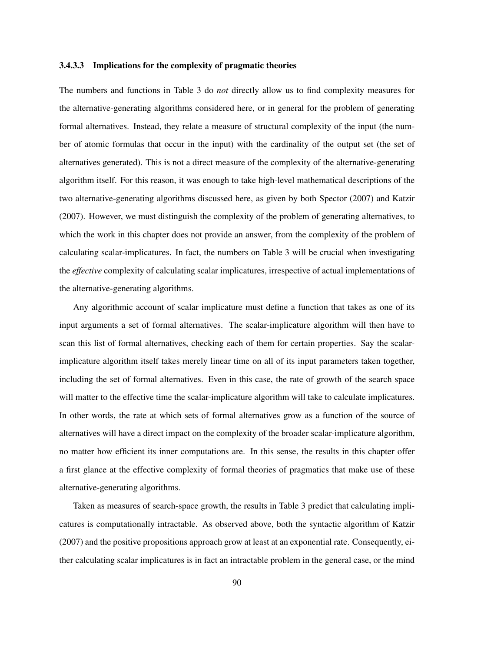#### 3.4.3.3 Implications for the complexity of pragmatic theories

The numbers and functions in Table [3](#page-93-1) do *not* directly allow us to find complexity measures for the alternative-generating algorithms considered here, or in general for the problem of generating formal alternatives. Instead, they relate a measure of structural complexity of the input (the number of atomic formulas that occur in the input) with the cardinality of the output set (the set of alternatives generated). This is not a direct measure of the complexity of the alternative-generating algorithm itself. For this reason, it was enough to take high-level mathematical descriptions of the two alternative-generating algorithms discussed here, as given by both Spector (2007) and Katzir (2007). However, we must distinguish the complexity of the problem of generating alternatives, to which the work in this chapter does not provide an answer, from the complexity of the problem of calculating scalar-implicatures. In fact, the numbers on Table [3](#page-93-1) will be crucial when investigating the *effective* complexity of calculating scalar implicatures, irrespective of actual implementations of the alternative-generating algorithms.

Any algorithmic account of scalar implicature must define a function that takes as one of its input arguments a set of formal alternatives. The scalar-implicature algorithm will then have to scan this list of formal alternatives, checking each of them for certain properties. Say the scalarimplicature algorithm itself takes merely linear time on all of its input parameters taken together, including the set of formal alternatives. Even in this case, the rate of growth of the search space will matter to the effective time the scalar-implicature algorithm will take to calculate implicatures. In other words, the rate at which sets of formal alternatives grow as a function of the source of alternatives will have a direct impact on the complexity of the broader scalar-implicature algorithm, no matter how efficient its inner computations are. In this sense, the results in this chapter offer a first glance at the effective complexity of formal theories of pragmatics that make use of these alternative-generating algorithms.

Taken as measures of search-space growth, the results in Table [3](#page-93-1) predict that calculating implicatures is computationally intractable. As observed above, both the syntactic algorithm of Katzir (2007) and the positive propositions approach grow at least at an exponential rate. Consequently, either calculating scalar implicatures is in fact an intractable problem in the general case, or the mind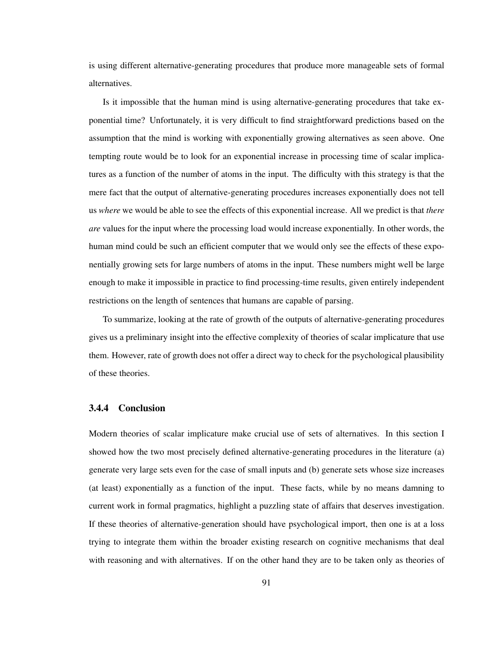is using different alternative-generating procedures that produce more manageable sets of formal alternatives.

Is it impossible that the human mind is using alternative-generating procedures that take exponential time? Unfortunately, it is very difficult to find straightforward predictions based on the assumption that the mind is working with exponentially growing alternatives as seen above. One tempting route would be to look for an exponential increase in processing time of scalar implicatures as a function of the number of atoms in the input. The difficulty with this strategy is that the mere fact that the output of alternative-generating procedures increases exponentially does not tell us *where* we would be able to see the effects of this exponential increase. All we predict is that *there are* values for the input where the processing load would increase exponentially. In other words, the human mind could be such an efficient computer that we would only see the effects of these exponentially growing sets for large numbers of atoms in the input. These numbers might well be large enough to make it impossible in practice to find processing-time results, given entirely independent restrictions on the length of sentences that humans are capable of parsing.

To summarize, looking at the rate of growth of the outputs of alternative-generating procedures gives us a preliminary insight into the effective complexity of theories of scalar implicature that use them. However, rate of growth does not offer a direct way to check for the psychological plausibility of these theories.

#### 3.4.4 Conclusion

Modern theories of scalar implicature make crucial use of sets of alternatives. In this section I showed how the two most precisely defined alternative-generating procedures in the literature (a) generate very large sets even for the case of small inputs and (b) generate sets whose size increases (at least) exponentially as a function of the input. These facts, while by no means damning to current work in formal pragmatics, highlight a puzzling state of affairs that deserves investigation. If these theories of alternative-generation should have psychological import, then one is at a loss trying to integrate them within the broader existing research on cognitive mechanisms that deal with reasoning and with alternatives. If on the other hand they are to be taken only as theories of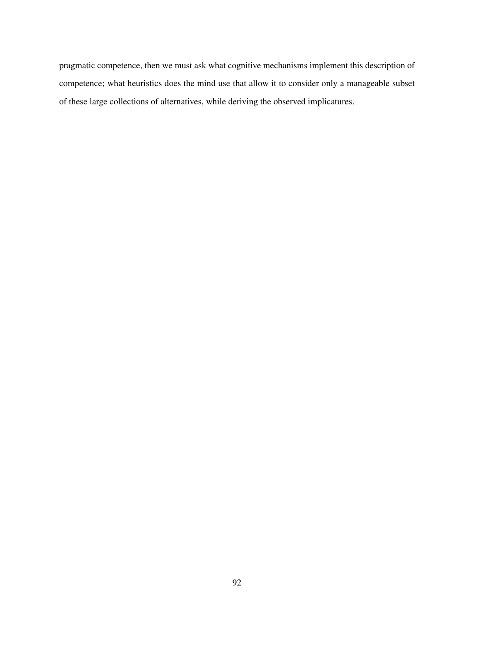pragmatic competence, then we must ask what cognitive mechanisms implement this description of competence; what heuristics does the mind use that allow it to consider only a manageable subset of these large collections of alternatives, while deriving the observed implicatures.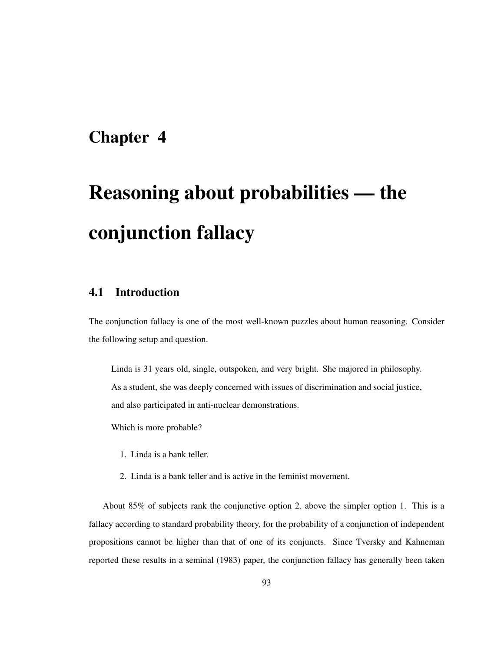# Chapter 4

# Reasoning about probabilities — the conjunction fallacy

## 4.1 Introduction

The conjunction fallacy is one of the most well-known puzzles about human reasoning. Consider the following setup and question.

Linda is 31 years old, single, outspoken, and very bright. She majored in philosophy. As a student, she was deeply concerned with issues of discrimination and social justice, and also participated in anti-nuclear demonstrations.

Which is more probable?

- 1. Linda is a bank teller.
- 2. Linda is a bank teller and is active in the feminist movement.

About 85% of subjects rank the conjunctive option 2. above the simpler option 1. This is a fallacy according to standard probability theory, for the probability of a conjunction of independent propositions cannot be higher than that of one of its conjuncts. Since [Tversky and Kahneman](#page-165-1) reported these results in a seminal (1983) paper, the conjunction fallacy has generally been taken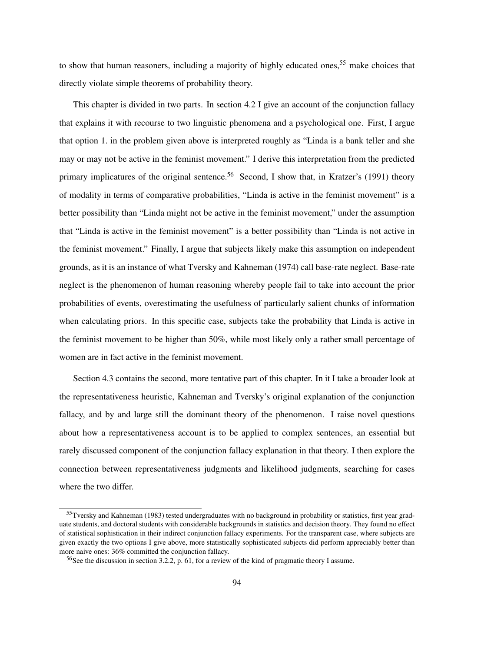to show that human reasoners, including a majority of highly educated ones,<sup>[55](#page-102-0)</sup> make choices that directly violate simple theorems of probability theory.

This chapter is divided in two parts. In section [4.2](#page-105-0) I give an account of the conjunction fallacy that explains it with recourse to two linguistic phenomena and a psychological one. First, I argue that option 1. in the problem given above is interpreted roughly as "Linda is a bank teller and she may or may not be active in the feminist movement." I derive this interpretation from the predicted primary implicatures of the original sentence.<sup>[56](#page-102-1)</sup> Second, I show that, in Kratzer's [\(1991\)](#page-162-3) theory of modality in terms of comparative probabilities, "Linda is active in the feminist movement" is a better possibility than "Linda might not be active in the feminist movement," under the assumption that "Linda is active in the feminist movement" is a better possibility than "Linda is not active in the feminist movement." Finally, I argue that subjects likely make this assumption on independent grounds, as it is an instance of what [Tversky and Kahneman](#page-165-2) [\(1974\)](#page-165-2) call base-rate neglect. Base-rate neglect is the phenomenon of human reasoning whereby people fail to take into account the prior probabilities of events, overestimating the usefulness of particularly salient chunks of information when calculating priors. In this specific case, subjects take the probability that Linda is active in the feminist movement to be higher than 50%, while most likely only a rather small percentage of women are in fact active in the feminist movement.

Section [4.3](#page-122-0) contains the second, more tentative part of this chapter. In it I take a broader look at the representativeness heuristic, Kahneman and Tversky's original explanation of the conjunction fallacy, and by and large still the dominant theory of the phenomenon. I raise novel questions about how a representativeness account is to be applied to complex sentences, an essential but rarely discussed component of the conjunction fallacy explanation in that theory. I then explore the connection between representativeness judgments and likelihood judgments, searching for cases where the two differ.

<span id="page-102-0"></span><sup>&</sup>lt;sup>55</sup>[Tversky and Kahneman](#page-165-1) [\(1983\)](#page-165-1) tested undergraduates with no background in probability or statistics, first year graduate students, and doctoral students with considerable backgrounds in statistics and decision theory. They found no effect of statistical sophistication in their indirect conjunction fallacy experiments. For the transparent case, where subjects are given exactly the two options I give above, more statistically sophisticated subjects did perform appreciably better than more naive ones: 36% committed the conjunction fallacy.

<span id="page-102-1"></span><sup>&</sup>lt;sup>56</sup>See the discussion in section [3.2.2,](#page-69-0) p. [61,](#page-69-0) for a review of the kind of pragmatic theory I assume.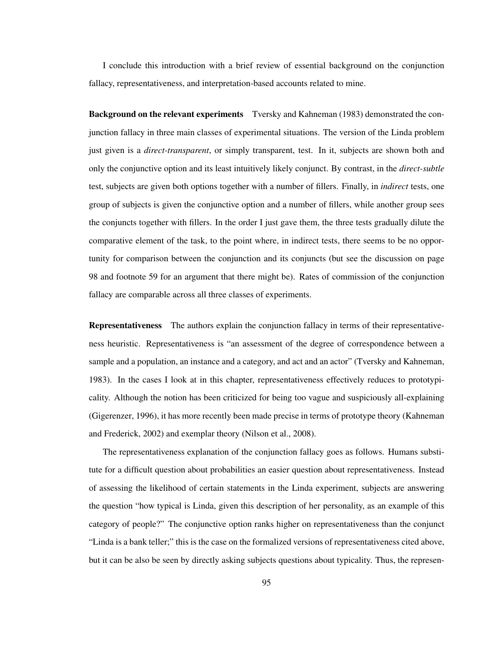I conclude this introduction with a brief review of essential background on the conjunction fallacy, representativeness, and interpretation-based accounts related to mine.

Background on the relevant experiments [Tversky and Kahneman](#page-165-1) [\(1983\)](#page-165-1) demonstrated the conjunction fallacy in three main classes of experimental situations. The version of the Linda problem just given is a *direct-transparent*, or simply transparent, test. In it, subjects are shown both and only the conjunctive option and its least intuitively likely conjunct. By contrast, in the *direct-subtle* test, subjects are given both options together with a number of fillers. Finally, in *indirect* tests, one group of subjects is given the conjunctive option and a number of fillers, while another group sees the conjuncts together with fillers. In the order I just gave them, the three tests gradually dilute the comparative element of the task, to the point where, in indirect tests, there seems to be no opportunity for comparison between the conjunction and its conjuncts (but see the discussion on page [98](#page-106-0) and footnote [59](#page-107-0) for an argument that there might be). Rates of commission of the conjunction fallacy are comparable across all three classes of experiments.

Representativeness The authors explain the conjunction fallacy in terms of their representativeness heuristic. Representativeness is "an assessment of the degree of correspondence between a sample and a population, an instance and a category, and act and an actor" [\(Tversky and Kahneman,](#page-165-1) [1983\)](#page-165-1). In the cases I look at in this chapter, representativeness effectively reduces to prototypicality. Although the notion has been criticized for being too vague and suspiciously all-explaining [\(Gigerenzer, 1996\)](#page-159-4), it has more recently been made precise in terms of prototype theory [\(Kahneman](#page-161-3) [and Frederick, 2002\)](#page-161-3) and exemplar theory [\(Nilson et al., 2008\)](#page-163-1).

The representativeness explanation of the conjunction fallacy goes as follows. Humans substitute for a difficult question about probabilities an easier question about representativeness. Instead of assessing the likelihood of certain statements in the Linda experiment, subjects are answering the question "how typical is Linda, given this description of her personality, as an example of this category of people?" The conjunctive option ranks higher on representativeness than the conjunct "Linda is a bank teller;" this is the case on the formalized versions of representativeness cited above, but it can be also be seen by directly asking subjects questions about typicality. Thus, the represen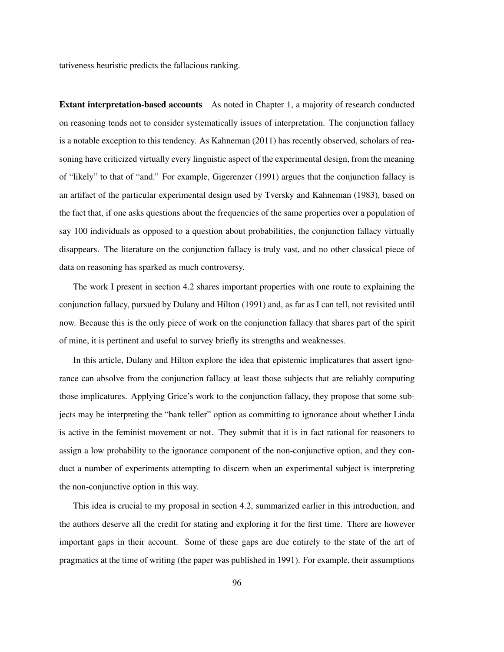tativeness heuristic predicts the fallacious ranking.

Extant interpretation-based accounts As noted in Chapter 1, a majority of research conducted on reasoning tends not to consider systematically issues of interpretation. The conjunction fallacy is a notable exception to this tendency. As [Kahneman](#page-161-4) [\(2011\)](#page-161-4) has recently observed, scholars of reasoning have criticized virtually every linguistic aspect of the experimental design, from the meaning of "likely" to that of "and." For example, [Gigerenzer](#page-159-5) [\(1991\)](#page-159-5) argues that the conjunction fallacy is an artifact of the particular experimental design used by [Tversky and Kahneman](#page-165-1) [\(1983\)](#page-165-1), based on the fact that, if one asks questions about the frequencies of the same properties over a population of say 100 individuals as opposed to a question about probabilities, the conjunction fallacy virtually disappears. The literature on the conjunction fallacy is truly vast, and no other classical piece of data on reasoning has sparked as much controversy.

The work I present in section [4.2](#page-105-0) shares important properties with one route to explaining the conjunction fallacy, pursued by [Dulany and Hilton](#page-158-1) [\(1991\)](#page-158-1) and, as far as I can tell, not revisited until now. Because this is the only piece of work on the conjunction fallacy that shares part of the spirit of mine, it is pertinent and useful to survey briefly its strengths and weaknesses.

In this article, Dulany and Hilton explore the idea that epistemic implicatures that assert ignorance can absolve from the conjunction fallacy at least those subjects that are reliably computing those implicatures. Applying Grice's work to the conjunction fallacy, they propose that some subjects may be interpreting the "bank teller" option as committing to ignorance about whether Linda is active in the feminist movement or not. They submit that it is in fact rational for reasoners to assign a low probability to the ignorance component of the non-conjunctive option, and they conduct a number of experiments attempting to discern when an experimental subject is interpreting the non-conjunctive option in this way.

This idea is crucial to my proposal in section [4.2,](#page-105-0) summarized earlier in this introduction, and the authors deserve all the credit for stating and exploring it for the first time. There are however important gaps in their account. Some of these gaps are due entirely to the state of the art of pragmatics at the time of writing (the paper was published in 1991). For example, their assumptions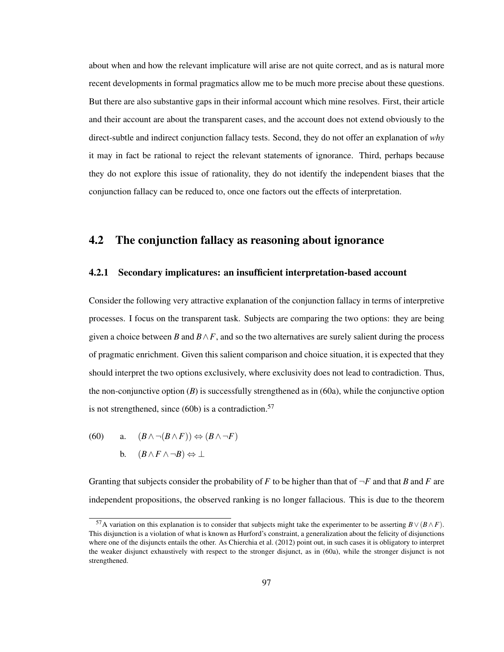about when and how the relevant implicature will arise are not quite correct, and as is natural more recent developments in formal pragmatics allow me to be much more precise about these questions. But there are also substantive gaps in their informal account which mine resolves. First, their article and their account are about the transparent cases, and the account does not extend obviously to the direct-subtle and indirect conjunction fallacy tests. Second, they do not offer an explanation of *why* it may in fact be rational to reject the relevant statements of ignorance. Third, perhaps because they do not explore this issue of rationality, they do not identify the independent biases that the conjunction fallacy can be reduced to, once one factors out the effects of interpretation.

## <span id="page-105-0"></span>4.2 The conjunction fallacy as reasoning about ignorance

#### 4.2.1 Secondary implicatures: an insufficient interpretation-based account

Consider the following very attractive explanation of the conjunction fallacy in terms of interpretive processes. I focus on the transparent task. Subjects are comparing the two options: they are being given a choice between *B* and  $B \wedge F$ , and so the two alternatives are surely salient during the process of pragmatic enrichment. Given this salient comparison and choice situation, it is expected that they should interpret the two options exclusively, where exclusivity does not lead to contradiction. Thus, the non-conjunctive option  $(B)$  is successfully strengthened as in  $(60a)$ , while the conjunctive option is not strengthened, since  $(60b)$  is a contradiction.<sup>[57](#page-105-1)</sup>

<span id="page-105-2"></span>(60) a. 
$$
(B \land \neg(B \land F)) \Leftrightarrow (B \land \neg F)
$$
  
b.  $(B \land F \land \neg B) \Leftrightarrow \bot$ 

Granting that subjects consider the probability of *F* to be higher than that of  $\neg F$  and that *B* and *F* are independent propositions, the observed ranking is no longer fallacious. This is due to the theorem

<span id="page-105-1"></span><sup>&</sup>lt;sup>57</sup>A variation on this explanation is to consider that subjects might take the experimenter to be asserting  $B ∨ (B ∧ F)$ . This disjunction is a violation of what is known as Hurford's constraint, a generalization about the felicity of disjunctions where one of the disjuncts entails the other. As [Chierchia et al.](#page-158-2) [\(2012\)](#page-158-2) point out, in such cases it is obligatory to interpret the weaker disjunct exhaustively with respect to the stronger disjunct, as in [\(60a\),](#page-105-2) while the stronger disjunct is not strengthened.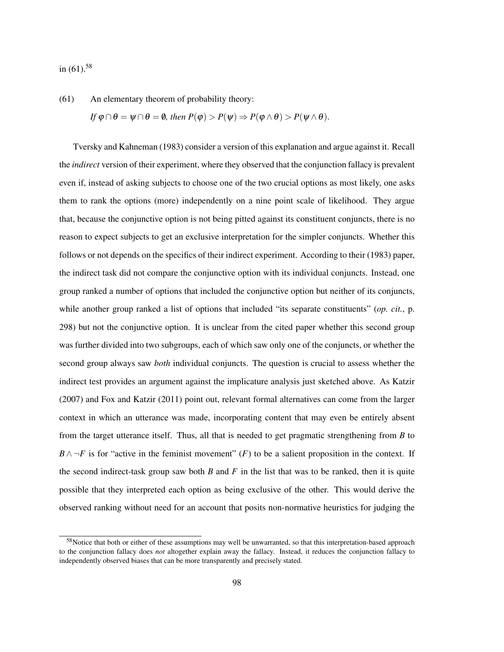<span id="page-106-0"></span>in  $(61)$ .<sup>[58](#page-106-1)</sup>

(61) An elementary theorem of probability theory:

If 
$$
\varphi \cap \theta = \psi \cap \theta = \emptyset
$$
, then  $P(\varphi) > P(\psi) \Rightarrow P(\varphi \land \theta) > P(\psi \land \theta)$ .

[Tversky and Kahneman](#page-165-1) [\(1983\)](#page-165-1) consider a version of this explanation and argue against it. Recall the *indirect* version of their experiment, where they observed that the conjunction fallacy is prevalent even if, instead of asking subjects to choose one of the two crucial options as most likely, one asks them to rank the options (more) independently on a nine point scale of likelihood. They argue that, because the conjunctive option is not being pitted against its constituent conjuncts, there is no reason to expect subjects to get an exclusive interpretation for the simpler conjuncts. Whether this follows or not depends on the specifics of their indirect experiment. According to their (1983) paper, the indirect task did not compare the conjunctive option with its individual conjuncts. Instead, one group ranked a number of options that included the conjunctive option but neither of its conjuncts, while another group ranked a list of options that included "its separate constituents" (*op. cit.*, p. 298) but not the conjunctive option. It is unclear from the cited paper whether this second group was further divided into two subgroups, each of which saw only one of the conjuncts, or whether the second group always saw *both* individual conjuncts. The question is crucial to assess whether the indirect test provides an argument against the implicature analysis just sketched above. As [Katzir](#page-162-2) [\(2007\)](#page-162-2) and [Fox and Katzir](#page-159-3) [\(2011\)](#page-159-3) point out, relevant formal alternatives can come from the larger context in which an utterance was made, incorporating content that may even be entirely absent from the target utterance itself. Thus, all that is needed to get pragmatic strengthening from *B* to  $B \wedge \neg F$  is for "active in the feminist movement" (*F*) to be a salient proposition in the context. If the second indirect-task group saw both *B* and *F* in the list that was to be ranked, then it is quite possible that they interpreted each option as being exclusive of the other. This would derive the observed ranking without need for an account that posits non-normative heuristics for judging the

<span id="page-106-1"></span><sup>&</sup>lt;sup>58</sup>Notice that both or either of these assumptions may well be unwarranted, so that this interpretation-based approach to the conjunction fallacy does *not* altogether explain away the fallacy. Instead, it reduces the conjunction fallacy to independently observed biases that can be more transparently and precisely stated.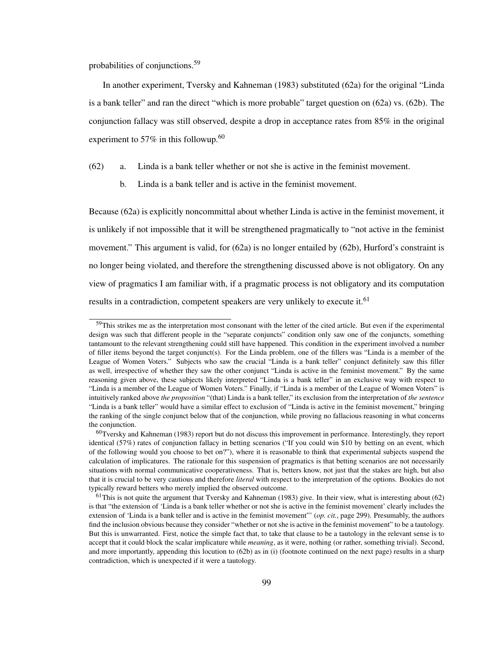probabilities of conjunctions.[59](#page-107-0)

In another experiment, [Tversky and Kahneman](#page-165-1) [\(1983\)](#page-165-1) substituted (62a) for the original "Linda is a bank teller" and ran the direct "which is more probable" target question on (62a) vs. (62b). The conjunction fallacy was still observed, despite a drop in acceptance rates from 85% in the original experiment to 57% in this followup. $60$ 

- (62) a. Linda is a bank teller whether or not she is active in the feminist movement.
	- b. Linda is a bank teller and is active in the feminist movement.

Because (62a) is explicitly noncommittal about whether Linda is active in the feminist movement, it is unlikely if not impossible that it will be strengthened pragmatically to "not active in the feminist movement." This argument is valid, for (62a) is no longer entailed by (62b), Hurford's constraint is no longer being violated, and therefore the strengthening discussed above is not obligatory. On any view of pragmatics I am familiar with, if a pragmatic process is not obligatory and its computation results in a contradiction, competent speakers are very unlikely to execute it.<sup>[61](#page-107-2)</sup>

<span id="page-107-0"></span><sup>59</sup>This strikes me as the interpretation most consonant with the letter of the cited article. But even if the experimental design was such that different people in the "separate conjuncts" condition only saw one of the conjuncts, something tantamount to the relevant strengthening could still have happened. This condition in the experiment involved a number of filler items beyond the target conjunct(s). For the Linda problem, one of the fillers was "Linda is a member of the League of Women Voters." Subjects who saw the crucial "Linda is a bank teller" conjunct definitely saw this filler as well, irrespective of whether they saw the other conjunct "Linda is active in the feminist movement." By the same reasoning given above, these subjects likely interpreted "Linda is a bank teller" in an exclusive way with respect to "Linda is a member of the League of Women Voters." Finally, if "Linda is a member of the League of Women Voters" is intuitively ranked above *the proposition* "(that) Linda is a bank teller," its exclusion from the interpretation of *the sentence* "Linda is a bank teller" would have a similar effect to exclusion of "Linda is active in the feminist movement," bringing the ranking of the single conjunct below that of the conjunction, while proving no fallacious reasoning in what concerns the conjunction.

<span id="page-107-1"></span><sup>&</sup>lt;sup>60</sup>[Tversky and Kahneman](#page-165-1) [\(1983\)](#page-165-1) report but do not discuss this improvement in performance. Interestingly, they report identical (57%) rates of conjunction fallacy in betting scenarios ("If you could win \$10 by betting on an event, which of the following would you choose to bet on?"), where it is reasonable to think that experimental subjects suspend the calculation of implicatures. The rationale for this suspension of pragmatics is that betting scenarios are not necessarily situations with normal communicative cooperativeness. That is, betters know, not just that the stakes are high, but also that it is crucial to be very cautious and therefore *literal* with respect to the interpretation of the options. Bookies do not typically reward betters who merely implied the observed outcome.

<span id="page-107-2"></span> $61$ This is not quite the argument that [Tversky and Kahneman](#page-165-1) [\(1983\)](#page-165-1) give. In their view, what is interesting about (62) is that "the extension of 'Linda is a bank teller whether or not she is active in the feminist movement' clearly includes the extension of 'Linda is a bank teller and is active in the feminist movement"' (*op. cit.*, page 299). Presumably, the authors find the inclusion obvious because they consider "whether or not she is active in the feminist movement" to be a tautology. But this is unwarranted. First, notice the simple fact that, to take that clause to be a tautology in the relevant sense is to accept that it could block the scalar implicature while *meaning*, as it were, nothing (or rather, something trivial). Second, and more importantly, appending this locution to (62b) as in (i) (footnote continued on the next page) results in a sharp contradiction, which is unexpected if it were a tautology.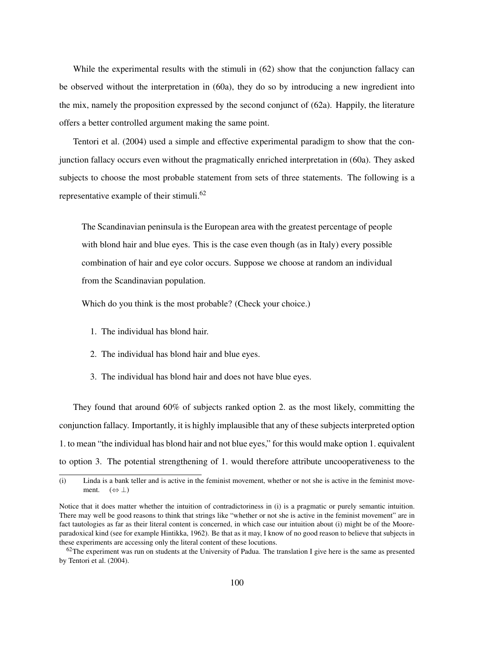While the experimental results with the stimuli in  $(62)$  show that the conjunction fallacy can be observed without the interpretation in [\(60a\),](#page-105-0) they do so by introducing a new ingredient into the mix, namely the proposition expressed by the second conjunct of (62a). Happily, the literature offers a better controlled argument making the same point.

[Tentori et al.](#page-165-0) [\(2004\)](#page-165-0) used a simple and effective experimental paradigm to show that the conjunction fallacy occurs even without the pragmatically enriched interpretation in [\(60a\).](#page-105-0) They asked subjects to choose the most probable statement from sets of three statements. The following is a representative example of their stimuli. $62$ 

The Scandinavian peninsula is the European area with the greatest percentage of people with blond hair and blue eyes. This is the case even though (as in Italy) every possible combination of hair and eye color occurs. Suppose we choose at random an individual from the Scandinavian population.

Which do you think is the most probable? (Check your choice.)

- 1. The individual has blond hair.
- 2. The individual has blond hair and blue eyes.
- 3. The individual has blond hair and does not have blue eyes.

They found that around 60% of subjects ranked option 2. as the most likely, committing the conjunction fallacy. Importantly, it is highly implausible that any of these subjects interpreted option 1. to mean "the individual has blond hair and not blue eyes," for this would make option 1. equivalent to option 3. The potential strengthening of 1. would therefore attribute uncooperativeness to the

<sup>(</sup>i) Linda is a bank teller and is active in the feminist movement, whether or not she is active in the feminist movement.  $(\Leftrightarrow \bot)$ 

Notice that it does matter whether the intuition of contradictoriness in (i) is a pragmatic or purely semantic intuition. There may well be good reasons to think that strings like "whether or not she is active in the feminist movement" are in fact tautologies as far as their literal content is concerned, in which case our intuition about (i) might be of the Mooreparadoxical kind (see for example [Hintikka, 1962\)](#page-160-0). Be that as it may, I know of no good reason to believe that subjects in these experiments are accessing only the literal content of these locutions.

<span id="page-108-0"></span> $62$ The experiment was run on students at the University of Padua. The translation I give here is the same as presented by [Tentori et al.](#page-165-0) [\(2004\)](#page-165-0).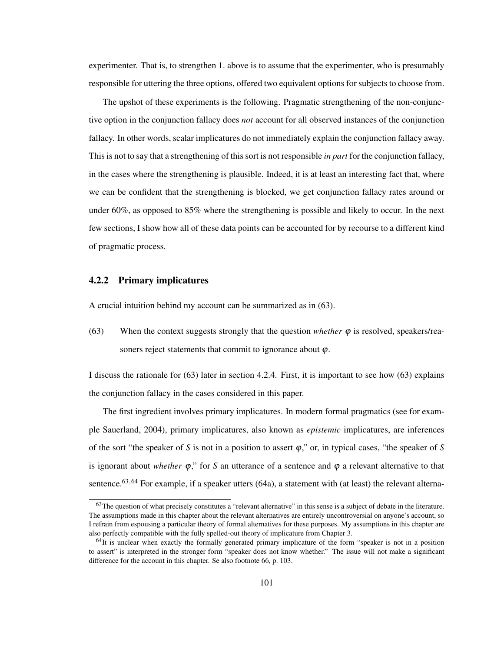experimenter. That is, to strengthen 1. above is to assume that the experimenter, who is presumably responsible for uttering the three options, offered two equivalent options for subjects to choose from.

The upshot of these experiments is the following. Pragmatic strengthening of the non-conjunctive option in the conjunction fallacy does *not* account for all observed instances of the conjunction fallacy. In other words, scalar implicatures do not immediately explain the conjunction fallacy away. This is not to say that a strengthening of this sort is not responsible *in part* for the conjunction fallacy, in the cases where the strengthening is plausible. Indeed, it is at least an interesting fact that, where we can be confident that the strengthening is blocked, we get conjunction fallacy rates around or under 60%, as opposed to 85% where the strengthening is possible and likely to occur. In the next few sections, I show how all of these data points can be accounted for by recourse to a different kind of pragmatic process.

### <span id="page-109-2"></span>4.2.2 Primary implicatures

A crucial intuition behind my account can be summarized as in (63).

(63) When the context suggests strongly that the question *whether* ϕ is resolved, speakers/reasoners reject statements that commit to ignorance about  $\varphi$ .

I discuss the rationale for (63) later in section [4.2.4.](#page-115-0) First, it is important to see how (63) explains the conjunction fallacy in the cases considered in this paper.

The first ingredient involves primary implicatures. In modern formal pragmatics (see for example [Sauerland, 2004\)](#page-164-0), primary implicatures, also known as *epistemic* implicatures, are inferences of the sort "the speaker of *S* is not in a position to assert  $\varphi$ ," or, in typical cases, "the speaker of *S* is ignorant about *whether*  $\varphi$ ," for *S* an utterance of a sentence and  $\varphi$  a relevant alternative to that sentence.<sup>[63](#page-109-0),[64](#page-109-1)</sup> For example, if a speaker utters (64a), a statement with (at least) the relevant alterna-

<span id="page-109-0"></span> $63$ The question of what precisely constitutes a "relevant alternative" in this sense is a subject of debate in the literature. The assumptions made in this chapter about the relevant alternatives are entirely uncontroversial on anyone's account, so I refrain from espousing a particular theory of formal alternatives for these purposes. My assumptions in this chapter are also perfectly compatible with the fully spelled-out theory of implicature from Chapter [3.](#page-62-0)

<span id="page-109-1"></span> $64$ It is unclear when exactly the formally generated primary implicature of the form "speaker is not in a position to assert" is interpreted in the stronger form "speaker does not know whether." The issue will not make a significant difference for the account in this chapter. Se also footnote [66,](#page-111-0) p. [103.](#page-111-0)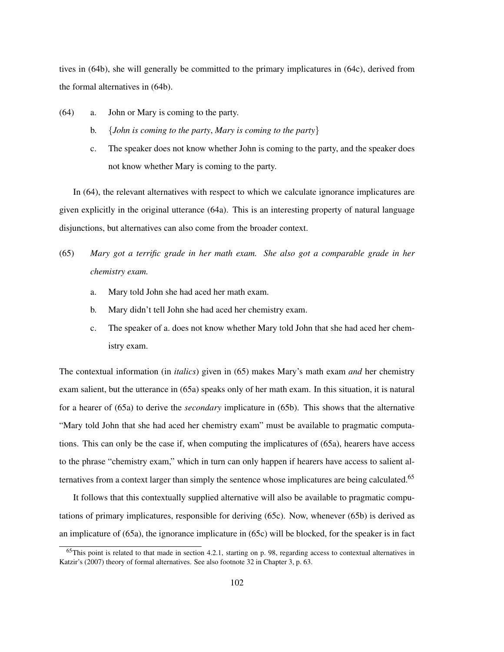tives in (64b), she will generally be committed to the primary implicatures in (64c), derived from the formal alternatives in (64b).

- (64) a. John or Mary is coming to the party.
	- b. {*John is coming to the party*, *Mary is coming to the party*}
	- c. The speaker does not know whether John is coming to the party, and the speaker does not know whether Mary is coming to the party.

In (64), the relevant alternatives with respect to which we calculate ignorance implicatures are given explicitly in the original utterance (64a). This is an interesting property of natural language disjunctions, but alternatives can also come from the broader context.

- <span id="page-110-1"></span>(65) *Mary got a terrific grade in her math exam. She also got a comparable grade in her chemistry exam.*
	- a. Mary told John she had aced her math exam.
	- b. Mary didn't tell John she had aced her chemistry exam.
	- c. The speaker of a. does not know whether Mary told John that she had aced her chemistry exam.

<span id="page-110-2"></span>The contextual information (in *italics*) given in (65) makes Mary's math exam *and* her chemistry exam salient, but the utterance in (65a) speaks only of her math exam. In this situation, it is natural for a hearer of (65a) to derive the *secondary* implicature in (65b). This shows that the alternative "Mary told John that she had aced her chemistry exam" must be available to pragmatic computations. This can only be the case if, when computing the implicatures of (65a), hearers have access to the phrase "chemistry exam," which in turn can only happen if hearers have access to salient al-ternatives from a context larger than simply the sentence whose implicatures are being calculated.<sup>[65](#page-110-0)</sup>

It follows that this contextually supplied alternative will also be available to pragmatic computations of primary implicatures, responsible for deriving (65c). Now, whenever (65b) is derived as an implicature of (65a), the ignorance implicature in (65c) will be blocked, for the speaker is in fact

<span id="page-110-0"></span> $65$ This point is related to that made in section [4.2.1,](#page-105-1) starting on p. [98,](#page-106-0) regarding access to contextual alternatives in Katzir's (2007) theory of formal alternatives. See also footnote [32](#page-71-0) in Chapter [3,](#page-62-0) p. [63.](#page-71-0)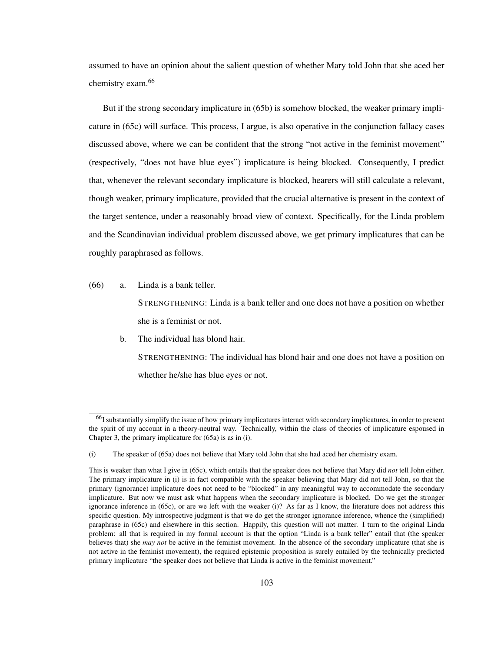assumed to have an opinion about the salient question of whether Mary told John that she aced her chemistry exam.<sup>[66](#page-111-0)</sup>

But if the strong secondary implicature in (65b) is somehow blocked, the weaker primary implicature in (65c) will surface. This process, I argue, is also operative in the conjunction fallacy cases discussed above, where we can be confident that the strong "not active in the feminist movement" (respectively, "does not have blue eyes") implicature is being blocked. Consequently, I predict that, whenever the relevant secondary implicature is blocked, hearers will still calculate a relevant, though weaker, primary implicature, provided that the crucial alternative is present in the context of the target sentence, under a reasonably broad view of context. Specifically, for the Linda problem and the Scandinavian individual problem discussed above, we get primary implicatures that can be roughly paraphrased as follows.

(66) a. Linda is a bank teller.

STRENGTHENING: Linda is a bank teller and one does not have a position on whether she is a feminist or not.

b. The individual has blond hair.

STRENGTHENING: The individual has blond hair and one does not have a position on whether he/she has blue eyes or not.

<span id="page-111-0"></span><sup>&</sup>lt;sup>66</sup>I substantially simplify the issue of how primary implicatures interact with secondary implicatures, in order to present the spirit of my account in a theory-neutral way. Technically, within the class of theories of implicature espoused in Chapter [3,](#page-62-0) the primary implicature for (65a) is as in (i).

<sup>(</sup>i) The speaker of [\(65a\)](#page-110-1) does not believe that Mary told John that she had aced her chemistry exam.

This is weaker than what I give in [\(65c\),](#page-110-2) which entails that the speaker does not believe that Mary did *not* tell John either. The primary implicature in (i) is in fact compatible with the speaker believing that Mary did not tell John, so that the primary (ignorance) implicature does not need to be "blocked" in any meaningful way to accommodate the secondary implicature. But now we must ask what happens when the secondary implicature is blocked. Do we get the stronger ignorance inference in [\(65c\),](#page-110-2) or are we left with the weaker (i)? As far as I know, the literature does not address this specific question. My introspective judgment is that we do get the stronger ignorance inference, whence the (simplified) paraphrase in [\(65c\)](#page-110-2) and elsewhere in this section. Happily, this question will not matter. I turn to the original Linda problem: all that is required in my formal account is that the option "Linda is a bank teller" entail that (the speaker believes that) she *may not* be active in the feminist movement. In the absence of the secondary implicature (that she is not active in the feminist movement), the required epistemic proposition is surely entailed by the technically predicted primary implicature "the speaker does not believe that Linda is active in the feminist movement."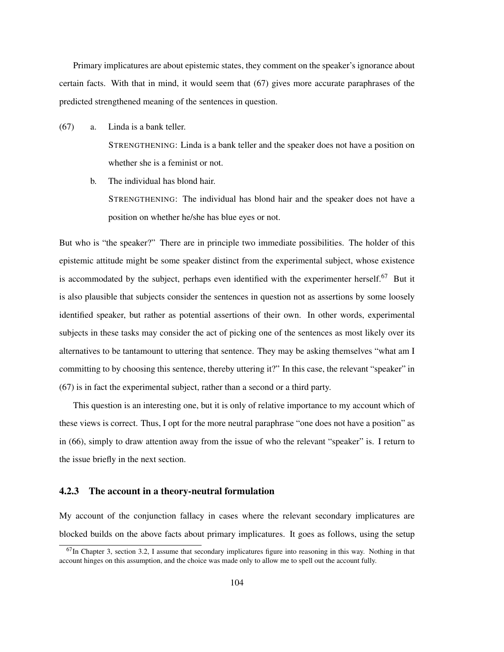Primary implicatures are about epistemic states, they comment on the speaker's ignorance about certain facts. With that in mind, it would seem that (67) gives more accurate paraphrases of the predicted strengthened meaning of the sentences in question.

(67) a. Linda is a bank teller.

STRENGTHENING: Linda is a bank teller and the speaker does not have a position on whether she is a feminist or not.

b. The individual has blond hair. STRENGTHENING: The individual has blond hair and the speaker does not have a position on whether he/she has blue eyes or not.

But who is "the speaker?" There are in principle two immediate possibilities. The holder of this epistemic attitude might be some speaker distinct from the experimental subject, whose existence is accommodated by the subject, perhaps even identified with the experimenter herself. $67$  But it is also plausible that subjects consider the sentences in question not as assertions by some loosely identified speaker, but rather as potential assertions of their own. In other words, experimental subjects in these tasks may consider the act of picking one of the sentences as most likely over its alternatives to be tantamount to uttering that sentence. They may be asking themselves "what am I committing to by choosing this sentence, thereby uttering it?" In this case, the relevant "speaker" in (67) is in fact the experimental subject, rather than a second or a third party.

This question is an interesting one, but it is only of relative importance to my account which of these views is correct. Thus, I opt for the more neutral paraphrase "one does not have a position" as in (66), simply to draw attention away from the issue of who the relevant "speaker" is. I return to the issue briefly in the next section.

# <span id="page-112-1"></span>4.2.3 The account in a theory-neutral formulation

My account of the conjunction fallacy in cases where the relevant secondary implicatures are blocked builds on the above facts about primary implicatures. It goes as follows, using the setup

<span id="page-112-0"></span><sup>67</sup>In Chapter [3,](#page-62-0) section [3.2,](#page-68-0) I assume that secondary implicatures figure into reasoning in this way. Nothing in that account hinges on this assumption, and the choice was made only to allow me to spell out the account fully.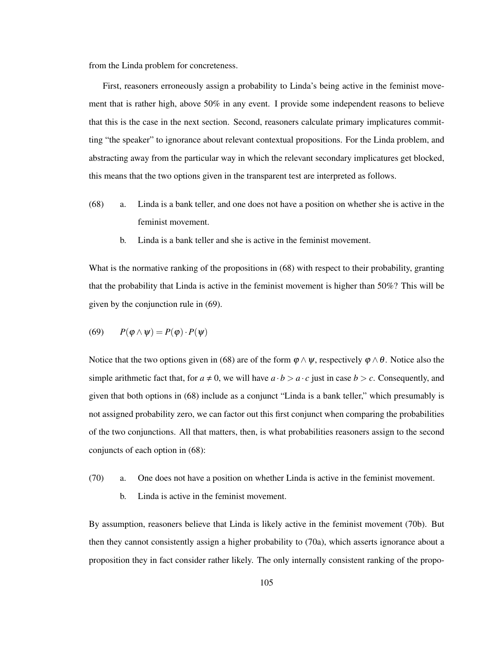from the Linda problem for concreteness.

First, reasoners erroneously assign a probability to Linda's being active in the feminist movement that is rather high, above 50% in any event. I provide some independent reasons to believe that this is the case in the next section. Second, reasoners calculate primary implicatures committing "the speaker" to ignorance about relevant contextual propositions. For the Linda problem, and abstracting away from the particular way in which the relevant secondary implicatures get blocked, this means that the two options given in the transparent test are interpreted as follows.

- <span id="page-113-2"></span><span id="page-113-1"></span><span id="page-113-0"></span>(68) a. Linda is a bank teller, and one does not have a position on whether she is active in the feminist movement.
	- b. Linda is a bank teller and she is active in the feminist movement.

What is the normative ranking of the propositions in (68) with respect to their probability, granting that the probability that Linda is active in the feminist movement is higher than 50%? This will be given by the conjunction rule in (69).

(69) 
$$
P(\varphi \wedge \psi) = P(\varphi) \cdot P(\psi)
$$

Notice that the two options given in (68) are of the form  $\varphi \land \psi$ , respectively  $\varphi \land \theta$ . Notice also the simple arithmetic fact that, for  $a \ne 0$ , we will have  $a \cdot b > a \cdot c$  just in case  $b > c$ . Consequently, and given that both options in (68) include as a conjunct "Linda is a bank teller," which presumably is not assigned probability zero, we can factor out this first conjunct when comparing the probabilities of the two conjunctions. All that matters, then, is what probabilities reasoners assign to the second conjuncts of each option in (68):

- (70) a. One does not have a position on whether Linda is active in the feminist movement.
	- b. Linda is active in the feminist movement.

By assumption, reasoners believe that Linda is likely active in the feminist movement (70b). But then they cannot consistently assign a higher probability to (70a), which asserts ignorance about a proposition they in fact consider rather likely. The only internally consistent ranking of the propo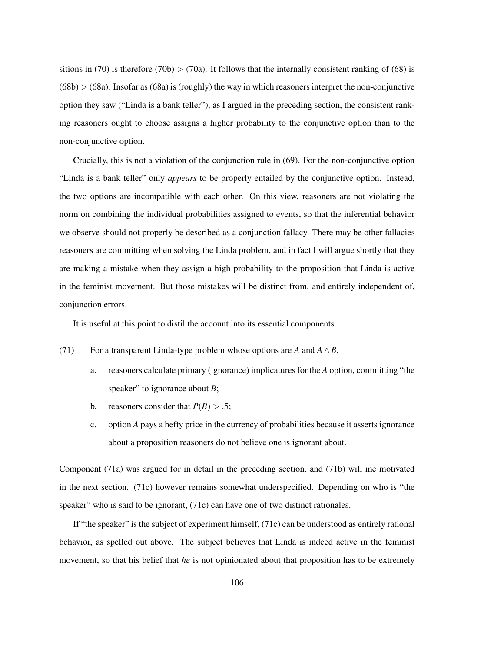sitions in (70) is therefore (70b)  $>$  (70a). It follows that the internally consistent ranking of [\(68\)](#page-113-0) is  $(68b)$  >  $(68a)$ . Insofar as  $(68a)$  is (roughly) the way in which reasoners interpret the non-conjunctive option they saw ("Linda is a bank teller"), as I argued in the preceding section, the consistent ranking reasoners ought to choose assigns a higher probability to the conjunctive option than to the non-conjunctive option.

Crucially, this is not a violation of the conjunction rule in (69). For the non-conjunctive option "Linda is a bank teller" only *appears* to be properly entailed by the conjunctive option. Instead, the two options are incompatible with each other. On this view, reasoners are not violating the norm on combining the individual probabilities assigned to events, so that the inferential behavior we observe should not properly be described as a conjunction fallacy. There may be other fallacies reasoners are committing when solving the Linda problem, and in fact I will argue shortly that they are making a mistake when they assign a high probability to the proposition that Linda is active in the feminist movement. But those mistakes will be distinct from, and entirely independent of, conjunction errors.

It is useful at this point to distil the account into its essential components.

- (71) For a transparent Linda-type problem whose options are *A* and  $A \wedge B$ ,
	- a. reasoners calculate primary (ignorance) implicatures for the *A* option, committing "the speaker" to ignorance about *B*;
	- b. reasoners consider that  $P(B) > .5$ ;
	- c. option *A* pays a hefty price in the currency of probabilities because it asserts ignorance about a proposition reasoners do not believe one is ignorant about.

Component (71a) was argued for in detail in the preceding section, and (71b) will me motivated in the next section. (71c) however remains somewhat underspecified. Depending on who is "the speaker" who is said to be ignorant, (71c) can have one of two distinct rationales.

If "the speaker" is the subject of experiment himself, (71c) can be understood as entirely rational behavior, as spelled out above. The subject believes that Linda is indeed active in the feminist movement, so that his belief that *he* is not opinionated about that proposition has to be extremely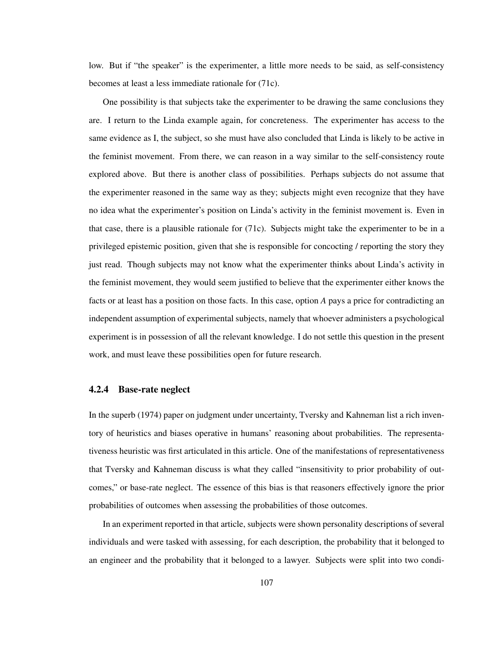low. But if "the speaker" is the experimenter, a little more needs to be said, as self-consistency becomes at least a less immediate rationale for (71c).

One possibility is that subjects take the experimenter to be drawing the same conclusions they are. I return to the Linda example again, for concreteness. The experimenter has access to the same evidence as I, the subject, so she must have also concluded that Linda is likely to be active in the feminist movement. From there, we can reason in a way similar to the self-consistency route explored above. But there is another class of possibilities. Perhaps subjects do not assume that the experimenter reasoned in the same way as they; subjects might even recognize that they have no idea what the experimenter's position on Linda's activity in the feminist movement is. Even in that case, there is a plausible rationale for (71c). Subjects might take the experimenter to be in a privileged epistemic position, given that she is responsible for concocting / reporting the story they just read. Though subjects may not know what the experimenter thinks about Linda's activity in the feminist movement, they would seem justified to believe that the experimenter either knows the facts or at least has a position on those facts. In this case, option *A* pays a price for contradicting an independent assumption of experimental subjects, namely that whoever administers a psychological experiment is in possession of all the relevant knowledge. I do not settle this question in the present work, and must leave these possibilities open for future research.

### <span id="page-115-0"></span>4.2.4 Base-rate neglect

In the superb [\(1974\)](#page-165-1) paper on judgment under uncertainty, [Tversky and Kahneman](#page-165-1) list a rich inventory of heuristics and biases operative in humans' reasoning about probabilities. The representativeness heuristic was first articulated in this article. One of the manifestations of representativeness that Tversky and Kahneman discuss is what they called "insensitivity to prior probability of outcomes," or base-rate neglect. The essence of this bias is that reasoners effectively ignore the prior probabilities of outcomes when assessing the probabilities of those outcomes.

In an experiment reported in that article, subjects were shown personality descriptions of several individuals and were tasked with assessing, for each description, the probability that it belonged to an engineer and the probability that it belonged to a lawyer. Subjects were split into two condi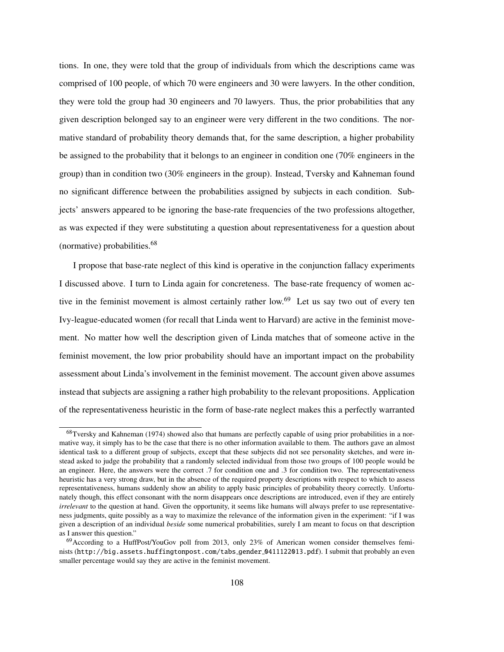tions. In one, they were told that the group of individuals from which the descriptions came was comprised of 100 people, of which 70 were engineers and 30 were lawyers. In the other condition, they were told the group had 30 engineers and 70 lawyers. Thus, the prior probabilities that any given description belonged say to an engineer were very different in the two conditions. The normative standard of probability theory demands that, for the same description, a higher probability be assigned to the probability that it belongs to an engineer in condition one (70% engineers in the group) than in condition two (30% engineers in the group). Instead, Tversky and Kahneman found no significant difference between the probabilities assigned by subjects in each condition. Subjects' answers appeared to be ignoring the base-rate frequencies of the two professions altogether, as was expected if they were substituting a question about representativeness for a question about (normative) probabilities.[68](#page-116-0)

I propose that base-rate neglect of this kind is operative in the conjunction fallacy experiments I discussed above. I turn to Linda again for concreteness. The base-rate frequency of women ac-tive in the feminist movement is almost certainly rather low.<sup>[69](#page-116-1)</sup> Let us say two out of every ten Ivy-league-educated women (for recall that Linda went to Harvard) are active in the feminist movement. No matter how well the description given of Linda matches that of someone active in the feminist movement, the low prior probability should have an important impact on the probability assessment about Linda's involvement in the feminist movement. The account given above assumes instead that subjects are assigning a rather high probability to the relevant propositions. Application of the representativeness heuristic in the form of base-rate neglect makes this a perfectly warranted

<span id="page-116-0"></span><sup>&</sup>lt;sup>68</sup>[Tversky and Kahneman](#page-165-1) [\(1974\)](#page-165-1) showed also that humans are perfectly capable of using prior probabilities in a normative way, it simply has to be the case that there is no other information available to them. The authors gave an almost identical task to a different group of subjects, except that these subjects did not see personality sketches, and were instead asked to judge the probability that a randomly selected individual from those two groups of 100 people would be an engineer. Here, the answers were the correct .7 for condition one and .3 for condition two. The representativeness heuristic has a very strong draw, but in the absence of the required property descriptions with respect to which to assess representativeness, humans suddenly show an ability to apply basic principles of probability theory correctly. Unfortunately though, this effect consonant with the norm disappears once descriptions are introduced, even if they are entirely *irrelevant* to the question at hand. Given the opportunity, it seems like humans will always prefer to use representativeness judgments, quite possibly as a way to maximize the relevance of the information given in the experiment: "if I was given a description of an individual *beside* some numerical probabilities, surely I am meant to focus on that description as I answer this question."

<span id="page-116-1"></span><sup>69</sup>According to a HuffPost/YouGov poll from 2013, only 23% of American women consider themselves feminists (http://big.assets.huffingtonpost.com/tabs gender 0411122013.pdf). I submit that probably an even smaller percentage would say they are active in the feminist movement.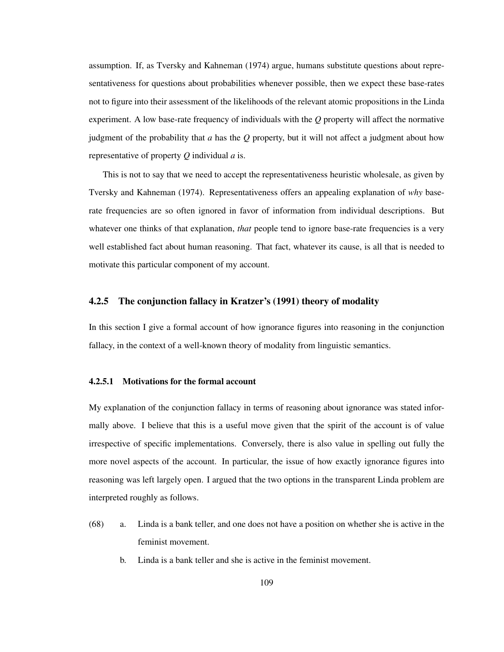assumption. If, as [Tversky and Kahneman](#page-165-1) [\(1974\)](#page-165-1) argue, humans substitute questions about representativeness for questions about probabilities whenever possible, then we expect these base-rates not to figure into their assessment of the likelihoods of the relevant atomic propositions in the Linda experiment. A low base-rate frequency of individuals with the *Q* property will affect the normative judgment of the probability that *a* has the *Q* property, but it will not affect a judgment about how representative of property *Q* individual *a* is.

This is not to say that we need to accept the representativeness heuristic wholesale, as given by [Tversky and Kahneman](#page-165-1) [\(1974\)](#page-165-1). Representativeness offers an appealing explanation of *why* baserate frequencies are so often ignored in favor of information from individual descriptions. But whatever one thinks of that explanation, *that* people tend to ignore base-rate frequencies is a very well established fact about human reasoning. That fact, whatever its cause, is all that is needed to motivate this particular component of my account.

# 4.2.5 The conjunction fallacy in Kratzer's (1991) theory of modality

In this section I give a formal account of how ignorance figures into reasoning in the conjunction fallacy, in the context of a well-known theory of modality from linguistic semantics.

#### 4.2.5.1 Motivations for the formal account

My explanation of the conjunction fallacy in terms of reasoning about ignorance was stated informally above. I believe that this is a useful move given that the spirit of the account is of value irrespective of specific implementations. Conversely, there is also value in spelling out fully the more novel aspects of the account. In particular, the issue of how exactly ignorance figures into reasoning was left largely open. I argued that the two options in the transparent Linda problem are interpreted roughly as follows.

- [\(68\)](#page-113-0) a. Linda is a bank teller, and one does not have a position on whether she is active in the feminist movement.
	- b. Linda is a bank teller and she is active in the feminist movement.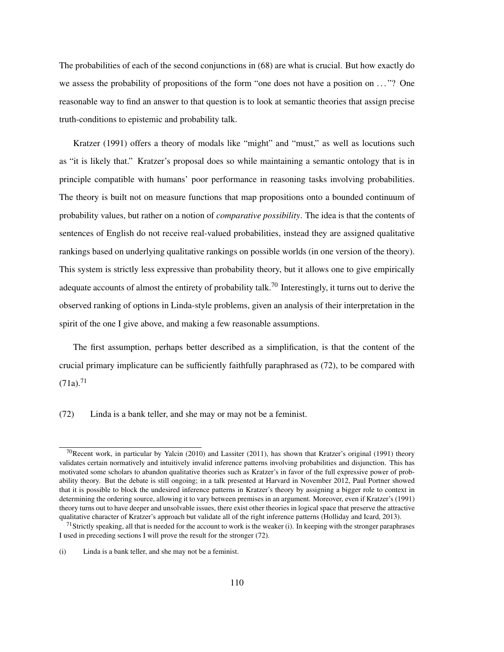The probabilities of each of the second conjunctions in [\(68\)](#page-113-0) are what is crucial. But how exactly do we assess the probability of propositions of the form "one does not have a position on ..."? One reasonable way to find an answer to that question is to look at semantic theories that assign precise truth-conditions to epistemic and probability talk.

[Kratzer](#page-162-0) [\(1991\)](#page-162-0) offers a theory of modals like "might" and "must," as well as locutions such as "it is likely that." Kratzer's proposal does so while maintaining a semantic ontology that is in principle compatible with humans' poor performance in reasoning tasks involving probabilities. The theory is built not on measure functions that map propositions onto a bounded continuum of probability values, but rather on a notion of *comparative possibility*. The idea is that the contents of sentences of English do not receive real-valued probabilities, instead they are assigned qualitative rankings based on underlying qualitative rankings on possible worlds (in one version of the theory). This system is strictly less expressive than probability theory, but it allows one to give empirically adequate accounts of almost the entirety of probability talk.<sup>[70](#page-118-0)</sup> Interestingly, it turns out to derive the observed ranking of options in Linda-style problems, given an analysis of their interpretation in the spirit of the one I give above, and making a few reasonable assumptions.

The first assumption, perhaps better described as a simplification, is that the content of the crucial primary implicature can be sufficiently faithfully paraphrased as (72), to be compared with  $(71a).^{71}$  $(71a).^{71}$  $(71a).^{71}$ 

<span id="page-118-2"></span>(72) Linda is a bank teller, and she may or may not be a feminist.

<span id="page-118-0"></span><sup>&</sup>lt;sup>70</sup>Recent work, in particular by [Yalcin](#page-165-2) [\(2010\)](#page-165-2) and [Lassiter](#page-163-0) [\(2011\)](#page-163-0), has shown that Kratzer's original (1991) theory validates certain normatively and intuitively invalid inference patterns involving probabilities and disjunction. This has motivated some scholars to abandon qualitative theories such as Kratzer's in favor of the full expressive power of probability theory. But the debate is still ongoing; in a talk presented at Harvard in November 2012, Paul Portner showed that it is possible to block the undesired inference patterns in Kratzer's theory by assigning a bigger role to context in determining the ordering source, allowing it to vary between premises in an argument. Moreover, even if Kratzer's (1991) theory turns out to have deeper and unsolvable issues, there exist other theories in logical space that preserve the attractive qualitative character of Kratzer's approach but validate all of the right inference patterns [\(Holliday and Icard, 2013\)](#page-161-0).

<span id="page-118-1"></span><sup>&</sup>lt;sup>71</sup>Strictly speaking, all that is needed for the account to work is the weaker (i). In keeping with the stronger paraphrases I used in preceding sections I will prove the result for the stronger [\(72\)](#page-118-2).

<sup>(</sup>i) Linda is a bank teller, and she may not be a feminist.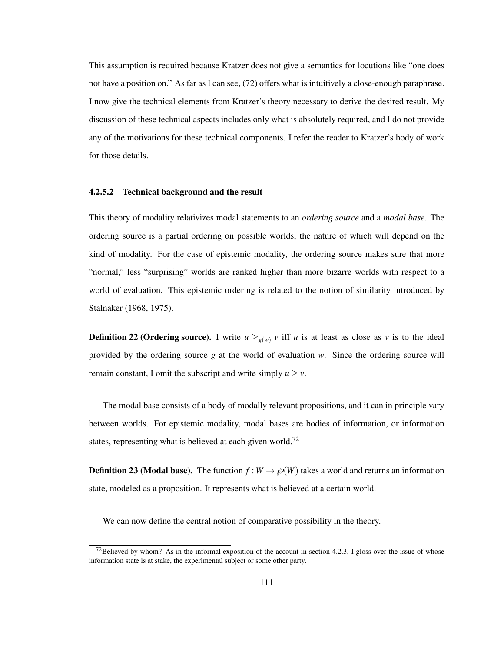This assumption is required because Kratzer does not give a semantics for locutions like "one does not have a position on." As far as I can see, (72) offers what is intuitively a close-enough paraphrase. I now give the technical elements from Kratzer's theory necessary to derive the desired result. My discussion of these technical aspects includes only what is absolutely required, and I do not provide any of the motivations for these technical components. I refer the reader to Kratzer's body of work for those details.

### 4.2.5.2 Technical background and the result

This theory of modality relativizes modal statements to an *ordering source* and a *modal base*. The ordering source is a partial ordering on possible worlds, the nature of which will depend on the kind of modality. For the case of epistemic modality, the ordering source makes sure that more "normal," less "surprising" worlds are ranked higher than more bizarre worlds with respect to a world of evaluation. This epistemic ordering is related to the notion of similarity introduced by [Stalnaker](#page-164-1) [\(1968,](#page-164-1) [1975\)](#page-164-2).

**Definition 22 (Ordering source).** I write  $u \geq_{g(w)} v$  iff *u* is at least as close as *v* is to the ideal provided by the ordering source *g* at the world of evaluation *w*. Since the ordering source will remain constant, I omit the subscript and write simply  $u \ge v$ .

The modal base consists of a body of modally relevant propositions, and it can in principle vary between worlds. For epistemic modality, modal bases are bodies of information, or information states, representing what is believed at each given world.<sup>[72](#page-119-0)</sup>

**Definition 23 (Modal base).** The function  $f : W \to \mathcal{P}(W)$  takes a world and returns an information state, modeled as a proposition. It represents what is believed at a certain world.

<span id="page-119-1"></span>We can now define the central notion of comparative possibility in the theory.

<span id="page-119-0"></span><sup>&</sup>lt;sup>72</sup>Believed by whom? As in the informal exposition of the account in section [4.2.3,](#page-112-1) I gloss over the issue of whose information state is at stake, the experimental subject or some other party.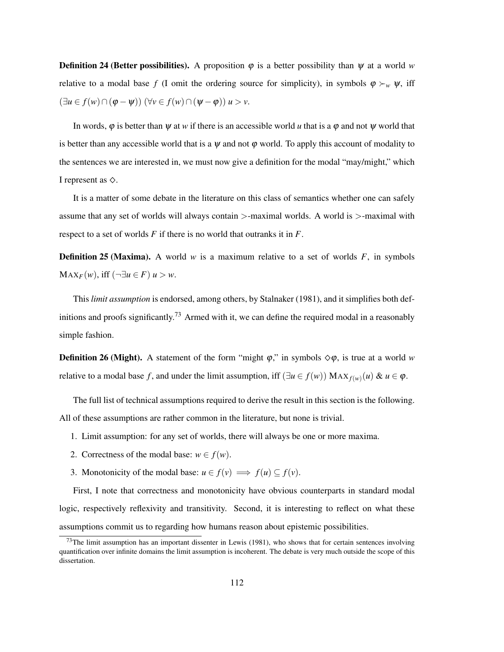**Definition 24 (Better possibilities).** A proposition  $\varphi$  is a better possibility than  $\psi$  at a world w relative to a modal base *f* (I omit the ordering source for simplicity), in symbols  $\varphi \succ_w \psi$ , iff  $(\exists u \in f(w) \cap (\varphi - \psi))$   $(\forall v \in f(w) \cap (\psi - \varphi))$   $u > v$ .

In words,  $\varphi$  is better than  $\psi$  at *w* if there is an accessible world *u* that is a  $\varphi$  and not  $\psi$  world that is better than any accessible world that is a  $\psi$  and not  $\phi$  world. To apply this account of modality to the sentences we are interested in, we must now give a definition for the modal "may/might," which I represent as  $\diamond$ .

It is a matter of some debate in the literature on this class of semantics whether one can safely assume that any set of worlds will always contain >-maximal worlds. A world is >-maximal with respect to a set of worlds *F* if there is no world that outranks it in *F*.

Definition 25 (Maxima). A world *w* is a maximum relative to a set of worlds *F*, in symbols  $\text{MAX}_F(w)$ , iff  $(\neg \exists u \in F)$   $u > w$ .

This *limit assumption* is endorsed, among others, by [Stalnaker](#page-164-3) [\(1981\)](#page-164-3), and it simplifies both def-initions and proofs significantly.<sup>[73](#page-120-0)</sup> Armed with it, we can define the required modal in a reasonably simple fashion.

<span id="page-120-1"></span>**Definition 26 (Might).** A statement of the form "might  $\varphi$ ," in symbols  $\diamond \varphi$ , is true at a world *w* relative to a modal base *f*, and under the limit assumption, iff  $(\exists u \in f(w))$  MAX $_{f(w)}(u)$  &  $u \in \varphi$ .

The full list of technical assumptions required to derive the result in this section is the following. All of these assumptions are rather common in the literature, but none is trivial.

- 1. Limit assumption: for any set of worlds, there will always be one or more maxima.
- 2. Correctness of the modal base:  $w \in f(w)$ .
- 3. Monotonicity of the modal base:  $u \in f(v) \implies f(u) \subseteq f(v)$ .

First, I note that correctness and monotonicity have obvious counterparts in standard modal logic, respectively reflexivity and transitivity. Second, it is interesting to reflect on what these assumptions commit us to regarding how humans reason about epistemic possibilities.

<span id="page-120-0"></span> $^{73}$ The limit assumption has an important dissenter in [Lewis](#page-163-1) [\(1981\)](#page-163-1), who shows that for certain sentences involving quantification over infinite domains the limit assumption is incoherent. The debate is very much outside the scope of this dissertation.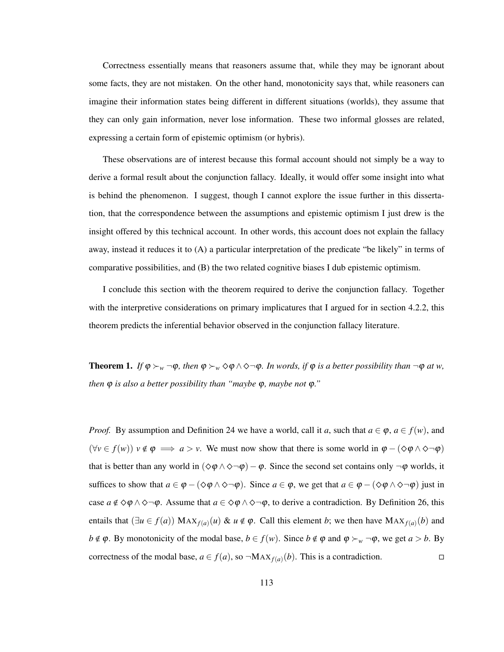Correctness essentially means that reasoners assume that, while they may be ignorant about some facts, they are not mistaken. On the other hand, monotonicity says that, while reasoners can imagine their information states being different in different situations (worlds), they assume that they can only gain information, never lose information. These two informal glosses are related, expressing a certain form of epistemic optimism (or hybris).

These observations are of interest because this formal account should not simply be a way to derive a formal result about the conjunction fallacy. Ideally, it would offer some insight into what is behind the phenomenon. I suggest, though I cannot explore the issue further in this dissertation, that the correspondence between the assumptions and epistemic optimism I just drew is the insight offered by this technical account. In other words, this account does not explain the fallacy away, instead it reduces it to (A) a particular interpretation of the predicate "be likely" in terms of comparative possibilities, and (B) the two related cognitive biases I dub epistemic optimism.

I conclude this section with the theorem required to derive the conjunction fallacy. Together with the interpretive considerations on primary implicatures that I argued for in section [4.2.2,](#page-109-2) this theorem predicts the inferential behavior observed in the conjunction fallacy literature.

**Theorem 1.** *If*  $\varphi \succ_w \neg \varphi$ *, then*  $\varphi \succ_w \Diamond \varphi \land \Diamond \neg \varphi$ *. In words, if*  $\varphi$  *is a better possibility than*  $\neg \varphi$  *at w, then* ϕ *is also a better possibility than "maybe* ϕ*, maybe not* ϕ*."*

*Proof.* By assumption and Definition [24](#page-119-1) we have a world, call it *a*, such that  $a \in \varphi$ ,  $a \in f(w)$ , and  $(\forall v \in f(w))$   $v \notin \varphi \implies a > v$ . We must now show that there is some world in  $\varphi - (\Diamond \varphi \land \Diamond \neg \varphi)$ that is better than any world in  $(\Diamond \varphi \land \Diamond \neg \varphi) - \varphi$ . Since the second set contains only  $\neg \varphi$  worlds, it suffices to show that  $a \in \varphi - (\Diamond \varphi \land \Diamond \neg \varphi)$ . Since  $a \in \varphi$ , we get that  $a \in \varphi - (\Diamond \varphi \land \Diamond \neg \varphi)$  just in case  $a \notin \Diamond \varphi \land \Diamond \neg \varphi$ . Assume that  $a \in \Diamond \varphi \land \Diamond \neg \varphi$ , to derive a contradiction. By Definition [26,](#page-120-1) this entails that  $(\exists u \in f(a))$   $MAX_{f(a)}(u)$  &  $u \notin \varphi$ . Call this element *b*; we then have  $MAX_{f(a)}(b)$  and  $b \notin \varphi$ . By monotonicity of the modal base,  $b \in f(w)$ . Since  $b \notin \varphi$  and  $\varphi \succ_w \neg \varphi$ , we get  $a > b$ . By correctness of the modal base,  $a \in f(a)$ , so ¬MAX $f(a)(b)$ . This is a contradiction.  $□$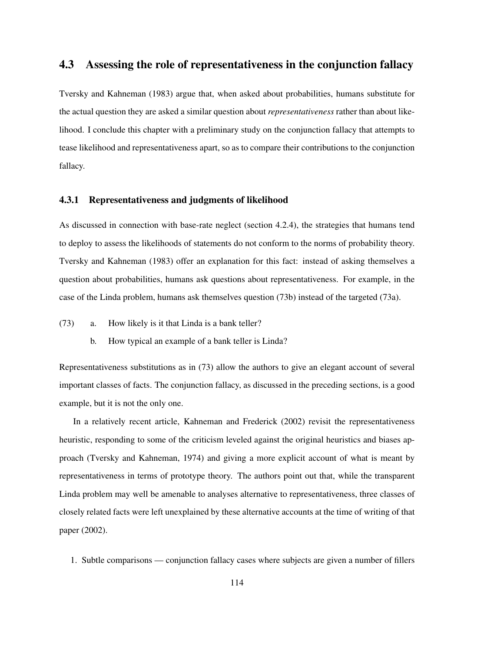# 4.3 Assessing the role of representativeness in the conjunction fallacy

[Tversky and Kahneman](#page-165-3) [\(1983\)](#page-165-3) argue that, when asked about probabilities, humans substitute for the actual question they are asked a similar question about *representativeness* rather than about likelihood. I conclude this chapter with a preliminary study on the conjunction fallacy that attempts to tease likelihood and representativeness apart, so as to compare their contributions to the conjunction fallacy.

# 4.3.1 Representativeness and judgments of likelihood

As discussed in connection with base-rate neglect (section [4.2.4\)](#page-115-0), the strategies that humans tend to deploy to assess the likelihoods of statements do not conform to the norms of probability theory. [Tversky and Kahneman](#page-165-3) [\(1983\)](#page-165-3) offer an explanation for this fact: instead of asking themselves a question about probabilities, humans ask questions about representativeness. For example, in the case of the Linda problem, humans ask themselves question (73b) instead of the targeted (73a).

- (73) a. How likely is it that Linda is a bank teller?
	- b. How typical an example of a bank teller is Linda?

Representativeness substitutions as in (73) allow the authors to give an elegant account of several important classes of facts. The conjunction fallacy, as discussed in the preceding sections, is a good example, but it is not the only one.

In a relatively recent article, [Kahneman and Frederick](#page-161-1) [\(2002\)](#page-161-1) revisit the representativeness heuristic, responding to some of the criticism leveled against the original heuristics and biases approach [\(Tversky and Kahneman, 1974\)](#page-165-1) and giving a more explicit account of what is meant by representativeness in terms of prototype theory. The authors point out that, while the transparent Linda problem may well be amenable to analyses alternative to representativeness, three classes of closely related facts were left unexplained by these alternative accounts at the time of writing of that paper (2002).

1. Subtle comparisons — conjunction fallacy cases where subjects are given a number of fillers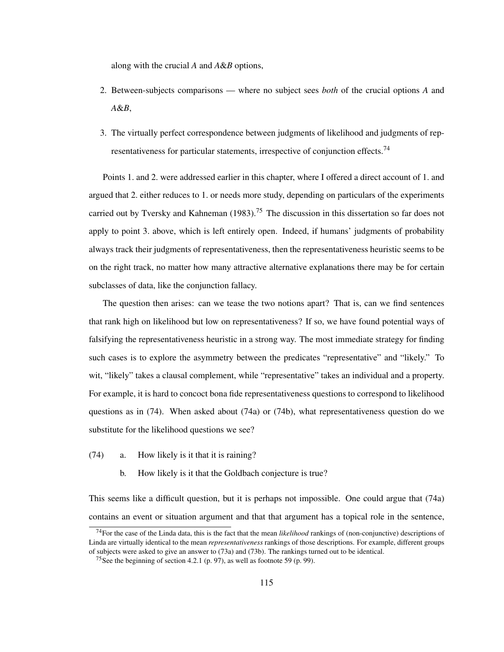along with the crucial *A* and *A*&*B* options,

- 2. Between-subjects comparisons where no subject sees *both* of the crucial options *A* and *A*&*B*,
- 3. The virtually perfect correspondence between judgments of likelihood and judgments of rep-resentativeness for particular statements, irrespective of conjunction effects.<sup>[74](#page-123-0)</sup>

Points 1. and 2. were addressed earlier in this chapter, where I offered a direct account of 1. and argued that 2. either reduces to 1. or needs more study, depending on particulars of the experiments carried out by [Tversky and Kahneman](#page-165-3)  $(1983)$ .<sup>[75](#page-123-1)</sup> The discussion in this dissertation so far does not apply to point 3. above, which is left entirely open. Indeed, if humans' judgments of probability always track their judgments of representativeness, then the representativeness heuristic seems to be on the right track, no matter how many attractive alternative explanations there may be for certain subclasses of data, like the conjunction fallacy.

The question then arises: can we tease the two notions apart? That is, can we find sentences that rank high on likelihood but low on representativeness? If so, we have found potential ways of falsifying the representativeness heuristic in a strong way. The most immediate strategy for finding such cases is to explore the asymmetry between the predicates "representative" and "likely." To wit, "likely" takes a clausal complement, while "representative" takes an individual and a property. For example, it is hard to concoct bona fide representativeness questions to correspond to likelihood questions as in (74). When asked about (74a) or (74b), what representativeness question do we substitute for the likelihood questions we see?

- (74) a. How likely is it that it is raining?
	- b. How likely is it that the Goldbach conjecture is true?

This seems like a difficult question, but it is perhaps not impossible. One could argue that (74a) contains an event or situation argument and that that argument has a topical role in the sentence,

<span id="page-123-0"></span><sup>74</sup>For the case of the Linda data, this is the fact that the mean *likelihood* rankings of (non-conjunctive) descriptions of Linda are virtually identical to the mean *representativeness* rankings of those descriptions. For example, different groups of subjects were asked to give an answer to (73a) and (73b). The rankings turned out to be identical.

<span id="page-123-1"></span><sup>&</sup>lt;sup>75</sup>See the beginning of section [4.2.1](#page-105-1) (p. [97\)](#page-105-1), as well as footnote [59](#page-107-0) (p. [99\)](#page-107-0).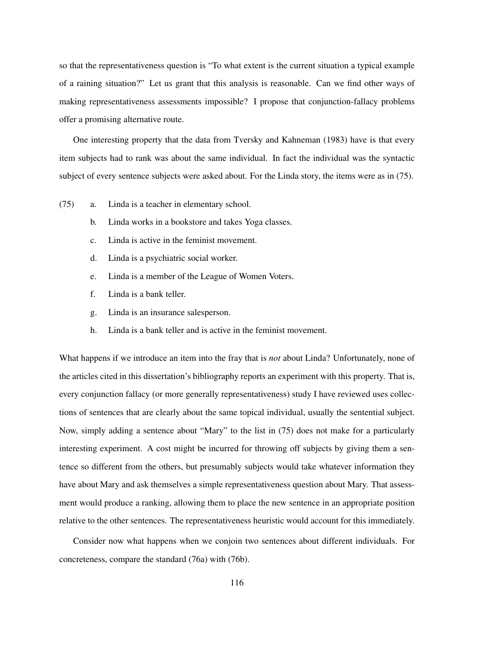so that the representativeness question is "To what extent is the current situation a typical example of a raining situation?" Let us grant that this analysis is reasonable. Can we find other ways of making representativeness assessments impossible? I propose that conjunction-fallacy problems offer a promising alternative route.

One interesting property that the data from [Tversky and Kahneman](#page-165-3) [\(1983\)](#page-165-3) have is that every item subjects had to rank was about the same individual. In fact the individual was the syntactic subject of every sentence subjects were asked about. For the Linda story, the items were as in (75).

(75) a. Linda is a teacher in elementary school.

- b. Linda works in a bookstore and takes Yoga classes.
- c. Linda is active in the feminist movement.
- d. Linda is a psychiatric social worker.
- e. Linda is a member of the League of Women Voters.
- f. Linda is a bank teller.
- g. Linda is an insurance salesperson.
- h. Linda is a bank teller and is active in the feminist movement.

What happens if we introduce an item into the fray that is *not* about Linda? Unfortunately, none of the articles cited in this dissertation's bibliography reports an experiment with this property. That is, every conjunction fallacy (or more generally representativeness) study I have reviewed uses collections of sentences that are clearly about the same topical individual, usually the sentential subject. Now, simply adding a sentence about "Mary" to the list in (75) does not make for a particularly interesting experiment. A cost might be incurred for throwing off subjects by giving them a sentence so different from the others, but presumably subjects would take whatever information they have about Mary and ask themselves a simple representativeness question about Mary. That assessment would produce a ranking, allowing them to place the new sentence in an appropriate position relative to the other sentences. The representativeness heuristic would account for this immediately.

Consider now what happens when we conjoin two sentences about different individuals. For concreteness, compare the standard (76a) with (76b).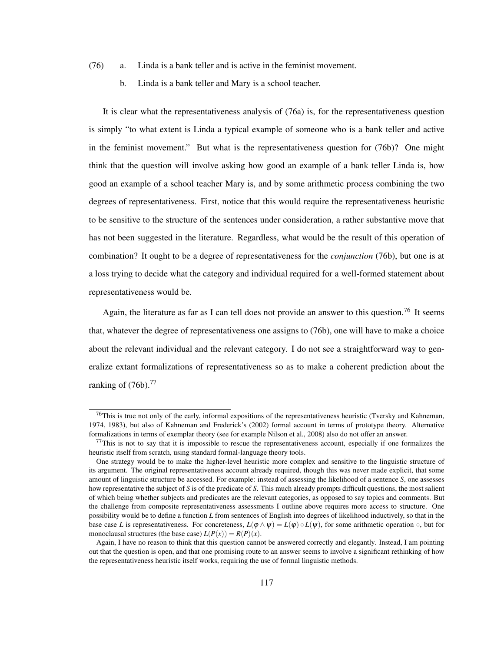- (76) a. Linda is a bank teller and is active in the feminist movement.
	- b. Linda is a bank teller and Mary is a school teacher.

It is clear what the representativeness analysis of (76a) is, for the representativeness question is simply "to what extent is Linda a typical example of someone who is a bank teller and active in the feminist movement." But what is the representativeness question for (76b)? One might think that the question will involve asking how good an example of a bank teller Linda is, how good an example of a school teacher Mary is, and by some arithmetic process combining the two degrees of representativeness. First, notice that this would require the representativeness heuristic to be sensitive to the structure of the sentences under consideration, a rather substantive move that has not been suggested in the literature. Regardless, what would be the result of this operation of combination? It ought to be a degree of representativeness for the *conjunction* (76b), but one is at a loss trying to decide what the category and individual required for a well-formed statement about representativeness would be.

Again, the literature as far as I can tell does not provide an answer to this question.<sup>[76](#page-125-0)</sup> It seems that, whatever the degree of representativeness one assigns to (76b), one will have to make a choice about the relevant individual and the relevant category. I do not see a straightforward way to generalize extant formalizations of representativeness so as to make a coherent prediction about the ranking of  $(76b)$ .<sup>[77](#page-125-1)</sup>

<span id="page-125-0"></span> $^{76}$ This is true not only of the early, informal expositions of the representativeness heuristic [\(Tversky and Kahneman,](#page-165-1) [1974,](#page-165-1) [1983\)](#page-165-3), but also of [Kahneman and Frederick'](#page-161-1)s (2002) formal account in terms of prototype theory. Alternative formalizations in terms of exemplar theory (see for example [Nilson et al., 2008\)](#page-163-2) also do not offer an answer.

<span id="page-125-1"></span> $^{77}$ This is not to say that it is impossible to rescue the representativeness account, especially if one formalizes the heuristic itself from scratch, using standard formal-language theory tools.

One strategy would be to make the higher-level heuristic more complex and sensitive to the linguistic structure of its argument. The original representativeness account already required, though this was never made explicit, that some amount of linguistic structure be accessed. For example: instead of assessing the likelihood of a sentence *S*, one assesses how representative the subject of *S* is of the predicate of *S*. This much already prompts difficult questions, the most salient of which being whether subjects and predicates are the relevant categories, as opposed to say topics and comments. But the challenge from composite representativeness assessments I outline above requires more access to structure. One possibility would be to define a function *L* from sentences of English into degrees of likelihood inductively, so that in the base case *L* is representativeness. For concreteness,  $L(\varphi \wedge \psi) = L(\varphi) \circ L(\psi)$ , for some arithmetic operation  $\circ$ , but for monoclausal structures (the base case)  $L(P(x)) = R(P)(x)$ .

Again, I have no reason to think that this question cannot be answered correctly and elegantly. Instead, I am pointing out that the question is open, and that one promising route to an answer seems to involve a significant rethinking of how the representativeness heuristic itself works, requiring the use of formal linguistic methods.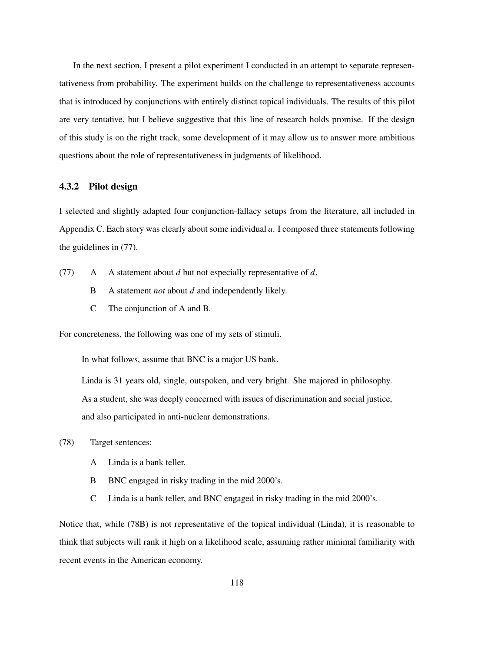In the next section, I present a pilot experiment I conducted in an attempt to separate representativeness from probability. The experiment builds on the challenge to representativeness accounts that is introduced by conjunctions with entirely distinct topical individuals. The results of this pilot are very tentative, but I believe suggestive that this line of research holds promise. If the design of this study is on the right track, some development of it may allow us to answer more ambitious questions about the role of representativeness in judgments of likelihood.

## 4.3.2 Pilot design

I selected and slightly adapted four conjunction-fallacy setups from the literature, all included in Appendix [C.](#page-154-0) Each story was clearly about some individual *a*. I composed three statements following the guidelines in (77).

- (77) A A statement about *d* but not especially representative of *d*,
	- B A statement *not* about *d* and independently likely.
	- C The conjunction of A and B.

For concreteness, the following was one of my sets of stimuli.

In what follows, assume that BNC is a major US bank.

Linda is 31 years old, single, outspoken, and very bright. She majored in philosophy. As a student, she was deeply concerned with issues of discrimination and social justice, and also participated in anti-nuclear demonstrations.

- (78) Target sentences:
	- A Linda is a bank teller.
	- B BNC engaged in risky trading in the mid 2000's.
	- C Linda is a bank teller, and BNC engaged in risky trading in the mid 2000's.

Notice that, while (78B) is not representative of the topical individual (Linda), it is reasonable to think that subjects will rank it high on a likelihood scale, assuming rather minimal familiarity with recent events in the American economy.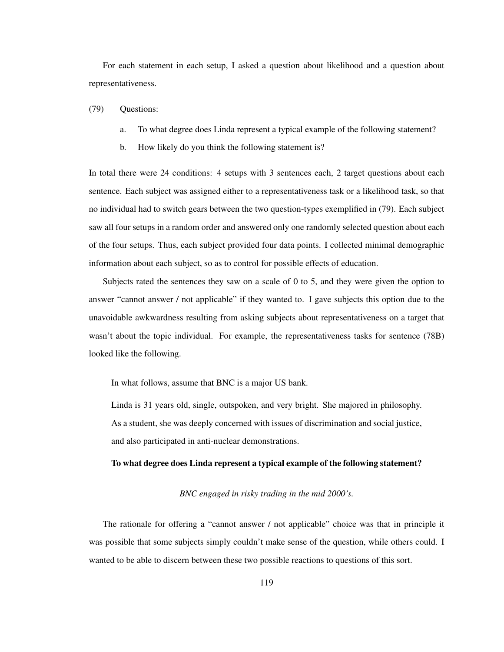For each statement in each setup, I asked a question about likelihood and a question about representativeness.

### (79) Questions:

- a. To what degree does Linda represent a typical example of the following statement?
- b. How likely do you think the following statement is?

In total there were 24 conditions: 4 setups with 3 sentences each, 2 target questions about each sentence. Each subject was assigned either to a representativeness task or a likelihood task, so that no individual had to switch gears between the two question-types exemplified in (79). Each subject saw all four setups in a random order and answered only one randomly selected question about each of the four setups. Thus, each subject provided four data points. I collected minimal demographic information about each subject, so as to control for possible effects of education.

Subjects rated the sentences they saw on a scale of 0 to 5, and they were given the option to answer "cannot answer / not applicable" if they wanted to. I gave subjects this option due to the unavoidable awkwardness resulting from asking subjects about representativeness on a target that wasn't about the topic individual. For example, the representativeness tasks for sentence (78B) looked like the following.

In what follows, assume that BNC is a major US bank.

Linda is 31 years old, single, outspoken, and very bright. She majored in philosophy. As a student, she was deeply concerned with issues of discrimination and social justice, and also participated in anti-nuclear demonstrations.

#### To what degree does Linda represent a typical example of the following statement?

### *BNC engaged in risky trading in the mid 2000's.*

The rationale for offering a "cannot answer / not applicable" choice was that in principle it was possible that some subjects simply couldn't make sense of the question, while others could. I wanted to be able to discern between these two possible reactions to questions of this sort.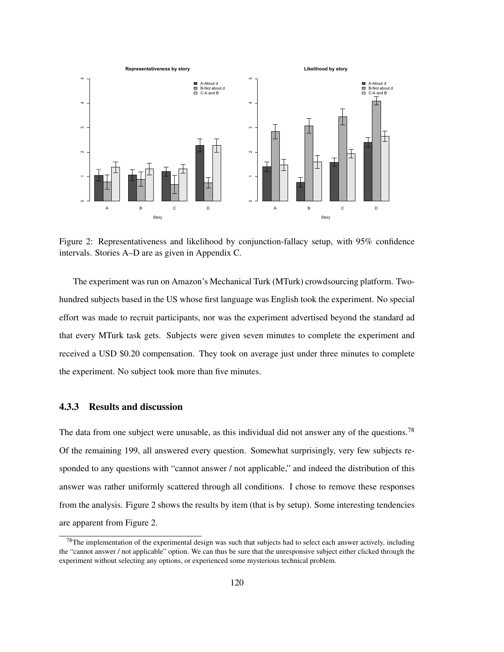

<span id="page-128-1"></span>Figure 2: Representativeness and likelihood by conjunction-fallacy setup, with 95% confidence intervals. Stories A–D are as given in Appendix [C.](#page-154-0)

The experiment was run on Amazon's Mechanical Turk (MTurk) crowdsourcing platform. Twohundred subjects based in the US whose first language was English took the experiment. No special effort was made to recruit participants, nor was the experiment advertised beyond the standard ad that every MTurk task gets. Subjects were given seven minutes to complete the experiment and received a USD \$0.20 compensation. They took on average just under three minutes to complete the experiment. No subject took more than five minutes.

# 4.3.3 Results and discussion

The data from one subject were unusable, as this individual did not answer any of the questions.<sup>[78](#page-128-0)</sup> Of the remaining 199, all answered every question. Somewhat surprisingly, very few subjects responded to any questions with "cannot answer / not applicable," and indeed the distribution of this answer was rather uniformly scattered through all conditions. I chose to remove these responses from the analysis. Figure [2](#page-128-1) shows the results by item (that is by setup). Some interesting tendencies are apparent from Figure [2.](#page-128-1)

<span id="page-128-0"></span><sup>&</sup>lt;sup>78</sup>The implementation of the experimental design was such that subjects had to select each answer actively, including the "cannot answer / not applicable" option. We can thus be sure that the unresponsive subject either clicked through the experiment without selecting any options, or experienced some mysterious technical problem.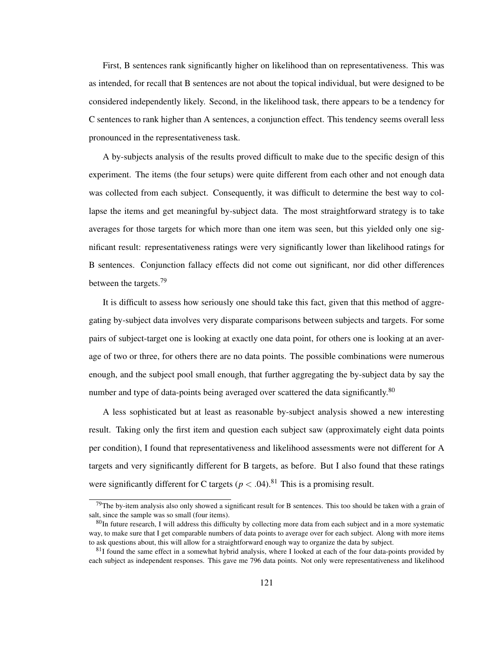First, B sentences rank significantly higher on likelihood than on representativeness. This was as intended, for recall that B sentences are not about the topical individual, but were designed to be considered independently likely. Second, in the likelihood task, there appears to be a tendency for C sentences to rank higher than A sentences, a conjunction effect. This tendency seems overall less pronounced in the representativeness task.

A by-subjects analysis of the results proved difficult to make due to the specific design of this experiment. The items (the four setups) were quite different from each other and not enough data was collected from each subject. Consequently, it was difficult to determine the best way to collapse the items and get meaningful by-subject data. The most straightforward strategy is to take averages for those targets for which more than one item was seen, but this yielded only one significant result: representativeness ratings were very significantly lower than likelihood ratings for B sentences. Conjunction fallacy effects did not come out significant, nor did other differences between the targets.<sup>[79](#page-129-0)</sup>

It is difficult to assess how seriously one should take this fact, given that this method of aggregating by-subject data involves very disparate comparisons between subjects and targets. For some pairs of subject-target one is looking at exactly one data point, for others one is looking at an average of two or three, for others there are no data points. The possible combinations were numerous enough, and the subject pool small enough, that further aggregating the by-subject data by say the number and type of data-points being averaged over scattered the data significantly.<sup>[80](#page-129-1)</sup>

A less sophisticated but at least as reasonable by-subject analysis showed a new interesting result. Taking only the first item and question each subject saw (approximately eight data points per condition), I found that representativeness and likelihood assessments were not different for A targets and very significantly different for B targets, as before. But I also found that these ratings were significantly different for C targets ( $p < .04$ ).<sup>[81](#page-129-2)</sup> This is a promising result.

<span id="page-129-0"></span> $<sup>79</sup>$ The by-item analysis also only showed a significant result for B sentences. This too should be taken with a grain of</sup> salt, since the sample was so small (four items).

<span id="page-129-1"></span> $80$ In future research, I will address this difficulty by collecting more data from each subject and in a more systematic way, to make sure that I get comparable numbers of data points to average over for each subject. Along with more items to ask questions about, this will allow for a straightforward enough way to organize the data by subject.

<span id="page-129-2"></span> $81$ I found the same effect in a somewhat hybrid analysis, where I looked at each of the four data-points provided by each subject as independent responses. This gave me 796 data points. Not only were representativeness and likelihood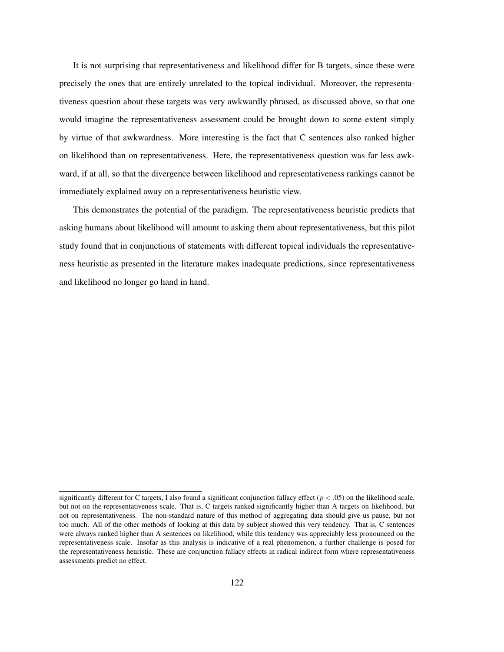It is not surprising that representativeness and likelihood differ for B targets, since these were precisely the ones that are entirely unrelated to the topical individual. Moreover, the representativeness question about these targets was very awkwardly phrased, as discussed above, so that one would imagine the representativeness assessment could be brought down to some extent simply by virtue of that awkwardness. More interesting is the fact that C sentences also ranked higher on likelihood than on representativeness. Here, the representativeness question was far less awkward, if at all, so that the divergence between likelihood and representativeness rankings cannot be immediately explained away on a representativeness heuristic view.

This demonstrates the potential of the paradigm. The representativeness heuristic predicts that asking humans about likelihood will amount to asking them about representativeness, but this pilot study found that in conjunctions of statements with different topical individuals the representativeness heuristic as presented in the literature makes inadequate predictions, since representativeness and likelihood no longer go hand in hand.

significantly different for C targets, I also found a significant conjunction fallacy effect ( $p < .05$ ) on the likelihood scale, but not on the representativeness scale. That is, C targets ranked significantly higher than A targets on likelihood, but not on representativeness. The non-standard nature of this method of aggregating data should give us pause, but not too much. All of the other methods of looking at this data by subject showed this very tendency. That is, C sentences were always ranked higher than A sentences on likelihood, while this tendency was appreciably less pronounced on the representativeness scale. Insofar as this analysis is indicative of a real phenomenon, a further challenge is posed for the representativeness heuristic. These are conjunction fallacy effects in radical indirect form where representativeness assessments predict no effect.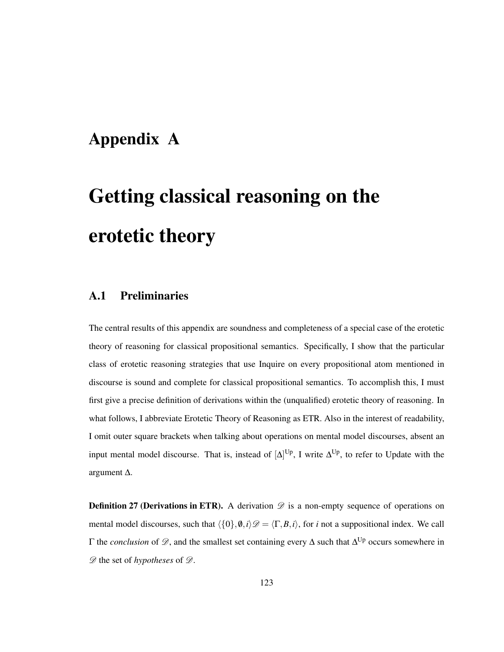# Appendix A

# Getting classical reasoning on the erotetic theory

# A.1 Preliminaries

The central results of this appendix are soundness and completeness of a special case of the erotetic theory of reasoning for classical propositional semantics. Specifically, I show that the particular class of erotetic reasoning strategies that use Inquire on every propositional atom mentioned in discourse is sound and complete for classical propositional semantics. To accomplish this, I must first give a precise definition of derivations within the (unqualified) erotetic theory of reasoning. In what follows, I abbreviate Erotetic Theory of Reasoning as ETR. Also in the interest of readability, I omit outer square brackets when talking about operations on mental model discourses, absent an input mental model discourse. That is, instead of  $[\Delta]^{Up}$ , I write  $\Delta^{Up}$ , to refer to Update with the argument ∆.

<span id="page-131-0"></span>**Definition 27 (Derivations in ETR).** A derivation  $\mathscr{D}$  is a non-empty sequence of operations on mental model discourses, such that  $\langle \{0\}, \emptyset, i\rangle \mathcal{D} = \langle \Gamma, B, i \rangle$ , for *i* not a suppositional index. We call Γ the *conclusion* of  $\mathscr{D}$ , and the smallest set containing every  $\Delta$  such that  $\Delta^{Up}$  occurs somewhere in D the set of *hypotheses* of D.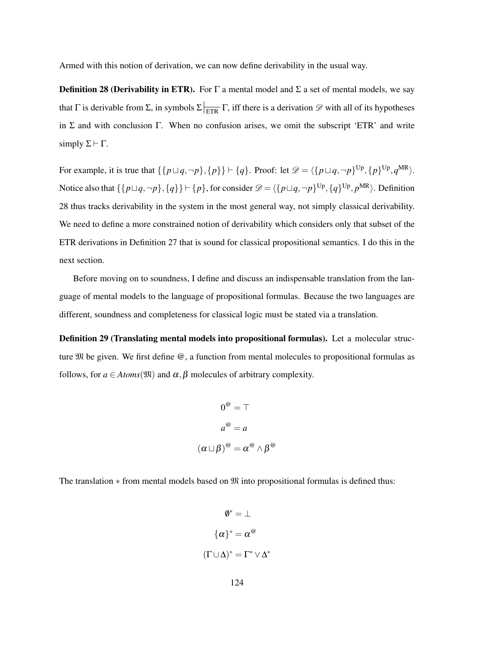<span id="page-132-0"></span>Armed with this notion of derivation, we can now define derivability in the usual way.

**Definition 28 (Derivability in ETR).** For  $\Gamma$  a mental model and  $\Sigma$  a set of mental models, we say that Γ is derivable from Σ, in symbols  $\Sigma \big|_{\overline{\text{ETR}}} \Gamma$ , iff there is a derivation  $\mathscr{D}$  with all of its hypotheses in  $\Sigma$  and with conclusion Γ. When no confusion arises, we omit the subscript 'ETR' and write simply  $\Sigma \vdash \Gamma$ .

For example, it is true that  $\{\{p \sqcup q, \neg p\}, \{p\}\}\vdash \{q\}$ . Proof: let  $\mathscr{D} = \{\{p \sqcup q, \neg p\}^{\text{Up}}, \{p\}^{\text{Up}}, q^{\text{MR}}\}$ . Notice also that  $\{\{p \sqcup q, \neg p\}, \{q\} \} \vdash \{p\}$ , for consider  $\mathscr{D} = \{\{p \sqcup q, \neg p\}^{\text{Up}}, \{q\}^{\text{Up}}, p^{\text{MR}}\}$ . Definition [28](#page-132-0) thus tracks derivability in the system in the most general way, not simply classical derivability. We need to define a more constrained notion of derivability which considers only that subset of the ETR derivations in Definition [27](#page-131-0) that is sound for classical propositional semantics. I do this in the next section.

Before moving on to soundness, I define and discuss an indispensable translation from the language of mental models to the language of propositional formulas. Because the two languages are different, soundness and completeness for classical logic must be stated via a translation.

Definition 29 (Translating mental models into propositional formulas). Let a molecular structure  $\mathfrak M$  be given. We first define  $\mathfrak{G}$ , a function from mental molecules to propositional formulas as follows, for  $a \in Atoms(\mathfrak{M})$  and  $\alpha, \beta$  molecules of arbitrary complexity.

$$
0^{\circledast} = \top
$$

$$
a^{\circledast} = a
$$

$$
(\alpha \sqcup \beta)^{\circledast} = \alpha^{\circledast} \wedge \beta^{\circledast}
$$

The translation  $∗$  from mental models based on  $\mathfrak{M}$  into propositional formulas is defined thus:

$$
\emptyset^* = \bot
$$

$$
\{\alpha\}^* = \alpha^\text{@}
$$

$$
(\Gamma \cup \Delta)^* = \Gamma^* \vee \Delta^*
$$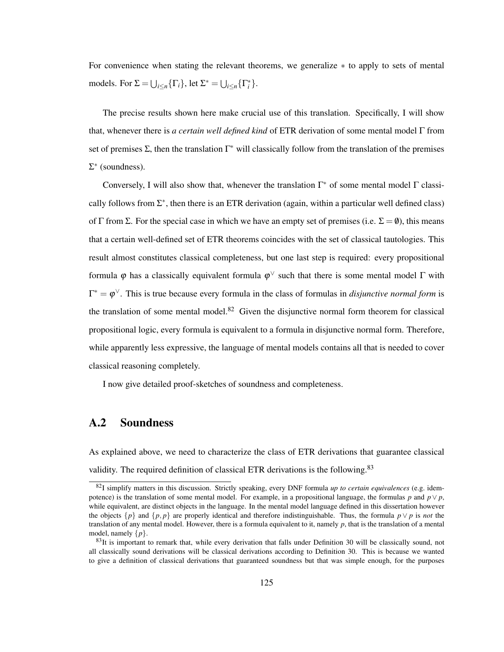For convenience when stating the relevant theorems, we generalize ∗ to apply to sets of mental models. For  $\Sigma = \bigcup_{i \leq n} {\{\Gamma_i\}}$ , let  $\Sigma^* = \bigcup_{i \leq n} {\{\Gamma_i^*\}}$ .

The precise results shown here make crucial use of this translation. Specifically, I will show that, whenever there is *a certain well defined kind* of ETR derivation of some mental model Γ from set of premises  $\Sigma$ , then the translation  $\Gamma^*$  will classically follow from the translation of the premises  $\Sigma^*$  (soundness).

Conversely, I will also show that, whenever the translation  $\Gamma^*$  of some mental model  $\Gamma$  classically follows from  $\Sigma^*$ , then there is an ETR derivation (again, within a particular well defined class) of Γ from Σ. For the special case in which we have an empty set of premises (i.e.  $\Sigma = \emptyset$ ), this means that a certain well-defined set of ETR theorems coincides with the set of classical tautologies. This result almost constitutes classical completeness, but one last step is required: every propositional formula  $\varphi$  has a classically equivalent formula  $\varphi^{\vee}$  such that there is some mental model  $\Gamma$  with  $\Gamma^* = \varphi^{\vee}$ . This is true because every formula in the class of formulas in *disjunctive normal form* is the translation of some mental model.<sup>[82](#page-133-0)</sup> Given the disjunctive normal form theorem for classical propositional logic, every formula is equivalent to a formula in disjunctive normal form. Therefore, while apparently less expressive, the language of mental models contains all that is needed to cover classical reasoning completely.

I now give detailed proof-sketches of soundness and completeness.

# A.2 Soundness

As explained above, we need to characterize the class of ETR derivations that guarantee classical validity. The required definition of classical ETR derivations is the following.<sup>[83](#page-133-1)</sup>

<span id="page-133-2"></span><span id="page-133-0"></span><sup>82</sup>I simplify matters in this discussion. Strictly speaking, every DNF formula *up to certain equivalences* (e.g. idempotence) is the translation of some mental model. For example, in a propositional language, the formulas *p* and  $p \vee p$ , while equivalent, are distinct objects in the language. In the mental model language defined in this dissertation however the objects  $\{p\}$  and  $\{p, p\}$  are properly identical and therefore indistinguishable. Thus, the formula  $p \vee p$  is *not* the translation of any mental model. However, there is a formula equivalent to it, namely *p*, that is the translation of a mental model, namely  $\{p\}$ .

<span id="page-133-1"></span> $83$ It is important to remark that, while every derivation that falls under Definition [30](#page-133-2) will be classically sound, not all classically sound derivations will be classical derivations according to Definition [30.](#page-133-2) This is because we wanted to give a definition of classical derivations that guaranteed soundness but that was simple enough, for the purposes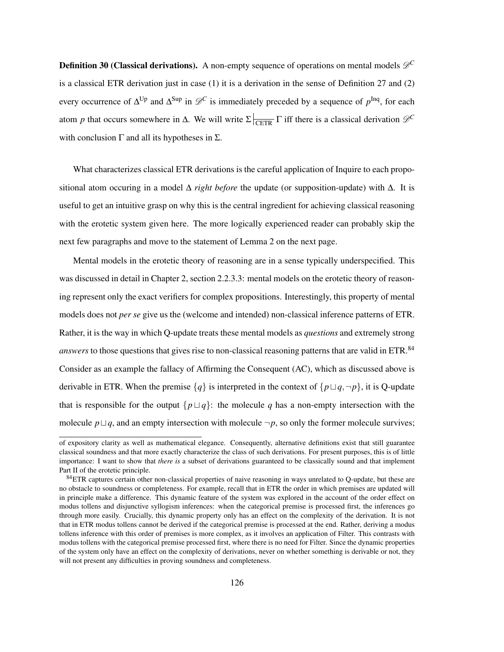**Definition 30 (Classical derivations).** A non-empty sequence of operations on mental models  $\mathcal{D}^C$ is a classical ETR derivation just in case (1) it is a derivation in the sense of Definition [27](#page-131-0) and (2) every occurrence of  $\Delta^{Up}$  and  $\Delta^{Sup}$  in  $\mathscr{D}^C$  is immediately preceded by a sequence of  $p^{Inq}$ , for each atom *p* that occurs somewhere in  $\Delta$ . We will write  $\Sigma \vert_{\overline{\text{CETR}}} \Gamma$  iff there is a classical derivation  $\mathcal{D}^C$ with conclusion  $\Gamma$  and all its hypotheses in  $\Sigma$ .

What characterizes classical ETR derivations is the careful application of Inquire to each propositional atom occuring in a model ∆ *right before* the update (or supposition-update) with ∆. It is useful to get an intuitive grasp on why this is the central ingredient for achieving classical reasoning with the erotetic system given here. The more logically experienced reader can probably skip the next few paragraphs and move to the statement of Lemma [2](#page-136-0) on the next page.

Mental models in the erotetic theory of reasoning are in a sense typically underspecified. This was discussed in detail in Chapter [2,](#page-14-0) section [2.2.3.3:](#page-30-0) mental models on the erotetic theory of reasoning represent only the exact verifiers for complex propositions. Interestingly, this property of mental models does not *per se* give us the (welcome and intended) non-classical inference patterns of ETR. Rather, it is the way in which Q-update treats these mental models as *questions* and extremely strong *answers* to those questions that gives rise to non-classical reasoning patterns that are valid in ETR.<sup>[84](#page-134-0)</sup> Consider as an example the fallacy of Affirming the Consequent (AC), which as discussed above is derivable in ETR. When the premise  $\{q\}$  is interpreted in the context of  $\{p \sqcup q, \neg p\}$ , it is Q-update that is responsible for the output  $\{p \sqcup q\}$ : the molecule *q* has a non-empty intersection with the molecule  $p \sqcup q$ , and an empty intersection with molecule  $\neg p$ , so only the former molecule survives;

of expository clarity as well as mathematical elegance. Consequently, alternative definitions exist that still guarantee classical soundness and that more exactly characterize the class of such derivations. For present purposes, this is of little importance: I want to show that *there is* a subset of derivations guaranteed to be classically sound and that implement Part II of the erotetic principle.

<span id="page-134-0"></span><sup>&</sup>lt;sup>84</sup>ETR captures certain other non-classical properties of naive reasoning in ways unrelated to Q-update, but these are no obstacle to soundness or completeness. For example, recall that in ETR the order in which premises are updated will in principle make a difference. This dynamic feature of the system was explored in the account of the order effect on modus tollens and disjunctive syllogism inferences: when the categorical premise is processed first, the inferences go through more easily. Crucially, this dynamic property only has an effect on the complexity of the derivation. It is not that in ETR modus tollens cannot be derived if the categorical premise is processed at the end. Rather, deriving a modus tollens inference with this order of premises is more complex, as it involves an application of Filter. This contrasts with modus tollens with the categorical premise processed first, where there is no need for Filter. Since the dynamic properties of the system only have an effect on the complexity of derivations, never on whether something is derivable or not, they will not present any difficulties in proving soundness and completeness.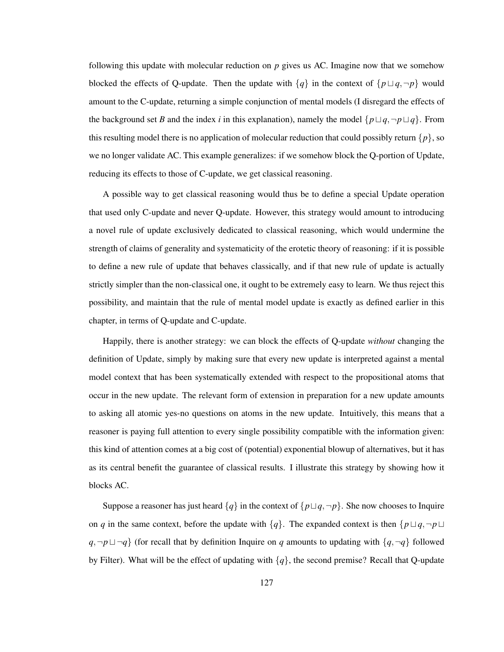following this update with molecular reduction on *p* gives us AC. Imagine now that we somehow blocked the effects of Q-update. Then the update with  ${q}$  in the context of  ${p \sqcup q, \neg p}$  would amount to the C-update, returning a simple conjunction of mental models (I disregard the effects of the background set *B* and the index *i* in this explanation), namely the model  $\{p \sqcup q, \neg p \sqcup q\}$ . From this resulting model there is no application of molecular reduction that could possibly return  $\{p\}$ , so we no longer validate AC. This example generalizes: if we somehow block the Q-portion of Update, reducing its effects to those of C-update, we get classical reasoning.

A possible way to get classical reasoning would thus be to define a special Update operation that used only C-update and never Q-update. However, this strategy would amount to introducing a novel rule of update exclusively dedicated to classical reasoning, which would undermine the strength of claims of generality and systematicity of the erotetic theory of reasoning: if it is possible to define a new rule of update that behaves classically, and if that new rule of update is actually strictly simpler than the non-classical one, it ought to be extremely easy to learn. We thus reject this possibility, and maintain that the rule of mental model update is exactly as defined earlier in this chapter, in terms of Q-update and C-update.

Happily, there is another strategy: we can block the effects of Q-update *without* changing the definition of Update, simply by making sure that every new update is interpreted against a mental model context that has been systematically extended with respect to the propositional atoms that occur in the new update. The relevant form of extension in preparation for a new update amounts to asking all atomic yes-no questions on atoms in the new update. Intuitively, this means that a reasoner is paying full attention to every single possibility compatible with the information given: this kind of attention comes at a big cost of (potential) exponential blowup of alternatives, but it has as its central benefit the guarantee of classical results. I illustrate this strategy by showing how it blocks AC.

Suppose a reasoner has just heard  $\{q\}$  in the context of  $\{p \sqcup q, \neg p\}$ . She now chooses to Inquire on *q* in the same context, before the update with  $\{q\}$ . The expanded context is then  $\{p \sqcup q, \neg p \sqcup q\}$  $q, \neg p \sqcup \neg q$ } (for recall that by definition Inquire on *q* amounts to updating with  $\{q, \neg q\}$  followed by Filter). What will be the effect of updating with {*q*}, the second premise? Recall that Q-update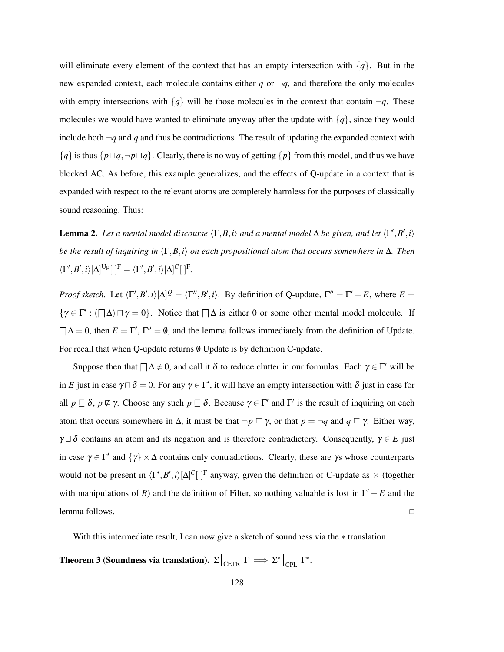will eliminate every element of the context that has an empty intersection with  $\{q\}$ . But in the new expanded context, each molecule contains either  $q$  or  $\neg q$ , and therefore the only molecules with empty intersections with  ${q}$  will be those molecules in the context that contain  $\neg q$ . These molecules we would have wanted to eliminate anyway after the update with  $\{q\}$ , since they would include both  $\neg q$  and *q* and thus be contradictions. The result of updating the expanded context with  $\{q\}$  is thus  $\{p \sqcup q, \neg p \sqcup q\}$ . Clearly, there is no way of getting  $\{p\}$  from this model, and thus we have blocked AC. As before, this example generalizes, and the effects of Q-update in a context that is expanded with respect to the relevant atoms are completely harmless for the purposes of classically sound reasoning. Thus:

<span id="page-136-0"></span>**Lemma 2.** Let a mental model discourse  $\langle \Gamma, B, i \rangle$  and a mental model  $\Delta$  be given, and let  $\langle \Gamma', B', i \rangle$ *be the result of inquiring in* hΓ,*B*,*i*i *on each propositional atom that occurs somewhere in* ∆*. Then*  $\langle \Gamma', B', i \rangle [\Delta]^{\text{Up}}[\ ]^{\text{F}} = \langle \Gamma', B', i \rangle [\Delta]^C[\ ]^{\text{F}}.$ 

*Proof sketch.* Let  $\langle \Gamma', B', i \rangle \Delta \}^{\mathcal{Q}} = \langle \Gamma'', B', i \rangle$ . By definition of Q-update,  $\Gamma'' = \Gamma' - E$ , where  $E =$  $\{\gamma \in \Gamma': (\square \Delta) \cap \gamma = 0\}$ . Notice that  $\square \Delta$  is either 0 or some other mental model molecule. If  $\Box \Delta = 0$ , then  $E = \Gamma'$ ,  $\Gamma'' = \emptyset$ , and the lemma follows immediately from the definition of Update. For recall that when Q-update returns  $\emptyset$  Update is by definition C-update.

Suppose then that  $\Box \Delta \neq 0$ , and call it  $\delta$  to reduce clutter in our formulas. Each  $\gamma \in \Gamma'$  will be in *E* just in case  $\gamma \cap \delta = 0$ . For any  $\gamma \in \Gamma'$ , it will have an empty intersection with  $\delta$  just in case for all  $p \sqsubseteq \delta$ ,  $p \not\sqsubseteq \gamma$ . Choose any such  $p \sqsubseteq \delta$ . Because  $\gamma \in \Gamma'$  and  $\Gamma'$  is the result of inquiring on each atom that occurs somewhere in  $\Delta$ , it must be that  $\neg p \sqsubseteq \gamma$ , or that  $p = \neg q$  and  $q \sqsubseteq \gamma$ . Either way,  $\gamma \sqcup \delta$  contains an atom and its negation and is therefore contradictory. Consequently,  $\gamma \in E$  just in case  $\gamma \in \Gamma'$  and  $\{\gamma\} \times \Delta$  contains only contradictions. Clearly, these are  $\gamma$ s whose counterparts would not be present in  $\langle \Gamma', B', i \rangle [\Delta]^C$  |<sup>F</sup> anyway, given the definition of C-update as  $\times$  (together with manipulations of *B*) and the definition of Filter, so nothing valuable is lost in  $\Gamma' - E$  and the lemma follows.

With this intermediate result, I can now give a sketch of soundness via the ∗ translation.

**Theorem 3 (Soundness via translation).**  $\Sigma \Big|_{\overline{\text{CETR}}} \Gamma \implies \Sigma^* \Big|_{\overline{\text{CPL}}} \Gamma^*.$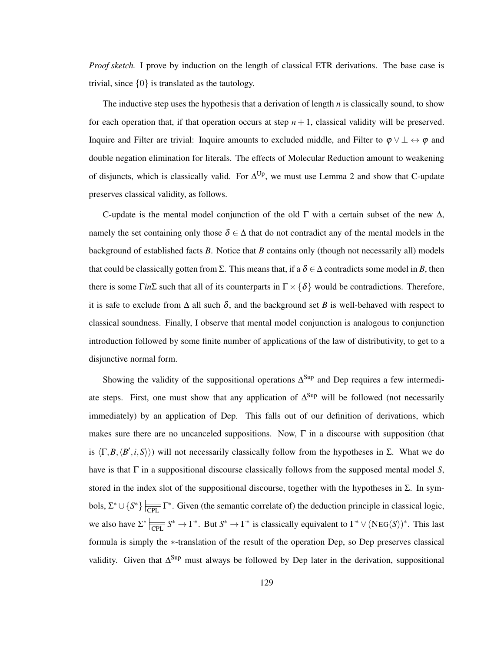*Proof sketch.* I prove by induction on the length of classical ETR derivations. The base case is trivial, since  $\{0\}$  is translated as the tautology.

The inductive step uses the hypothesis that a derivation of length *n* is classically sound, to show for each operation that, if that operation occurs at step  $n + 1$ , classical validity will be preserved. Inquire and Filter are trivial: Inquire amounts to excluded middle, and Filter to  $\varphi \lor \bot \leftrightarrow \varphi$  and double negation elimination for literals. The effects of Molecular Reduction amount to weakening of disjuncts, which is classically valid. For  $\Delta^{Up}$ , we must use Lemma [2](#page-136-0) and show that C-update preserves classical validity, as follows.

C-update is the mental model conjunction of the old  $\Gamma$  with a certain subset of the new  $\Delta$ , namely the set containing only those  $\delta \in \Delta$  that do not contradict any of the mental models in the background of established facts *B*. Notice that *B* contains only (though not necessarily all) models that could be classically gotten from  $\Sigma$ . This means that, if a  $\delta \in \Delta$  contradicts some model in *B*, then there is some  $\Gamma$ *in* $\Sigma$  such that all of its counterparts in  $\Gamma \times {\delta}$  would be contradictions. Therefore, it is safe to exclude from  $\Delta$  all such  $\delta$ , and the background set *B* is well-behaved with respect to classical soundness. Finally, I observe that mental model conjunction is analogous to conjunction introduction followed by some finite number of applications of the law of distributivity, to get to a disjunctive normal form.

Showing the validity of the suppositional operations  $\Delta^{\text{Sup}}$  and Dep requires a few intermediate steps. First, one must show that any application of  $\Delta^{\text{Sup}}$  will be followed (not necessarily immediately) by an application of Dep. This falls out of our definition of derivations, which makes sure there are no uncanceled suppositions. Now,  $\Gamma$  in a discourse with supposition (that is  $\langle \Gamma, B, \langle B', i, S \rangle$ ) will not necessarily classically follow from the hypotheses in Σ. What we do have is that Γ in a suppositional discourse classically follows from the supposed mental model *S*, stored in the index slot of the suppositional discourse, together with the hypotheses in  $\Sigma$ . In symbols,  $\Sigma^* \cup \{S^*\}\vert_{\overline{\text{CPL}}}$  Γ<sup>\*</sup>. Given (the semantic correlate of) the deduction principle in classical logic, we also have  $\Sigma^* \downarrow \to \Gamma^*$ . But  $S^* \to \Gamma^*$  is classically equivalent to  $\Gamma^* \vee (\text{Neg}(S))^*$ . This last formula is simply the ∗-translation of the result of the operation Dep, so Dep preserves classical validity. Given that ∆<sup>Sup</sup> must always be followed by Dep later in the derivation, suppositional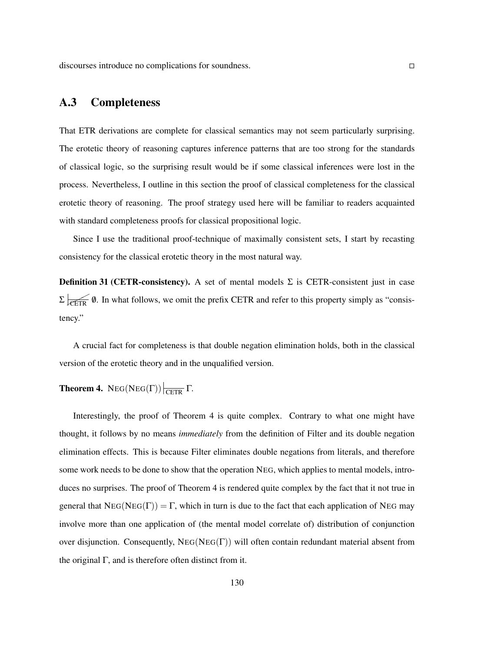discourses introduce no complications for soundness.

# A.3 Completeness

That ETR derivations are complete for classical semantics may not seem particularly surprising. The erotetic theory of reasoning captures inference patterns that are too strong for the standards of classical logic, so the surprising result would be if some classical inferences were lost in the process. Nevertheless, I outline in this section the proof of classical completeness for the classical erotetic theory of reasoning. The proof strategy used here will be familiar to readers acquainted with standard completeness proofs for classical propositional logic.

Since I use the traditional proof-technique of maximally consistent sets, I start by recasting consistency for the classical erotetic theory in the most natural way.

**Definition 31 (CETR-consistency).** A set of mental models  $\Sigma$  is CETR-consistent just in case  $\Sigma \ge \frac{1}{\sqrt{\epsilon_{\text{ETR}}}}$  (0. In what follows, we omit the prefix CETR and refer to this property simply as "consistency."

A crucial fact for completeness is that double negation elimination holds, both in the classical version of the erotetic theory and in the unqualified version.

# <span id="page-138-0"></span>**Theorem 4.** NEG(NEG(Γ))  $\frac{\overline{C_{\text{CTR}}}}{\overline{C_{\text{CTR}}}}$  Γ.

Interestingly, the proof of Theorem [4](#page-138-0) is quite complex. Contrary to what one might have thought, it follows by no means *immediately* from the definition of Filter and its double negation elimination effects. This is because Filter eliminates double negations from literals, and therefore some work needs to be done to show that the operation NEG, which applies to mental models, introduces no surprises. The proof of Theorem [4](#page-138-0) is rendered quite complex by the fact that it not true in general that  $NEG(NEG(\Gamma)) = \Gamma$ , which in turn is due to the fact that each application of NEG may involve more than one application of (the mental model correlate of) distribution of conjunction over disjunction. Consequently,  $NEG(NEG(\Gamma))$  will often contain redundant material absent from the original  $\Gamma$ , and is therefore often distinct from it.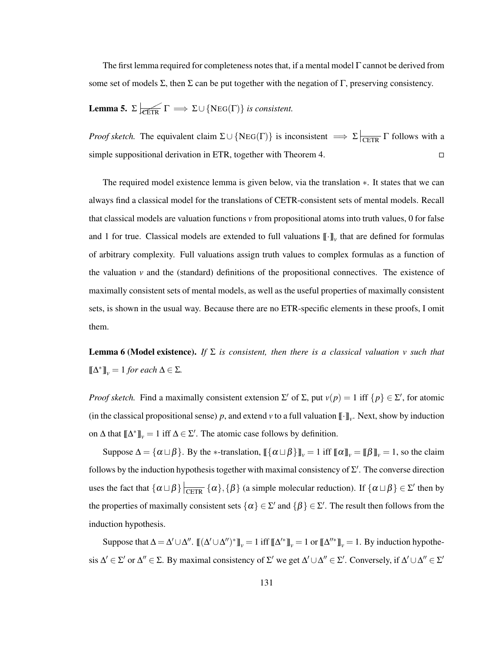The first lemma required for completeness notes that, if a mental model Γ cannot be derived from some set of models  $\Sigma$ , then  $\Sigma$  can be put together with the negation of  $\Gamma$ , preserving consistency.

# <span id="page-139-0"></span>**Lemma 5.**  $\Sigma$   $\overline{\mathcal{E}}$   $\overline{\mathcal{E}}$   $\Gamma \implies \Sigma \cup \{\text{NEG}(\Gamma)\}\$  *is consistent.*

*Proof sketch.* The equivalent claim  $\Sigma \cup \{NEG(\Gamma)\}\$ is inconsistent  $\implies \Sigma\vert_{\overline{\text{CETR}}}$  Γ follows with a simple suppositional derivation in ETR, together with Theorem [4.](#page-138-0)  $\Box$ 

The required model existence lemma is given below, via the translation ∗. It states that we can always find a classical model for the translations of CETR-consistent sets of mental models. Recall that classical models are valuation functions  $\nu$  from propositional atoms into truth values, 0 for false and 1 for true. Classical models are extended to full valuations  $\llbracket \cdot \rrbracket_v$  that are defined for formulas of arbitrary complexity. Full valuations assign truth values to complex formulas as a function of the valuation  $\nu$  and the (standard) definitions of the propositional connectives. The existence of maximally consistent sets of mental models, as well as the useful properties of maximally consistent sets, is shown in the usual way. Because there are no ETR-specific elements in these proofs, I omit them.

<span id="page-139-1"></span>**Lemma 6 (Model existence).** *If*  $\Sigma$  *is consistent, then there is a classical valuation v such that*  $[\![\Delta^*]\!]_v = 1$  *for each*  $\Delta \in \Sigma$ *.* 

*Proof sketch.* Find a maximally consistent extension  $\Sigma'$  of  $\Sigma$ , put  $v(p) = 1$  iff  $\{p\} \in \Sigma'$ , for atomic (in the classical propositional sense) p, and extend v to a full valuation  $[\![\cdot]\!]_v$ . Next, show by induction on  $\Delta$  that  $[\![\Delta^*]\!]_v = 1$  iff  $\Delta \in \Sigma'$ . The atomic case follows by definition.

Suppose  $\Delta = {\alpha \sqcup \beta}$ . By the \*-translation,  $\llbracket {\alpha \sqcup \beta} \rrbracket_v = 1$  iff  $\llbracket \alpha \rrbracket_v = \llbracket \beta \rrbracket_v = 1$ , so the claim follows by the induction hypothesis together with maximal consistency of  $\Sigma'$ . The converse direction uses the fact that  $\{\alpha \sqcup \beta\}$   $\boxed{\text{cerr}}$   $\{\alpha\}$ ,  $\{\beta\}$  (a simple molecular reduction). If  $\{\alpha \sqcup \beta\} \in \Sigma'$  then by the properties of maximally consistent sets  $\{\alpha\} \in \Sigma'$  and  $\{\beta\} \in \Sigma'$ . The result then follows from the induction hypothesis.

Suppose that  $\Delta = \Delta' \cup \Delta''$ .  $[\![ (\Delta' \cup \Delta'')^* ]\!]_v = 1$  iff  $[\![ \Delta'^* ]\!]_v = 1$  or  $[\![ \Delta''^* ]\!]_v = 1$ . By induction hypothesis  $\Delta' \in \Sigma'$  or  $\Delta'' \in \Sigma$ . By maximal consistency of  $\Sigma'$  we get  $\Delta' \cup \Delta'' \in \Sigma'$ . Conversely, if  $\Delta' \cup \Delta'' \in \Sigma'$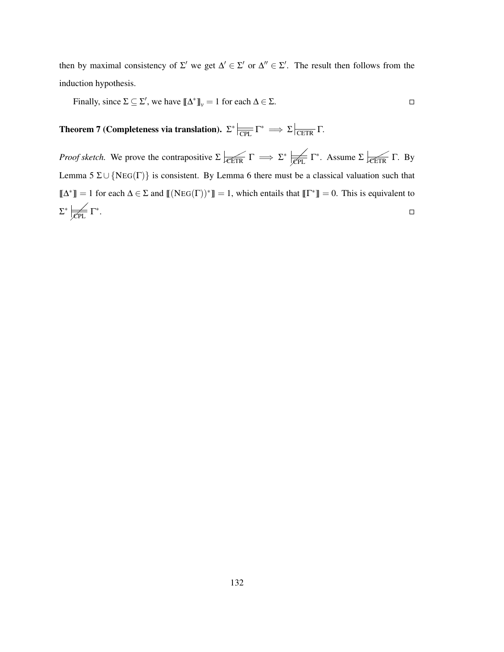then by maximal consistency of  $\Sigma'$  we get  $\Delta' \in \Sigma'$  or  $\Delta'' \in \Sigma'$ . The result then follows from the induction hypothesis.

Finally, since 
$$
\Sigma \subseteq \Sigma'
$$
, we have  $[\![\Delta^*]\!]_v = 1$  for each  $\Delta \in \Sigma$ .

**Theorem 7** (Completeness via translation).  $\Sigma^*$   $\overline{\bigcap_{\text{CPL}}} \Gamma^* \implies \Sigma \vert_{\overline{\text{CETR}}} \Gamma$ .

*Proof sketch.* We prove the contrapositive  $\Sigma \downarrow \leq \Gamma \implies \Sigma^* \downarrow \geq$  $\frac{1}{\sqrt{\epsilon_{\text{F}}}} \Gamma$ . Assume  $\Sigma \sqrt{\epsilon_{\text{ETR}}} \Gamma$ . By Lemma [5](#page-139-0)  $\Sigma \cup \{ \text{NEG}(\Gamma) \}$  is consistent. By Lemma [6](#page-139-1) there must be a classical valuation such that  $\llbracket \Delta^* \rrbracket = 1$  for each  $\Delta \in \Sigma$  and  $\llbracket (\text{NEG}(\Gamma))^* \rrbracket = 1$ , which entails that  $\llbracket \Gamma^* \rrbracket = 0$ . This is equivalent to  $\Sigma^*$   $\frac{1}{\mathcal{L}}$  $\overline{\overline{\epsilon_{\texttt{PL}}}}$   $\Gamma^*$ .

$$
\Box
$$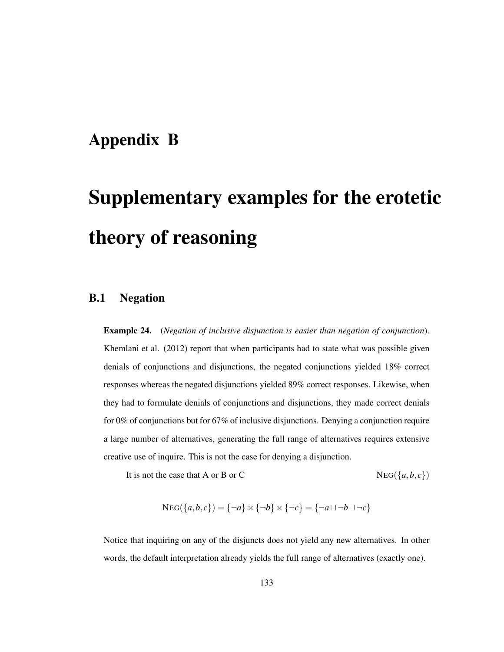# Appendix B

# Supplementary examples for the erotetic theory of reasoning

# B.1 Negation

Example 24. (*Negation of inclusive disjunction is easier than negation of conjunction*). Khemlani et al. (2012) report that when participants had to state what was possible given denials of conjunctions and disjunctions, the negated conjunctions yielded 18% correct responses whereas the negated disjunctions yielded 89% correct responses. Likewise, when they had to formulate denials of conjunctions and disjunctions, they made correct denials for 0% of conjunctions but for 67% of inclusive disjunctions. Denying a conjunction require a large number of alternatives, generating the full range of alternatives requires extensive creative use of inquire. This is not the case for denying a disjunction.

It is not the case that A or B or C  $NEG({a,b,c})$ 

$$
NEG({a,b,c}) = {\neg a} \times {\neg b} \times {\neg c} = {\neg a \sqcup \neg b \sqcup \neg c}
$$

Notice that inquiring on any of the disjuncts does not yield any new alternatives. In other words, the default interpretation already yields the full range of alternatives (exactly one).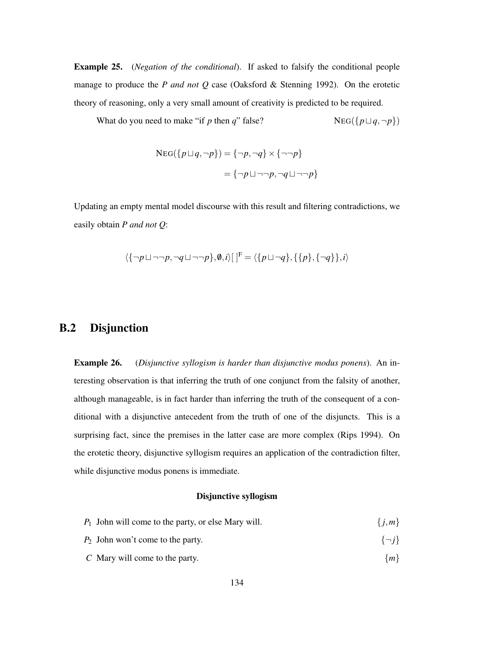Example 25. (*Negation of the conditional*). If asked to falsify the conditional people manage to produce the *P and not Q* case (Oaksford & Stenning 1992). On the erotetic theory of reasoning, only a very small amount of creativity is predicted to be required.

What do you need to make "if *p* then *q*" false? NEG({ $p \sqcup q, \neg p$ })

$$
NEG({p \sqcup q, \neg p}) = {\neg p, \neg q} \times {\neg \neg p}
$$

$$
= {\neg p \sqcup \neg \neg p, \neg q \sqcup \neg \neg p}
$$

Updating an empty mental model discourse with this result and filtering contradictions, we easily obtain *P and not Q*:

$$
\langle \{\neg p \sqcup \neg \neg p, \neg q \sqcup \neg \neg p\}, \emptyset, i \rangle [\ ]^{\mathrm{F}} = \langle \{p \sqcup \neg q\}, \{\{p\}, \{\neg q\}\}, i \rangle
$$

# B.2 Disjunction

Example 26. (*Disjunctive syllogism is harder than disjunctive modus ponens*). An interesting observation is that inferring the truth of one conjunct from the falsity of another, although manageable, is in fact harder than inferring the truth of the consequent of a conditional with a disjunctive antecedent from the truth of one of the disjuncts. This is a surprising fact, since the premises in the latter case are more complex (Rips 1994). On the erotetic theory, disjunctive syllogism requires an application of the contradiction filter, while disjunctive modus ponens is immediate.

# Disjunctive syllogism

| $P_1$ John will come to the party, or else Mary will. | $\{j,m\}$    |
|-------------------------------------------------------|--------------|
| $P_2$ John won't come to the party.                   | $\{\neg j\}$ |
| C Mary will come to the party.                        | $\{m\}$      |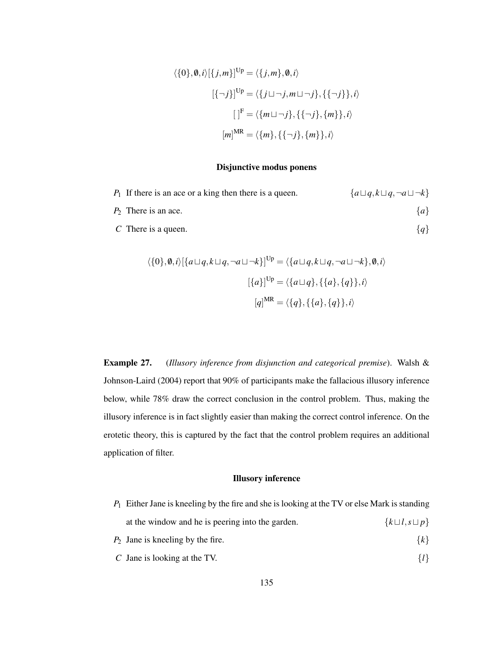$$
\langle \{0\}, \emptyset, i \rangle [\{j, m\}]^{Up} = \langle \{j, m\}, \emptyset, i \rangle
$$

$$
[\{\neg j\}]^{Up} = \langle \{j \sqcup \neg j, m \sqcup \neg j\}, \{\{\neg j\}\}, i \rangle
$$

$$
[\ ]^{F} = \langle \{m \sqcup \neg j\}, \{\{\neg j\}, \{m\}\}, i \rangle
$$

$$
[m]^{MR} = \langle \{m\}, \{\{\neg j\}, \{m\}\}, i \rangle
$$

### Disjunctive modus ponens

| $P_1$ If there is an ace or a king then there is a queen. | ${a \sqcup q, k \sqcup q, \neg a \sqcup \neg k}$ |
|-----------------------------------------------------------|--------------------------------------------------|
| $P_2$ There is an ace.                                    | $\{a\}$                                          |
| C There is a queen.                                       | ${a}$                                            |

$$
\langle \{0\}, \emptyset, i \rangle [\{a \sqcup q, k \sqcup q, \neg a \sqcup \neg k\}]^{Up} = \langle \{a \sqcup q, k \sqcup q, \neg a \sqcup \neg k\}, \emptyset, i \rangle
$$

$$
[\{a\}]^{Up} = \langle \{a \sqcup q\}, \{\{a\}, \{q\}\}, i \rangle
$$

$$
[q]^{MR} = \langle \{q\}, \{\{a\}, \{q\}\}, i \rangle
$$

Example 27. (*Illusory inference from disjunction and categorical premise*). Walsh & Johnson-Laird (2004) report that 90% of participants make the fallacious illusory inference below, while 78% draw the correct conclusion in the control problem. Thus, making the illusory inference is in fact slightly easier than making the correct control inference. On the erotetic theory, this is captured by the fact that the control problem requires an additional application of filter.

### Illusory inference

| $P_1$ Either Jane is kneeling by the fire and she is looking at the TV or else Mark is standing |                         |
|-------------------------------------------------------------------------------------------------|-------------------------|
| at the window and he is peering into the garden.                                                | ${k\sqcup l,s\sqcup p}$ |
| $P_2$ Jane is kneeling by the fire.                                                             | $\{k\}$                 |
| C Jane is looking at the TV.                                                                    | $\{l\}$                 |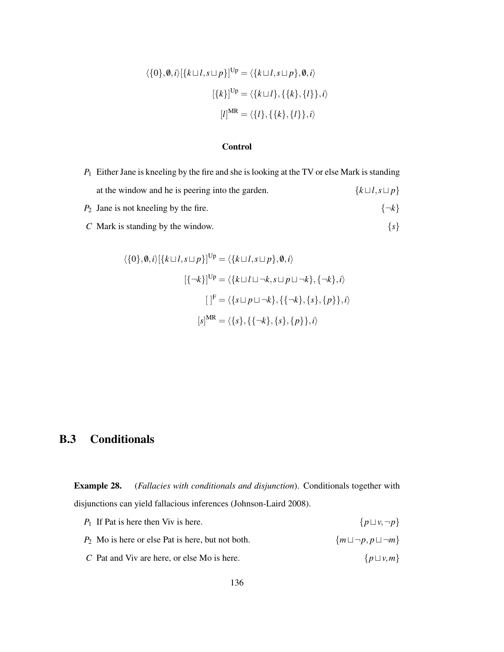$$
\langle \{0\}, \emptyset, i \rangle [\{k \sqcup l, s \sqcup p\}]^{Up} = \langle \{k \sqcup l, s \sqcup p\}, \emptyset, i \rangle
$$

$$
[\{k\}]^{Up} = \langle \{k \sqcup l\}, \{\{k\}, \{l\}\}, i \rangle
$$

$$
[l]^{MR} = \langle \{l\}, \{\{k\}, \{l\}\}, i \rangle
$$

### Control

| $P_1$ Either Jane is kneeling by the fire and she is looking at the TV or else Mark is standing |                              |
|-------------------------------------------------------------------------------------------------|------------------------------|
| at the window and he is peering into the garden.                                                | $\{k \sqcup l, s \sqcup p\}$ |
| $P_2$ Jane is not kneeling by the fire.                                                         | $\{\neg k\}$                 |
| C Mark is standing by the window.                                                               | $\{s\}$                      |

$$
\langle \{0\}, \emptyset, i \rangle [\{k \sqcup l, s \sqcup p\}]^{Up} = \langle \{k \sqcup l, s \sqcup p\}, \emptyset, i \rangle
$$

$$
[\{\neg k\}]^{Up} = \langle \{k \sqcup l \sqcup \neg k, s \sqcup p \sqcup \neg k\}, \{\neg k\}, i \rangle
$$

$$
[\ ]^{F} = \langle \{s \sqcup p \sqcup \neg k\}, \{\{\neg k\}, \{s\}, \{p\}\}, i \rangle
$$

$$
[s]^{MR} = \langle \{s\}, \{\{\neg k\}, \{s\}, \{p\}\}, i \rangle
$$

### B.3 Conditionals

Example 28. (*Fallacies with conditionals and disjunction*). Conditionals together with disjunctions can yield fallacious inferences (Johnson-Laird 2008).

| $P_1$ If Pat is here then Viv is here.              | $\{p \sqcup v, \neg p\}$               |
|-----------------------------------------------------|----------------------------------------|
| $P_2$ Mo is here or else Pat is here, but not both. | $\{m \sqcup \neg p, p \sqcup \neg m\}$ |
| C Pat and Viv are here, or else Mo is here.         | $\{p \sqcup v, m\}$                    |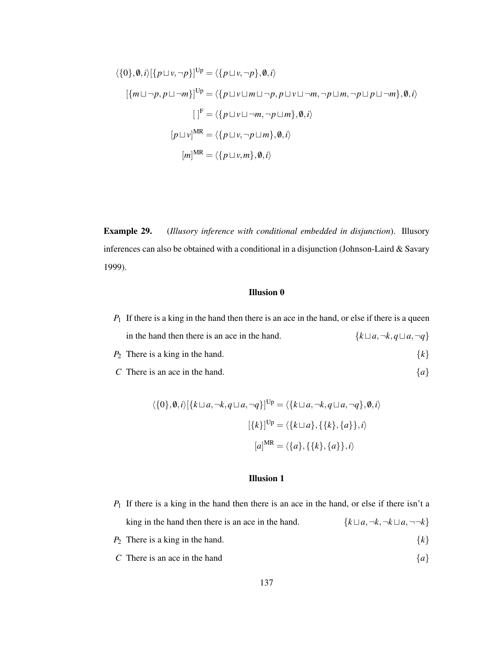$$
\langle \{0\}, \emptyset, i \rangle [\{p \sqcup v, \neg p\}]^{\text{Up}} = \langle \{p \sqcup v, \neg p\}, \emptyset, i \rangle
$$

$$
[\{m \sqcup \neg p, p \sqcup \neg m\}]^{\text{Up}} = \langle \{p \sqcup v \sqcup m \sqcup \neg p, p \sqcup v \sqcup \neg m, \neg p \sqcup m, \neg p \sqcup p \sqcup \neg m\}, \emptyset, i \rangle
$$

$$
[\ ]^{\text{F}} = \langle \{p \sqcup v \sqcup \neg m, \neg p \sqcup m\}, \emptyset, i \rangle
$$

$$
[p \sqcup v]^{\text{MR}} = \langle \{p \sqcup v, \neg p \sqcup m\}, \emptyset, i \rangle
$$

$$
[m]^{\text{MR}} = \langle \{p \sqcup v, m\}, \emptyset, i \rangle
$$

Example 29. (*Illusory inference with conditional embedded in disjunction*). Illusory inferences can also be obtained with a conditional in a disjunction (Johnson-Laird & Savary 1999).

#### Illusion 0

 $P_1$  If there is a king in the hand then there is an ace in the hand, or else if there is a queen in the hand then there is an ace in the hand.  ${k \sqcup a, \neg k, q \sqcup a, \neg q}$  $P_2$  There is a king in the hand.  $\{k\}$ *C* There is an ace in the hand.  $\{a\}$ 

$$
\langle \{0\}, \emptyset, i \rangle [\{k \sqcup a, \neg k, q \sqcup a, \neg q\}]^{Up} = \langle \{k \sqcup a, \neg k, q \sqcup a, \neg q\}, \emptyset, i \rangle
$$

$$
[\{k\}]^{Up} = \langle \{k \sqcup a\}, \{\{k\}, \{a\}\}, i \rangle
$$

$$
[a]^{MR} = \langle \{a\}, \{\{k\}, \{a\}\}, i \rangle
$$

#### Illusion 1

| $P_1$ If there is a king in the hand then there is an ace in the hand, or else if there isn't a |                                                  |
|-------------------------------------------------------------------------------------------------|--------------------------------------------------|
| king in the hand then there is an ace in the hand.                                              | $\{k\sqcup a,\neg k,\neg k\sqcup a,\neg\neg k\}$ |
| $P_2$ There is a king in the hand.                                                              | $\{k\}$                                          |
| C There is an ace in the hand                                                                   | $\{a\}$                                          |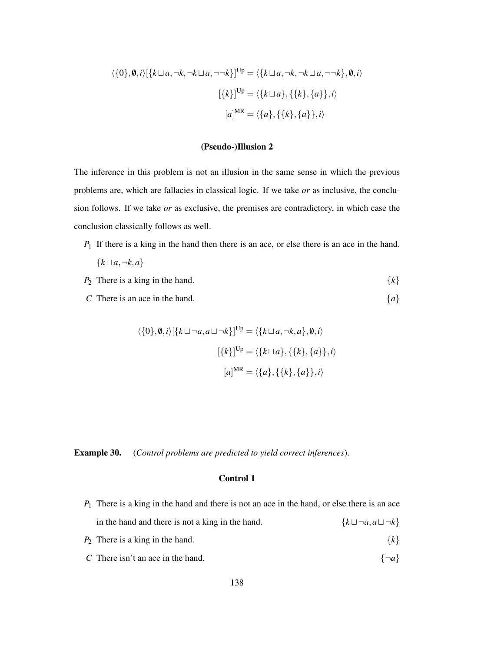$$
\langle \{0\}, \emptyset, i \rangle [\{k \sqcup a, \neg k, \neg k \sqcup a, \neg \neg k\}]^{Up} = \langle \{k \sqcup a, \neg k, \neg k \sqcup a, \neg \neg k\}, \emptyset, i \rangle
$$

$$
[\{k\}]^{Up} = \langle \{k \sqcup a\}, \{\{k\}, \{a\}\}, i \rangle
$$

$$
[a]^{MR} = \langle \{a\}, \{\{k\}, \{a\}\}, i \rangle
$$

#### (Pseudo-)Illusion 2

The inference in this problem is not an illusion in the same sense in which the previous problems are, which are fallacies in classical logic. If we take *or* as inclusive, the conclusion follows. If we take *or* as exclusive, the premises are contradictory, in which case the conclusion classically follows as well.

- *P*<sub>1</sub> If there is a king in the hand then there is an ace, or else there is an ace in the hand.  ${k \sqcup a, \neg k, a}$
- $P_2$  There is a king in the hand.  $\{k\}$
- *C* There is an ace in the hand.  ${a}$

$$
\langle \{0\}, \emptyset, i \rangle [\{k \sqcup \neg a, a \sqcup \neg k\}]^{Up} = \langle \{k \sqcup a, \neg k, a\}, \emptyset, i \rangle
$$

$$
[\{k\}]^{Up} = \langle \{k \sqcup a\}, \{\{k\}, \{a\}\}, i \rangle
$$

$$
[a]^{MR} = \langle \{a\}, \{\{k\}, \{a\}\}, i \rangle
$$

Example 30. (*Control problems are predicted to yield correct inferences*).

#### Control 1

| $P_1$ There is a king in the hand and there is not an ace in the hand, or else there is an ace |                                      |
|------------------------------------------------------------------------------------------------|--------------------------------------|
| in the hand and there is not a king in the hand.                                               | $\{k\sqcup \neg a, a\sqcup \neg k\}$ |
| $P_2$ There is a king in the hand.                                                             | $\{k\}$                              |
| C There isn't an ace in the hand.                                                              | $\{\neg a\}$                         |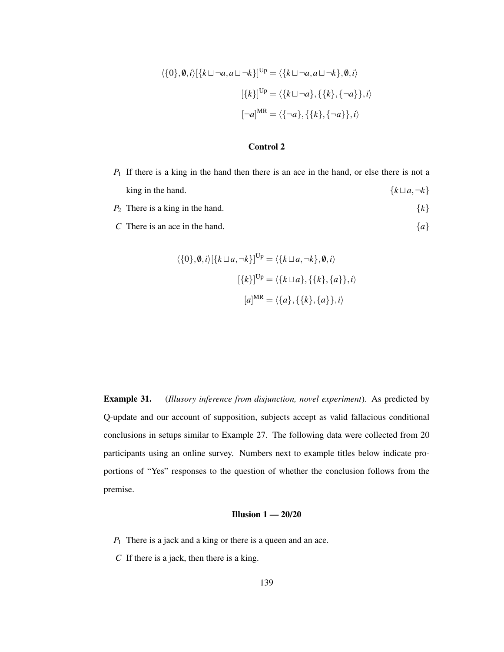$$
\langle \{0\}, \emptyset, i \rangle [\{k \sqcup \neg a, a \sqcup \neg k\}]^{Up} = \langle \{k \sqcup \neg a, a \sqcup \neg k\}, \emptyset, i \rangle
$$

$$
[\{k\}]^{Up} = \langle \{k \sqcup \neg a\}, \{\{k\}, \{\neg a\}\}, i \rangle
$$

$$
[\neg a]^{MR} = \langle \{\neg a\}, \{\{k\}, \{\neg a\}\}, i \rangle
$$

#### Control 2

| $P_1$ If there is a king in the hand then there is an ace in the hand, or else there is not a |                          |
|-----------------------------------------------------------------------------------------------|--------------------------|
| king in the hand.                                                                             | $\{k \sqcup a, \neg k\}$ |
| $P_2$ There is a king in the hand.                                                            | $\{k\}$                  |
| C There is an ace in the hand.                                                                | $\{a\}$                  |

$$
\langle \{0\}, \emptyset, i \rangle [\{k \sqcup a, \neg k\}]^{\text{Up}} = \langle \{k \sqcup a, \neg k\}, \emptyset, i \rangle
$$

$$
[\{k\}]^{\text{Up}} = \langle \{k \sqcup a\}, \{\{k\}, \{a\}\}, i \rangle
$$

$$
[a]^{\text{MR}} = \langle \{a\}, \{\{k\}, \{a\}\}, i \rangle
$$

Example 31. (*Illusory inference from disjunction, novel experiment*). As predicted by Q-update and our account of supposition, subjects accept as valid fallacious conditional conclusions in setups similar to Example [27.](#page-143-0) The following data were collected from 20 participants using an online survey. Numbers next to example titles below indicate proportions of "Yes" responses to the question of whether the conclusion follows from the premise.

#### Illusion 1 — 20/20

*P*<sub>1</sub> There is a jack and a king or there is a queen and an ace.

*C* If there is a jack, then there is a king.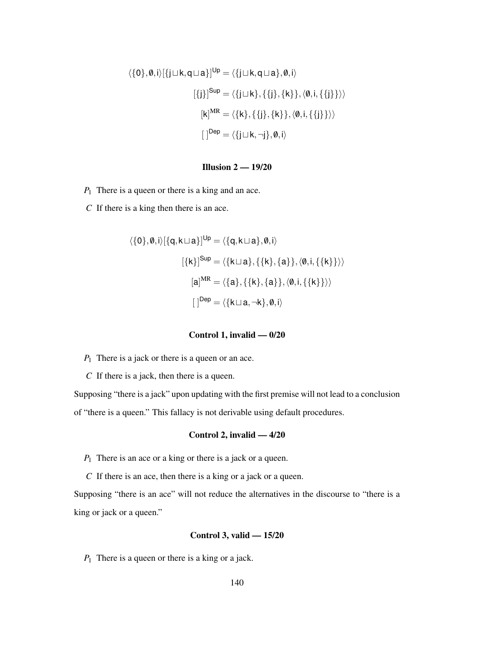$$
\langle \{0\}, \emptyset, i \rangle [\{j \sqcup k, q \sqcup a\}]^{Up} = \langle \{j \sqcup k, q \sqcup a\}, \emptyset, i \rangle
$$

$$
[\{j\}]^{Sup} = \langle \{j \sqcup k\}, \{\{j\}, \{k\}\}, \langle \emptyset, i, \{\{j\}\} \rangle \rangle
$$

$$
[k]^{MR} = \langle \{k\}, \{\{j\}, \{k\}\}, \langle \emptyset, i, \{\{j\}\} \rangle \rangle
$$

$$
[ ]^{Dep} = \langle \{j \sqcup k, \neg j\}, \emptyset, i \rangle
$$

#### Illusion 2 — 19/20

*P*<sub>1</sub> There is a queen or there is a king and an ace.

*C* If there is a king then there is an ace.

$$
\langle \{0\}, \emptyset, i \rangle [\{q, k \sqcup a\}]^{Up} = \langle \{q, k \sqcup a\}, \emptyset, i \rangle
$$

$$
[\{k\}]^{Sup} = \langle \{k \sqcup a\}, \{\{k\}, \{a\}\}, \langle \emptyset, i, \{\{k\}\} \rangle \rangle
$$

$$
[a]^{MR} = \langle \{a\}, \{\{k\}, \{a\}\}, \langle \emptyset, i, \{\{k\}\} \rangle \rangle
$$

$$
[ ]^{Dep} = \langle \{k \sqcup a, \neg k\}, \emptyset, i \rangle
$$

#### Control 1, invalid — 0/20

*P*<sub>1</sub> There is a jack or there is a queen or an ace.

*C* If there is a jack, then there is a queen.

Supposing "there is a jack" upon updating with the first premise will not lead to a conclusion of "there is a queen." This fallacy is not derivable using default procedures.

#### Control 2, invalid — 4/20

*P*<sub>1</sub> There is an ace or a king or there is a jack or a queen.

*C* If there is an ace, then there is a king or a jack or a queen.

Supposing "there is an ace" will not reduce the alternatives in the discourse to "there is a king or jack or a queen."

#### Control 3, valid — 15/20

*P*<sub>1</sub> There is a queen or there is a king or a jack.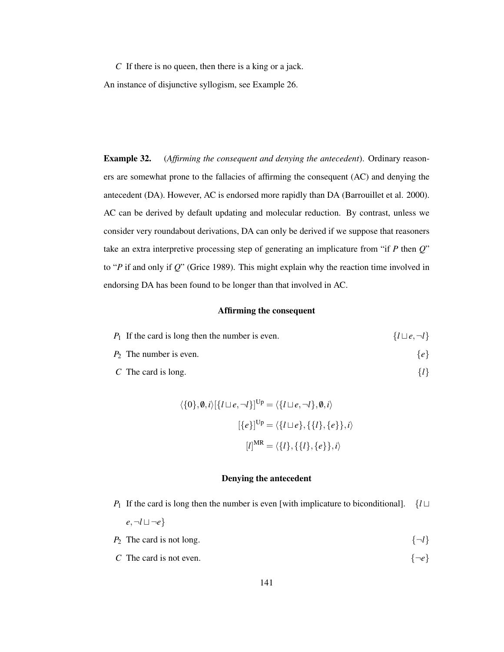*C* If there is no queen, then there is a king or a jack.

An instance of disjunctive syllogism, see Example [26.](#page-142-0)

Example 32. (*Affirming the consequent and denying the antecedent*). Ordinary reasoners are somewhat prone to the fallacies of affirming the consequent (AC) and denying the antecedent (DA). However, AC is endorsed more rapidly than DA (Barrouillet et al. 2000). AC can be derived by default updating and molecular reduction. By contrast, unless we consider very roundabout derivations, DA can only be derived if we suppose that reasoners take an extra interpretive processing step of generating an implicature from "if *P* then *Q*" to "*P* if and only if *Q*" (Grice 1989). This might explain why the reaction time involved in endorsing DA has been found to be longer than that involved in AC.

#### Affirming the consequent

| $P_1$ If the card is long then the number is even. | $\{l \sqcup e, \neg l\}$ |
|----------------------------------------------------|--------------------------|
| $P_2$ The number is even.                          | $\{e\}$                  |
| C The card is long.                                |                          |

$$
\langle \{0\}, \emptyset, i \rangle [\{l \sqcup e, \neg l\}]^{\text{Up}} = \langle \{l \sqcup e, \neg l\}, \emptyset, i \rangle
$$

$$
[\{e\}]^{\text{Up}} = \langle \{l \sqcup e\}, \{\{l\}, \{e\}\}, i \rangle
$$

$$
[l]^{\text{MR}} = \langle \{l\}, \{\{l\}, \{e\}\}, i \rangle
$$

#### Denying the antecedent

- *P*<sub>1</sub> If the card is long then the number is even [with implicature to biconditional]. { $l \sqcup$  $e, \neg l \sqcup \neg e$
- $P_2$  The card is not long.  $\{\neg l\}$
- *C* The card is not even.  $\{\neg e\}$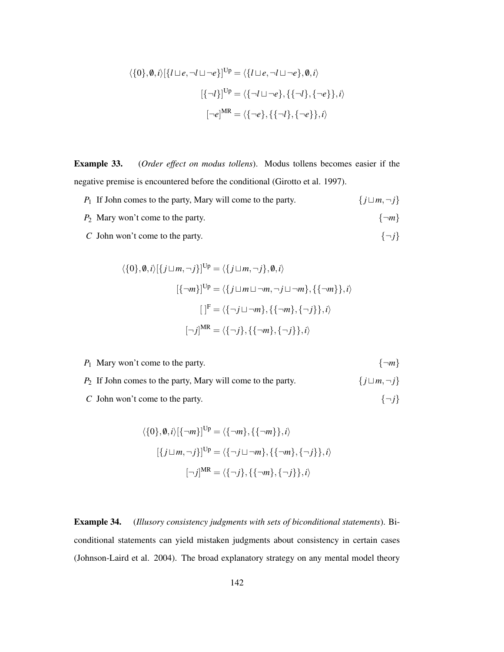$$
\langle \{0\}, \emptyset, i \rangle [\{l \sqcup e, \neg l \sqcup \neg e\}]^{\text{Up}} = \langle \{l \sqcup e, \neg l \sqcup \neg e\}, \emptyset, i \rangle
$$

$$
[\{\neg l\}]^{\text{Up}} = \langle \{\neg l \sqcup \neg e\}, \{\{\neg l\}, \{\neg e\}\}, i \rangle
$$

$$
[\neg e]^{\text{MR}} = \langle \{\neg e\}, \{\{\neg l\}, \{\neg e\}\}, i \rangle
$$

Example 33. (*Order effect on modus tollens*). Modus tollens becomes easier if the negative premise is encountered before the conditional (Girotto et al. 1997).

- *P*<sub>1</sub> If John comes to the party, Mary will come to the party.  $\{ j \sqcup m, \neg j \}$  $P_2$  Mary won't come to the party.  $\{\neg m\}$
- *C* John won't come to the party.  $\{\neg j\}$

$$
\langle \{0\}, \emptyset, i \rangle [\{j \sqcup m, \neg j\}]^{\text{Up}} = \langle \{j \sqcup m, \neg j\}, \emptyset, i \rangle
$$

$$
[\{\neg m\}]^{\text{Up}} = \langle \{j \sqcup m \sqcup \neg m, \neg j \sqcup \neg m\}, \{\{\neg m\}\}, i \rangle
$$

$$
[\ ]^{\text{F}} = \langle \{\neg j \sqcup \neg m\}, \{\{\neg m\}, \{\neg j\}\}, i \rangle
$$

$$
[\neg j]^{\text{MR}} = \langle \{\neg j\}, \{\{\neg m\}, \{\neg j\}\}, i \rangle
$$

*P*<sub>1</sub> Mary won't come to the party.  $\{\neg m\}$ *P*<sub>2</sub> If John comes to the party, Mary will come to the party.  $\{ j \sqcup m, \neg j \}$ *C* John won't come to the party.  $\{\neg j\}$ 

$$
\langle \{0\}, \emptyset, i \rangle [\{\neg m\}]^{Up} = \langle \{\neg m\}, \{\{\neg m\}\}, i \rangle
$$

$$
[\{j \sqcup m, \neg j\}]^{Up} = \langle \{\neg j \sqcup \neg m\}, \{\{\neg m\}, \{\neg j\}\}, i \rangle
$$

$$
[\neg j]^{MR} = \langle \{\neg j\}, \{\{\neg m\}, \{\neg j\}\}, i \rangle
$$

Example 34. (*Illusory consistency judgments with sets of biconditional statements*). Biconditional statements can yield mistaken judgments about consistency in certain cases (Johnson-Laird et al. 2004). The broad explanatory strategy on any mental model theory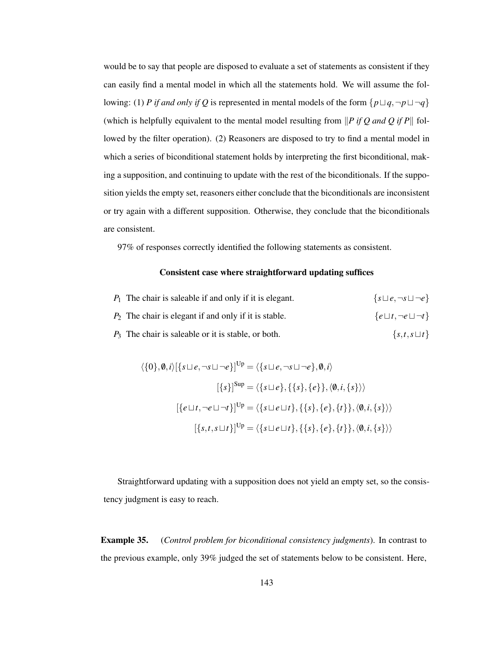would be to say that people are disposed to evaluate a set of statements as consistent if they can easily find a mental model in which all the statements hold. We will assume the following: (1) *P* if and only if *Q* is represented in mental models of the form  $\{p \sqcup q, \neg p \sqcup \neg q\}$ (which is helpfully equivalent to the mental model resulting from  $\Vert P \text{ if } Q \text{ and } Q \text{ if } P \Vert$  followed by the filter operation). (2) Reasoners are disposed to try to find a mental model in which a series of biconditional statement holds by interpreting the first biconditional, making a supposition, and continuing to update with the rest of the biconditionals. If the supposition yields the empty set, reasoners either conclude that the biconditionals are inconsistent or try again with a different supposition. Otherwise, they conclude that the biconditionals are consistent.

97% of responses correctly identified the following statements as consistent.

#### Consistent case where straightforward updating suffices

| $P_1$ The chair is saleable if and only if it is elegant. | $\{s \sqcup e, \neg s \sqcup \neg e\}$ |
|-----------------------------------------------------------|----------------------------------------|
| $P_2$ The chair is elegant if and only if it is stable.   | $\{e \sqcup t, \neg e \sqcup \neg t\}$ |
| $P_3$ The chair is saleable or it is stable, or both.     | $\{s,t,s\sqcup t\}$                    |

$$
\langle \{0\}, \emptyset, i \rangle [\{s \sqcup e, \neg s \sqcup \neg e\}]^{Up} = \langle \{s \sqcup e, \neg s \sqcup \neg e\}, \emptyset, i \rangle
$$

$$
[\{s\}]^{Sup} = \langle \{s \sqcup e\}, \{\{s\}, \{e\}\}, \langle \emptyset, i, \{s\} \rangle \rangle
$$

$$
[\{e \sqcup t, \neg e \sqcup \neg t\}]^{Up} = \langle \{s \sqcup e \sqcup t\}, \{\{s\}, \{e\}, \{t\}\}, \langle \emptyset, i, \{s\} \rangle \rangle
$$

$$
[\{s, t, s \sqcup t\}]^{Up} = \langle \{s \sqcup e \sqcup t\}, \{\{s\}, \{e\}, \{t\}\}, \langle \emptyset, i, \{s\} \rangle \rangle
$$

Straightforward updating with a supposition does not yield an empty set, so the consistency judgment is easy to reach.

Example 35. (*Control problem for biconditional consistency judgments*). In contrast to the previous example, only 39% judged the set of statements below to be consistent. Here,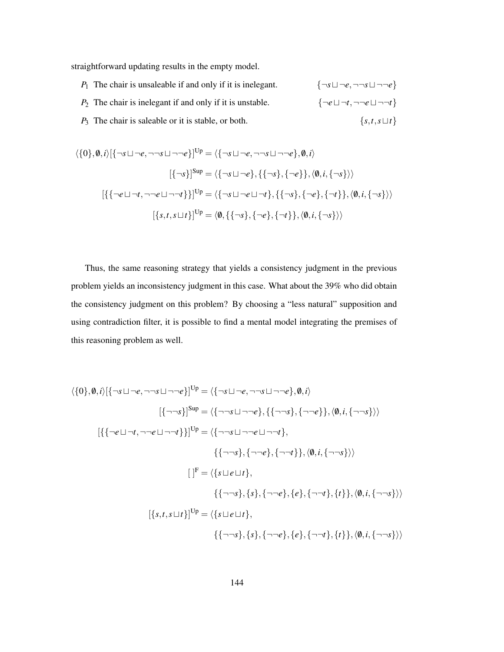straightforward updating results in the empty model.

| $P_1$ The chair is unsaleable if and only if it is inelegant. | $\{\neg s \sqcup \neg e, \neg \neg s \sqcup \neg \neg e\}$ |
|---------------------------------------------------------------|------------------------------------------------------------|
| $P_2$ The chair is inelegant if and only if it is unstable.   | $\{\neg e \sqcup \neg t, \neg \neg e \sqcup \neg \neg t\}$ |
| $P_3$ The chair is saleable or it is stable, or both.         | $\{s,t,s\sqcup t\}$                                        |

$$
\langle \{0\}, \emptyset, i \rangle [\{\neg s \sqcup \neg e, \neg \neg s \sqcup \neg \neg e\}]^{Up} = \langle \{\neg s \sqcup \neg e, \neg \neg s \sqcup \neg \neg e\}, \emptyset, i \rangle
$$

$$
[\{\neg s\}]^{Sup} = \langle \{\neg s \sqcup \neg e\}, \{\{\neg s\}, \{\neg e\}\}, \langle \emptyset, i, \{\neg s\} \rangle \rangle
$$

$$
[\{\{\neg e \sqcup \neg t, \neg \neg e \sqcup \neg \neg t\}\}]^{Up} = \langle \{\neg s \sqcup \neg e \sqcup \neg t\}, \{\{\neg s\}, \{\neg e\}, \{\neg t\}\}, \langle \emptyset, i, \{\neg s\} \rangle \rangle
$$

$$
[\{s, t, s \sqcup t\}]^{Up} = \langle \emptyset, \{\{\neg s\}, \{\neg e\}, \{\neg t\}\}, \langle \emptyset, i, \{\neg s\} \rangle \rangle
$$

Thus, the same reasoning strategy that yields a consistency judgment in the previous problem yields an inconsistency judgment in this case. What about the 39% who did obtain the consistency judgment on this problem? By choosing a "less natural" supposition and using contradiction filter, it is possible to find a mental model integrating the premises of this reasoning problem as well.

$$
\langle \{0\}, \emptyset, i \rangle [\{\neg s \sqcup \neg e, \neg \neg s \sqcup \neg \neg e\}]^{Up} = \langle \{\neg s \sqcup \neg e, \neg \neg s \sqcup \neg \neg e\}, \emptyset, i \rangle
$$

$$
[\{\neg \neg s\}]^{Sup} = \langle \{\neg \neg s \sqcup \neg \neg e\}, \{\{\neg \neg s\}, \{\neg \neg e\}\}, \emptyset, i, \{\neg \neg s\} \rangle \rangle
$$

$$
[\{\{\neg e \sqcup \neg t, \neg \neg e \sqcup \neg \neg t\}\}]^{Up} = \langle \{\neg \neg s \sqcup \neg \neg e \sqcup \neg \neg t\}, \{\neg \neg t\}, \{\emptyset, i, \{\neg \neg s\} \rangle \rangle
$$

$$
[\ ]^{F} = \langle \{s \sqcup e \sqcup t\}, \{\{\neg \neg s\}, \{s\}, \{\neg \neg e\}, \{e\}, \{\neg \neg t\}, \{t\}\}, \emptyset, i, \{\neg \neg s\} \rangle \rangle
$$

$$
[\{s, t, s \sqcup t\}]^{Up} = \langle \{s \sqcup e \sqcup t\}, \{\{\neg \neg s\}, \{s\}, \{\neg \neg e\}, \{e\}, \{\neg \neg t\}, \{t\}\}, \emptyset, i, \{\neg \neg s\} \rangle \rangle
$$

$$
[\{\neg \neg s\}, \{s\}, \{\neg \neg e\}, \{e\}, \{\neg \neg t\}, \{t\}\}, \emptyset, i, \{\neg \neg s\} \rangle \rangle
$$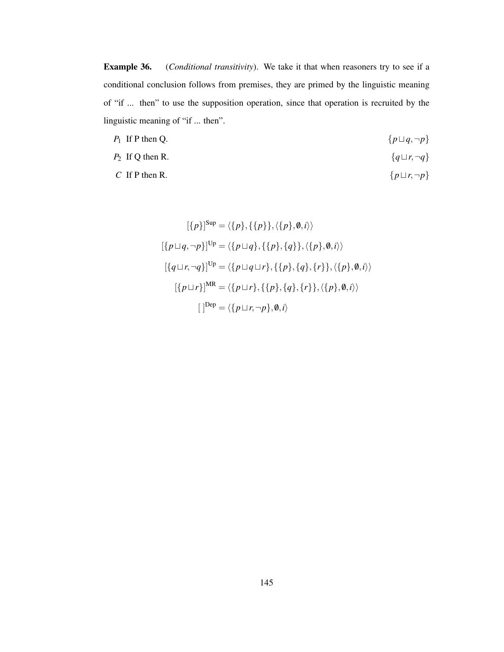Example 36. (*Conditional transitivity*). We take it that when reasoners try to see if a conditional conclusion follows from premises, they are primed by the linguistic meaning of "if ... then" to use the supposition operation, since that operation is recruited by the linguistic meaning of "if ... then".

| $P_1$ If P then Q. | $\{p \sqcup q, \neg p\}$ |
|--------------------|--------------------------|
| $P_2$ If Q then R. | $\{q \sqcup r, \neg q\}$ |
| $C$ If P then R.   | $\{p \sqcup r, \neg p\}$ |

$$
[\{p\}]^{\text{Sup}} = \langle \{p\}, \{\{p\}\}, \langle \{p\}, \emptyset, i \rangle \rangle
$$

$$
[\{p \sqcup q, \neg p\}]^{\text{Up}} = \langle \{p \sqcup q\}, \{\{p\}, \{q\}\}, \langle \{p\}, \emptyset, i \rangle \rangle
$$

$$
[\{q \sqcup r, \neg q\}]^{\text{Up}} = \langle \{p \sqcup q \sqcup r\}, \{\{p\}, \{q\}, \{r\}\}, \langle \{p\}, \emptyset, i \rangle \rangle
$$

$$
[\{p \sqcup r\}]^{\text{MR}} = \langle \{p \sqcup r\}, \{\{p\}, \{q\}, \{r\}\}, \langle \{p\}, \emptyset, i \rangle \rangle
$$

$$
[\}^{\text{Dep}} = \langle \{p \sqcup r, \neg p\}, \emptyset, i \rangle
$$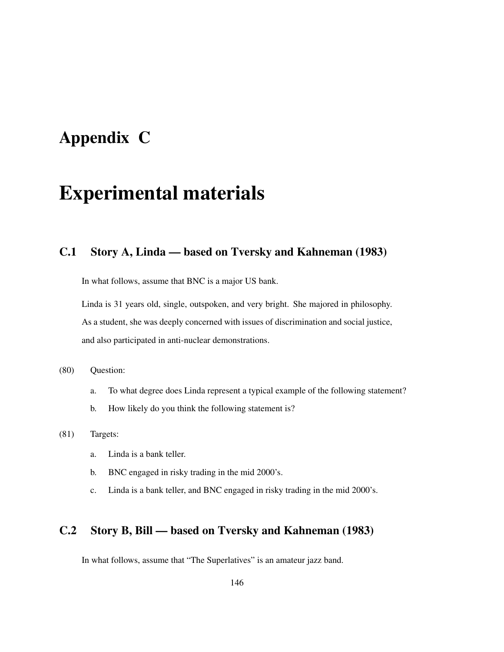## Appendix C

# Experimental materials

## C.1 Story A, Linda — based on [Tversky and Kahneman](#page-165-0) [\(1983\)](#page-165-0)

In what follows, assume that BNC is a major US bank.

Linda is 31 years old, single, outspoken, and very bright. She majored in philosophy. As a student, she was deeply concerned with issues of discrimination and social justice, and also participated in anti-nuclear demonstrations.

(80) Question:

- a. To what degree does Linda represent a typical example of the following statement?
- b. How likely do you think the following statement is?

(81) Targets:

- a. Linda is a bank teller.
- b. BNC engaged in risky trading in the mid 2000's.
- c. Linda is a bank teller, and BNC engaged in risky trading in the mid 2000's.

## C.2 Story B, Bill — based on [Tversky and Kahneman](#page-165-0) [\(1983\)](#page-165-0)

In what follows, assume that "The Superlatives" is an amateur jazz band.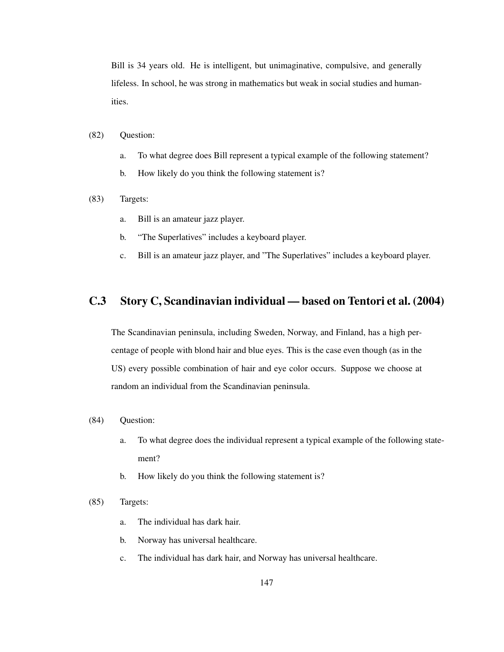Bill is 34 years old. He is intelligent, but unimaginative, compulsive, and generally lifeless. In school, he was strong in mathematics but weak in social studies and humanities.

#### (82) Question:

- a. To what degree does Bill represent a typical example of the following statement?
- b. How likely do you think the following statement is?

#### (83) Targets:

- a. Bill is an amateur jazz player.
- b. "The Superlatives" includes a keyboard player.
- c. Bill is an amateur jazz player, and "The Superlatives" includes a keyboard player.

### C.3 Story C, Scandinavian individual — based on [Tentori et al.](#page-165-1) [\(2004\)](#page-165-1)

The Scandinavian peninsula, including Sweden, Norway, and Finland, has a high percentage of people with blond hair and blue eyes. This is the case even though (as in the US) every possible combination of hair and eye color occurs. Suppose we choose at random an individual from the Scandinavian peninsula.

- (84) Question:
	- a. To what degree does the individual represent a typical example of the following statement?
	- b. How likely do you think the following statement is?

#### (85) Targets:

- a. The individual has dark hair.
- b. Norway has universal healthcare.
- c. The individual has dark hair, and Norway has universal healthcare.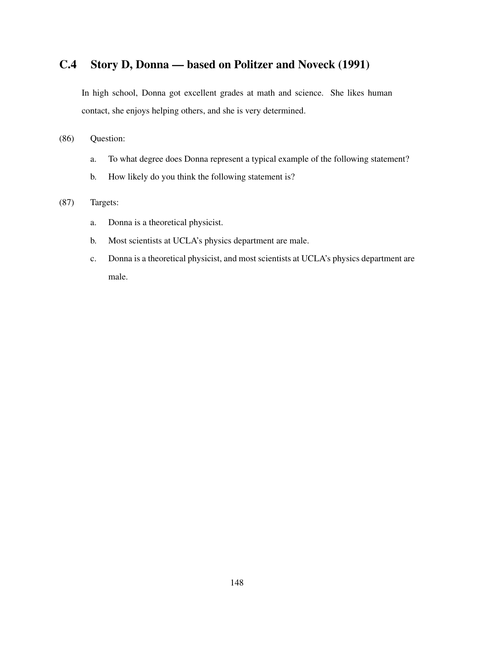## C.4 Story D, Donna — based on [Politzer and Noveck](#page-164-0) [\(1991\)](#page-164-0)

In high school, Donna got excellent grades at math and science. She likes human contact, she enjoys helping others, and she is very determined.

(86) Question:

- a. To what degree does Donna represent a typical example of the following statement?
- b. How likely do you think the following statement is?

#### (87) Targets:

- a. Donna is a theoretical physicist.
- b. Most scientists at UCLA's physics department are male.
- c. Donna is a theoretical physicist, and most scientists at UCLA's physics department are male.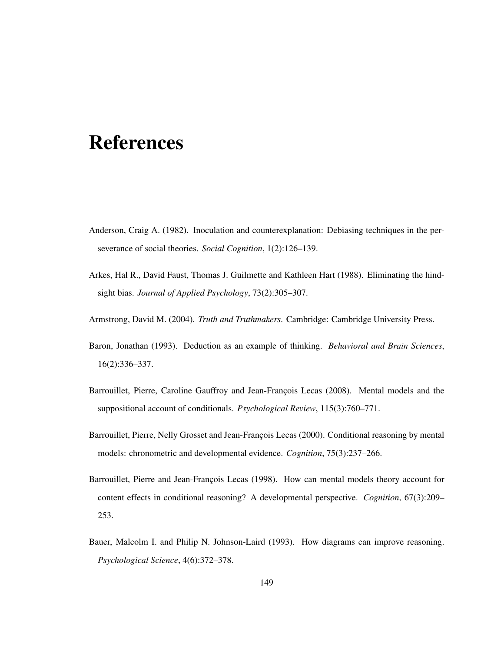# References

- Anderson, Craig A. (1982). Inoculation and counterexplanation: Debiasing techniques in the perseverance of social theories. *Social Cognition*, 1(2):126–139.
- Arkes, Hal R., David Faust, Thomas J. Guilmette and Kathleen Hart (1988). Eliminating the hindsight bias. *Journal of Applied Psychology*, 73(2):305–307.
- Armstrong, David M. (2004). *Truth and Truthmakers*. Cambridge: Cambridge University Press.
- Baron, Jonathan (1993). Deduction as an example of thinking. *Behavioral and Brain Sciences*, 16(2):336–337.
- Barrouillet, Pierre, Caroline Gauffroy and Jean-François Lecas (2008). Mental models and the suppositional account of conditionals. *Psychological Review*, 115(3):760–771.
- Barrouillet, Pierre, Nelly Grosset and Jean-François Lecas (2000). Conditional reasoning by mental models: chronometric and developmental evidence. *Cognition*, 75(3):237–266.
- Barrouillet, Pierre and Jean-François Lecas (1998). How can mental models theory account for content effects in conditional reasoning? A developmental perspective. *Cognition*, 67(3):209– 253.
- Bauer, Malcolm I. and Philip N. Johnson-Laird (1993). How diagrams can improve reasoning. *Psychological Science*, 4(6):372–378.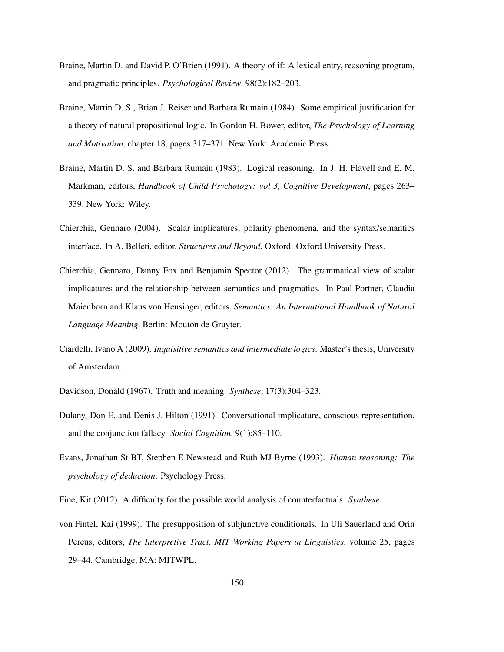- Braine, Martin D. and David P. O'Brien (1991). A theory of if: A lexical entry, reasoning program, and pragmatic principles. *Psychological Review*, 98(2):182–203.
- Braine, Martin D. S., Brian J. Reiser and Barbara Rumain (1984). Some empirical justification for a theory of natural propositional logic. In Gordon H. Bower, editor, *The Psychology of Learning and Motivation*, chapter 18, pages 317–371. New York: Academic Press.
- Braine, Martin D. S. and Barbara Rumain (1983). Logical reasoning. In J. H. Flavell and E. M. Markman, editors, *Handbook of Child Psychology: vol 3, Cognitive Development*, pages 263– 339. New York: Wiley.
- Chierchia, Gennaro (2004). Scalar implicatures, polarity phenomena, and the syntax/semantics interface. In A. Belleti, editor, *Structures and Beyond*. Oxford: Oxford University Press.
- Chierchia, Gennaro, Danny Fox and Benjamin Spector (2012). The grammatical view of scalar implicatures and the relationship between semantics and pragmatics. In Paul Portner, Claudia Maienborn and Klaus von Heusinger, editors, *Semantics: An International Handbook of Natural Language Meaning*. Berlin: Mouton de Gruyter.
- Ciardelli, Ivano A (2009). *Inquisitive semantics and intermediate logics*. Master's thesis, University of Amsterdam.
- Davidson, Donald (1967). Truth and meaning. *Synthese*, 17(3):304–323.
- Dulany, Don E. and Denis J. Hilton (1991). Conversational implicature, conscious representation, and the conjunction fallacy. *Social Cognition*, 9(1):85–110.
- Evans, Jonathan St BT, Stephen E Newstead and Ruth MJ Byrne (1993). *Human reasoning: The psychology of deduction*. Psychology Press.
- Fine, Kit (2012). A difficulty for the possible world analysis of counterfactuals. *Synthese*.
- von Fintel, Kai (1999). The presupposition of subjunctive conditionals. In Uli Sauerland and Orin Percus, editors, *The Interpretive Tract. MIT Working Papers in Linguistics*, volume 25, pages 29–44. Cambridge, MA: MITWPL.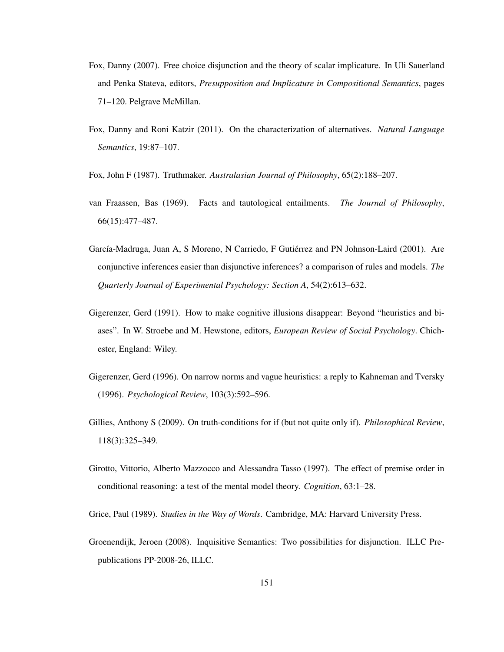- Fox, Danny (2007). Free choice disjunction and the theory of scalar implicature. In Uli Sauerland and Penka Stateva, editors, *Presupposition and Implicature in Compositional Semantics*, pages 71–120. Pelgrave McMillan.
- Fox, Danny and Roni Katzir (2011). On the characterization of alternatives. *Natural Language Semantics*, 19:87–107.
- Fox, John F (1987). Truthmaker. *Australasian Journal of Philosophy*, 65(2):188–207.
- van Fraassen, Bas (1969). Facts and tautological entailments. *The Journal of Philosophy*, 66(15):477–487.
- García-Madruga, Juan A, S Moreno, N Carriedo, F Gutiérrez and PN Johnson-Laird (2001). Are conjunctive inferences easier than disjunctive inferences? a comparison of rules and models. *The Quarterly Journal of Experimental Psychology: Section A*, 54(2):613–632.
- Gigerenzer, Gerd (1991). How to make cognitive illusions disappear: Beyond "heuristics and biases". In W. Stroebe and M. Hewstone, editors, *European Review of Social Psychology*. Chichester, England: Wiley.
- Gigerenzer, Gerd (1996). On narrow norms and vague heuristics: a reply to Kahneman and Tversky (1996). *Psychological Review*, 103(3):592–596.
- Gillies, Anthony S (2009). On truth-conditions for if (but not quite only if). *Philosophical Review*, 118(3):325–349.
- Girotto, Vittorio, Alberto Mazzocco and Alessandra Tasso (1997). The effect of premise order in conditional reasoning: a test of the mental model theory. *Cognition*, 63:1–28.
- Grice, Paul (1989). *Studies in the Way of Words*. Cambridge, MA: Harvard University Press.
- Groenendijk, Jeroen (2008). Inquisitive Semantics: Two possibilities for disjunction. ILLC Prepublications PP-2008-26, ILLC.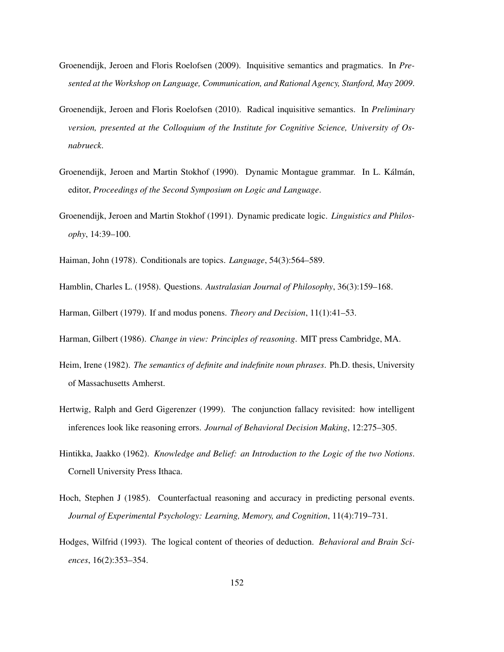- Groenendijk, Jeroen and Floris Roelofsen (2009). Inquisitive semantics and pragmatics. In *Presented at the Workshop on Language, Communication, and Rational Agency, Stanford, May 2009*.
- Groenendijk, Jeroen and Floris Roelofsen (2010). Radical inquisitive semantics. In *Preliminary version, presented at the Colloquium of the Institute for Cognitive Science, University of Osnabrueck*.
- Groenendijk, Jeroen and Martin Stokhof (1990). Dynamic Montague grammar. In L. Kálmán, editor, *Proceedings of the Second Symposium on Logic and Language*.
- Groenendijk, Jeroen and Martin Stokhof (1991). Dynamic predicate logic. *Linguistics and Philosophy*, 14:39–100.
- Haiman, John (1978). Conditionals are topics. *Language*, 54(3):564–589.
- Hamblin, Charles L. (1958). Questions. *Australasian Journal of Philosophy*, 36(3):159–168.

Harman, Gilbert (1979). If and modus ponens. *Theory and Decision*, 11(1):41–53.

- Harman, Gilbert (1986). *Change in view: Principles of reasoning*. MIT press Cambridge, MA.
- Heim, Irene (1982). *The semantics of definite and indefinite noun phrases*. Ph.D. thesis, University of Massachusetts Amherst.
- Hertwig, Ralph and Gerd Gigerenzer (1999). The conjunction fallacy revisited: how intelligent inferences look like reasoning errors. *Journal of Behavioral Decision Making*, 12:275–305.
- Hintikka, Jaakko (1962). *Knowledge and Belief: an Introduction to the Logic of the two Notions*. Cornell University Press Ithaca.
- Hoch, Stephen J (1985). Counterfactual reasoning and accuracy in predicting personal events. *Journal of Experimental Psychology: Learning, Memory, and Cognition*, 11(4):719–731.
- Hodges, Wilfrid (1993). The logical content of theories of deduction. *Behavioral and Brain Sciences*, 16(2):353–354.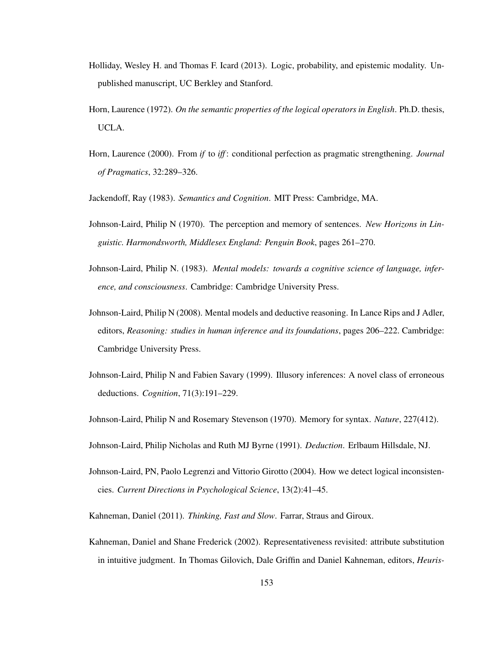- Holliday, Wesley H. and Thomas F. Icard (2013). Logic, probability, and epistemic modality. Unpublished manuscript, UC Berkley and Stanford.
- Horn, Laurence (1972). *On the semantic properties of the logical operators in English*. Ph.D. thesis, UCLA.
- Horn, Laurence (2000). From *if* to *iff* : conditional perfection as pragmatic strengthening. *Journal of Pragmatics*, 32:289–326.
- Jackendoff, Ray (1983). *Semantics and Cognition*. MIT Press: Cambridge, MA.
- Johnson-Laird, Philip N (1970). The perception and memory of sentences. *New Horizons in Linguistic. Harmondsworth, Middlesex England: Penguin Book*, pages 261–270.
- Johnson-Laird, Philip N. (1983). *Mental models: towards a cognitive science of language, inference, and consciousness*. Cambridge: Cambridge University Press.
- Johnson-Laird, Philip N (2008). Mental models and deductive reasoning. In Lance Rips and J Adler, editors, *Reasoning: studies in human inference and its foundations*, pages 206–222. Cambridge: Cambridge University Press.
- Johnson-Laird, Philip N and Fabien Savary (1999). Illusory inferences: A novel class of erroneous deductions. *Cognition*, 71(3):191–229.
- Johnson-Laird, Philip N and Rosemary Stevenson (1970). Memory for syntax. *Nature*, 227(412).
- Johnson-Laird, Philip Nicholas and Ruth MJ Byrne (1991). *Deduction*. Erlbaum Hillsdale, NJ.
- Johnson-Laird, PN, Paolo Legrenzi and Vittorio Girotto (2004). How we detect logical inconsistencies. *Current Directions in Psychological Science*, 13(2):41–45.

Kahneman, Daniel (2011). *Thinking, Fast and Slow*. Farrar, Straus and Giroux.

Kahneman, Daniel and Shane Frederick (2002). Representativeness revisited: attribute substitution in intuitive judgment. In Thomas Gilovich, Dale Griffin and Daniel Kahneman, editors, *Heuris-*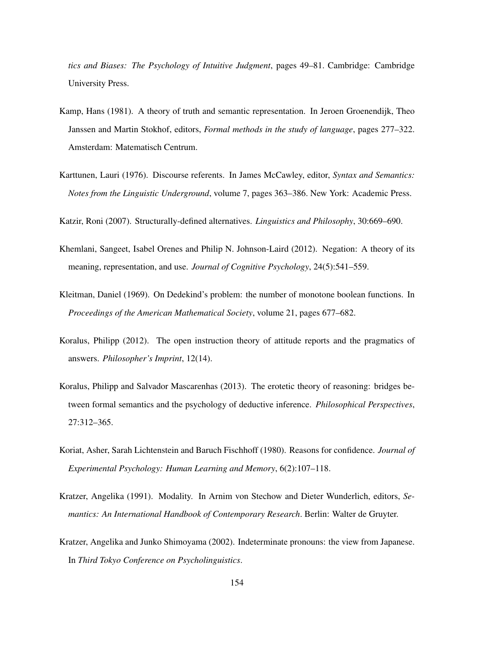*tics and Biases: The Psychology of Intuitive Judgment*, pages 49–81. Cambridge: Cambridge University Press.

- Kamp, Hans (1981). A theory of truth and semantic representation. In Jeroen Groenendijk, Theo Janssen and Martin Stokhof, editors, *Formal methods in the study of language*, pages 277–322. Amsterdam: Matematisch Centrum.
- Karttunen, Lauri (1976). Discourse referents. In James McCawley, editor, *Syntax and Semantics: Notes from the Linguistic Underground*, volume 7, pages 363–386. New York: Academic Press.

Katzir, Roni (2007). Structurally-defined alternatives. *Linguistics and Philosophy*, 30:669–690.

- Khemlani, Sangeet, Isabel Orenes and Philip N. Johnson-Laird (2012). Negation: A theory of its meaning, representation, and use. *Journal of Cognitive Psychology*, 24(5):541–559.
- Kleitman, Daniel (1969). On Dedekind's problem: the number of monotone boolean functions. In *Proceedings of the American Mathematical Society*, volume 21, pages 677–682.
- Koralus, Philipp (2012). The open instruction theory of attitude reports and the pragmatics of answers. *Philosopher's Imprint*, 12(14).
- Koralus, Philipp and Salvador Mascarenhas (2013). The erotetic theory of reasoning: bridges between formal semantics and the psychology of deductive inference. *Philosophical Perspectives*, 27:312–365.
- Koriat, Asher, Sarah Lichtenstein and Baruch Fischhoff (1980). Reasons for confidence. *Journal of Experimental Psychology: Human Learning and Memory*, 6(2):107–118.
- Kratzer, Angelika (1991). Modality. In Arnim von Stechow and Dieter Wunderlich, editors, *Semantics: An International Handbook of Contemporary Research*. Berlin: Walter de Gruyter.
- Kratzer, Angelika and Junko Shimoyama (2002). Indeterminate pronouns: the view from Japanese. In *Third Tokyo Conference on Psycholinguistics*.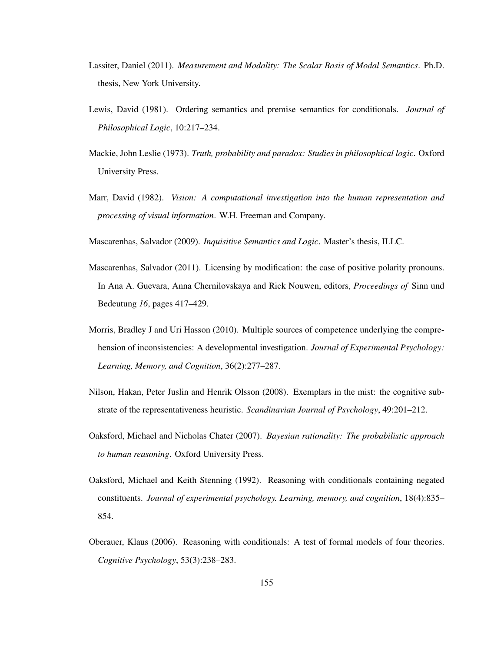- Lassiter, Daniel (2011). *Measurement and Modality: The Scalar Basis of Modal Semantics*. Ph.D. thesis, New York University.
- Lewis, David (1981). Ordering semantics and premise semantics for conditionals. *Journal of Philosophical Logic*, 10:217–234.
- Mackie, John Leslie (1973). *Truth, probability and paradox: Studies in philosophical logic*. Oxford University Press.
- Marr, David (1982). *Vision: A computational investigation into the human representation and processing of visual information*. W.H. Freeman and Company.

Mascarenhas, Salvador (2009). *Inquisitive Semantics and Logic*. Master's thesis, ILLC.

- Mascarenhas, Salvador (2011). Licensing by modification: the case of positive polarity pronouns. In Ana A. Guevara, Anna Chernilovskaya and Rick Nouwen, editors, *Proceedings of* Sinn und Bedeutung *16*, pages 417–429.
- Morris, Bradley J and Uri Hasson (2010). Multiple sources of competence underlying the comprehension of inconsistencies: A developmental investigation. *Journal of Experimental Psychology: Learning, Memory, and Cognition*, 36(2):277–287.
- Nilson, Hakan, Peter Juslin and Henrik Olsson (2008). Exemplars in the mist: the cognitive substrate of the representativeness heuristic. *Scandinavian Journal of Psychology*, 49:201–212.
- Oaksford, Michael and Nicholas Chater (2007). *Bayesian rationality: The probabilistic approach to human reasoning*. Oxford University Press.
- Oaksford, Michael and Keith Stenning (1992). Reasoning with conditionals containing negated constituents. *Journal of experimental psychology. Learning, memory, and cognition*, 18(4):835– 854.
- Oberauer, Klaus (2006). Reasoning with conditionals: A test of formal models of four theories. *Cognitive Psychology*, 53(3):238–283.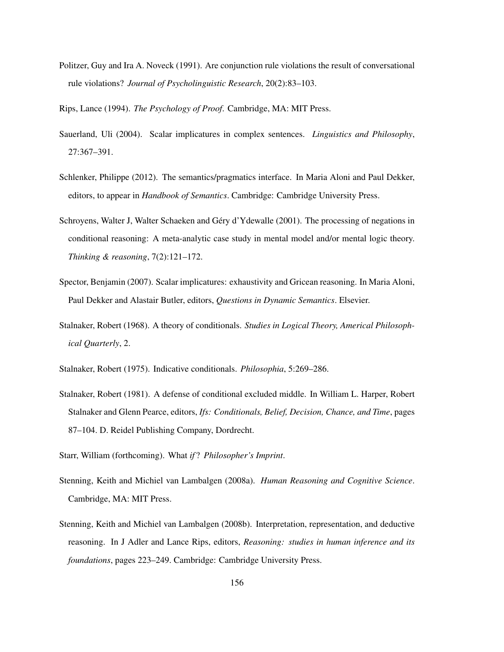<span id="page-164-0"></span>Politzer, Guy and Ira A. Noveck (1991). Are conjunction rule violations the result of conversational rule violations? *Journal of Psycholinguistic Research*, 20(2):83–103.

Rips, Lance (1994). *The Psychology of Proof*. Cambridge, MA: MIT Press.

- Sauerland, Uli (2004). Scalar implicatures in complex sentences. *Linguistics and Philosophy*, 27:367–391.
- Schlenker, Philippe (2012). The semantics/pragmatics interface. In Maria Aloni and Paul Dekker, editors, to appear in *Handbook of Semantics*. Cambridge: Cambridge University Press.
- Schroyens, Walter J, Walter Schaeken and Géry d'Ydewalle (2001). The processing of negations in conditional reasoning: A meta-analytic case study in mental model and/or mental logic theory. *Thinking & reasoning*, 7(2):121–172.
- Spector, Benjamin (2007). Scalar implicatures: exhaustivity and Gricean reasoning. In Maria Aloni, Paul Dekker and Alastair Butler, editors, *Questions in Dynamic Semantics*. Elsevier.
- Stalnaker, Robert (1968). A theory of conditionals. *Studies in Logical Theory, Americal Philosophical Quarterly*, 2.
- Stalnaker, Robert (1975). Indicative conditionals. *Philosophia*, 5:269–286.
- Stalnaker, Robert (1981). A defense of conditional excluded middle. In William L. Harper, Robert Stalnaker and Glenn Pearce, editors, *Ifs: Conditionals, Belief, Decision, Chance, and Time*, pages 87–104. D. Reidel Publishing Company, Dordrecht.

Starr, William (forthcoming). What *if* ? *Philosopher's Imprint*.

- Stenning, Keith and Michiel van Lambalgen (2008a). *Human Reasoning and Cognitive Science*. Cambridge, MA: MIT Press.
- Stenning, Keith and Michiel van Lambalgen (2008b). Interpretation, representation, and deductive reasoning. In J Adler and Lance Rips, editors, *Reasoning: studies in human inference and its foundations*, pages 223–249. Cambridge: Cambridge University Press.